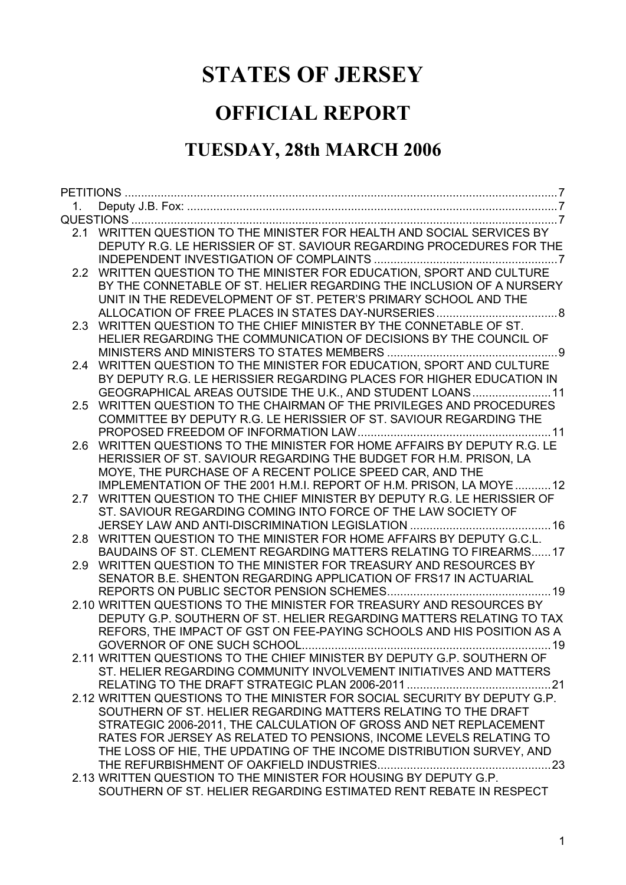# **STATES OF JERSEY**

# **OFFICIAL REPORT**

# **TUESDAY, 28th MARCH 2006**

|                  | 2.1 WRITTEN QUESTION TO THE MINISTER FOR HEALTH AND SOCIAL SERVICES BY                                                                    |
|------------------|-------------------------------------------------------------------------------------------------------------------------------------------|
|                  | DEPUTY R.G. LE HERISSIER OF ST. SAVIOUR REGARDING PROCEDURES FOR THE                                                                      |
|                  |                                                                                                                                           |
|                  | 2.2 WRITTEN QUESTION TO THE MINISTER FOR EDUCATION, SPORT AND CULTURE                                                                     |
|                  | BY THE CONNETABLE OF ST. HELIER REGARDING THE INCLUSION OF A NURSERY                                                                      |
|                  | UNIT IN THE REDEVELOPMENT OF ST. PETER'S PRIMARY SCHOOL AND THE                                                                           |
|                  |                                                                                                                                           |
| 2.3              | WRITTEN QUESTION TO THE CHIEF MINISTER BY THE CONNETABLE OF ST.                                                                           |
|                  | HELIER REGARDING THE COMMUNICATION OF DECISIONS BY THE COUNCIL OF                                                                         |
|                  |                                                                                                                                           |
| 2.4              | WRITTEN QUESTION TO THE MINISTER FOR EDUCATION, SPORT AND CULTURE                                                                         |
|                  | BY DEPUTY R.G. LE HERISSIER REGARDING PLACES FOR HIGHER EDUCATION IN                                                                      |
|                  | GEOGRAPHICAL AREAS OUTSIDE THE U.K., AND STUDENT LOANS11                                                                                  |
| $2.5^{\circ}$    | WRITTEN QUESTION TO THE CHAIRMAN OF THE PRIVILEGES AND PROCEDURES                                                                         |
|                  | COMMITTEE BY DEPUTY R.G. LE HERISSIER OF ST. SAVIOUR REGARDING THE                                                                        |
|                  |                                                                                                                                           |
| 2.6              | WRITTEN QUESTIONS TO THE MINISTER FOR HOME AFFAIRS BY DEPUTY R.G. LE<br>HERISSIER OF ST. SAVIOUR REGARDING THE BUDGET FOR H.M. PRISON, LA |
|                  | MOYE, THE PURCHASE OF A RECENT POLICE SPEED CAR, AND THE                                                                                  |
|                  | IMPLEMENTATION OF THE 2001 H.M.I. REPORT OF H.M. PRISON, LA MOYE  12                                                                      |
|                  | 2.7 WRITTEN QUESTION TO THE CHIEF MINISTER BY DEPUTY R.G. LE HERISSIER OF                                                                 |
|                  | ST. SAVIOUR REGARDING COMING INTO FORCE OF THE LAW SOCIETY OF                                                                             |
|                  |                                                                                                                                           |
| 2.8              | WRITTEN QUESTION TO THE MINISTER FOR HOME AFFAIRS BY DEPUTY G.C.L.                                                                        |
|                  | BAUDAINS OF ST. CLEMENT REGARDING MATTERS RELATING TO FIREARMS17                                                                          |
| 2.9 <sup>°</sup> | WRITTEN QUESTION TO THE MINISTER FOR TREASURY AND RESOURCES BY                                                                            |
|                  | SENATOR B.E. SHENTON REGARDING APPLICATION OF FRS17 IN ACTUARIAL                                                                          |
|                  |                                                                                                                                           |
|                  | 2.10 WRITTEN QUESTIONS TO THE MINISTER FOR TREASURY AND RESOURCES BY                                                                      |
|                  | DEPUTY G.P. SOUTHERN OF ST. HELIER REGARDING MATTERS RELATING TO TAX                                                                      |
|                  | REFORS, THE IMPACT OF GST ON FEE-PAYING SCHOOLS AND HIS POSITION AS A                                                                     |
|                  |                                                                                                                                           |
|                  | 2.11 WRITTEN QUESTIONS TO THE CHIEF MINISTER BY DEPUTY G.P. SOUTHERN OF                                                                   |
|                  | ST. HELIER REGARDING COMMUNITY INVOLVEMENT INITIATIVES AND MATTERS                                                                        |
|                  | RELATING TO THE DRAFT STRATEGIC PLAN 2006-2011<br>. 21                                                                                    |
|                  | 2.12 WRITTEN QUESTIONS TO THE MINISTER FOR SOCIAL SECURITY BY DEPUTY G.P.                                                                 |
|                  | SOUTHERN OF ST. HELIER REGARDING MATTERS RELATING TO THE DRAFT                                                                            |
|                  | STRATEGIC 2006-2011, THE CALCULATION OF GROSS AND NET REPLACEMENT                                                                         |
|                  | RATES FOR JERSEY AS RELATED TO PENSIONS, INCOME LEVELS RELATING TO                                                                        |
|                  | THE LOSS OF HIE, THE UPDATING OF THE INCOME DISTRIBUTION SURVEY, AND                                                                      |
|                  |                                                                                                                                           |
|                  | 2.13 WRITTEN QUESTION TO THE MINISTER FOR HOUSING BY DEPUTY G.P.                                                                          |
|                  | SOUTHERN OF ST. HELIER REGARDING ESTIMATED RENT REBATE IN RESPECT                                                                         |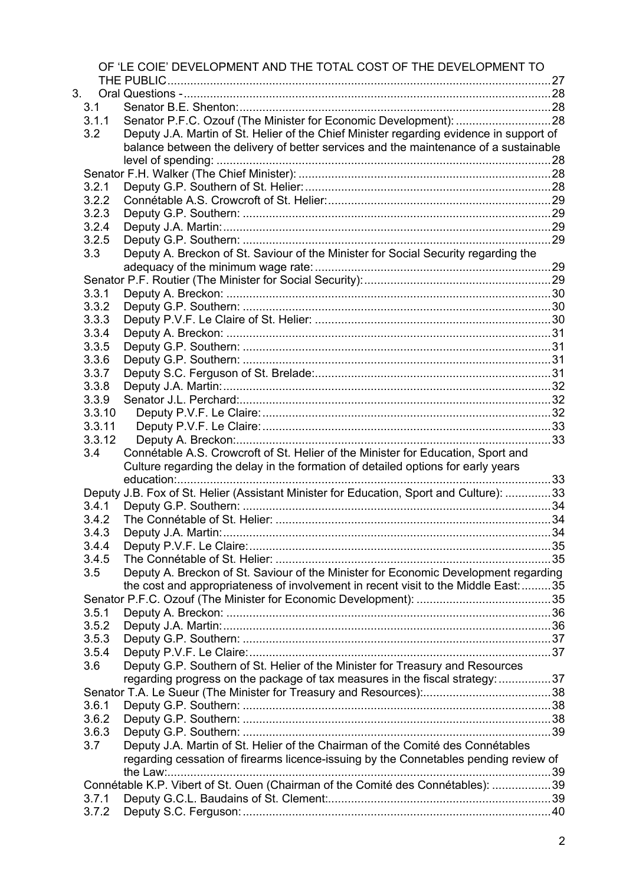|    |        | OF 'LE COIE' DEVELOPMENT AND THE TOTAL COST OF THE DEVELOPMENT TO                       |  |
|----|--------|-----------------------------------------------------------------------------------------|--|
|    |        |                                                                                         |  |
| 3. |        |                                                                                         |  |
|    | 3.1    |                                                                                         |  |
|    | 3.1.1  |                                                                                         |  |
|    | 3.2    | Deputy J.A. Martin of St. Helier of the Chief Minister regarding evidence in support of |  |
|    |        | balance between the delivery of better services and the maintenance of a sustainable    |  |
|    |        |                                                                                         |  |
|    |        |                                                                                         |  |
|    | 3.2.1  |                                                                                         |  |
|    | 3.2.2  |                                                                                         |  |
|    | 3.2.3  |                                                                                         |  |
|    | 3.2.4  |                                                                                         |  |
|    | 3.2.5  |                                                                                         |  |
|    | 3.3    | Deputy A. Breckon of St. Saviour of the Minister for Social Security regarding the      |  |
|    |        |                                                                                         |  |
|    |        |                                                                                         |  |
|    | 3.3.1  |                                                                                         |  |
|    | 3.3.2  |                                                                                         |  |
|    | 3.3.3  |                                                                                         |  |
|    | 3.3.4  |                                                                                         |  |
|    | 3.3.5  |                                                                                         |  |
|    | 3.3.6  |                                                                                         |  |
|    | 3.3.7  |                                                                                         |  |
|    | 3.3.8  |                                                                                         |  |
|    | 3.3.9  |                                                                                         |  |
|    | 3.3.10 |                                                                                         |  |
|    | 3.3.11 |                                                                                         |  |
|    | 3.3.12 |                                                                                         |  |
|    | 3.4    | Connétable A.S. Crowcroft of St. Helier of the Minister for Education, Sport and        |  |
|    |        | Culture regarding the delay in the formation of detailed options for early years        |  |
|    |        | 33                                                                                      |  |
|    |        |                                                                                         |  |
|    | 3.4.1  | Deputy J.B. Fox of St. Helier (Assistant Minister for Education, Sport and Culture): 33 |  |
|    | 3.4.2  |                                                                                         |  |
|    |        |                                                                                         |  |
|    | 3.4.3  |                                                                                         |  |
|    | 3.4.4  |                                                                                         |  |
|    | 3.4.5  |                                                                                         |  |
|    | 3.5    | Deputy A. Breckon of St. Saviour of the Minister for Economic Development regarding     |  |
|    |        | the cost and appropriateness of involvement in recent visit to the Middle East: 35      |  |
|    |        |                                                                                         |  |
|    | 3.5.1  |                                                                                         |  |
|    | 3.5.2  |                                                                                         |  |
|    | 3.5.3  |                                                                                         |  |
|    | 3.5.4  |                                                                                         |  |
|    | 3.6    | Deputy G.P. Southern of St. Helier of the Minister for Treasury and Resources           |  |
|    |        | regarding progress on the package of tax measures in the fiscal strategy: 37            |  |
|    |        |                                                                                         |  |
|    | 3.6.1  |                                                                                         |  |
|    | 3.6.2  |                                                                                         |  |
|    | 3.6.3  |                                                                                         |  |
|    | 3.7    | Deputy J.A. Martin of St. Helier of the Chairman of the Comité des Connétables          |  |
|    |        | regarding cessation of firearms licence-issuing by the Connetables pending review of    |  |
|    |        |                                                                                         |  |
|    |        |                                                                                         |  |
|    |        | Connétable K.P. Vibert of St. Ouen (Chairman of the Comité des Connétables): 39         |  |
|    | 3.7.1  |                                                                                         |  |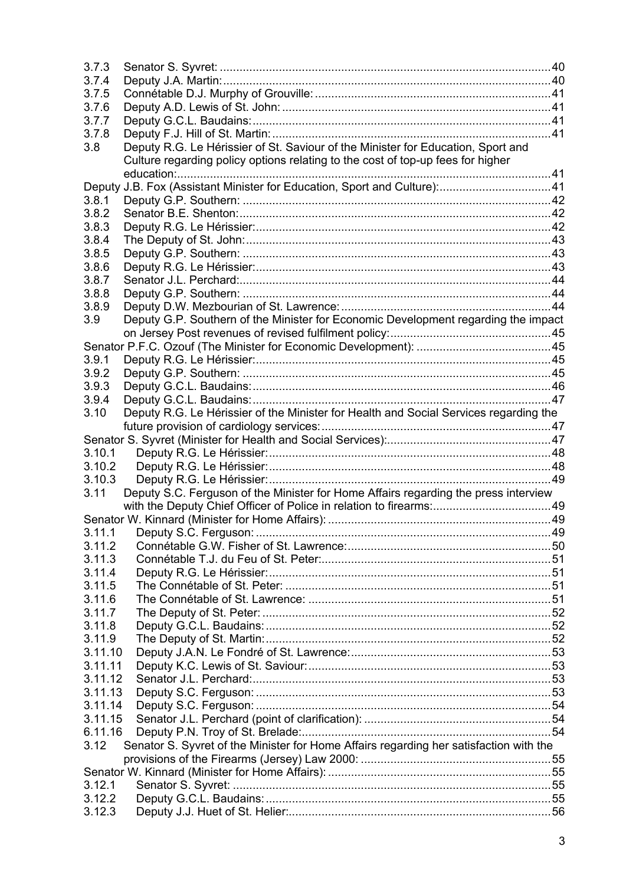| 3.7.3   |                                                                                        |  |
|---------|----------------------------------------------------------------------------------------|--|
| 3.7.4   |                                                                                        |  |
| 3.7.5   |                                                                                        |  |
| 3.7.6   |                                                                                        |  |
| 3.7.7   |                                                                                        |  |
| 3.7.8   |                                                                                        |  |
| 3.8     | Deputy R.G. Le Hérissier of St. Saviour of the Minister for Education, Sport and       |  |
|         | Culture regarding policy options relating to the cost of top-up fees for higher        |  |
|         |                                                                                        |  |
| Deputy  | J.B. Fox (Assistant Minister for Education, Sport and Culture):41                      |  |
| 3.8.1   |                                                                                        |  |
| 3.8.2   |                                                                                        |  |
| 3.8.3   |                                                                                        |  |
| 3.8.4   |                                                                                        |  |
| 3.8.5   |                                                                                        |  |
| 3.8.6   |                                                                                        |  |
| 3.8.7   |                                                                                        |  |
| 3.8.8   |                                                                                        |  |
| 3.8.9   |                                                                                        |  |
| 3.9     | Deputy G.P. Southern of the Minister for Economic Development regarding the impact     |  |
|         |                                                                                        |  |
|         |                                                                                        |  |
| 3.9.1   |                                                                                        |  |
| 3.9.2   |                                                                                        |  |
| 3.9.3   |                                                                                        |  |
| 3.9.4   |                                                                                        |  |
| 3.10    | Deputy R.G. Le Hérissier of the Minister for Health and Social Services regarding the  |  |
|         |                                                                                        |  |
|         |                                                                                        |  |
| 3.10.1  |                                                                                        |  |
| 3.10.2  |                                                                                        |  |
| 3.10.3  |                                                                                        |  |
| 3.11    | Deputy S.C. Ferguson of the Minister for Home Affairs regarding the press interview    |  |
|         |                                                                                        |  |
|         |                                                                                        |  |
|         |                                                                                        |  |
| 3.11.2  |                                                                                        |  |
| 3.11.3  |                                                                                        |  |
| 3.11.4  |                                                                                        |  |
| 3.11.5  |                                                                                        |  |
| 3.11.6  |                                                                                        |  |
| 3.11.7  |                                                                                        |  |
| 3.11.8  |                                                                                        |  |
| 3.11.9  |                                                                                        |  |
| 3.11.10 |                                                                                        |  |
| 3.11.11 |                                                                                        |  |
| 3.11.12 |                                                                                        |  |
| 3.11.13 |                                                                                        |  |
| 3.11.14 |                                                                                        |  |
| 3.11.15 |                                                                                        |  |
| 6.11.16 |                                                                                        |  |
| 3.12    | Senator S. Syvret of the Minister for Home Affairs regarding her satisfaction with the |  |
|         |                                                                                        |  |
|         |                                                                                        |  |
| 3.12.1  |                                                                                        |  |
| 3.12.2  |                                                                                        |  |
| 3.12.3  |                                                                                        |  |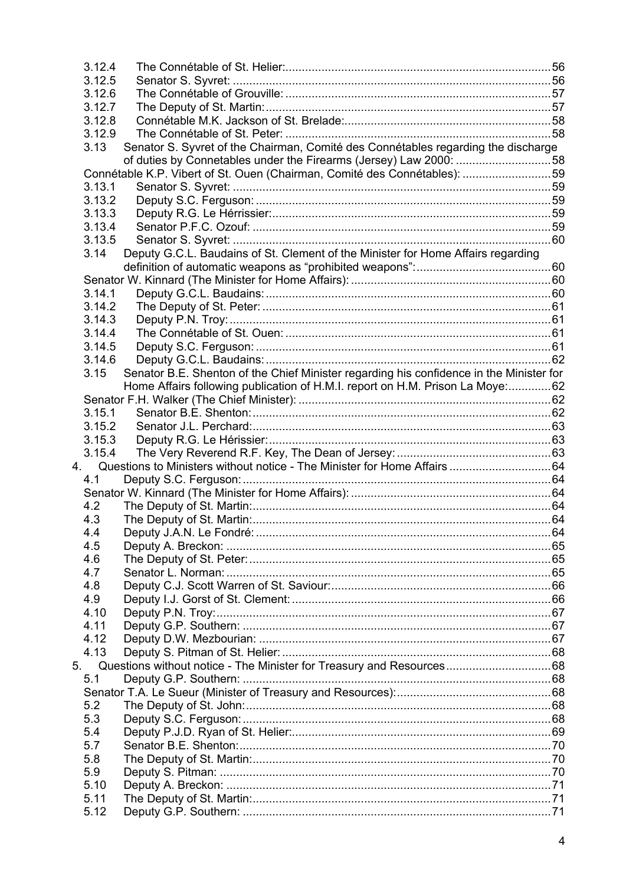| 3.12.4 |                                                                                                                                                                                |                                                                                                                                                                                                                                                                                                                                                                                                                                                                                                                                                                                                                    |
|--------|--------------------------------------------------------------------------------------------------------------------------------------------------------------------------------|--------------------------------------------------------------------------------------------------------------------------------------------------------------------------------------------------------------------------------------------------------------------------------------------------------------------------------------------------------------------------------------------------------------------------------------------------------------------------------------------------------------------------------------------------------------------------------------------------------------------|
| 3.12.5 |                                                                                                                                                                                |                                                                                                                                                                                                                                                                                                                                                                                                                                                                                                                                                                                                                    |
| 3.12.6 |                                                                                                                                                                                |                                                                                                                                                                                                                                                                                                                                                                                                                                                                                                                                                                                                                    |
| 3.12.7 |                                                                                                                                                                                |                                                                                                                                                                                                                                                                                                                                                                                                                                                                                                                                                                                                                    |
| 3.12.8 |                                                                                                                                                                                |                                                                                                                                                                                                                                                                                                                                                                                                                                                                                                                                                                                                                    |
|        |                                                                                                                                                                                |                                                                                                                                                                                                                                                                                                                                                                                                                                                                                                                                                                                                                    |
| 3.13   |                                                                                                                                                                                |                                                                                                                                                                                                                                                                                                                                                                                                                                                                                                                                                                                                                    |
|        |                                                                                                                                                                                |                                                                                                                                                                                                                                                                                                                                                                                                                                                                                                                                                                                                                    |
|        |                                                                                                                                                                                |                                                                                                                                                                                                                                                                                                                                                                                                                                                                                                                                                                                                                    |
|        |                                                                                                                                                                                |                                                                                                                                                                                                                                                                                                                                                                                                                                                                                                                                                                                                                    |
|        |                                                                                                                                                                                |                                                                                                                                                                                                                                                                                                                                                                                                                                                                                                                                                                                                                    |
|        |                                                                                                                                                                                |                                                                                                                                                                                                                                                                                                                                                                                                                                                                                                                                                                                                                    |
|        |                                                                                                                                                                                |                                                                                                                                                                                                                                                                                                                                                                                                                                                                                                                                                                                                                    |
|        |                                                                                                                                                                                |                                                                                                                                                                                                                                                                                                                                                                                                                                                                                                                                                                                                                    |
|        |                                                                                                                                                                                |                                                                                                                                                                                                                                                                                                                                                                                                                                                                                                                                                                                                                    |
|        |                                                                                                                                                                                |                                                                                                                                                                                                                                                                                                                                                                                                                                                                                                                                                                                                                    |
|        |                                                                                                                                                                                |                                                                                                                                                                                                                                                                                                                                                                                                                                                                                                                                                                                                                    |
|        |                                                                                                                                                                                |                                                                                                                                                                                                                                                                                                                                                                                                                                                                                                                                                                                                                    |
|        |                                                                                                                                                                                |                                                                                                                                                                                                                                                                                                                                                                                                                                                                                                                                                                                                                    |
|        |                                                                                                                                                                                |                                                                                                                                                                                                                                                                                                                                                                                                                                                                                                                                                                                                                    |
|        |                                                                                                                                                                                |                                                                                                                                                                                                                                                                                                                                                                                                                                                                                                                                                                                                                    |
|        |                                                                                                                                                                                |                                                                                                                                                                                                                                                                                                                                                                                                                                                                                                                                                                                                                    |
|        |                                                                                                                                                                                |                                                                                                                                                                                                                                                                                                                                                                                                                                                                                                                                                                                                                    |
|        |                                                                                                                                                                                |                                                                                                                                                                                                                                                                                                                                                                                                                                                                                                                                                                                                                    |
|        |                                                                                                                                                                                |                                                                                                                                                                                                                                                                                                                                                                                                                                                                                                                                                                                                                    |
|        |                                                                                                                                                                                |                                                                                                                                                                                                                                                                                                                                                                                                                                                                                                                                                                                                                    |
|        |                                                                                                                                                                                |                                                                                                                                                                                                                                                                                                                                                                                                                                                                                                                                                                                                                    |
|        |                                                                                                                                                                                |                                                                                                                                                                                                                                                                                                                                                                                                                                                                                                                                                                                                                    |
|        |                                                                                                                                                                                |                                                                                                                                                                                                                                                                                                                                                                                                                                                                                                                                                                                                                    |
|        |                                                                                                                                                                                |                                                                                                                                                                                                                                                                                                                                                                                                                                                                                                                                                                                                                    |
|        |                                                                                                                                                                                |                                                                                                                                                                                                                                                                                                                                                                                                                                                                                                                                                                                                                    |
|        |                                                                                                                                                                                |                                                                                                                                                                                                                                                                                                                                                                                                                                                                                                                                                                                                                    |
|        |                                                                                                                                                                                |                                                                                                                                                                                                                                                                                                                                                                                                                                                                                                                                                                                                                    |
|        |                                                                                                                                                                                |                                                                                                                                                                                                                                                                                                                                                                                                                                                                                                                                                                                                                    |
|        |                                                                                                                                                                                |                                                                                                                                                                                                                                                                                                                                                                                                                                                                                                                                                                                                                    |
|        |                                                                                                                                                                                |                                                                                                                                                                                                                                                                                                                                                                                                                                                                                                                                                                                                                    |
|        |                                                                                                                                                                                |                                                                                                                                                                                                                                                                                                                                                                                                                                                                                                                                                                                                                    |
|        |                                                                                                                                                                                |                                                                                                                                                                                                                                                                                                                                                                                                                                                                                                                                                                                                                    |
|        |                                                                                                                                                                                |                                                                                                                                                                                                                                                                                                                                                                                                                                                                                                                                                                                                                    |
|        |                                                                                                                                                                                |                                                                                                                                                                                                                                                                                                                                                                                                                                                                                                                                                                                                                    |
|        |                                                                                                                                                                                |                                                                                                                                                                                                                                                                                                                                                                                                                                                                                                                                                                                                                    |
| 4.10   |                                                                                                                                                                                |                                                                                                                                                                                                                                                                                                                                                                                                                                                                                                                                                                                                                    |
|        |                                                                                                                                                                                |                                                                                                                                                                                                                                                                                                                                                                                                                                                                                                                                                                                                                    |
|        |                                                                                                                                                                                |                                                                                                                                                                                                                                                                                                                                                                                                                                                                                                                                                                                                                    |
|        |                                                                                                                                                                                |                                                                                                                                                                                                                                                                                                                                                                                                                                                                                                                                                                                                                    |
|        |                                                                                                                                                                                |                                                                                                                                                                                                                                                                                                                                                                                                                                                                                                                                                                                                                    |
|        |                                                                                                                                                                                |                                                                                                                                                                                                                                                                                                                                                                                                                                                                                                                                                                                                                    |
|        |                                                                                                                                                                                |                                                                                                                                                                                                                                                                                                                                                                                                                                                                                                                                                                                                                    |
| 5.2    |                                                                                                                                                                                |                                                                                                                                                                                                                                                                                                                                                                                                                                                                                                                                                                                                                    |
| 5.3    |                                                                                                                                                                                |                                                                                                                                                                                                                                                                                                                                                                                                                                                                                                                                                                                                                    |
|        |                                                                                                                                                                                |                                                                                                                                                                                                                                                                                                                                                                                                                                                                                                                                                                                                                    |
| 5.4    |                                                                                                                                                                                |                                                                                                                                                                                                                                                                                                                                                                                                                                                                                                                                                                                                                    |
| 5.7    |                                                                                                                                                                                |                                                                                                                                                                                                                                                                                                                                                                                                                                                                                                                                                                                                                    |
| 5.8    |                                                                                                                                                                                |                                                                                                                                                                                                                                                                                                                                                                                                                                                                                                                                                                                                                    |
| 5.9    |                                                                                                                                                                                |                                                                                                                                                                                                                                                                                                                                                                                                                                                                                                                                                                                                                    |
| 5.10   |                                                                                                                                                                                |                                                                                                                                                                                                                                                                                                                                                                                                                                                                                                                                                                                                                    |
| 5.11   |                                                                                                                                                                                |                                                                                                                                                                                                                                                                                                                                                                                                                                                                                                                                                                                                                    |
|        | 3.13.1<br>3.13.4<br>3.14<br>3.14.1<br>3.14.4<br>3.15<br>3.15.1<br>4.1<br>4.2<br>4.3<br>4.4<br>4.5<br>4.6<br>4.7<br>4.8<br>4.9<br>4.11<br>4.12<br>4.13<br>5 <sub>1</sub><br>5.1 | 3.12.9<br>Senator S. Syvret of the Chairman, Comité des Connétables regarding the discharge<br>of duties by Connetables under the Firearms (Jersey) Law 2000: 58<br>Connétable K.P. Vibert of St. Ouen (Chairman, Comité des Connétables): 59<br>3.13.2<br>3.13.3<br>3.13.5<br>Deputy G.C.L. Baudains of St. Clement of the Minister for Home Affairs regarding<br>3.14.2<br>3.14.3<br>3.14.5<br>3.14.6<br>Senator B.E. Shenton of the Chief Minister regarding his confidence in the Minister for<br>Home Affairs following publication of H.M.I. report on H.M. Prison La Moye: 62<br>3.15.2<br>3.15.3<br>3.15.4 |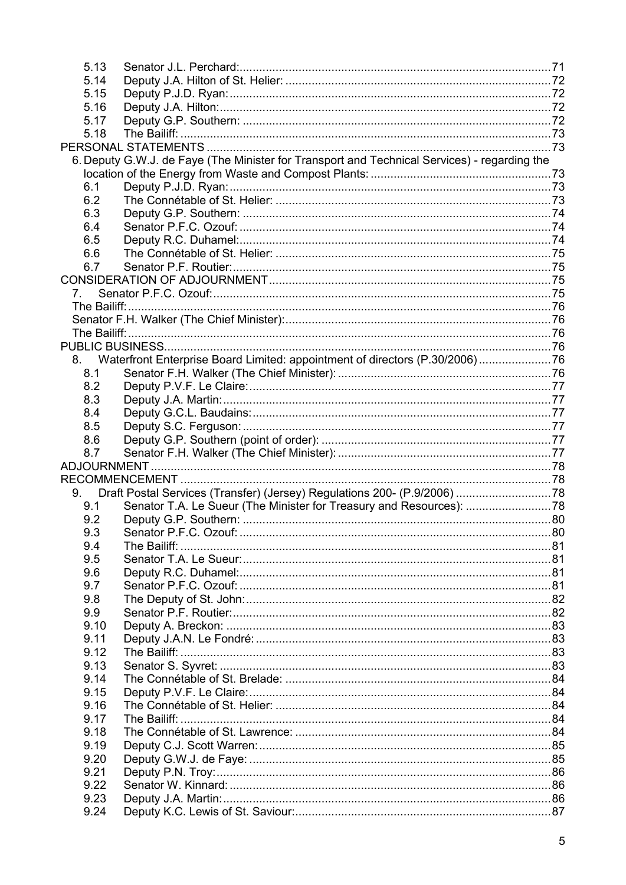| 5.13 |                                                                                              |  |
|------|----------------------------------------------------------------------------------------------|--|
| 5.14 |                                                                                              |  |
| 5.15 |                                                                                              |  |
| 5.16 |                                                                                              |  |
| 5.17 |                                                                                              |  |
| 5.18 |                                                                                              |  |
|      |                                                                                              |  |
|      | 6. Deputy G.W.J. de Faye (The Minister for Transport and Technical Services) - regarding the |  |
|      |                                                                                              |  |
| 6.1  |                                                                                              |  |
| 6.2  |                                                                                              |  |
| 6.3  |                                                                                              |  |
| 6.4  |                                                                                              |  |
| 6.5  |                                                                                              |  |
| 6.6  |                                                                                              |  |
| 6.7  |                                                                                              |  |
|      |                                                                                              |  |
|      |                                                                                              |  |
|      |                                                                                              |  |
|      |                                                                                              |  |
|      |                                                                                              |  |
|      |                                                                                              |  |
|      | 8. Waterfront Enterprise Board Limited: appointment of directors (P.30/2006)76               |  |
| 8.1  |                                                                                              |  |
| 8.2  |                                                                                              |  |
|      |                                                                                              |  |
| 8.3  |                                                                                              |  |
| 8.4  |                                                                                              |  |
| 8.5  |                                                                                              |  |
| 8.6  |                                                                                              |  |
| 8.7  |                                                                                              |  |
|      |                                                                                              |  |
|      |                                                                                              |  |
| 9.   |                                                                                              |  |
| 9.1  | Senator T.A. Le Sueur (The Minister for Treasury and Resources): 78                          |  |
| 9.2  |                                                                                              |  |
|      |                                                                                              |  |
| 9.4  | The Bailiff:                                                                                 |  |
| 9.5  |                                                                                              |  |
| 9.6  |                                                                                              |  |
| 9.7  |                                                                                              |  |
| 9.8  |                                                                                              |  |
| 9.9  |                                                                                              |  |
| 9.10 |                                                                                              |  |
| 9.11 |                                                                                              |  |
| 9.12 | The Bailiff: .                                                                               |  |
| 9.13 |                                                                                              |  |
| 9.14 |                                                                                              |  |
| 9.15 |                                                                                              |  |
| 9.16 |                                                                                              |  |
| 9.17 |                                                                                              |  |
| 9.18 |                                                                                              |  |
| 9.19 |                                                                                              |  |
| 9.20 |                                                                                              |  |
| 9.21 |                                                                                              |  |
| 9.22 |                                                                                              |  |
| 9.23 |                                                                                              |  |
| 9.24 |                                                                                              |  |
|      |                                                                                              |  |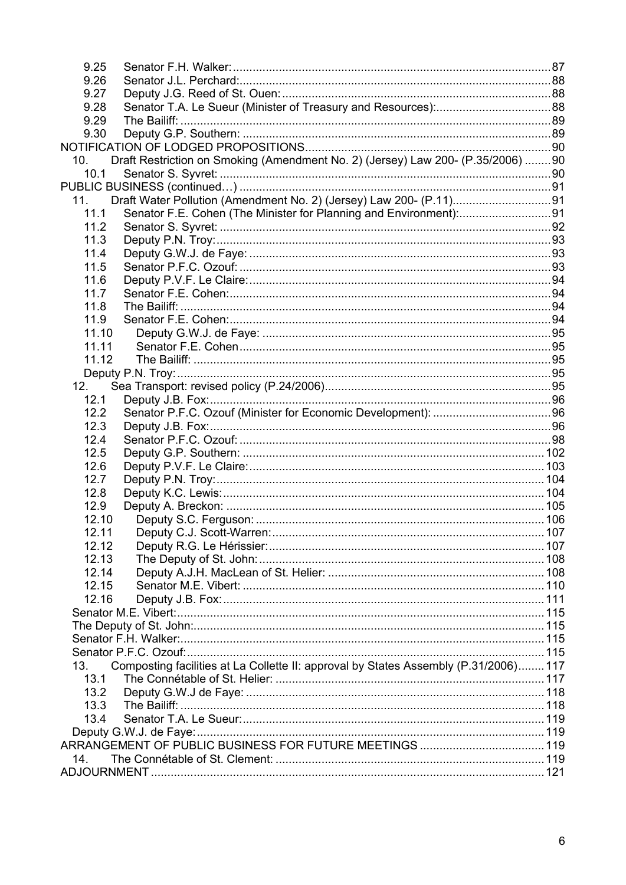| 9.26<br>9.27<br>9.28<br>9.29<br>9.30<br>Draft Restriction on Smoking (Amendment No. 2) (Jersey) Law 200- (P.35/2006) 90<br>10.<br>10.1<br>11.<br>Senator F.E. Cohen (The Minister for Planning and Environment):91<br>11.1<br>11.2<br>11.3<br>11.4<br>11.5<br>11.6<br>11.7<br>11.8<br>11.9<br>11.10<br>11.11<br>11.12<br>12.<br>12.1<br>12.2<br>12.3<br>12.4<br>12.5<br>12.6<br>12.7<br>12.8<br>12.9<br>12.10<br>12.12<br>12.13<br>12.14<br>12.15<br>12.16<br>Composting facilities at La Collette II: approval by States Assembly (P.31/2006) 117<br>13.<br>13.1<br>13.2<br>13.3<br>13.4<br>14. | 9.25 |  |
|--------------------------------------------------------------------------------------------------------------------------------------------------------------------------------------------------------------------------------------------------------------------------------------------------------------------------------------------------------------------------------------------------------------------------------------------------------------------------------------------------------------------------------------------------------------------------------------------------|------|--|
|                                                                                                                                                                                                                                                                                                                                                                                                                                                                                                                                                                                                  |      |  |
|                                                                                                                                                                                                                                                                                                                                                                                                                                                                                                                                                                                                  |      |  |
|                                                                                                                                                                                                                                                                                                                                                                                                                                                                                                                                                                                                  |      |  |
|                                                                                                                                                                                                                                                                                                                                                                                                                                                                                                                                                                                                  |      |  |
|                                                                                                                                                                                                                                                                                                                                                                                                                                                                                                                                                                                                  |      |  |
|                                                                                                                                                                                                                                                                                                                                                                                                                                                                                                                                                                                                  |      |  |
|                                                                                                                                                                                                                                                                                                                                                                                                                                                                                                                                                                                                  |      |  |
|                                                                                                                                                                                                                                                                                                                                                                                                                                                                                                                                                                                                  |      |  |
|                                                                                                                                                                                                                                                                                                                                                                                                                                                                                                                                                                                                  |      |  |
|                                                                                                                                                                                                                                                                                                                                                                                                                                                                                                                                                                                                  |      |  |
|                                                                                                                                                                                                                                                                                                                                                                                                                                                                                                                                                                                                  |      |  |
|                                                                                                                                                                                                                                                                                                                                                                                                                                                                                                                                                                                                  |      |  |
|                                                                                                                                                                                                                                                                                                                                                                                                                                                                                                                                                                                                  |      |  |
|                                                                                                                                                                                                                                                                                                                                                                                                                                                                                                                                                                                                  |      |  |
|                                                                                                                                                                                                                                                                                                                                                                                                                                                                                                                                                                                                  |      |  |
|                                                                                                                                                                                                                                                                                                                                                                                                                                                                                                                                                                                                  |      |  |
|                                                                                                                                                                                                                                                                                                                                                                                                                                                                                                                                                                                                  |      |  |
|                                                                                                                                                                                                                                                                                                                                                                                                                                                                                                                                                                                                  |      |  |
|                                                                                                                                                                                                                                                                                                                                                                                                                                                                                                                                                                                                  |      |  |
|                                                                                                                                                                                                                                                                                                                                                                                                                                                                                                                                                                                                  |      |  |
|                                                                                                                                                                                                                                                                                                                                                                                                                                                                                                                                                                                                  |      |  |
|                                                                                                                                                                                                                                                                                                                                                                                                                                                                                                                                                                                                  |      |  |
|                                                                                                                                                                                                                                                                                                                                                                                                                                                                                                                                                                                                  |      |  |
|                                                                                                                                                                                                                                                                                                                                                                                                                                                                                                                                                                                                  |      |  |
|                                                                                                                                                                                                                                                                                                                                                                                                                                                                                                                                                                                                  |      |  |
|                                                                                                                                                                                                                                                                                                                                                                                                                                                                                                                                                                                                  |      |  |
|                                                                                                                                                                                                                                                                                                                                                                                                                                                                                                                                                                                                  |      |  |
|                                                                                                                                                                                                                                                                                                                                                                                                                                                                                                                                                                                                  |      |  |
|                                                                                                                                                                                                                                                                                                                                                                                                                                                                                                                                                                                                  |      |  |
|                                                                                                                                                                                                                                                                                                                                                                                                                                                                                                                                                                                                  |      |  |
|                                                                                                                                                                                                                                                                                                                                                                                                                                                                                                                                                                                                  |      |  |
|                                                                                                                                                                                                                                                                                                                                                                                                                                                                                                                                                                                                  |      |  |
|                                                                                                                                                                                                                                                                                                                                                                                                                                                                                                                                                                                                  |      |  |
|                                                                                                                                                                                                                                                                                                                                                                                                                                                                                                                                                                                                  |      |  |
|                                                                                                                                                                                                                                                                                                                                                                                                                                                                                                                                                                                                  |      |  |
|                                                                                                                                                                                                                                                                                                                                                                                                                                                                                                                                                                                                  |      |  |
|                                                                                                                                                                                                                                                                                                                                                                                                                                                                                                                                                                                                  |      |  |
|                                                                                                                                                                                                                                                                                                                                                                                                                                                                                                                                                                                                  |      |  |
|                                                                                                                                                                                                                                                                                                                                                                                                                                                                                                                                                                                                  |      |  |
|                                                                                                                                                                                                                                                                                                                                                                                                                                                                                                                                                                                                  |      |  |
|                                                                                                                                                                                                                                                                                                                                                                                                                                                                                                                                                                                                  |      |  |
|                                                                                                                                                                                                                                                                                                                                                                                                                                                                                                                                                                                                  |      |  |
|                                                                                                                                                                                                                                                                                                                                                                                                                                                                                                                                                                                                  |      |  |
|                                                                                                                                                                                                                                                                                                                                                                                                                                                                                                                                                                                                  |      |  |
|                                                                                                                                                                                                                                                                                                                                                                                                                                                                                                                                                                                                  |      |  |
|                                                                                                                                                                                                                                                                                                                                                                                                                                                                                                                                                                                                  |      |  |
|                                                                                                                                                                                                                                                                                                                                                                                                                                                                                                                                                                                                  |      |  |
|                                                                                                                                                                                                                                                                                                                                                                                                                                                                                                                                                                                                  |      |  |
|                                                                                                                                                                                                                                                                                                                                                                                                                                                                                                                                                                                                  |      |  |
|                                                                                                                                                                                                                                                                                                                                                                                                                                                                                                                                                                                                  |      |  |
|                                                                                                                                                                                                                                                                                                                                                                                                                                                                                                                                                                                                  |      |  |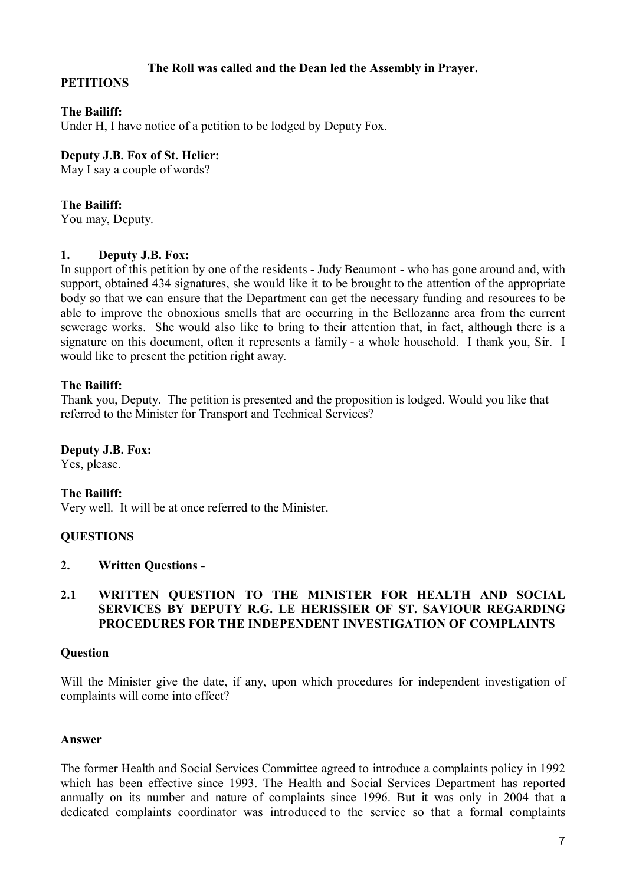# **The Roll was called and the Dean led the Assembly in Prayer.**

# **PETITIONS**

# **The Bailiff:**

Under H, I have notice of a petition to be lodged by Deputy Fox.

## **Deputy J.B. Fox of St. Helier:**

May I say a couple of words?

# **The Bailiff:**

You may, Deputy.

# **1. Deputy J.B. Fox:**

In support of this petition by one of the residents - Judy Beaumont - who has gone around and, with support, obtained 434 signatures, she would like it to be brought to the attention of the appropriate body so that we can ensure that the Department can get the necessary funding and resources to be able to improve the obnoxious smells that are occurring in the Bellozanne area from the current sewerage works. She would also like to bring to their attention that, in fact, although there is a signature on this document, often it represents a family - a whole household. I thank you, Sir. I would like to present the petition right away.

# **The Bailiff:**

Thank you, Deputy. The petition is presented and the proposition is lodged. Would you like that referred to the Minister for Transport and Technical Services?

# **Deputy J.B. Fox:**

Yes, please.

# **The Bailiff:**

Very well. It will be at once referred to the Minister.

# **QUESTIONS**

# **2. Written Questions -**

## **2.1 WRITTEN QUESTION TO THE MINISTER FOR HEALTH AND SOCIAL SERVICES BY DEPUTY R.G. LE HERISSIER OF ST. SAVIOUR REGARDING PROCEDURES FOR THE INDEPENDENT INVESTIGATION OF COMPLAINTS**

#### **Question**

Will the Minister give the date, if any, upon which procedures for independent investigation of complaints will come into effect?

# **Answer**

The former Health and Social Services Committee agreed to introduce a complaints policy in 1992 which has been effective since 1993. The Health and Social Services Department has reported annually on its number and nature of complaints since 1996. But it was only in 2004 that a dedicated complaints coordinator was introduced to the service so that a formal complaints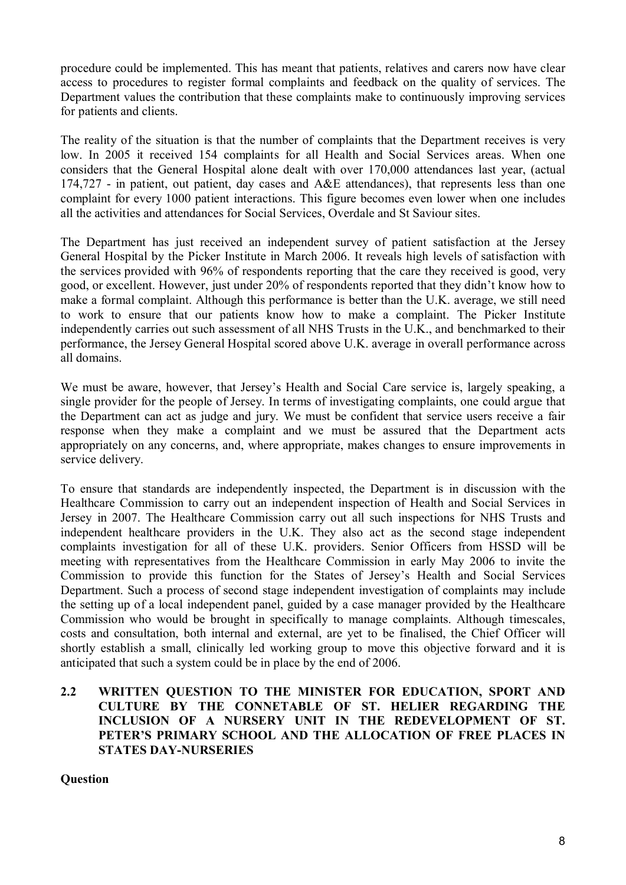procedure could be implemented. This has meant that patients, relatives and carers now have clear access to procedures to register formal complaints and feedback on the quality of services. The Department values the contribution that these complaints make to continuously improving services for patients and clients.

The reality of the situation is that the number of complaints that the Department receives is very low. In 2005 it received 154 complaints for all Health and Social Services areas. When one considers that the General Hospital alone dealt with over 170,000 attendances last year, (actual 174,727 - in patient, out patient, day cases and A&E attendances), that represents less than one complaint for every 1000 patient interactions. This figure becomes even lower when one includes all the activities and attendances for Social Services, Overdale and St Saviour sites.

The Department has just received an independent survey of patient satisfaction at the Jersey General Hospital by the Picker Institute in March 2006. It reveals high levels of satisfaction with the services provided with 96% of respondents reporting that the care they received is good, very good, or excellent. However, just under 20% of respondents reported that they didn't know how to make a formal complaint. Although this performance is better than the U.K. average, we still need to work to ensure that our patients know how to make a complaint. The Picker Institute independently carries out such assessment of all NHS Trusts in the U.K., and benchmarked to their performance, the Jersey General Hospital scored above U.K. average in overall performance across all domains.

We must be aware, however, that Jersey's Health and Social Care service is, largely speaking, a single provider for the people of Jersey. In terms of investigating complaints, one could argue that the Department can act as judge and jury. We must be confident that service users receive a fair response when they make a complaint and we must be assured that the Department acts appropriately on any concerns, and, where appropriate, makes changes to ensure improvements in service delivery.

To ensure that standards are independently inspected, the Department is in discussion with the Healthcare Commission to carry out an independent inspection of Health and Social Services in Jersey in 2007. The Healthcare Commission carry out all such inspections for NHS Trusts and independent healthcare providers in the U.K. They also act as the second stage independent complaints investigation for all of these U.K. providers. Senior Officers from HSSD will be meeting with representatives from the Healthcare Commission in early May 2006 to invite the Commission to provide this function for the States of Jersey's Health and Social Services Department. Such a process of second stage independent investigation of complaints may include the setting up of a local independent panel, guided by a case manager provided by the Healthcare Commission who would be brought in specifically to manage complaints. Although timescales, costs and consultation, both internal and external, are yet to be finalised, the Chief Officer will shortly establish a small, clinically led working group to move this objective forward and it is anticipated that such a system could be in place by the end of 2006.

# **2.2 WRITTEN QUESTION TO THE MINISTER FOR EDUCATION, SPORT AND CULTURE BY THE CONNETABLE OF ST. HELIER REGARDING THE INCLUSION OF A NURSERY UNIT IN THE REDEVELOPMENT OF ST. PETER'S PRIMARY SCHOOL AND THE ALLOCATION OF FREE PLACES IN STATES DAY-NURSERIES**

**Question**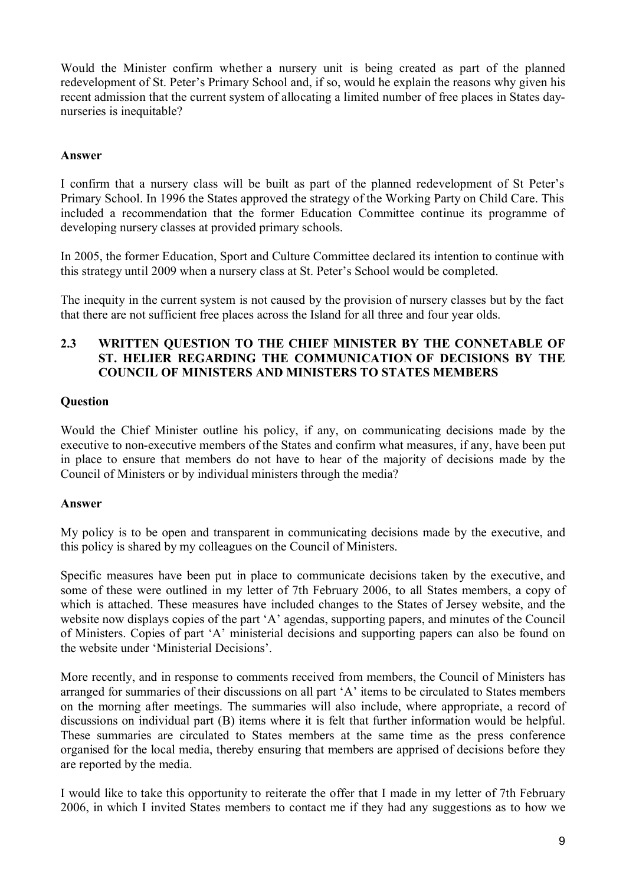Would the Minister confirm whether a nursery unit is being created as part of the planned redevelopment of St. Peter's Primary School and, if so, would he explain the reasons why given his recent admission that the current system of allocating a limited number of free places in States daynurseries is inequitable?

## **Answer**

I confirm that a nursery class will be built as part of the planned redevelopment of St Peter's Primary School. In 1996 the States approved the strategy of the Working Party on Child Care. This included a recommendation that the former Education Committee continue its programme of developing nursery classes at provided primary schools.

In 2005, the former Education, Sport and Culture Committee declared its intention to continue with this strategy until 2009 when a nursery class at St. Peter's School would be completed.

The inequity in the current system is not caused by the provision of nursery classes but by the fact that there are not sufficient free places across the Island for all three and four year olds.

## **2.3 WRITTEN QUESTION TO THE CHIEF MINISTER BY THE CONNETABLE OF ST. HELIER REGARDING THE COMMUNICATION OF DECISIONS BY THE COUNCIL OF MINISTERS AND MINISTERS TO STATES MEMBERS**

## **Question**

Would the Chief Minister outline his policy, if any, on communicating decisions made by the executive to non-executive members of the States and confirm what measures, if any, have been put in place to ensure that members do not have to hear of the majority of decisions made by the Council of Ministers or by individual ministers through the media?

#### **Answer**

My policy is to be open and transparent in communicating decisions made by the executive, and this policy is shared by my colleagues on the Council of Ministers.

Specific measures have been put in place to communicate decisions taken by the executive, and some of these were outlined in my letter of 7th February 2006, to all States members, a copy of which is attached. These measures have included changes to the States of Jersey website, and the website now displays copies of the part 'A' agendas, supporting papers, and minutes of the Council of Ministers. Copies of part 'A' ministerial decisions and supporting papers can also be found on the website under 'Ministerial Decisions'.

More recently, and in response to comments received from members, the Council of Ministers has arranged for summaries of their discussions on all part 'A' items to be circulated to States members on the morning after meetings. The summaries will also include, where appropriate, a record of discussions on individual part (B) items where it is felt that further information would be helpful. These summaries are circulated to States members at the same time as the press conference organised for the local media, thereby ensuring that members are apprised of decisions before they are reported by the media.

I would like to take this opportunity to reiterate the offer that I made in my letter of 7th February 2006, in which I invited States members to contact me if they had any suggestions as to how we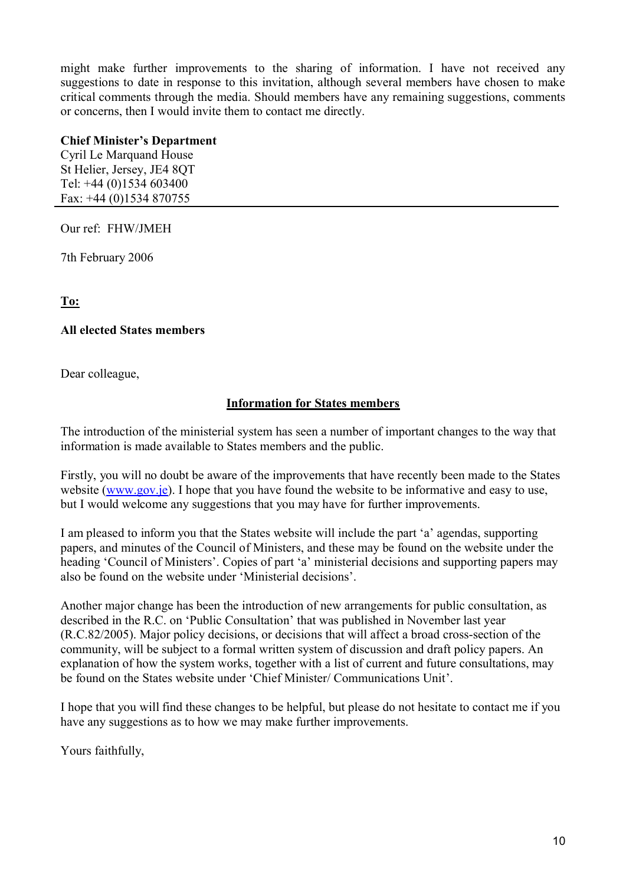might make further improvements to the sharing of information. I have not received any suggestions to date in response to this invitation, although several members have chosen to make critical comments through the media. Should members have any remaining suggestions, comments or concerns, then I would invite them to contact me directly.

# **Chief Minister's Department**

Cyril Le Marquand House St Helier, Jersey, JE4 8QT Tel: +44 (0)1534 603400 Fax: +44 (0)1534 870755

Our ref: FHW/JMEH

7th February 2006

**To:**

## **All elected States members**

Dear colleague,

# **Information for States members**

The introduction of the ministerial system has seen a number of important changes to the way that information is made available to States members and the public.

Firstly, you will no doubt be aware of the improvements that have recently been made to the States website (www.gov.je). I hope that you have found the website to be informative and easy to use. but I would welcome any suggestions that you may have for further improvements.

I am pleased to inform you that the States website will include the part 'a' agendas, supporting papers, and minutes of the Council of Ministers, and these may be found on the website under the heading 'Council of Ministers'. Copies of part 'a' ministerial decisions and supporting papers may also be found on the website under 'Ministerial decisions'.

Another major change has been the introduction of new arrangements for public consultation, as described in the R.C. on 'Public Consultation' that was published in November last year (R.C.82/2005). Major policy decisions, or decisions that will affect a broad cross-section of the community, will be subject to a formal written system of discussion and draft policy papers. An explanation of how the system works, together with a list of current and future consultations, may be found on the States website under 'Chief Minister/ Communications Unit'.

I hope that you will find these changes to be helpful, but please do not hesitate to contact me if you have any suggestions as to how we may make further improvements.

Yours faithfully,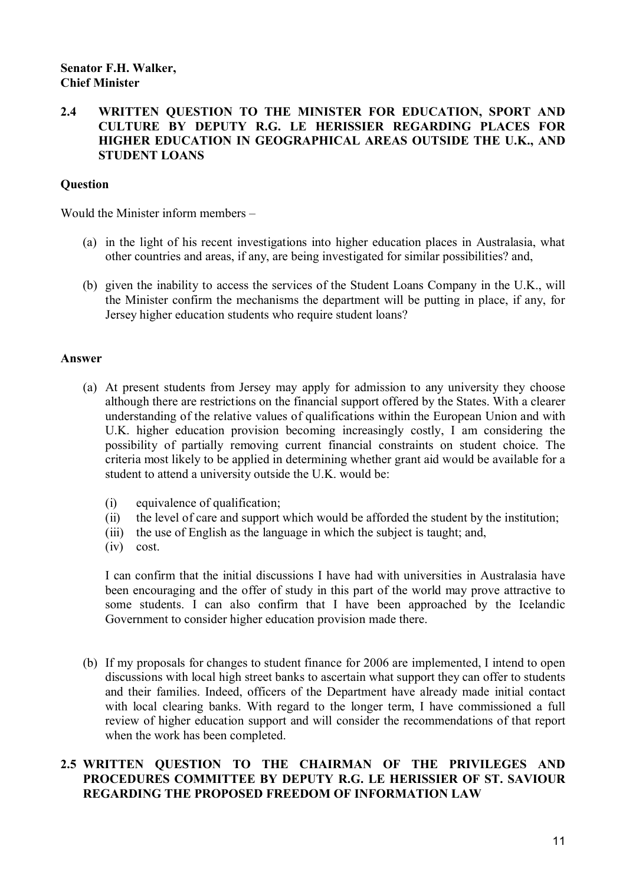# **2.4 WRITTEN QUESTION TO THE MINISTER FOR EDUCATION, SPORT AND CULTURE BY DEPUTY R.G. LE HERISSIER REGARDING PLACES FOR HIGHER EDUCATION IN GEOGRAPHICAL AREAS OUTSIDE THE U.K., AND STUDENT LOANS**

# **Question**

Would the Minister inform members –

- (a) in the light of his recent investigations into higher education places in Australasia, what other countries and areas, if any, are being investigated for similar possibilities? and,
- (b) given the inability to access the services of the Student Loans Company in the U.K., will the Minister confirm the mechanisms the department will be putting in place, if any, for Jersey higher education students who require student loans?

#### **Answer**

- (a) At present students from Jersey may apply for admission to any university they choose although there are restrictions on the financial support offered by the States. With a clearer understanding of the relative values of qualifications within the European Union and with U.K. higher education provision becoming increasingly costly, I am considering the possibility of partially removing current financial constraints on student choice. The criteria most likely to be applied in determining whether grant aid would be available for a student to attend a university outside the U.K. would be:
	- (i) equivalence of qualification;
	- (ii) the level of care and support which would be afforded the student by the institution;
	- (iii) the use of English as the language in which the subject is taught; and,
	- (iv) cost.

I can confirm that the initial discussions I have had with universities in Australasia have been encouraging and the offer of study in this part of the world may prove attractive to some students. I can also confirm that I have been approached by the Icelandic Government to consider higher education provision made there.

(b) If my proposals for changes to student finance for 2006 are implemented, I intend to open discussions with local high street banks to ascertain what support they can offer to students and their families. Indeed, officers of the Department have already made initial contact with local clearing banks. With regard to the longer term, I have commissioned a full review of higher education support and will consider the recommendations of that report when the work has been completed.

# **2.5 WRITTEN QUESTION TO THE CHAIRMAN OF THE PRIVILEGES AND PROCEDURES COMMITTEE BY DEPUTY R.G. LE HERISSIER OF ST. SAVIOUR REGARDING THE PROPOSED FREEDOM OF INFORMATION LAW**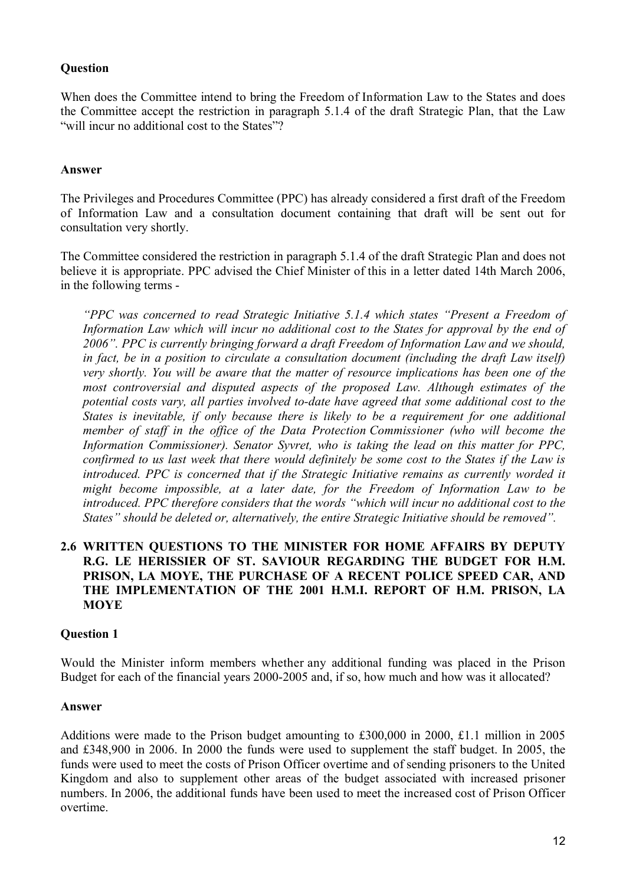# **Question**

When does the Committee intend to bring the Freedom of Information Law to the States and does the Committee accept the restriction in paragraph 5.1.4 of the draft Strategic Plan, that the Law "will incur no additional cost to the States"?

## **Answer**

The Privileges and Procedures Committee (PPC) has already considered a first draft of the Freedom of Information Law and a consultation document containing that draft will be sent out for consultation very shortly.

The Committee considered the restriction in paragraph 5.1.4 of the draft Strategic Plan and does not believe it is appropriate. PPC advised the Chief Minister of this in a letter dated 14th March 2006, in the following terms -

*"PPC was concerned to read Strategic Initiative 5.1.4 which states "Present a Freedom of Information Law which will incur no additional cost to the States for approval by the end of 2006". PPC is currently bringing forward a draft Freedom of Information Law and we should, in fact, be in a position to circulate a consultation document (including the draft Law itself) very shortly. You will be aware that the matter of resource implications has been one of the most controversial and disputed aspects of the proposed Law. Although estimates of the potential costs vary, all parties involved to-date have agreed that some additional cost to the States is inevitable, if only because there is likely to be a requirement for one additional member of staff in the office of the Data Protection Commissioner (who will become the Information Commissioner). Senator Syvret, who is taking the lead on this matter for PPC, confirmed to us last week that there would definitely be some cost to the States if the Law is introduced. PPC is concerned that if the Strategic Initiative remains as currently worded it might become impossible, at a later date, for the Freedom of Information Law to be introduced. PPC therefore considers that the words "which will incur no additional cost to the States" should be deleted or, alternatively, the entire Strategic Initiative should be removed".*

# **2.6 WRITTEN QUESTIONS TO THE MINISTER FOR HOME AFFAIRS BY DEPUTY R.G. LE HERISSIER OF ST. SAVIOUR REGARDING THE BUDGET FOR H.M. PRISON, LA MOYE, THE PURCHASE OF A RECENT POLICE SPEED CAR, AND THE IMPLEMENTATION OF THE 2001 H.M.I. REPORT OF H.M. PRISON, LA MOYE**

#### **Question 1**

Would the Minister inform members whether any additional funding was placed in the Prison Budget for each of the financial years 2000-2005 and, if so, how much and how was it allocated?

#### **Answer**

Additions were made to the Prison budget amounting to £300,000 in 2000, £1.1 million in 2005 and £348,900 in 2006. In 2000 the funds were used to supplement the staff budget. In 2005, the funds were used to meet the costs of Prison Officer overtime and of sending prisoners to the United Kingdom and also to supplement other areas of the budget associated with increased prisoner numbers. In 2006, the additional funds have been used to meet the increased cost of Prison Officer overtime.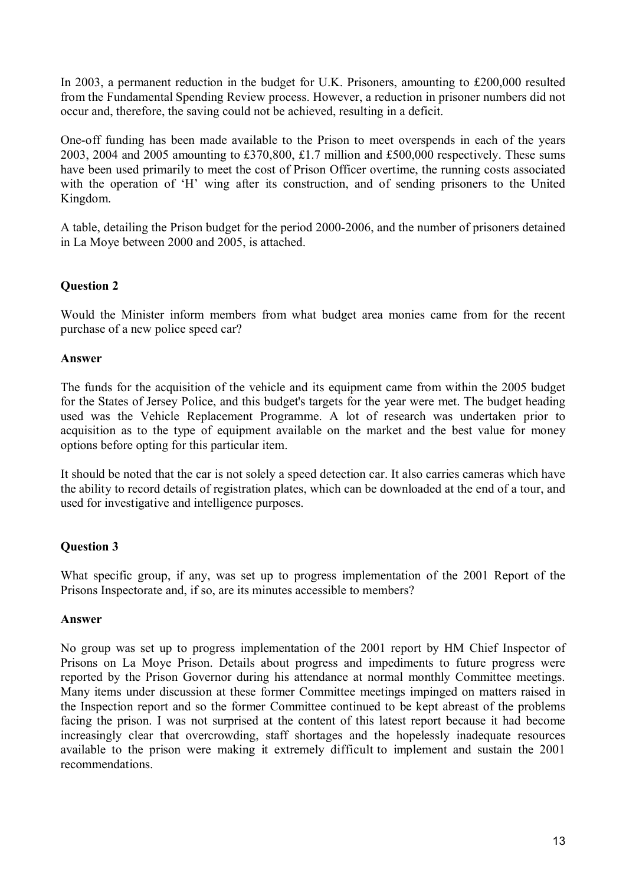In 2003, a permanent reduction in the budget for U.K. Prisoners, amounting to £200,000 resulted from the Fundamental Spending Review process. However, a reduction in prisoner numbers did not occur and, therefore, the saving could not be achieved, resulting in a deficit.

One-off funding has been made available to the Prison to meet overspends in each of the years 2003, 2004 and 2005 amounting to £370,800, £1.7 million and £500,000 respectively. These sums have been used primarily to meet the cost of Prison Officer overtime, the running costs associated with the operation of 'H' wing after its construction, and of sending prisoners to the United Kingdom.

A table, detailing the Prison budget for the period 2000-2006, and the number of prisoners detained in La Moye between 2000 and 2005, is attached.

# **Question 2**

Would the Minister inform members from what budget area monies came from for the recent purchase of a new police speed car?

## **Answer**

The funds for the acquisition of the vehicle and its equipment came from within the 2005 budget for the States of Jersey Police, and this budget's targets for the year were met. The budget heading used was the Vehicle Replacement Programme. A lot of research was undertaken prior to acquisition as to the type of equipment available on the market and the best value for money options before opting for this particular item.

It should be noted that the car is not solely a speed detection car. It also carries cameras which have the ability to record details of registration plates, which can be downloaded at the end of a tour, and used for investigative and intelligence purposes.

# **Question 3**

What specific group, if any, was set up to progress implementation of the 2001 Report of the Prisons Inspectorate and, if so, are its minutes accessible to members?

#### **Answer**

No group was set up to progress implementation of the 2001 report by HM Chief Inspector of Prisons on La Moye Prison. Details about progress and impediments to future progress were reported by the Prison Governor during his attendance at normal monthly Committee meetings. Many items under discussion at these former Committee meetings impinged on matters raised in the Inspection report and so the former Committee continued to be kept abreast of the problems facing the prison. I was not surprised at the content of this latest report because it had become increasingly clear that overcrowding, staff shortages and the hopelessly inadequate resources available to the prison were making it extremely difficult to implement and sustain the 2001 recommendations.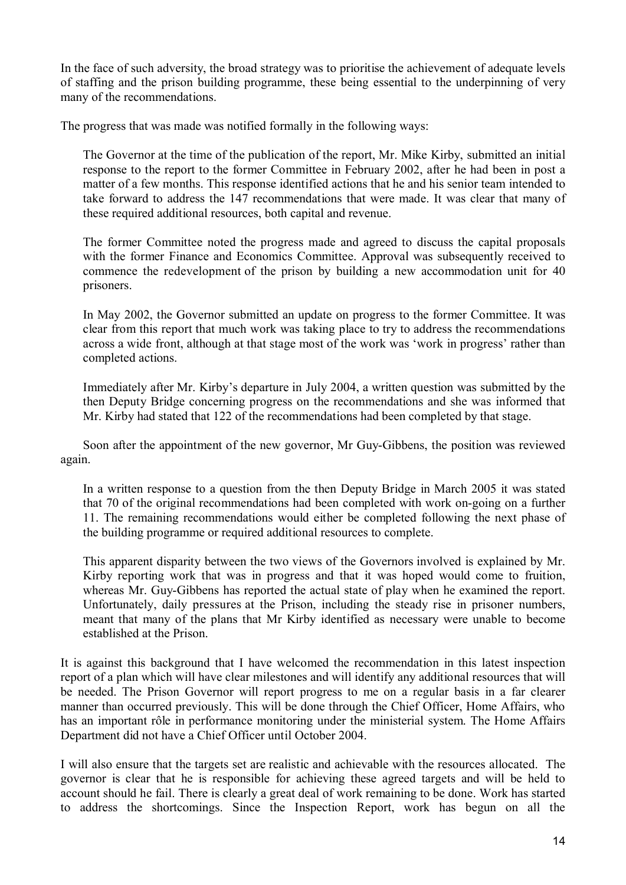In the face of such adversity, the broad strategy was to prioritise the achievement of adequate levels of staffing and the prison building programme, these being essential to the underpinning of very many of the recommendations.

The progress that was made was notified formally in the following ways:

The Governor at the time of the publication of the report, Mr. Mike Kirby, submitted an initial response to the report to the former Committee in February 2002, after he had been in post a matter of a few months. This response identified actions that he and his senior team intended to take forward to address the 147 recommendations that were made. It was clear that many of these required additional resources, both capital and revenue.

The former Committee noted the progress made and agreed to discuss the capital proposals with the former Finance and Economics Committee. Approval was subsequently received to commence the redevelopment of the prison by building a new accommodation unit for 40 prisoners.

In May 2002, the Governor submitted an update on progress to the former Committee. It was clear from this report that much work was taking place to try to address the recommendations across a wide front, although at that stage most of the work was 'work in progress' rather than completed actions.

Immediately after Mr. Kirby's departure in July 2004, a written question was submitted by the then Deputy Bridge concerning progress on the recommendations and she was informed that Mr. Kirby had stated that 122 of the recommendations had been completed by that stage.

Soon after the appointment of the new governor, Mr Guy-Gibbens, the position was reviewed again.

In a written response to a question from the then Deputy Bridge in March 2005 it was stated that 70 of the original recommendations had been completed with work on-going on a further 11. The remaining recommendations would either be completed following the next phase of the building programme or required additional resources to complete.

This apparent disparity between the two views of the Governors involved is explained by Mr. Kirby reporting work that was in progress and that it was hoped would come to fruition, whereas Mr. Guy-Gibbens has reported the actual state of play when he examined the report. Unfortunately, daily pressures at the Prison, including the steady rise in prisoner numbers, meant that many of the plans that Mr Kirby identified as necessary were unable to become established at the Prison.

It is against this background that I have welcomed the recommendation in this latest inspection report of a plan which will have clear milestones and will identify any additional resources that will be needed. The Prison Governor will report progress to me on a regular basis in a far clearer manner than occurred previously. This will be done through the Chief Officer, Home Affairs, who has an important rôle in performance monitoring under the ministerial system. The Home Affairs Department did not have a Chief Officer until October 2004.

I will also ensure that the targets set are realistic and achievable with the resources allocated. The governor is clear that he is responsible for achieving these agreed targets and will be held to account should he fail. There is clearly a great deal of work remaining to be done. Work has started to address the shortcomings. Since the Inspection Report, work has begun on all the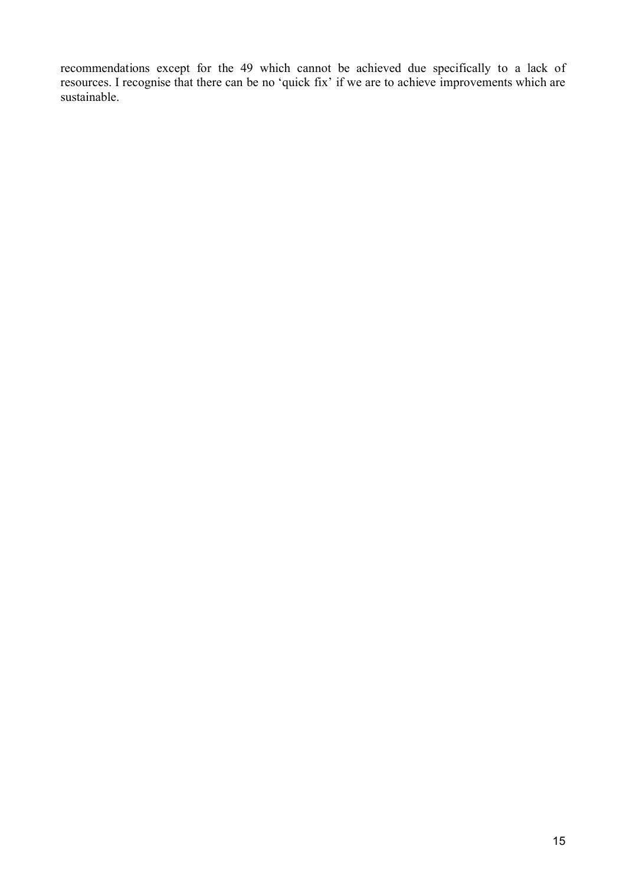recommendations except for the 49 which cannot be achieved due specifically to a lack of resources. I recognise that there can be no 'quick fix' if we are to achieve improvements which are sustainable.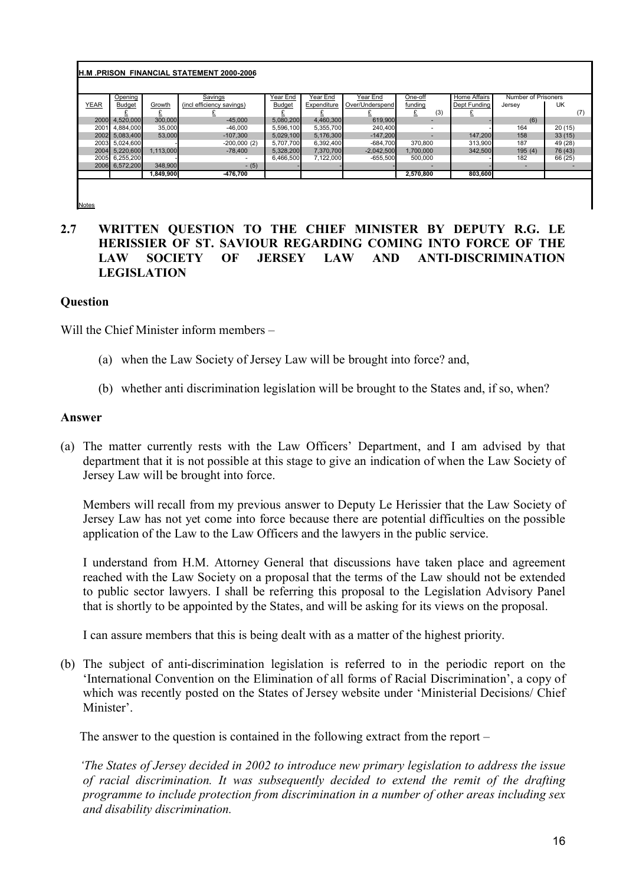#### **H.M .PRISON FINANCIAL STATEMENT 2000-2006**

|      | Opening        |           | Savings                   | Year End      | Year End    | Year End        | One-off                  | Home Affairs | Number of Prisoners |         |
|------|----------------|-----------|---------------------------|---------------|-------------|-----------------|--------------------------|--------------|---------------------|---------|
| YEAR | <b>Budget</b>  | Growth    | (incl efficiency savings) | <b>Budget</b> | Expenditure | Over/Underspend | funding                  | Dept Funding | Jersey              | UK      |
|      |                |           |                           |               |             |                 | (3)                      |              |                     |         |
| 2000 | 4,520,000      | 300,000   | $-45,000$                 | 5,080,200     | 4,460,300   | 619,900         |                          |              | (6)                 |         |
|      | 2001 4,884,000 | 35,000    | $-46,000$                 | 5.596.100     | 5,355,700   | 240.400         | $\overline{\phantom{a}}$ |              | 164                 | 20(15)  |
|      | 2002 5,083,400 | 53,000    | $-107.300$                | 5,029,100     | 5,176,300   | $-147,200$      |                          | 147,200      | 158                 | 33(15)  |
|      | 2003 5,024,600 |           | $-200,000(2)$             | 5.707.700     | 6,392,400   | $-684,700$      | 370,800                  | 313,900      | 187                 | 49 (28) |
| 2004 | 5.220.600      | 1,113,000 | $-78.400$                 | 5,328,200     | 7,370,700   | $-2,042,500$    | 1,700,000                | 342,500      | 195(4)              | 76 (43) |
|      | 2005 6.255.200 |           |                           | 6.466.500     | 7.122.000   | $-655.500$      | 500.000                  |              | 182                 | 66 (25) |
|      | 2006 6,572,200 | 348,900   | $- (5)$                   |               |             |                 |                          |              |                     |         |
|      |                | 1.849.900 | -476.700                  |               |             |                 | 2.570.800                | 803.600      |                     |         |
|      |                |           |                           |               |             |                 |                          |              |                     |         |

Notes

# **2.7 WRITTEN QUESTION TO THE CHIEF MINISTER BY DEPUTY R.G. LE HERISSIER OF ST. SAVIOUR REGARDING COMING INTO FORCE OF THE LAW SOCIETY OF JERSEY LAW AND ANTI-DISCRIMINATION LEGISLATION**

#### **Question**

Will the Chief Minister inform members –

- (a) when the Law Society of Jersey Law will be brought into force? and,
- (b) whether anti discrimination legislation will be brought to the States and, if so, when?

#### **Answer**

(a) The matter currently rests with the Law Officers' Department, and I am advised by that department that it is not possible at this stage to give an indication of when the Law Society of Jersey Law will be brought into force.

Members will recall from my previous answer to Deputy Le Herissier that the Law Society of Jersey Law has not yet come into force because there are potential difficulties on the possible application of the Law to the Law Officers and the lawyers in the public service.

I understand from H.M. Attorney General that discussions have taken place and agreement reached with the Law Society on a proposal that the terms of the Law should not be extended to public sector lawyers. I shall be referring this proposal to the Legislation Advisory Panel that is shortly to be appointed by the States, and will be asking for its views on the proposal.

I can assure members that this is being dealt with as a matter of the highest priority.

(b) The subject of anti-discrimination legislation is referred to in the periodic report on the 'International Convention on the Elimination of all forms of Racial Discrimination', a copy of which was recently posted on the States of Jersey website under 'Ministerial Decisions' Chief Minister'.

The answer to the question is contained in the following extract from the report –

*'The States of Jersey decided in 2002 to introduce new primary legislation to address the issue of racial discrimination. It was subsequently decided to extend the remit of the drafting programme to include protection from discrimination in a number of other areas including sex and disability discrimination.*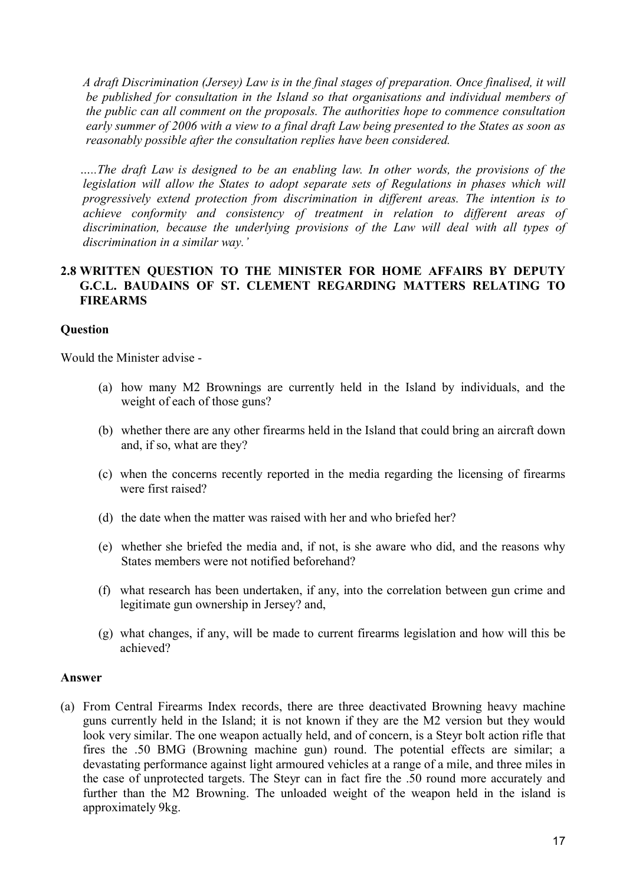*A draft Discrimination (Jersey) Law is in the final stages of preparation. Once finalised, it will be published for consultation in the Island so that organisations and individual members of the public can all comment on the proposals. The authorities hope to commence consultation early summer of 2006 with a view to a final draft Law being presented to the States as soon as reasonably possible after the consultation replies have been considered.*

*…..The draft Law is designed to be an enabling law. In other words, the provisions of the legislation will allow the States to adopt separate sets of Regulations in phases which will progressively extend protection from discrimination in different areas. The intention is to achieve conformity and consistency of treatment in relation to different areas of discrimination, because the underlying provisions of the Law will deal with all types of discrimination in a similar way.'*

### **2.8 WRITTEN QUESTION TO THE MINISTER FOR HOME AFFAIRS BY DEPUTY G.C.L. BAUDAINS OF ST. CLEMENT REGARDING MATTERS RELATING TO FIREARMS**

#### **Question**

Would the Minister advise -

- (a) how many M2 Brownings are currently held in the Island by individuals, and the weight of each of those guns?
- (b) whether there are any other firearms held in the Island that could bring an aircraft down and, if so, what are they?
- (c) when the concerns recently reported in the media regarding the licensing of firearms were first raised?
- (d) the date when the matter was raised with her and who briefed her?
- (e) whether she briefed the media and, if not, is she aware who did, and the reasons why States members were not notified beforehand?
- (f) what research has been undertaken, if any, into the correlation between gun crime and legitimate gun ownership in Jersey? and,
- (g) what changes, if any, will be made to current firearms legislation and how will this be achieved?

#### **Answer**

(a) From Central Firearms Index records, there are three deactivated Browning heavy machine guns currently held in the Island; it is not known if they are the M2 version but they would look very similar. The one weapon actually held, and of concern, is a Steyr bolt action rifle that fires the .50 BMG (Browning machine gun) round. The potential effects are similar; a devastating performance against light armoured vehicles at a range of a mile, and three miles in the case of unprotected targets. The Steyr can in fact fire the .50 round more accurately and further than the M2 Browning. The unloaded weight of the weapon held in the island is approximately 9kg.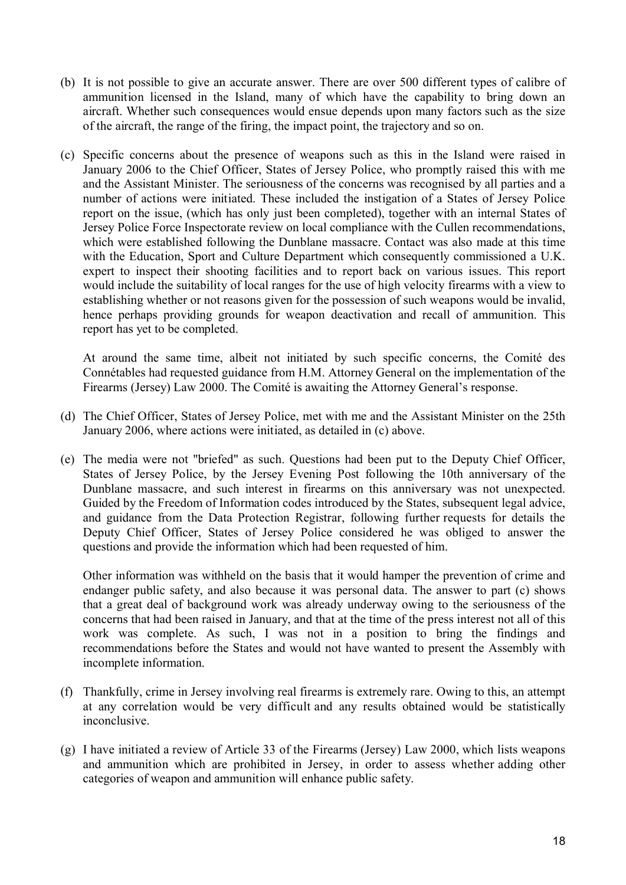- (b) It is not possible to give an accurate answer. There are over 500 different types of calibre of ammunition licensed in the Island, many of which have the capability to bring down an aircraft. Whether such consequences would ensue depends upon many factors such as the size of the aircraft, the range of the firing, the impact point, the trajectory and so on.
- (c) Specific concerns about the presence of weapons such as this in the Island were raised in January 2006 to the Chief Officer, States of Jersey Police, who promptly raised this with me and the Assistant Minister. The seriousness of the concerns was recognised by all parties and a number of actions were initiated. These included the instigation of a States of Jersey Police report on the issue, (which has only just been completed), together with an internal States of Jersey Police Force Inspectorate review on local compliance with the Cullen recommendations, which were established following the Dunblane massacre. Contact was also made at this time with the Education, Sport and Culture Department which consequently commissioned a U.K. expert to inspect their shooting facilities and to report back on various issues. This report would include the suitability of local ranges for the use of high velocity firearms with a view to establishing whether or not reasons given for the possession of such weapons would be invalid, hence perhaps providing grounds for weapon deactivation and recall of ammunition. This report has yet to be completed.

At around the same time, albeit not initiated by such specific concerns, the Comité des Connétables had requested guidance from H.M. Attorney General on the implementation of the Firearms (Jersey) Law 2000. The Comité is awaiting the Attorney General's response.

- (d) The Chief Officer, States of Jersey Police, met with me and the Assistant Minister on the 25th January 2006, where actions were initiated, as detailed in (c) above.
- (e) The media were not "briefed" as such. Questions had been put to the Deputy Chief Officer, States of Jersey Police, by the Jersey Evening Post following the 10th anniversary of the Dunblane massacre, and such interest in firearms on this anniversary was not unexpected. Guided by the Freedom of Information codes introduced by the States, subsequent legal advice, and guidance from the Data Protection Registrar, following further requests for details the Deputy Chief Officer, States of Jersey Police considered he was obliged to answer the questions and provide the information which had been requested of him.

Other information was withheld on the basis that it would hamper the prevention of crime and endanger public safety, and also because it was personal data. The answer to part (c) shows that a great deal of background work was already underway owing to the seriousness of the concerns that had been raised in January, and that at the time of the press interest not all of this work was complete. As such, I was not in a position to bring the findings and recommendations before the States and would not have wanted to present the Assembly with incomplete information.

- (f) Thankfully, crime in Jersey involving real firearms is extremely rare. Owing to this, an attempt at any correlation would be very difficult and any results obtained would be statistically inconclusive.
- (g) I have initiated a review of Article 33 of the Firearms (Jersey) Law 2000, which lists weapons and ammunition which are prohibited in Jersey, in order to assess whether adding other categories of weapon and ammunition will enhance public safety.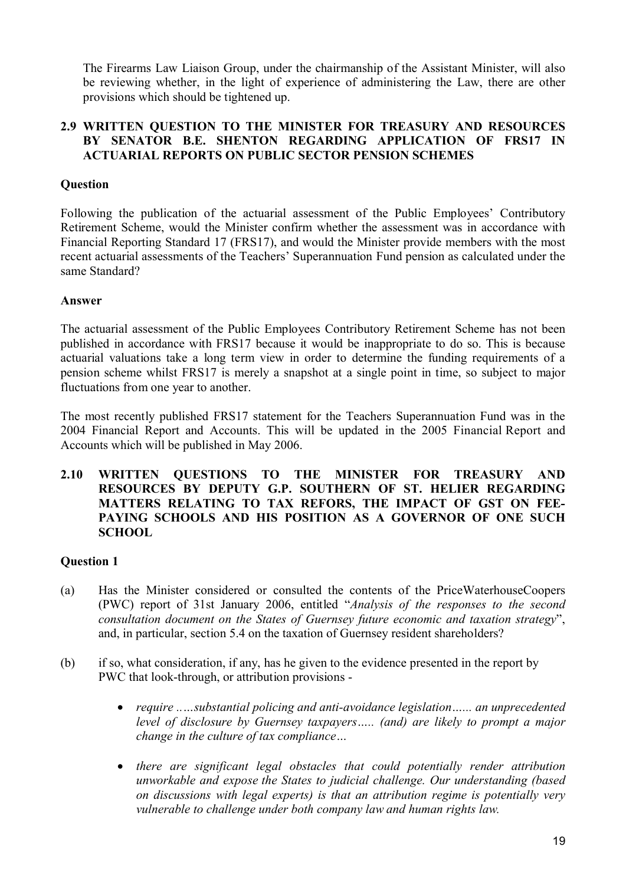The Firearms Law Liaison Group, under the chairmanship of the Assistant Minister, will also be reviewing whether, in the light of experience of administering the Law, there are other provisions which should be tightened up.

## **2.9 WRITTEN QUESTION TO THE MINISTER FOR TREASURY AND RESOURCES BY SENATOR B.E. SHENTON REGARDING APPLICATION OF FRS17 IN ACTUARIAL REPORTS ON PUBLIC SECTOR PENSION SCHEMES**

# **Question**

Following the publication of the actuarial assessment of the Public Employees' Contributory Retirement Scheme, would the Minister confirm whether the assessment was in accordance with Financial Reporting Standard 17 (FRS17), and would the Minister provide members with the most recent actuarial assessments of the Teachers' Superannuation Fund pension as calculated under the same Standard?

#### **Answer**

The actuarial assessment of the Public Employees Contributory Retirement Scheme has not been published in accordance with FRS17 because it would be inappropriate to do so. This is because actuarial valuations take a long term view in order to determine the funding requirements of a pension scheme whilst FRS17 is merely a snapshot at a single point in time, so subject to major fluctuations from one year to another.

The most recently published FRS17 statement for the Teachers Superannuation Fund was in the 2004 Financial Report and Accounts. This will be updated in the 2005 Financial Report and Accounts which will be published in May 2006.

## **2.10 WRITTEN QUESTIONS TO THE MINISTER FOR TREASURY AND RESOURCES BY DEPUTY G.P. SOUTHERN OF ST. HELIER REGARDING MATTERS RELATING TO TAX REFORS, THE IMPACT OF GST ON FEE-PAYING SCHOOLS AND HIS POSITION AS A GOVERNOR OF ONE SUCH SCHOOL**

# **Question 1**

- (a) Has the Minister considered or consulted the contents of the PriceWaterhouseCoopers (PWC) report of 31st January 2006, entitled "*Analysis of the responses to the second consultation document on the States of Guernsey future economic and taxation strategy*", and, in particular, section 5.4 on the taxation of Guernsey resident shareholders?
- (b) if so, what consideration, if any, has he given to the evidence presented in the report by PWC that look-through, or attribution provisions
	- *require ..…substantial policing and anti-avoidance legislation…... an unprecedented level of disclosure by Guernsey taxpayers….. (and) are likely to prompt a major change in the culture of tax compliance…*
	- *there are significant legal obstacles that could potentially render attribution unworkable and expose the States to judicial challenge. Our understanding (based on discussions with legal experts) is that an attribution regime is potentially very vulnerable to challenge under both company law and human rights law.*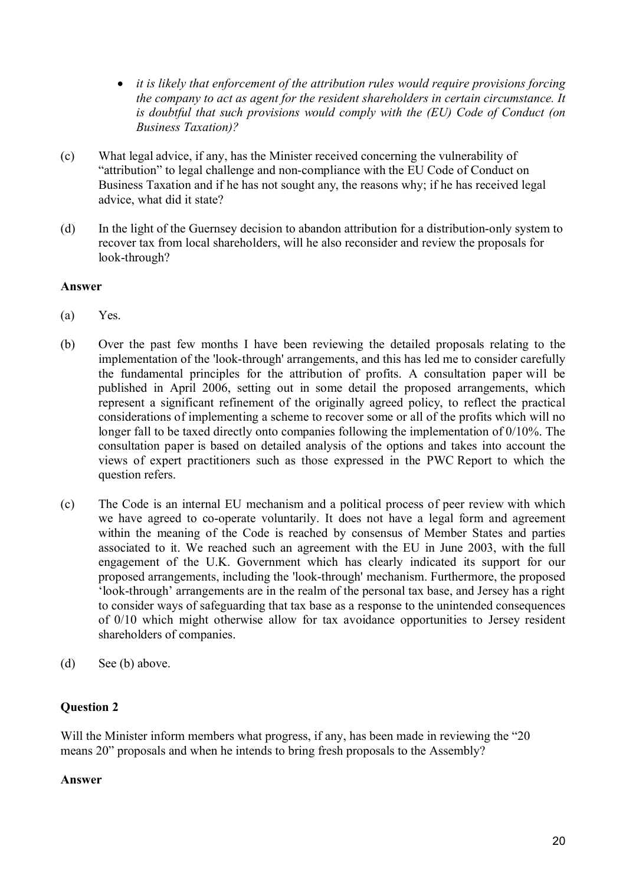- *it is likely that enforcement of the attribution rules would require provisions forcing the company to act as agent for the resident shareholders in certain circumstance. It is doubtful that such provisions would comply with the (EU) Code of Conduct (on Business Taxation)?*
- (c) What legal advice, if any, has the Minister received concerning the vulnerability of "attribution" to legal challenge and non-compliance with the EU Code of Conduct on Business Taxation and if he has not sought any, the reasons why; if he has received legal advice, what did it state?
- (d) In the light of the Guernsey decision to abandon attribution for a distribution-only system to recover tax from local shareholders, will he also reconsider and review the proposals for look-through?

# **Answer**

- (a) Yes.
- (b) Over the past few months I have been reviewing the detailed proposals relating to the implementation of the 'look-through' arrangements, and this has led me to consider carefully the fundamental principles for the attribution of profits. A consultation paper will be published in April 2006, setting out in some detail the proposed arrangements, which represent a significant refinement of the originally agreed policy, to reflect the practical considerations of implementing a scheme to recover some or all of the profits which will no longer fall to be taxed directly onto companies following the implementation of 0/10%. The consultation paper is based on detailed analysis of the options and takes into account the views of expert practitioners such as those expressed in the PWC Report to which the question refers.
- (c) The Code is an internal EU mechanism and a political process of peer review with which we have agreed to co-operate voluntarily. It does not have a legal form and agreement within the meaning of the Code is reached by consensus of Member States and parties associated to it. We reached such an agreement with the EU in June 2003, with the full engagement of the U.K. Government which has clearly indicated its support for our proposed arrangements, including the 'look-through' mechanism. Furthermore, the proposed 'look-through' arrangements are in the realm of the personal tax base, and Jersey has a right to consider ways of safeguarding that tax base as a response to the unintended consequences of 0/10 which might otherwise allow for tax avoidance opportunities to Jersey resident shareholders of companies.
- (d) See (b) above.

# **Question 2**

Will the Minister inform members what progress, if any, has been made in reviewing the "20" means 20" proposals and when he intends to bring fresh proposals to the Assembly?

#### **Answer**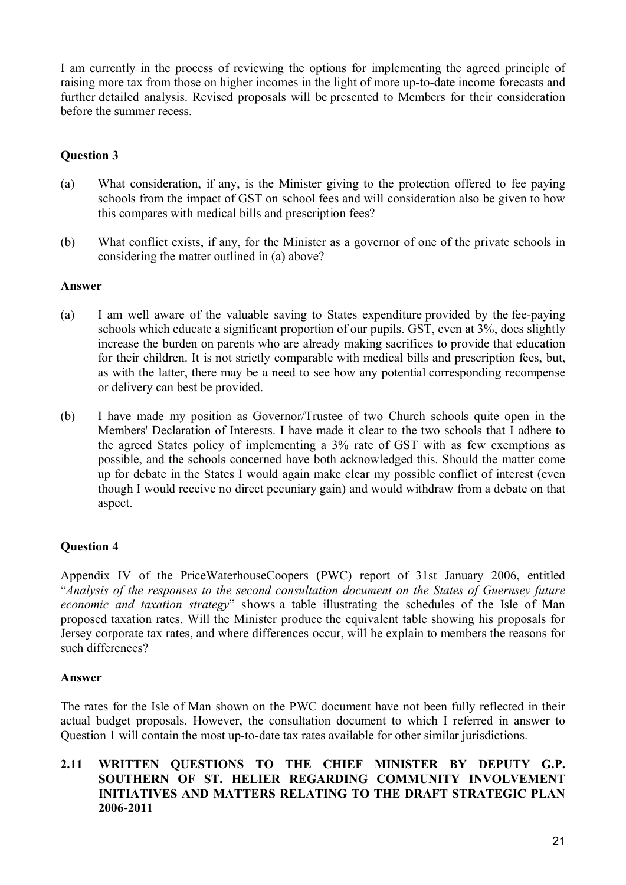I am currently in the process of reviewing the options for implementing the agreed principle of raising more tax from those on higher incomes in the light of more up-to-date income forecasts and further detailed analysis. Revised proposals will be presented to Members for their consideration before the summer recess.

# **Question 3**

- (a) What consideration, if any, is the Minister giving to the protection offered to fee paying schools from the impact of GST on school fees and will consideration also be given to how this compares with medical bills and prescription fees?
- (b) What conflict exists, if any, for the Minister as a governor of one of the private schools in considering the matter outlined in (a) above?

## **Answer**

- (a) I am well aware of the valuable saving to States expenditure provided by the fee-paying schools which educate a significant proportion of our pupils. GST, even at 3%, does slightly increase the burden on parents who are already making sacrifices to provide that education for their children. It is not strictly comparable with medical bills and prescription fees, but, as with the latter, there may be a need to see how any potential corresponding recompense or delivery can best be provided.
- (b) I have made my position as Governor/Trustee of two Church schools quite open in the Members' Declaration of Interests. I have made it clear to the two schools that I adhere to the agreed States policy of implementing a 3% rate of GST with as few exemptions as possible, and the schools concerned have both acknowledged this. Should the matter come up for debate in the States I would again make clear my possible conflict of interest (even though I would receive no direct pecuniary gain) and would withdraw from a debate on that aspect.

# **Question 4**

Appendix IV of the PriceWaterhouseCoopers (PWC) report of 31st January 2006, entitled "*Analysis of the responses to the second consultation document on the States of Guernsey future economic and taxation strategy*" shows a table illustrating the schedules of the Isle of Man proposed taxation rates. Will the Minister produce the equivalent table showing his proposals for Jersey corporate tax rates, and where differences occur, will he explain to members the reasons for such differences?

#### **Answer**

The rates for the Isle of Man shown on the PWC document have not been fully reflected in their actual budget proposals. However, the consultation document to which I referred in answer to Question 1 will contain the most up-to-date tax rates available for other similar jurisdictions.

## **2.11 WRITTEN QUESTIONS TO THE CHIEF MINISTER BY DEPUTY G.P. SOUTHERN OF ST. HELIER REGARDING COMMUNITY INVOLVEMENT INITIATIVES AND MATTERS RELATING TO THE DRAFT STRATEGIC PLAN 2006-2011**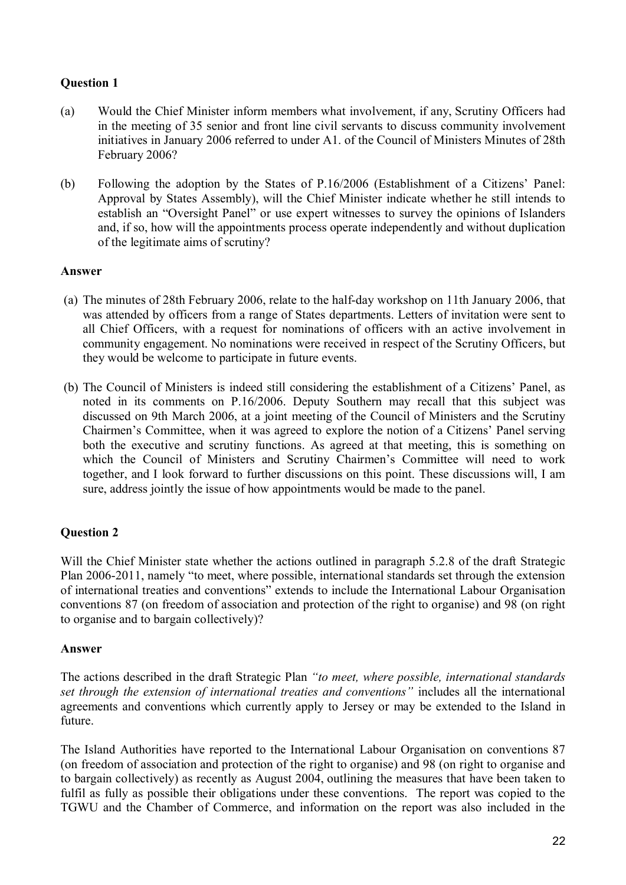# **Question 1**

- (a) Would the Chief Minister inform members what involvement, if any, Scrutiny Officers had in the meeting of 35 senior and front line civil servants to discuss community involvement initiatives in January 2006 referred to under A1. of the Council of Ministers Minutes of 28th February 2006?
- (b) Following the adoption by the States of P.16/2006 (Establishment of a Citizens' Panel: Approval by States Assembly), will the Chief Minister indicate whether he still intends to establish an "Oversight Panel" or use expert witnesses to survey the opinions of Islanders and, if so, how will the appointments process operate independently and without duplication of the legitimate aims of scrutiny?

# **Answer**

- (a) The minutes of 28th February 2006, relate to the half-day workshop on 11th January 2006, that was attended by officers from a range of States departments. Letters of invitation were sent to all Chief Officers, with a request for nominations of officers with an active involvement in community engagement. No nominations were received in respect of the Scrutiny Officers, but they would be welcome to participate in future events.
- (b) The Council of Ministers is indeed still considering the establishment of a Citizens' Panel, as noted in its comments on P.16/2006. Deputy Southern may recall that this subject was discussed on 9th March 2006, at a joint meeting of the Council of Ministers and the Scrutiny Chairmen's Committee, when it was agreed to explore the notion of a Citizens' Panel serving both the executive and scrutiny functions. As agreed at that meeting, this is something on which the Council of Ministers and Scrutiny Chairmen's Committee will need to work together, and I look forward to further discussions on this point. These discussions will, I am sure, address jointly the issue of how appointments would be made to the panel.

# **Question 2**

Will the Chief Minister state whether the actions outlined in paragraph 5.2.8 of the draft Strategic Plan 2006-2011, namely "to meet, where possible, international standards set through the extension of international treaties and conventions" extends to include the International Labour Organisation conventions 87 (on freedom of association and protection of the right to organise) and 98 (on right to organise and to bargain collectively)?

#### **Answer**

The actions described in the draft Strategic Plan *"to meet, where possible, international standards set through the extension of international treaties and conventions"* includes all the international agreements and conventions which currently apply to Jersey or may be extended to the Island in future.

The Island Authorities have reported to the International Labour Organisation on conventions 87 (on freedom of association and protection of the right to organise) and 98 (on right to organise and to bargain collectively) as recently as August 2004, outlining the measures that have been taken to fulfil as fully as possible their obligations under these conventions. The report was copied to the TGWU and the Chamber of Commerce, and information on the report was also included in the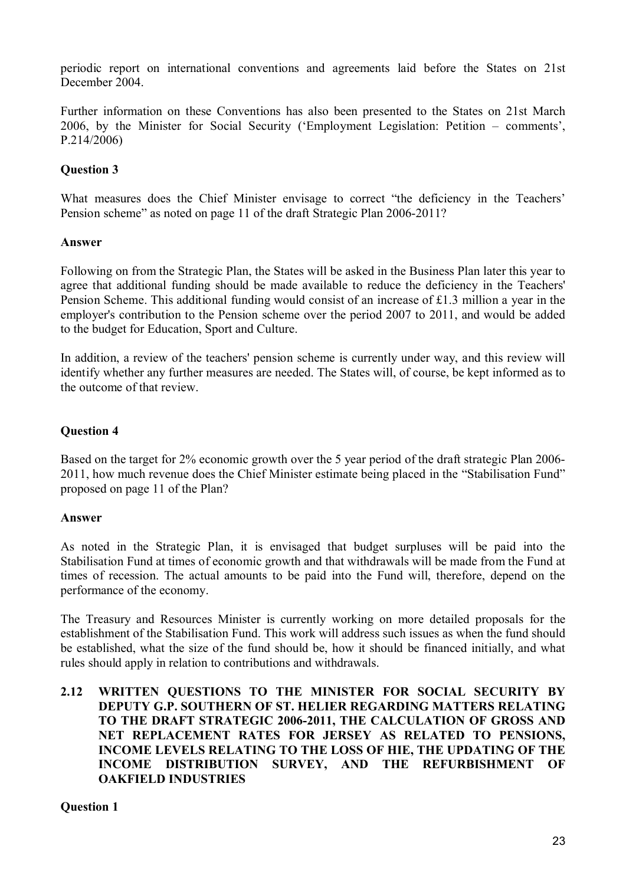periodic report on international conventions and agreements laid before the States on 21st December 2004.

Further information on these Conventions has also been presented to the States on 21st March 2006, by the Minister for Social Security ('Employment Legislation: Petition – comments', P.214/2006)

# **Question 3**

What measures does the Chief Minister envisage to correct "the deficiency in the Teachers' Pension scheme" as noted on page 11 of the draft Strategic Plan 2006-2011?

#### **Answer**

Following on from the Strategic Plan, the States will be asked in the Business Plan later this year to agree that additional funding should be made available to reduce the deficiency in the Teachers' Pension Scheme. This additional funding would consist of an increase of £1.3 million a year in the employer's contribution to the Pension scheme over the period 2007 to 2011, and would be added to the budget for Education, Sport and Culture.

In addition, a review of the teachers' pension scheme is currently under way, and this review will identify whether any further measures are needed. The States will, of course, be kept informed as to the outcome of that review.

#### **Question 4**

Based on the target for 2% economic growth over the 5 year period of the draft strategic Plan 2006- 2011, how much revenue does the Chief Minister estimate being placed in the "Stabilisation Fund" proposed on page 11 of the Plan?

#### **Answer**

As noted in the Strategic Plan, it is envisaged that budget surpluses will be paid into the Stabilisation Fund at times of economic growth and that withdrawals will be made from the Fund at times of recession. The actual amounts to be paid into the Fund will, therefore, depend on the performance of the economy.

The Treasury and Resources Minister is currently working on more detailed proposals for the establishment of the Stabilisation Fund. This work will address such issues as when the fund should be established, what the size of the fund should be, how it should be financed initially, and what rules should apply in relation to contributions and withdrawals.

## **2.12 WRITTEN QUESTIONS TO THE MINISTER FOR SOCIAL SECURITY BY DEPUTY G.P. SOUTHERN OF ST. HELIER REGARDING MATTERS RELATING TO THE DRAFT STRATEGIC 2006-2011, THE CALCULATION OF GROSS AND NET REPLACEMENT RATES FOR JERSEY AS RELATED TO PENSIONS, INCOME LEVELS RELATING TO THE LOSS OF HIE, THE UPDATING OF THE INCOME DISTRIBUTION SURVEY, AND THE REFURBISHMENT OF OAKFIELD INDUSTRIES**

#### **Question 1**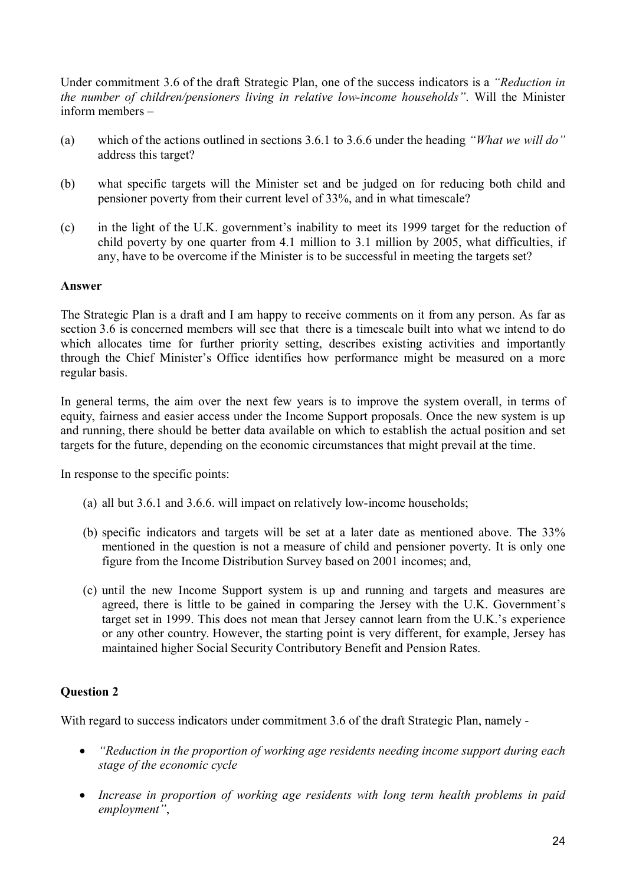Under commitment 3.6 of the draft Strategic Plan, one of the success indicators is a *"Reduction in the number of children/pensioners living in relative low-income households"*. Will the Minister inform members –

- (a) which of the actions outlined in sections 3.6.1 to 3.6.6 under the heading *"What we will do"* address this target?
- (b) what specific targets will the Minister set and be judged on for reducing both child and pensioner poverty from their current level of 33%, and in what timescale?
- (c) in the light of the U.K. government's inability to meet its 1999 target for the reduction of child poverty by one quarter from 4.1 million to 3.1 million by 2005, what difficulties, if any, have to be overcome if the Minister is to be successful in meeting the targets set?

## **Answer**

The Strategic Plan is a draft and I am happy to receive comments on it from any person. As far as section 3.6 is concerned members will see that there is a timescale built into what we intend to do which allocates time for further priority setting, describes existing activities and importantly through the Chief Minister's Office identifies how performance might be measured on a more regular basis.

In general terms, the aim over the next few years is to improve the system overall, in terms of equity, fairness and easier access under the Income Support proposals. Once the new system is up and running, there should be better data available on which to establish the actual position and set targets for the future, depending on the economic circumstances that might prevail at the time.

In response to the specific points:

- (a) all but 3.6.1 and 3.6.6. will impact on relatively low-income households;
- (b) specific indicators and targets will be set at a later date as mentioned above. The 33% mentioned in the question is not a measure of child and pensioner poverty. It is only one figure from the Income Distribution Survey based on 2001 incomes; and,
- (c) until the new Income Support system is up and running and targets and measures are agreed, there is little to be gained in comparing the Jersey with the U.K. Government's target set in 1999. This does not mean that Jersey cannot learn from the U.K.'s experience or any other country. However, the starting point is very different, for example, Jersey has maintained higher Social Security Contributory Benefit and Pension Rates.

# **Question 2**

With regard to success indicators under commitment 3.6 of the draft Strategic Plan, namely -

- *"Reduction in the proportion of working age residents needing income support during each stage of the economic cycle*
- *Increase in proportion of working age residents with long term health problems in paid employment"*,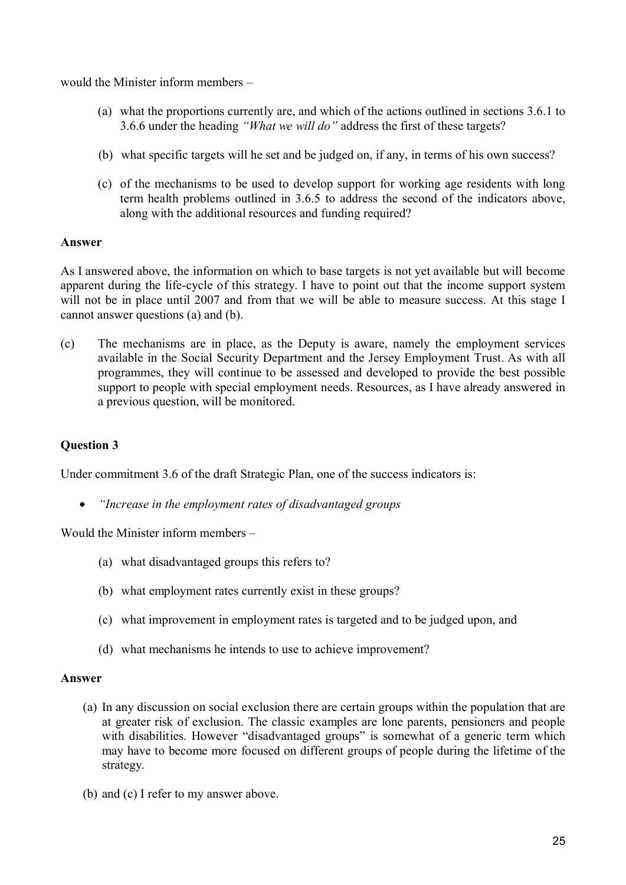would the Minister inform members –

- (a) what the proportions currently are, and which of the actions outlined in sections 3.6.1 to 3.6.6 under the heading *"What we will do"* address the first of these targets?
- (b) what specific targets will he set and be judged on, if any, in terms of his own success?
- (c) of the mechanisms to be used to develop support for working age residents with long term health problems outlined in 3.6.5 to address the second of the indicators above, along with the additional resources and funding required?

## **Answer**

As I answered above, the information on which to base targets is not yet available but will become apparent during the life-cycle of this strategy. I have to point out that the income support system will not be in place until 2007 and from that we will be able to measure success. At this stage I cannot answer questions (a) and (b).

(c) The mechanisms are in place, as the Deputy is aware, namely the employment services available in the Social Security Department and the Jersey Employment Trust. As with all programmes, they will continue to be assessed and developed to provide the best possible support to people with special employment needs. Resources, as I have already answered in a previous question, will be monitored.

# **Question 3**

Under commitment 3.6 of the draft Strategic Plan, one of the success indicators is:

*"Increase in the employment rates of disadvantaged groups*

Would the Minister inform members –

- (a) what disadvantaged groups this refers to?
- (b) what employment rates currently exist in these groups?
- (c) what improvement in employment rates is targeted and to be judged upon, and
- (d) what mechanisms he intends to use to achieve improvement?

#### **Answer**

- (a) In any discussion on social exclusion there are certain groups within the population that are at greater risk of exclusion. The classic examples are lone parents, pensioners and people with disabilities. However "disadvantaged groups" is somewhat of a generic term which may have to become more focused on different groups of people during the lifetime of the strategy.
- (b) and (c) I refer to my answer above.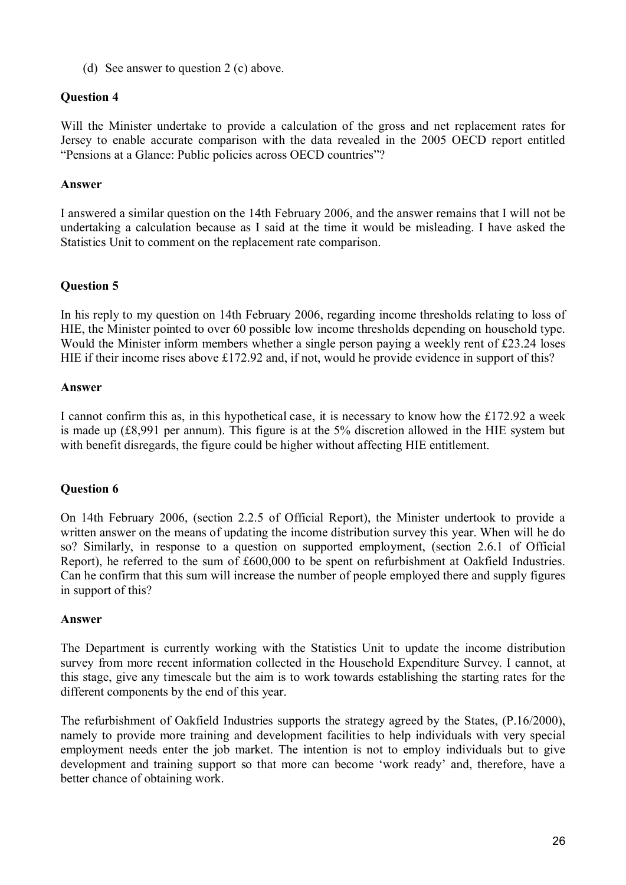(d) See answer to question 2 (c) above.

# **Question 4**

Will the Minister undertake to provide a calculation of the gross and net replacement rates for Jersey to enable accurate comparison with the data revealed in the 2005 OECD report entitled "Pensions at a Glance: Public policies across OECD countries"?

## **Answer**

I answered a similar question on the 14th February 2006, and the answer remains that I will not be undertaking a calculation because as I said at the time it would be misleading. I have asked the Statistics Unit to comment on the replacement rate comparison.

# **Question 5**

In his reply to my question on 14th February 2006, regarding income thresholds relating to loss of HIE, the Minister pointed to over 60 possible low income thresholds depending on household type. Would the Minister inform members whether a single person paying a weekly rent of £23.24 loses HIE if their income rises above £172.92 and, if not, would he provide evidence in support of this?

## **Answer**

I cannot confirm this as, in this hypothetical case, it is necessary to know how the £172.92 a week is made up (£8,991 per annum). This figure is at the 5% discretion allowed in the HIE system but with benefit disregards, the figure could be higher without affecting HIE entitlement.

# **Question 6**

On 14th February 2006, (section 2.2.5 of Official Report), the Minister undertook to provide a written answer on the means of updating the income distribution survey this year. When will he do so? Similarly, in response to a question on supported employment, (section 2.6.1 of Official Report), he referred to the sum of £600,000 to be spent on refurbishment at Oakfield Industries. Can he confirm that this sum will increase the number of people employed there and supply figures in support of this?

#### **Answer**

The Department is currently working with the Statistics Unit to update the income distribution survey from more recent information collected in the Household Expenditure Survey. I cannot, at this stage, give any timescale but the aim is to work towards establishing the starting rates for the different components by the end of this year.

The refurbishment of Oakfield Industries supports the strategy agreed by the States, (P.16/2000), namely to provide more training and development facilities to help individuals with very special employment needs enter the job market. The intention is not to employ individuals but to give development and training support so that more can become 'work ready' and, therefore, have a better chance of obtaining work.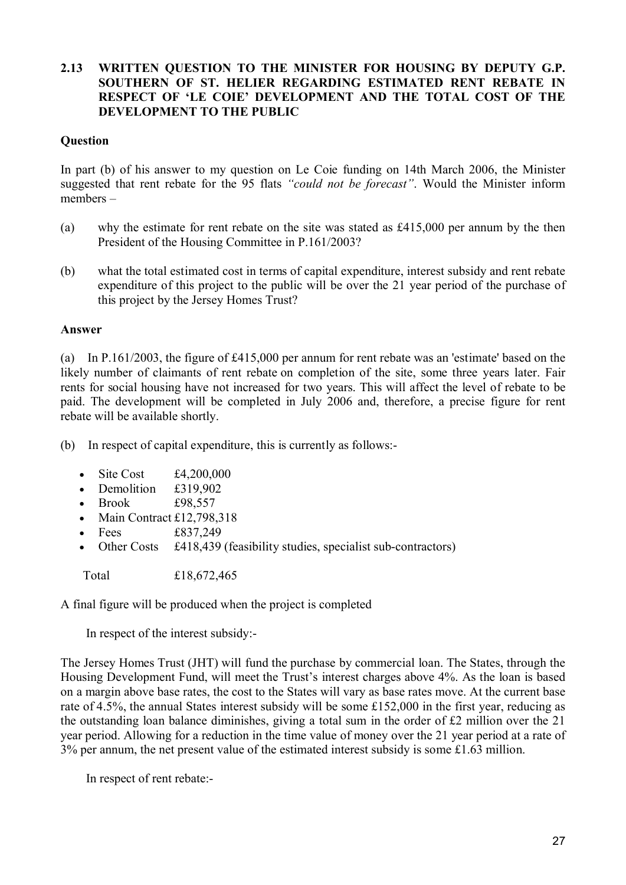# **2.13 WRITTEN QUESTION TO THE MINISTER FOR HOUSING BY DEPUTY G.P. SOUTHERN OF ST. HELIER REGARDING ESTIMATED RENT REBATE IN RESPECT OF 'LE COIE' DEVELOPMENT AND THE TOTAL COST OF THE DEVELOPMENT TO THE PUBLIC**

### **Question**

In part (b) of his answer to my question on Le Coie funding on 14th March 2006, the Minister suggested that rent rebate for the 95 flats *"could not be forecast"*. Would the Minister inform members –

- (a) why the estimate for rent rebate on the site was stated as £415,000 per annum by the then President of the Housing Committee in P.161/2003?
- (b) what the total estimated cost in terms of capital expenditure, interest subsidy and rent rebate expenditure of this project to the public will be over the 21 year period of the purchase of this project by the Jersey Homes Trust?

## **Answer**

(a) In P.161/2003, the figure of £415,000 per annum for rent rebate was an 'estimate' based on the likely number of claimants of rent rebate on completion of the site, some three years later. Fair rents for social housing have not increased for two years. This will affect the level of rebate to be paid. The development will be completed in July 2006 and, therefore, a precise figure for rent rebate will be available shortly.

(b) In respect of capital expenditure, this is currently as follows:-

- $\bullet$  Site Cost £4,200,000
- Demolition £319,902
- Brook £98,557
- Main Contract  $£12,798,318$
- Fees  $£837,249$
- Other Costs £418,439 (feasibility studies, specialist sub-contractors)

Total £18,672,465

A final figure will be produced when the project is completed

In respect of the interest subsidy:-

The Jersey Homes Trust (JHT) will fund the purchase by commercial loan. The States, through the Housing Development Fund, will meet the Trust's interest charges above 4%. As the loan is based on a margin above base rates, the cost to the States will vary as base rates move. At the current base rate of 4.5%, the annual States interest subsidy will be some £152,000 in the first year, reducing as the outstanding loan balance diminishes, giving a total sum in the order of £2 million over the 21 year period. Allowing for a reduction in the time value of money over the 21 year period at a rate of  $3\%$  per annum, the net present value of the estimated interest subsidy is some £1.63 million.

In respect of rent rebate:-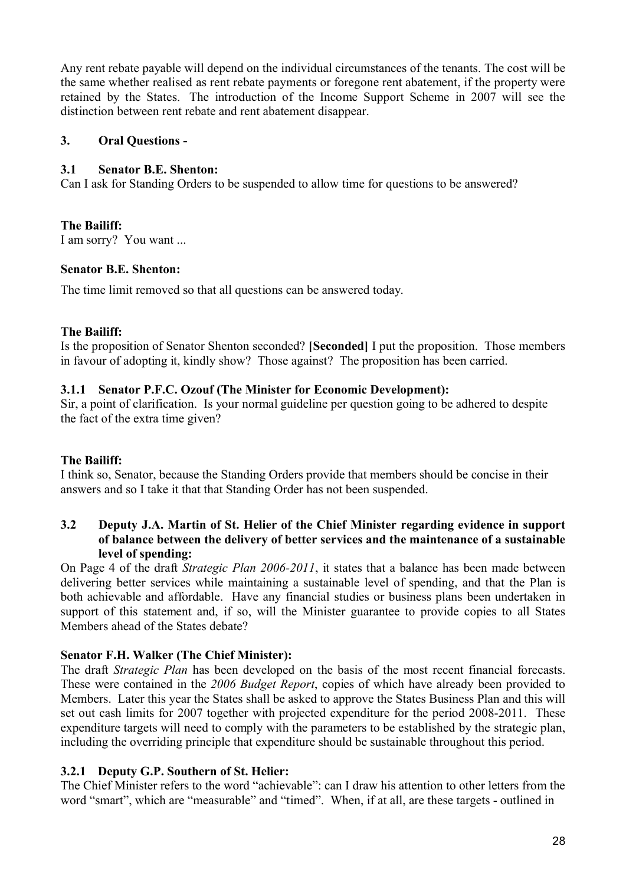Any rent rebate payable will depend on the individual circumstances of the tenants. The cost will be the same whether realised as rent rebate payments or foregone rent abatement, if the property were retained by the States. The introduction of the Income Support Scheme in 2007 will see the distinction between rent rebate and rent abatement disappear.

# **3. Oral Questions -**

## **3.1 Senator B.E. Shenton:**

Can I ask for Standing Orders to be suspended to allow time for questions to be answered?

# **The Bailiff:**

I am sorry? You want ...

## **Senator B.E. Shenton:**

The time limit removed so that all questions can be answered today.

## **The Bailiff:**

Is the proposition of Senator Shenton seconded? **[Seconded]** I put the proposition. Those members in favour of adopting it, kindly show? Those against? The proposition has been carried.

## **3.1.1 Senator P.F.C. Ozouf (The Minister for Economic Development):**

Sir, a point of clarification. Is your normal guideline per question going to be adhered to despite the fact of the extra time given?

# **The Bailiff:**

I think so, Senator, because the Standing Orders provide that members should be concise in their answers and so I take it that that Standing Order has not been suspended.

# **3.2 Deputy J.A. Martin of St. Helier of the Chief Minister regarding evidence in support of balance between the delivery of better services and the maintenance of a sustainable level of spending:**

On Page 4 of the draft *Strategic Plan 2006-2011*, it states that a balance has been made between delivering better services while maintaining a sustainable level of spending, and that the Plan is both achievable and affordable. Have any financial studies or business plans been undertaken in support of this statement and, if so, will the Minister guarantee to provide copies to all States Members ahead of the States debate?

# **Senator F.H. Walker (The Chief Minister):**

The draft *Strategic Plan* has been developed on the basis of the most recent financial forecasts. These were contained in the *2006 Budget Report*, copies of which have already been provided to Members. Later this year the States shall be asked to approve the States Business Plan and this will set out cash limits for 2007 together with projected expenditure for the period 2008-2011. These expenditure targets will need to comply with the parameters to be established by the strategic plan, including the overriding principle that expenditure should be sustainable throughout this period.

# **3.2.1 Deputy G.P. Southern of St. Helier:**

The Chief Minister refers to the word "achievable": can I draw his attention to other letters from the word "smart", which are "measurable" and "timed". When, if at all, are these targets - outlined in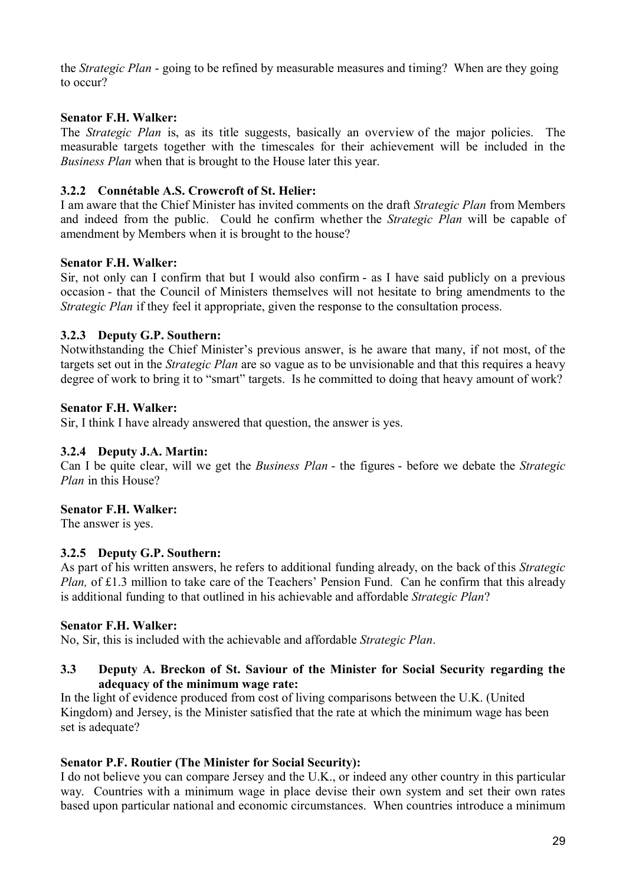the *Strategic Plan* - going to be refined by measurable measures and timing? When are they going to occur?

## **Senator F.H. Walker:**

The *Strategic Plan* is, as its title suggests, basically an overview of the major policies. The measurable targets together with the timescales for their achievement will be included in the *Business Plan* when that is brought to the House later this year.

## **3.2.2 Connétable A.S. Crowcroft of St. Helier:**

I am aware that the Chief Minister has invited comments on the draft *Strategic Plan* from Members and indeed from the public. Could he confirm whether the *Strategic Plan* will be capable of amendment by Members when it is brought to the house?

## **Senator F.H. Walker:**

Sir, not only can I confirm that but I would also confirm - as I have said publicly on a previous occasion - that the Council of Ministers themselves will not hesitate to bring amendments to the *Strategic Plan* if they feel it appropriate, given the response to the consultation process.

# **3.2.3 Deputy G.P. Southern:**

Notwithstanding the Chief Minister's previous answer, is he aware that many, if not most, of the targets set out in the *Strategic Plan* are so vague as to be unvisionable and that this requires a heavy degree of work to bring it to "smart" targets. Is he committed to doing that heavy amount of work?

## **Senator F.H. Walker:**

Sir, I think I have already answered that question, the answer is yes.

#### **3.2.4 Deputy J.A. Martin:**

Can I be quite clear, will we get the *Business Plan* - the figures - before we debate the *Strategic Plan* in this House?

# **Senator F.H. Walker:**

The answer is yes.

#### **3.2.5 Deputy G.P. Southern:**

As part of his written answers, he refers to additional funding already, on the back of this *Strategic Plan,* of £1.3 million to take care of the Teachers' Pension Fund. Can he confirm that this already is additional funding to that outlined in his achievable and affordable *Strategic Plan*?

#### **Senator F.H. Walker:**

No, Sir, this is included with the achievable and affordable *Strategic Plan*.

## **3.3 Deputy A. Breckon of St. Saviour of the Minister for Social Security regarding the adequacy of the minimum wage rate:**

In the light of evidence produced from cost of living comparisons between the U.K. (United Kingdom) and Jersey, is the Minister satisfied that the rate at which the minimum wage has been set is adequate?

#### **Senator P.F. Routier (The Minister for Social Security):**

I do not believe you can compare Jersey and the U.K., or indeed any other country in this particular way. Countries with a minimum wage in place devise their own system and set their own rates based upon particular national and economic circumstances. When countries introduce a minimum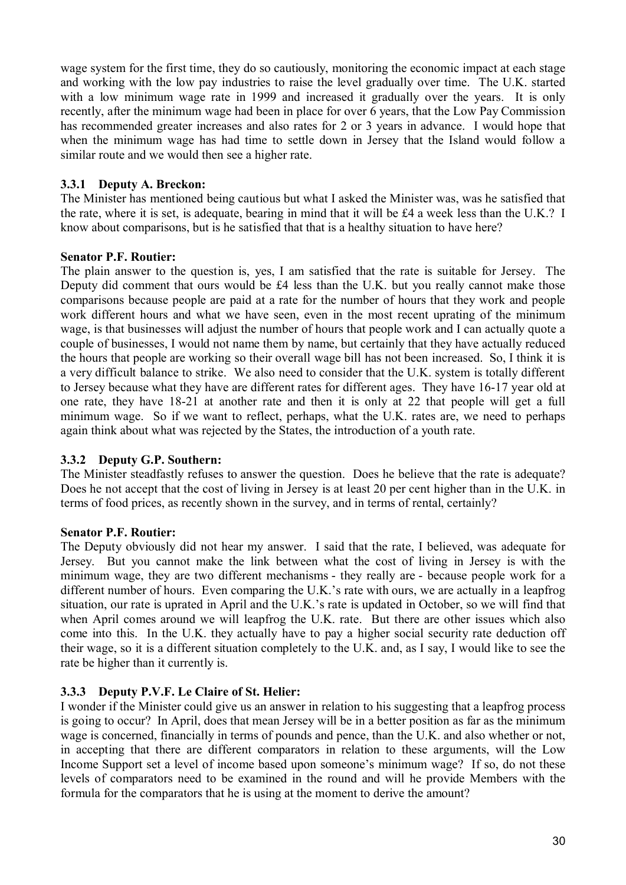wage system for the first time, they do so cautiously, monitoring the economic impact at each stage and working with the low pay industries to raise the level gradually over time. The U.K. started with a low minimum wage rate in 1999 and increased it gradually over the years. It is only recently, after the minimum wage had been in place for over 6 years, that the Low Pay Commission has recommended greater increases and also rates for 2 or 3 years in advance. I would hope that when the minimum wage has had time to settle down in Jersey that the Island would follow a similar route and we would then see a higher rate.

# **3.3.1 Deputy A. Breckon:**

The Minister has mentioned being cautious but what I asked the Minister was, was he satisfied that the rate, where it is set, is adequate, bearing in mind that it will be £4 a week less than the U.K.? I know about comparisons, but is he satisfied that that is a healthy situation to have here?

# **Senator P.F. Routier:**

The plain answer to the question is, yes, I am satisfied that the rate is suitable for Jersey. The Deputy did comment that ours would be £4 less than the U.K. but you really cannot make those comparisons because people are paid at a rate for the number of hours that they work and people work different hours and what we have seen, even in the most recent uprating of the minimum wage, is that businesses will adjust the number of hours that people work and I can actually quote a couple of businesses, I would not name them by name, but certainly that they have actually reduced the hours that people are working so their overall wage bill has not been increased. So, I think it is a very difficult balance to strike. We also need to consider that the U.K. system is totally different to Jersey because what they have are different rates for different ages. They have 16-17 year old at one rate, they have 18-21 at another rate and then it is only at 22 that people will get a full minimum wage. So if we want to reflect, perhaps, what the U.K. rates are, we need to perhaps again think about what was rejected by the States, the introduction of a youth rate.

# **3.3.2 Deputy G.P. Southern:**

The Minister steadfastly refuses to answer the question. Does he believe that the rate is adequate? Does he not accept that the cost of living in Jersey is at least 20 per cent higher than in the U.K. in terms of food prices, as recently shown in the survey, and in terms of rental, certainly?

# **Senator P.F. Routier:**

The Deputy obviously did not hear my answer. I said that the rate, I believed, was adequate for Jersey. But you cannot make the link between what the cost of living in Jersey is with the minimum wage, they are two different mechanisms - they really are - because people work for a different number of hours. Even comparing the U.K.'s rate with ours, we are actually in a leapfrog situation, our rate is uprated in April and the U.K.'s rate is updated in October, so we will find that when April comes around we will leapfrog the U.K. rate. But there are other issues which also come into this. In the U.K. they actually have to pay a higher social security rate deduction off their wage, so it is a different situation completely to the U.K. and, as I say, I would like to see the rate be higher than it currently is.

# **3.3.3 Deputy P.V.F. Le Claire of St. Helier:**

I wonder if the Minister could give us an answer in relation to his suggesting that a leapfrog process is going to occur? In April, does that mean Jersey will be in a better position as far as the minimum wage is concerned, financially in terms of pounds and pence, than the U.K. and also whether or not, in accepting that there are different comparators in relation to these arguments, will the Low Income Support set a level of income based upon someone's minimum wage? If so, do not these levels of comparators need to be examined in the round and will he provide Members with the formula for the comparators that he is using at the moment to derive the amount?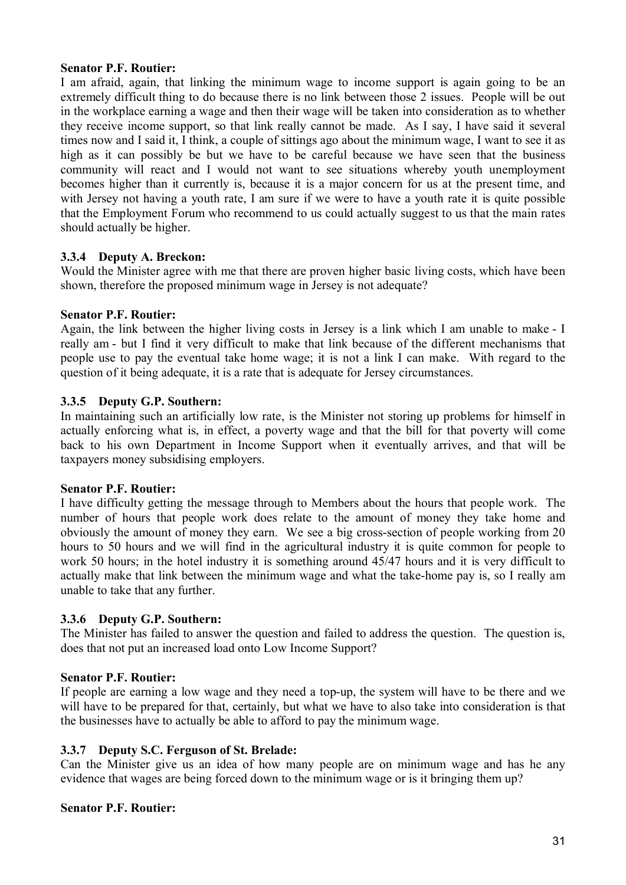## **Senator P.F. Routier:**

I am afraid, again, that linking the minimum wage to income support is again going to be an extremely difficult thing to do because there is no link between those 2 issues. People will be out in the workplace earning a wage and then their wage will be taken into consideration as to whether they receive income support, so that link really cannot be made. As I say, I have said it several times now and I said it, I think, a couple of sittings ago about the minimum wage, I want to see it as high as it can possibly be but we have to be careful because we have seen that the business community will react and I would not want to see situations whereby youth unemployment becomes higher than it currently is, because it is a major concern for us at the present time, and with Jersey not having a youth rate, I am sure if we were to have a youth rate it is quite possible that the Employment Forum who recommend to us could actually suggest to us that the main rates should actually be higher.

# **3.3.4 Deputy A. Breckon:**

Would the Minister agree with me that there are proven higher basic living costs, which have been shown, therefore the proposed minimum wage in Jersey is not adequate?

#### **Senator P.F. Routier:**

Again, the link between the higher living costs in Jersey is a link which I am unable to make - I really am - but I find it very difficult to make that link because of the different mechanisms that people use to pay the eventual take home wage; it is not a link I can make. With regard to the question of it being adequate, it is a rate that is adequate for Jersey circumstances.

## **3.3.5 Deputy G.P. Southern:**

In maintaining such an artificially low rate, is the Minister not storing up problems for himself in actually enforcing what is, in effect, a poverty wage and that the bill for that poverty will come back to his own Department in Income Support when it eventually arrives, and that will be taxpayers money subsidising employers.

#### **Senator P.F. Routier:**

I have difficulty getting the message through to Members about the hours that people work. The number of hours that people work does relate to the amount of money they take home and obviously the amount of money they earn. We see a big cross-section of people working from 20 hours to 50 hours and we will find in the agricultural industry it is quite common for people to work 50 hours; in the hotel industry it is something around 45/47 hours and it is very difficult to actually make that link between the minimum wage and what the take-home pay is, so I really am unable to take that any further.

# **3.3.6 Deputy G.P. Southern:**

The Minister has failed to answer the question and failed to address the question. The question is, does that not put an increased load onto Low Income Support?

# **Senator P.F. Routier:**

If people are earning a low wage and they need a top-up, the system will have to be there and we will have to be prepared for that, certainly, but what we have to also take into consideration is that the businesses have to actually be able to afford to pay the minimum wage.

# **3.3.7 Deputy S.C. Ferguson of St. Brelade:**

Can the Minister give us an idea of how many people are on minimum wage and has he any evidence that wages are being forced down to the minimum wage or is it bringing them up?

#### **Senator P.F. Routier:**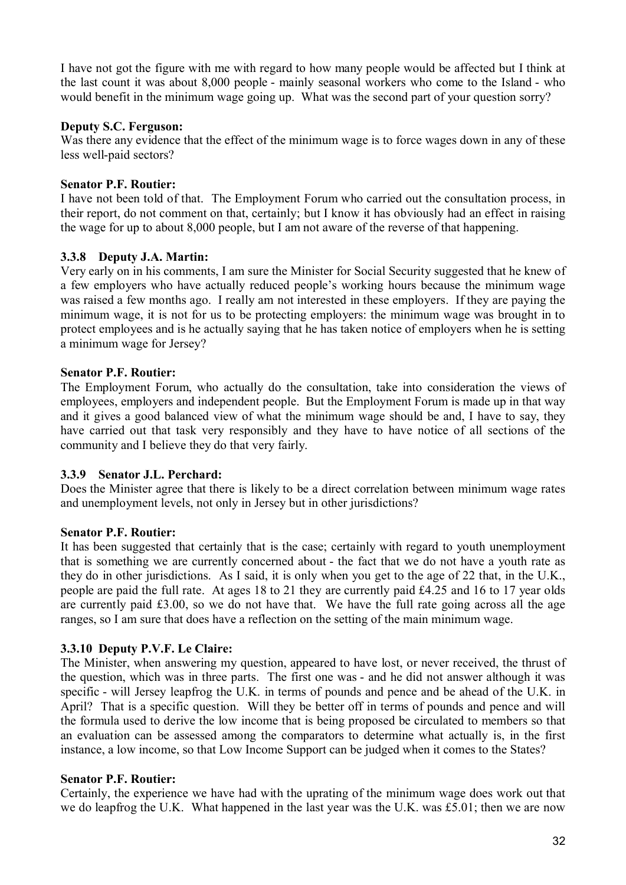I have not got the figure with me with regard to how many people would be affected but I think at the last count it was about 8,000 people - mainly seasonal workers who come to the Island - who would benefit in the minimum wage going up. What was the second part of your question sorry?

## **Deputy S.C. Ferguson:**

Was there any evidence that the effect of the minimum wage is to force wages down in any of these less well-paid sectors?

### **Senator P.F. Routier:**

I have not been told of that. The Employment Forum who carried out the consultation process, in their report, do not comment on that, certainly; but I know it has obviously had an effect in raising the wage for up to about 8,000 people, but I am not aware of the reverse of that happening.

## **3.3.8 Deputy J.A. Martin:**

Very early on in his comments, I am sure the Minister for Social Security suggested that he knew of a few employers who have actually reduced people's working hours because the minimum wage was raised a few months ago. I really am not interested in these employers. If they are paying the minimum wage, it is not for us to be protecting employers: the minimum wage was brought in to protect employees and is he actually saying that he has taken notice of employers when he is setting a minimum wage for Jersey?

## **Senator P.F. Routier:**

The Employment Forum, who actually do the consultation, take into consideration the views of employees, employers and independent people. But the Employment Forum is made up in that way and it gives a good balanced view of what the minimum wage should be and, I have to say, they have carried out that task very responsibly and they have to have notice of all sections of the community and I believe they do that very fairly.

#### **3.3.9 Senator J.L. Perchard:**

Does the Minister agree that there is likely to be a direct correlation between minimum wage rates and unemployment levels, not only in Jersey but in other jurisdictions?

#### **Senator P.F. Routier:**

It has been suggested that certainly that is the case; certainly with regard to youth unemployment that is something we are currently concerned about - the fact that we do not have a youth rate as they do in other jurisdictions. As I said, it is only when you get to the age of 22 that, in the U.K., people are paid the full rate. At ages 18 to 21 they are currently paid £4.25 and 16 to 17 year olds are currently paid £3.00, so we do not have that. We have the full rate going across all the age ranges, so I am sure that does have a reflection on the setting of the main minimum wage.

# **3.3.10 Deputy P.V.F. Le Claire:**

The Minister, when answering my question, appeared to have lost, or never received, the thrust of the question, which was in three parts. The first one was - and he did not answer although it was specific - will Jersey leapfrog the U.K. in terms of pounds and pence and be ahead of the U.K. in April? That is a specific question. Will they be better off in terms of pounds and pence and will the formula used to derive the low income that is being proposed be circulated to members so that an evaluation can be assessed among the comparators to determine what actually is, in the first instance, a low income, so that Low Income Support can be judged when it comes to the States?

#### **Senator P.F. Routier:**

Certainly, the experience we have had with the uprating of the minimum wage does work out that we do leapfrog the U.K. What happened in the last year was the U.K. was £5.01; then we are now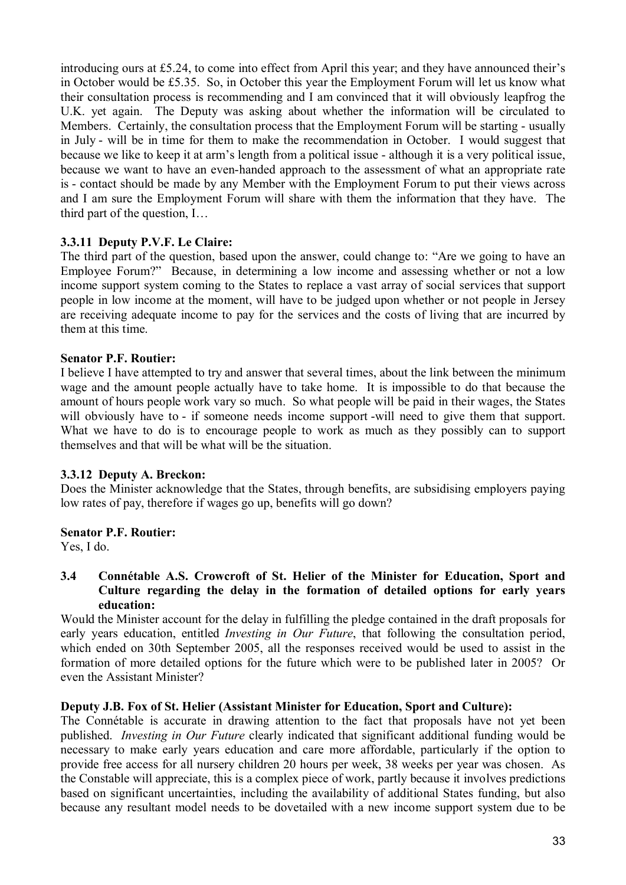introducing ours at £5.24, to come into effect from April this year; and they have announced their's in October would be £5.35. So, in October this year the Employment Forum will let us know what their consultation process is recommending and I am convinced that it will obviously leapfrog the U.K. yet again. The Deputy was asking about whether the information will be circulated to Members. Certainly, the consultation process that the Employment Forum will be starting - usually in July - will be in time for them to make the recommendation in October. I would suggest that because we like to keep it at arm's length from a political issue - although it is a very political issue, because we want to have an even-handed approach to the assessment of what an appropriate rate is - contact should be made by any Member with the Employment Forum to put their views across and I am sure the Employment Forum will share with them the information that they have. The third part of the question, I…

# **3.3.11 Deputy P.V.F. Le Claire:**

The third part of the question, based upon the answer, could change to: "Are we going to have an Employee Forum?" Because, in determining a low income and assessing whether or not a low income support system coming to the States to replace a vast array of social services that support people in low income at the moment, will have to be judged upon whether or not people in Jersey are receiving adequate income to pay for the services and the costs of living that are incurred by them at this time.

# **Senator P.F. Routier:**

I believe I have attempted to try and answer that several times, about the link between the minimum wage and the amount people actually have to take home. It is impossible to do that because the amount of hours people work vary so much. So what people will be paid in their wages, the States will obviously have to - if someone needs income support -will need to give them that support. What we have to do is to encourage people to work as much as they possibly can to support themselves and that will be what will be the situation.

#### **3.3.12 Deputy A. Breckon:**

Does the Minister acknowledge that the States, through benefits, are subsidising employers paying low rates of pay, therefore if wages go up, benefits will go down?

# **Senator P.F. Routier:**

Yes, I do.

**3.4 Connétable A.S. Crowcroft of St. Helier of the Minister for Education, Sport and Culture regarding the delay in the formation of detailed options for early years education:**

Would the Minister account for the delay in fulfilling the pledge contained in the draft proposals for early years education, entitled *Investing in Our Future*, that following the consultation period, which ended on 30th September 2005, all the responses received would be used to assist in the formation of more detailed options for the future which were to be published later in 2005? Or even the Assistant Minister?

### **Deputy J.B. Fox of St. Helier (Assistant Minister for Education, Sport and Culture):**

The Connétable is accurate in drawing attention to the fact that proposals have not yet been published. *Investing in Our Future* clearly indicated that significant additional funding would be necessary to make early years education and care more affordable, particularly if the option to provide free access for all nursery children 20 hours per week, 38 weeks per year was chosen. As the Constable will appreciate, this is a complex piece of work, partly because it involves predictions based on significant uncertainties, including the availability of additional States funding, but also because any resultant model needs to be dovetailed with a new income support system due to be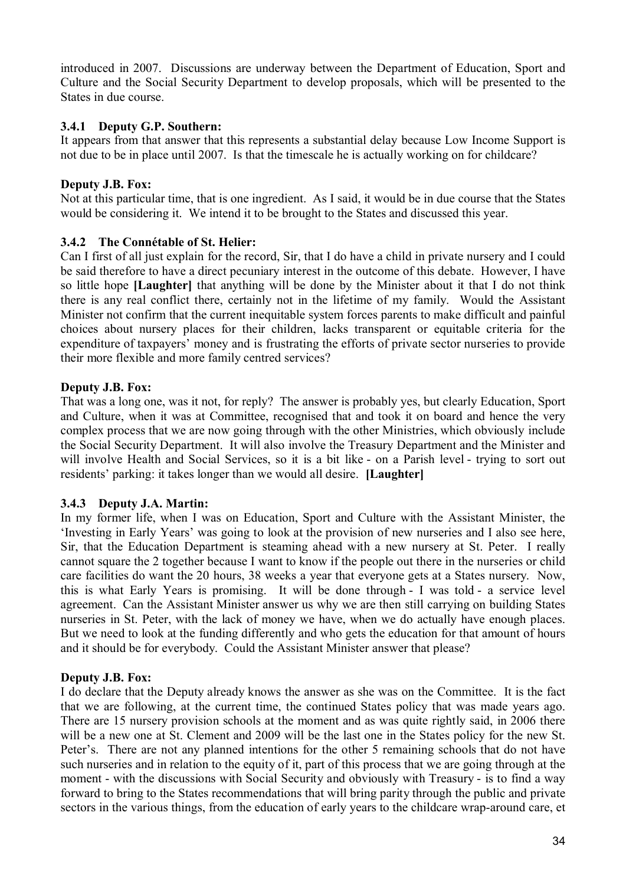introduced in 2007. Discussions are underway between the Department of Education, Sport and Culture and the Social Security Department to develop proposals, which will be presented to the States in due course.

# **3.4.1 Deputy G.P. Southern:**

It appears from that answer that this represents a substantial delay because Low Income Support is not due to be in place until 2007. Is that the timescale he is actually working on for childcare?

# **Deputy J.B. Fox:**

Not at this particular time, that is one ingredient. As I said, it would be in due course that the States would be considering it. We intend it to be brought to the States and discussed this year.

# **3.4.2 The Connétable of St. Helier:**

Can I first of all just explain for the record, Sir, that I do have a child in private nursery and I could be said therefore to have a direct pecuniary interest in the outcome of this debate. However, I have so little hope **[Laughter]** that anything will be done by the Minister about it that I do not think there is any real conflict there, certainly not in the lifetime of my family. Would the Assistant Minister not confirm that the current inequitable system forces parents to make difficult and painful choices about nursery places for their children, lacks transparent or equitable criteria for the expenditure of taxpayers' money and is frustrating the efforts of private sector nurseries to provide their more flexible and more family centred services?

## **Deputy J.B. Fox:**

That was a long one, was it not, for reply? The answer is probably yes, but clearly Education, Sport and Culture, when it was at Committee, recognised that and took it on board and hence the very complex process that we are now going through with the other Ministries, which obviously include the Social Security Department. It will also involve the Treasury Department and the Minister and will involve Health and Social Services, so it is a bit like - on a Parish level - trying to sort out residents' parking: it takes longer than we would all desire. **[Laughter]**

# **3.4.3 Deputy J.A. Martin:**

In my former life, when I was on Education, Sport and Culture with the Assistant Minister, the 'Investing in Early Years' was going to look at the provision of new nurseries and I also see here, Sir, that the Education Department is steaming ahead with a new nursery at St. Peter. I really cannot square the 2 together because I want to know if the people out there in the nurseries or child care facilities do want the 20 hours, 38 weeks a year that everyone gets at a States nursery. Now, this is what Early Years is promising. It will be done through - I was told - a service level agreement. Can the Assistant Minister answer us why we are then still carrying on building States nurseries in St. Peter, with the lack of money we have, when we do actually have enough places. But we need to look at the funding differently and who gets the education for that amount of hours and it should be for everybody. Could the Assistant Minister answer that please?

#### **Deputy J.B. Fox:**

I do declare that the Deputy already knows the answer as she was on the Committee. It is the fact that we are following, at the current time, the continued States policy that was made years ago. There are 15 nursery provision schools at the moment and as was quite rightly said, in 2006 there will be a new one at St. Clement and 2009 will be the last one in the States policy for the new St. Peter's. There are not any planned intentions for the other 5 remaining schools that do not have such nurseries and in relation to the equity of it, part of this process that we are going through at the moment - with the discussions with Social Security and obviously with Treasury - is to find a way forward to bring to the States recommendations that will bring parity through the public and private sectors in the various things, from the education of early years to the childcare wrap-around care, et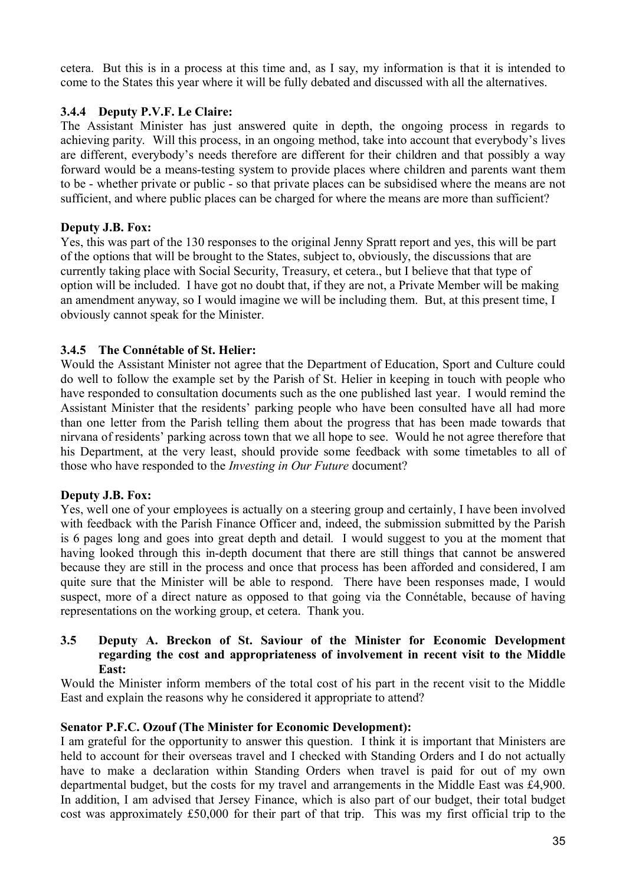cetera. But this is in a process at this time and, as I say, my information is that it is intended to come to the States this year where it will be fully debated and discussed with all the alternatives.

# **3.4.4 Deputy P.V.F. Le Claire:**

The Assistant Minister has just answered quite in depth, the ongoing process in regards to achieving parity. Will this process, in an ongoing method, take into account that everybody's lives are different, everybody's needs therefore are different for their children and that possibly a way forward would be a means-testing system to provide places where children and parents want them to be - whether private or public - so that private places can be subsidised where the means are not sufficient, and where public places can be charged for where the means are more than sufficient?

## **Deputy J.B. Fox:**

Yes, this was part of the 130 responses to the original Jenny Spratt report and yes, this will be part of the options that will be brought to the States, subject to, obviously, the discussions that are currently taking place with Social Security, Treasury, et cetera., but I believe that that type of option will be included. I have got no doubt that, if they are not, a Private Member will be making an amendment anyway, so I would imagine we will be including them. But, at this present time, I obviously cannot speak for the Minister.

# **3.4.5 The Connétable of St. Helier:**

Would the Assistant Minister not agree that the Department of Education, Sport and Culture could do well to follow the example set by the Parish of St. Helier in keeping in touch with people who have responded to consultation documents such as the one published last year. I would remind the Assistant Minister that the residents' parking people who have been consulted have all had more than one letter from the Parish telling them about the progress that has been made towards that nirvana of residents' parking across town that we all hope to see. Would he not agree therefore that his Department, at the very least, should provide some feedback with some timetables to all of those who have responded to the *Investing in Our Future* document?

# **Deputy J.B. Fox:**

Yes, well one of your employees is actually on a steering group and certainly, I have been involved with feedback with the Parish Finance Officer and, indeed, the submission submitted by the Parish is 6 pages long and goes into great depth and detail. I would suggest to you at the moment that having looked through this in-depth document that there are still things that cannot be answered because they are still in the process and once that process has been afforded and considered, I am quite sure that the Minister will be able to respond. There have been responses made, I would suspect, more of a direct nature as opposed to that going via the Connétable, because of having representations on the working group, et cetera. Thank you.

### **3.5 Deputy A. Breckon of St. Saviour of the Minister for Economic Development regarding the cost and appropriateness of involvement in recent visit to the Middle East:**

Would the Minister inform members of the total cost of his part in the recent visit to the Middle East and explain the reasons why he considered it appropriate to attend?

#### **Senator P.F.C. Ozouf (The Minister for Economic Development):**

I am grateful for the opportunity to answer this question. I think it is important that Ministers are held to account for their overseas travel and I checked with Standing Orders and I do not actually have to make a declaration within Standing Orders when travel is paid for out of my own departmental budget, but the costs for my travel and arrangements in the Middle East was £4,900. In addition, I am advised that Jersey Finance, which is also part of our budget, their total budget cost was approximately £50,000 for their part of that trip. This was my first official trip to the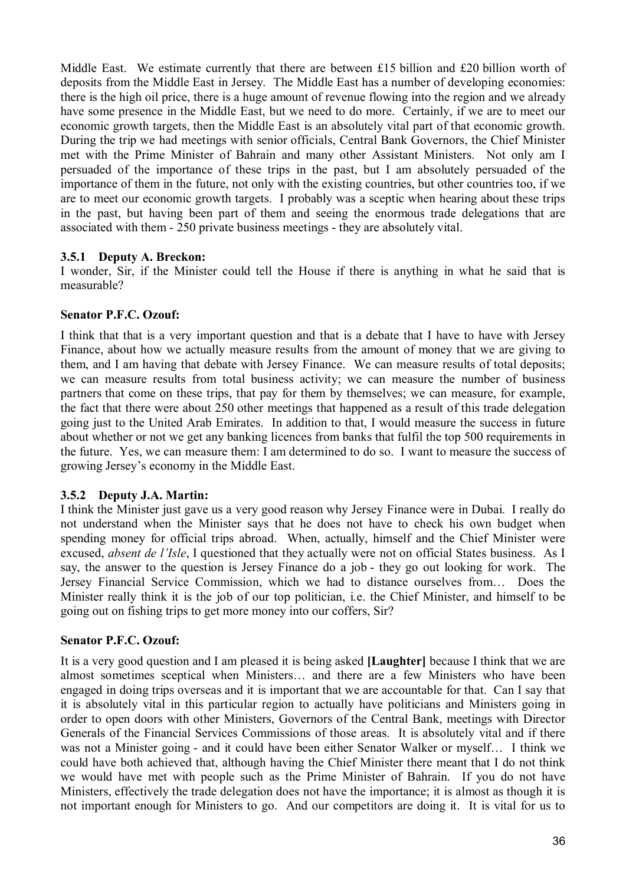Middle East. We estimate currently that there are between £15 billion and £20 billion worth of deposits from the Middle East in Jersey. The Middle East has a number of developing economies: there is the high oil price, there is a huge amount of revenue flowing into the region and we already have some presence in the Middle East, but we need to do more. Certainly, if we are to meet our economic growth targets, then the Middle East is an absolutely vital part of that economic growth. During the trip we had meetings with senior officials, Central Bank Governors, the Chief Minister met with the Prime Minister of Bahrain and many other Assistant Ministers. Not only am I persuaded of the importance of these trips in the past, but I am absolutely persuaded of the importance of them in the future, not only with the existing countries, but other countries too, if we are to meet our economic growth targets. I probably was a sceptic when hearing about these trips in the past, but having been part of them and seeing the enormous trade delegations that are associated with them - 250 private business meetings - they are absolutely vital.

## **3.5.1 Deputy A. Breckon:**

I wonder, Sir, if the Minister could tell the House if there is anything in what he said that is measurable?

## **Senator P.F.C. Ozouf:**

I think that that is a very important question and that is a debate that I have to have with Jersey Finance, about how we actually measure results from the amount of money that we are giving to them, and I am having that debate with Jersey Finance. We can measure results of total deposits; we can measure results from total business activity; we can measure the number of business partners that come on these trips, that pay for them by themselves; we can measure, for example, the fact that there were about 250 other meetings that happened as a result of this trade delegation going just to the United Arab Emirates. In addition to that, I would measure the success in future about whether or not we get any banking licences from banks that fulfil the top 500 requirements in the future. Yes, we can measure them: I am determined to do so. I want to measure the success of growing Jersey's economy in the Middle East.

# **3.5.2 Deputy J.A. Martin:**

I think the Minister just gave us a very good reason why Jersey Finance were in Dubai. I really do not understand when the Minister says that he does not have to check his own budget when spending money for official trips abroad. When, actually, himself and the Chief Minister were excused, *absent de l'Isle*, I questioned that they actually were not on official States business. As I say, the answer to the question is Jersey Finance do a job - they go out looking for work. The Jersey Financial Service Commission, which we had to distance ourselves from… Does the Minister really think it is the job of our top politician, i.e. the Chief Minister, and himself to be going out on fishing trips to get more money into our coffers, Sir?

#### **Senator P.F.C. Ozouf:**

It is a very good question and I am pleased it is being asked **[Laughter]** because I think that we are almost sometimes sceptical when Ministers… and there are a few Ministers who have been engaged in doing trips overseas and it is important that we are accountable for that. Can I say that it is absolutely vital in this particular region to actually have politicians and Ministers going in order to open doors with other Ministers, Governors of the Central Bank, meetings with Director Generals of the Financial Services Commissions of those areas. It is absolutely vital and if there was not a Minister going - and it could have been either Senator Walker or myself… I think we could have both achieved that, although having the Chief Minister there meant that I do not think we would have met with people such as the Prime Minister of Bahrain. If you do not have Ministers, effectively the trade delegation does not have the importance; it is almost as though it is not important enough for Ministers to go. And our competitors are doing it. It is vital for us to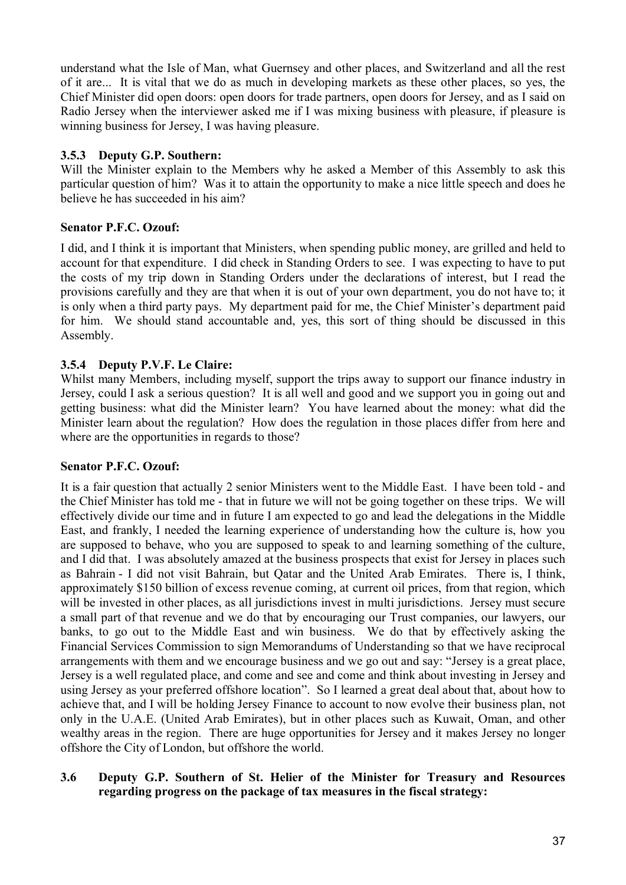understand what the Isle of Man, what Guernsey and other places, and Switzerland and all the rest of it are... It is vital that we do as much in developing markets as these other places, so yes, the Chief Minister did open doors: open doors for trade partners, open doors for Jersey, and as I said on Radio Jersey when the interviewer asked me if I was mixing business with pleasure, if pleasure is winning business for Jersey, I was having pleasure.

# **3.5.3 Deputy G.P. Southern:**

Will the Minister explain to the Members why he asked a Member of this Assembly to ask this particular question of him? Was it to attain the opportunity to make a nice little speech and does he believe he has succeeded in his aim?

# **Senator P.F.C. Ozouf:**

I did, and I think it is important that Ministers, when spending public money, are grilled and held to account for that expenditure. I did check in Standing Orders to see. I was expecting to have to put the costs of my trip down in Standing Orders under the declarations of interest, but I read the provisions carefully and they are that when it is out of your own department, you do not have to; it is only when a third party pays. My department paid for me, the Chief Minister's department paid for him. We should stand accountable and, yes, this sort of thing should be discussed in this Assembly.

# **3.5.4 Deputy P.V.F. Le Claire:**

Whilst many Members, including myself, support the trips away to support our finance industry in Jersey, could I ask a serious question? It is all well and good and we support you in going out and getting business: what did the Minister learn? You have learned about the money: what did the Minister learn about the regulation? How does the regulation in those places differ from here and where are the opportunities in regards to those?

## **Senator P.F.C. Ozouf:**

It is a fair question that actually 2 senior Ministers went to the Middle East. I have been told - and the Chief Minister has told me - that in future we will not be going together on these trips. We will effectively divide our time and in future I am expected to go and lead the delegations in the Middle East, and frankly, I needed the learning experience of understanding how the culture is, how you are supposed to behave, who you are supposed to speak to and learning something of the culture, and I did that. I was absolutely amazed at the business prospects that exist for Jersey in places such as Bahrain - I did not visit Bahrain, but Qatar and the United Arab Emirates. There is, I think, approximately \$150 billion of excess revenue coming, at current oil prices, from that region, which will be invested in other places, as all jurisdictions invest in multi jurisdictions. Jersey must secure a small part of that revenue and we do that by encouraging our Trust companies, our lawyers, our banks, to go out to the Middle East and win business. We do that by effectively asking the Financial Services Commission to sign Memorandums of Understanding so that we have reciprocal arrangements with them and we encourage business and we go out and say: "Jersey is a great place, Jersey is a well regulated place, and come and see and come and think about investing in Jersey and using Jersey as your preferred offshore location". So I learned a great deal about that, about how to achieve that, and I will be holding Jersey Finance to account to now evolve their business plan, not only in the U.A.E. (United Arab Emirates), but in other places such as Kuwait, Oman, and other wealthy areas in the region. There are huge opportunities for Jersey and it makes Jersey no longer offshore the City of London, but offshore the world.

# **3.6 Deputy G.P. Southern of St. Helier of the Minister for Treasury and Resources regarding progress on the package of tax measures in the fiscal strategy:**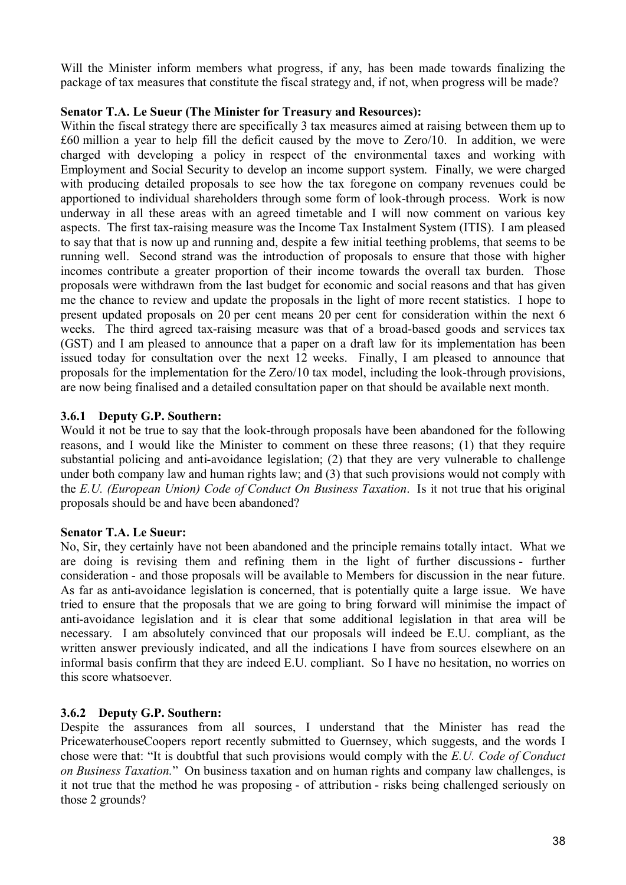Will the Minister inform members what progress, if any, has been made towards finalizing the package of tax measures that constitute the fiscal strategy and, if not, when progress will be made?

## **Senator T.A. Le Sueur (The Minister for Treasury and Resources):**

Within the fiscal strategy there are specifically 3 tax measures aimed at raising between them up to £60 million a year to help fill the deficit caused by the move to Zero/10. In addition, we were charged with developing a policy in respect of the environmental taxes and working with Employment and Social Security to develop an income support system. Finally, we were charged with producing detailed proposals to see how the tax foregone on company revenues could be apportioned to individual shareholders through some form of look-through process. Work is now underway in all these areas with an agreed timetable and I will now comment on various key aspects. The first tax-raising measure was the Income Tax Instalment System (ITIS). I am pleased to say that that is now up and running and, despite a few initial teething problems, that seems to be running well. Second strand was the introduction of proposals to ensure that those with higher incomes contribute a greater proportion of their income towards the overall tax burden. Those proposals were withdrawn from the last budget for economic and social reasons and that has given me the chance to review and update the proposals in the light of more recent statistics. I hope to present updated proposals on 20 per cent means 20 per cent for consideration within the next 6 weeks. The third agreed tax-raising measure was that of a broad-based goods and services tax (GST) and I am pleased to announce that a paper on a draft law for its implementation has been issued today for consultation over the next 12 weeks. Finally, I am pleased to announce that proposals for the implementation for the Zero/10 tax model, including the look-through provisions, are now being finalised and a detailed consultation paper on that should be available next month.

### **3.6.1 Deputy G.P. Southern:**

Would it not be true to say that the look-through proposals have been abandoned for the following reasons, and I would like the Minister to comment on these three reasons; (1) that they require substantial policing and anti-avoidance legislation; (2) that they are very vulnerable to challenge under both company law and human rights law; and (3) that such provisions would not comply with the *E.U. (European Union) Code of Conduct On Business Taxation*. Is it not true that his original proposals should be and have been abandoned?

## **Senator T.A. Le Sueur:**

No, Sir, they certainly have not been abandoned and the principle remains totally intact. What we are doing is revising them and refining them in the light of further discussions - further consideration - and those proposals will be available to Members for discussion in the near future. As far as anti-avoidance legislation is concerned, that is potentially quite a large issue. We have tried to ensure that the proposals that we are going to bring forward will minimise the impact of anti-avoidance legislation and it is clear that some additional legislation in that area will be necessary. I am absolutely convinced that our proposals will indeed be E.U. compliant, as the written answer previously indicated, and all the indications I have from sources elsewhere on an informal basis confirm that they are indeed E.U. compliant. So I have no hesitation, no worries on this score whatsoever.

## **3.6.2 Deputy G.P. Southern:**

Despite the assurances from all sources, I understand that the Minister has read the PricewaterhouseCoopers report recently submitted to Guernsey, which suggests, and the words I chose were that: "It is doubtful that such provisions would comply with the *E.U. Code of Conduct on Business Taxation.*" On business taxation and on human rights and company law challenges, is it not true that the method he was proposing - of attribution - risks being challenged seriously on those 2 grounds?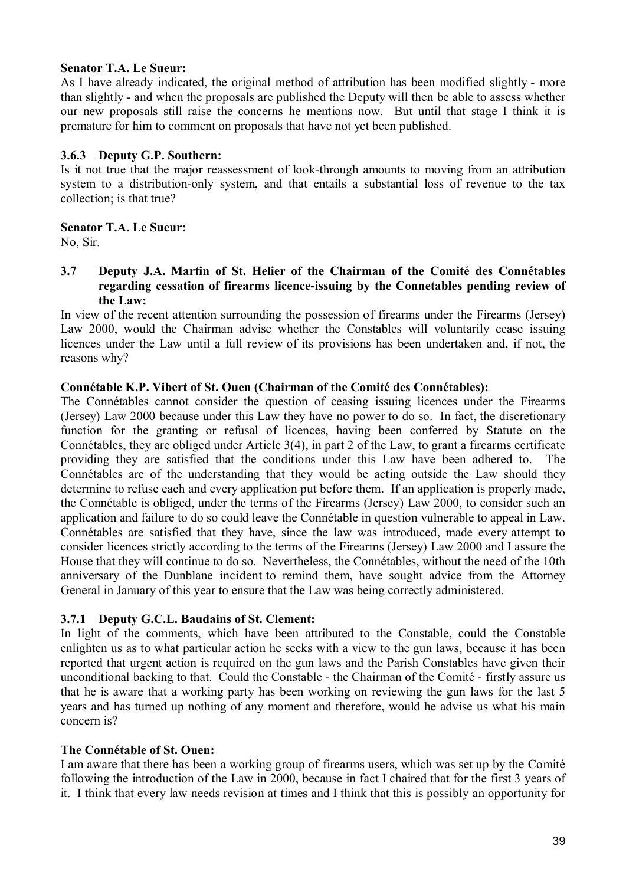## **Senator T.A. Le Sueur:**

As I have already indicated, the original method of attribution has been modified slightly - more than slightly - and when the proposals are published the Deputy will then be able to assess whether our new proposals still raise the concerns he mentions now. But until that stage I think it is premature for him to comment on proposals that have not yet been published.

### **3.6.3 Deputy G.P. Southern:**

Is it not true that the major reassessment of look-through amounts to moving from an attribution system to a distribution-only system, and that entails a substantial loss of revenue to the tax collection; is that true?

### **Senator T.A. Le Sueur:**

No, Sir.

### **3.7 Deputy J.A. Martin of St. Helier of the Chairman of the Comité des Connétables regarding cessation of firearms licence-issuing by the Connetables pending review of the Law:**

In view of the recent attention surrounding the possession of firearms under the Firearms (Jersey) Law 2000, would the Chairman advise whether the Constables will voluntarily cease issuing licences under the Law until a full review of its provisions has been undertaken and, if not, the reasons why?

### **Connétable K.P. Vibert of St. Ouen (Chairman of the Comité des Connétables):**

The Connétables cannot consider the question of ceasing issuing licences under the Firearms (Jersey) Law 2000 because under this Law they have no power to do so. In fact, the discretionary function for the granting or refusal of licences, having been conferred by Statute on the Connétables, they are obliged under Article 3(4), in part 2 of the Law, to grant a firearms certificate providing they are satisfied that the conditions under this Law have been adhered to. The Connétables are of the understanding that they would be acting outside the Law should they determine to refuse each and every application put before them. If an application is properly made, the Connétable is obliged, under the terms of the Firearms (Jersey) Law 2000, to consider such an application and failure to do so could leave the Connétable in question vulnerable to appeal in Law. Connétables are satisfied that they have, since the law was introduced, made every attempt to consider licences strictly according to the terms of the Firearms (Jersey) Law 2000 and I assure the House that they will continue to do so. Nevertheless, the Connétables, without the need of the 10th anniversary of the Dunblane incident to remind them, have sought advice from the Attorney General in January of this year to ensure that the Law was being correctly administered.

## **3.7.1 Deputy G.C.L. Baudains of St. Clement:**

In light of the comments, which have been attributed to the Constable, could the Constable enlighten us as to what particular action he seeks with a view to the gun laws, because it has been reported that urgent action is required on the gun laws and the Parish Constables have given their unconditional backing to that. Could the Constable - the Chairman of the Comité - firstly assure us that he is aware that a working party has been working on reviewing the gun laws for the last 5 years and has turned up nothing of any moment and therefore, would he advise us what his main concern is?

## **The Connétable of St. Ouen:**

I am aware that there has been a working group of firearms users, which was set up by the Comité following the introduction of the Law in 2000, because in fact I chaired that for the first 3 years of it. I think that every law needs revision at times and I think that this is possibly an opportunity for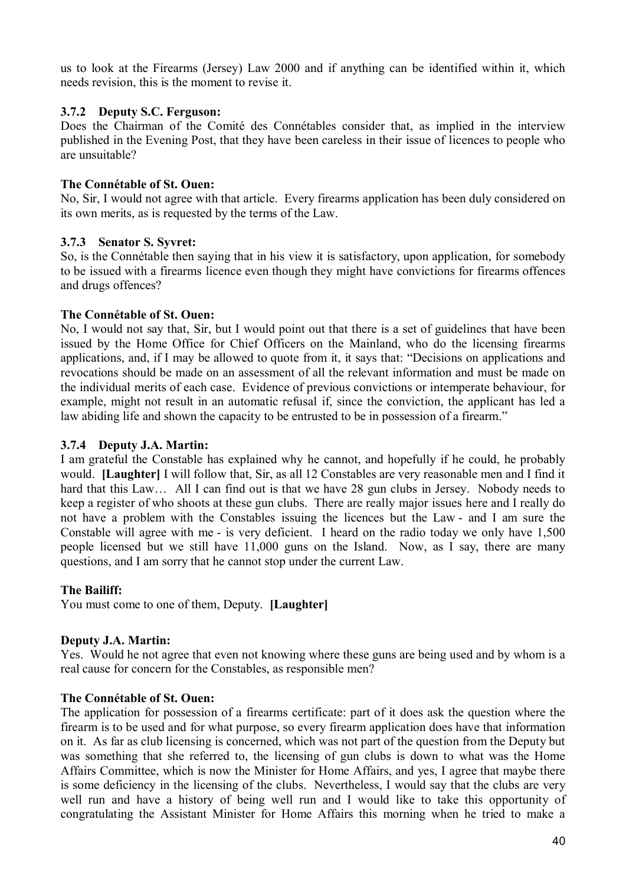us to look at the Firearms (Jersey) Law 2000 and if anything can be identified within it, which needs revision, this is the moment to revise it.

### **3.7.2 Deputy S.C. Ferguson:**

Does the Chairman of the Comité des Connétables consider that, as implied in the interview published in the Evening Post, that they have been careless in their issue of licences to people who are unsuitable?

### **The Connétable of St. Ouen:**

No, Sir, I would not agree with that article. Every firearms application has been duly considered on its own merits, as is requested by the terms of the Law.

### **3.7.3 Senator S. Syvret:**

So, is the Connétable then saying that in his view it is satisfactory, upon application, for somebody to be issued with a firearms licence even though they might have convictions for firearms offences and drugs offences?

### **The Connétable of St. Ouen:**

No, I would not say that, Sir, but I would point out that there is a set of guidelines that have been issued by the Home Office for Chief Officers on the Mainland, who do the licensing firearms applications, and, if I may be allowed to quote from it, it says that: "Decisions on applications and revocations should be made on an assessment of all the relevant information and must be made on the individual merits of each case. Evidence of previous convictions or intemperate behaviour, for example, might not result in an automatic refusal if, since the conviction, the applicant has led a law abiding life and shown the capacity to be entrusted to be in possession of a firearm."

### **3.7.4 Deputy J.A. Martin:**

I am grateful the Constable has explained why he cannot, and hopefully if he could, he probably would. **[Laughter]** I will follow that, Sir, as all 12 Constables are very reasonable men and I find it hard that this Law... All I can find out is that we have 28 gun clubs in Jersey. Nobody needs to keep a register of who shoots at these gun clubs. There are really major issues here and I really do not have a problem with the Constables issuing the licences but the Law - and I am sure the Constable will agree with me - is very deficient. I heard on the radio today we only have 1,500 people licensed but we still have 11,000 guns on the Island. Now, as I say, there are many questions, and I am sorry that he cannot stop under the current Law.

#### **The Bailiff:**

You must come to one of them, Deputy. **[Laughter]**

#### **Deputy J.A. Martin:**

Yes. Would he not agree that even not knowing where these guns are being used and by whom is a real cause for concern for the Constables, as responsible men?

#### **The Connétable of St. Ouen:**

The application for possession of a firearms certificate: part of it does ask the question where the firearm is to be used and for what purpose, so every firearm application does have that information on it. As far as club licensing is concerned, which was not part of the question from the Deputy but was something that she referred to, the licensing of gun clubs is down to what was the Home Affairs Committee, which is now the Minister for Home Affairs, and yes, I agree that maybe there is some deficiency in the licensing of the clubs. Nevertheless, I would say that the clubs are very well run and have a history of being well run and I would like to take this opportunity of congratulating the Assistant Minister for Home Affairs this morning when he tried to make a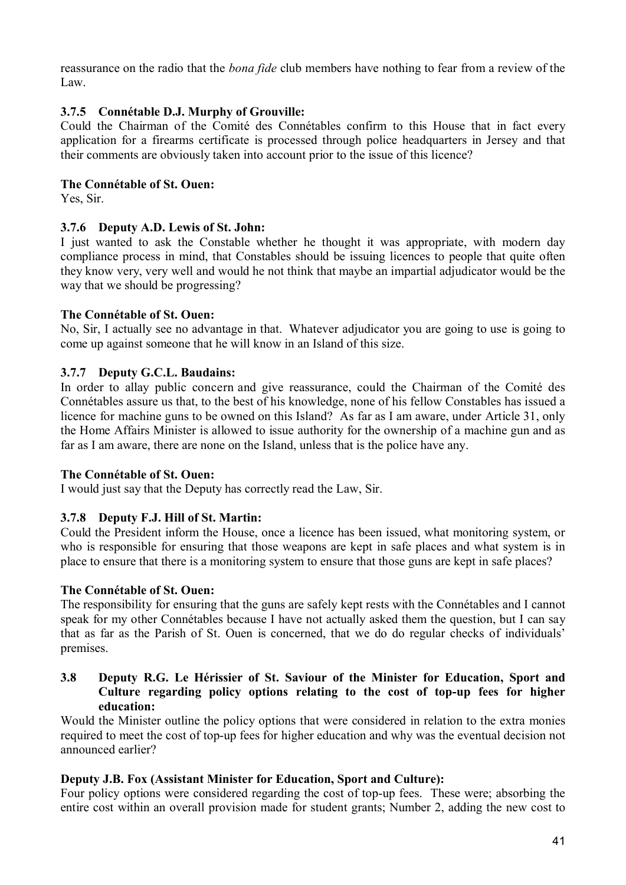reassurance on the radio that the *bona fide* club members have nothing to fear from a review of the Law.

# **3.7.5 Connétable D.J. Murphy of Grouville:**

Could the Chairman of the Comité des Connétables confirm to this House that in fact every application for a firearms certificate is processed through police headquarters in Jersey and that their comments are obviously taken into account prior to the issue of this licence?

# **The Connétable of St. Ouen:**

Yes, Sir.

# **3.7.6 Deputy A.D. Lewis of St. John:**

I just wanted to ask the Constable whether he thought it was appropriate, with modern day compliance process in mind, that Constables should be issuing licences to people that quite often they know very, very well and would he not think that maybe an impartial adjudicator would be the way that we should be progressing?

## **The Connétable of St. Ouen:**

No, Sir, I actually see no advantage in that. Whatever adjudicator you are going to use is going to come up against someone that he will know in an Island of this size.

# **3.7.7 Deputy G.C.L. Baudains:**

In order to allay public concern and give reassurance, could the Chairman of the Comité des Connétables assure us that, to the best of his knowledge, none of his fellow Constables has issued a licence for machine guns to be owned on this Island? As far as I am aware, under Article 31, only the Home Affairs Minister is allowed to issue authority for the ownership of a machine gun and as far as I am aware, there are none on the Island, unless that is the police have any.

## **The Connétable of St. Ouen:**

I would just say that the Deputy has correctly read the Law, Sir.

# **3.7.8 Deputy F.J. Hill of St. Martin:**

Could the President inform the House, once a licence has been issued, what monitoring system, or who is responsible for ensuring that those weapons are kept in safe places and what system is in place to ensure that there is a monitoring system to ensure that those guns are kept in safe places?

## **The Connétable of St. Ouen:**

The responsibility for ensuring that the guns are safely kept rests with the Connétables and I cannot speak for my other Connétables because I have not actually asked them the question, but I can say that as far as the Parish of St. Ouen is concerned, that we do do regular checks of individuals' premises.

# **3.8 Deputy R.G. Le Hérissier of St. Saviour of the Minister for Education, Sport and Culture regarding policy options relating to the cost of top-up fees for higher education:**

Would the Minister outline the policy options that were considered in relation to the extra monies required to meet the cost of top-up fees for higher education and why was the eventual decision not announced earlier?

## **Deputy J.B. Fox (Assistant Minister for Education, Sport and Culture):**

Four policy options were considered regarding the cost of top-up fees. These were; absorbing the entire cost within an overall provision made for student grants; Number 2, adding the new cost to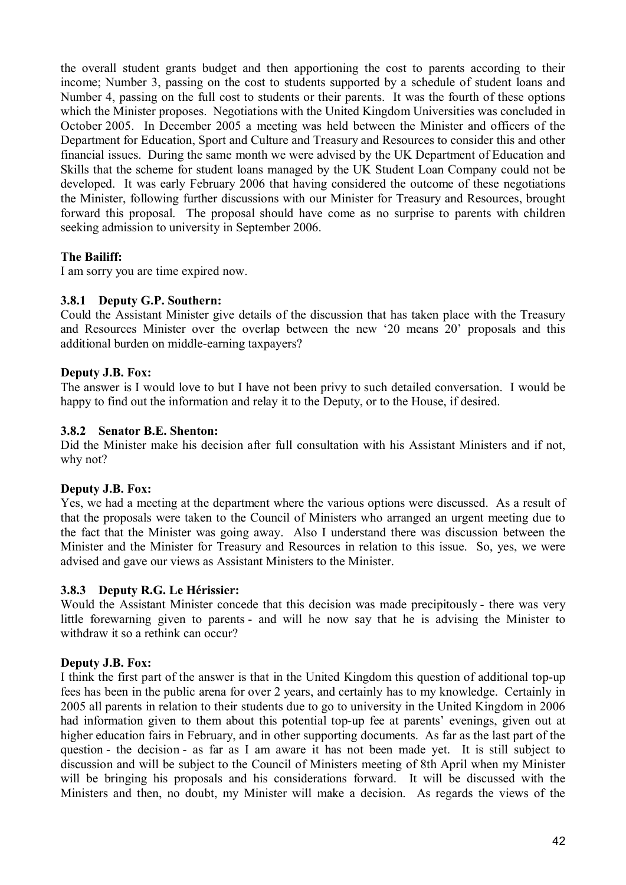the overall student grants budget and then apportioning the cost to parents according to their income; Number 3, passing on the cost to students supported by a schedule of student loans and Number 4, passing on the full cost to students or their parents. It was the fourth of these options which the Minister proposes. Negotiations with the United Kingdom Universities was concluded in October 2005. In December 2005 a meeting was held between the Minister and officers of the Department for Education, Sport and Culture and Treasury and Resources to consider this and other financial issues. During the same month we were advised by the UK Department of Education and Skills that the scheme for student loans managed by the UK Student Loan Company could not be developed. It was early February 2006 that having considered the outcome of these negotiations the Minister, following further discussions with our Minister for Treasury and Resources, brought forward this proposal. The proposal should have come as no surprise to parents with children seeking admission to university in September 2006.

## **The Bailiff:**

I am sorry you are time expired now.

## **3.8.1 Deputy G.P. Southern:**

Could the Assistant Minister give details of the discussion that has taken place with the Treasury and Resources Minister over the overlap between the new '20 means 20' proposals and this additional burden on middle-earning taxpayers?

## **Deputy J.B. Fox:**

The answer is I would love to but I have not been privy to such detailed conversation. I would be happy to find out the information and relay it to the Deputy, or to the House, if desired.

### **3.8.2 Senator B.E. Shenton:**

Did the Minister make his decision after full consultation with his Assistant Ministers and if not, why not?

## **Deputy J.B. Fox:**

Yes, we had a meeting at the department where the various options were discussed. As a result of that the proposals were taken to the Council of Ministers who arranged an urgent meeting due to the fact that the Minister was going away. Also I understand there was discussion between the Minister and the Minister for Treasury and Resources in relation to this issue. So, yes, we were advised and gave our views as Assistant Ministers to the Minister.

## **3.8.3 Deputy R.G. Le Hérissier:**

Would the Assistant Minister concede that this decision was made precipitously - there was very little forewarning given to parents - and will he now say that he is advising the Minister to withdraw it so a rethink can occur?

## **Deputy J.B. Fox:**

I think the first part of the answer is that in the United Kingdom this question of additional top-up fees has been in the public arena for over 2 years, and certainly has to my knowledge. Certainly in 2005 all parents in relation to their students due to go to university in the United Kingdom in 2006 had information given to them about this potential top-up fee at parents' evenings, given out at higher education fairs in February, and in other supporting documents. As far as the last part of the question - the decision - as far as I am aware it has not been made yet. It is still subject to discussion and will be subject to the Council of Ministers meeting of 8th April when my Minister will be bringing his proposals and his considerations forward. It will be discussed with the Ministers and then, no doubt, my Minister will make a decision. As regards the views of the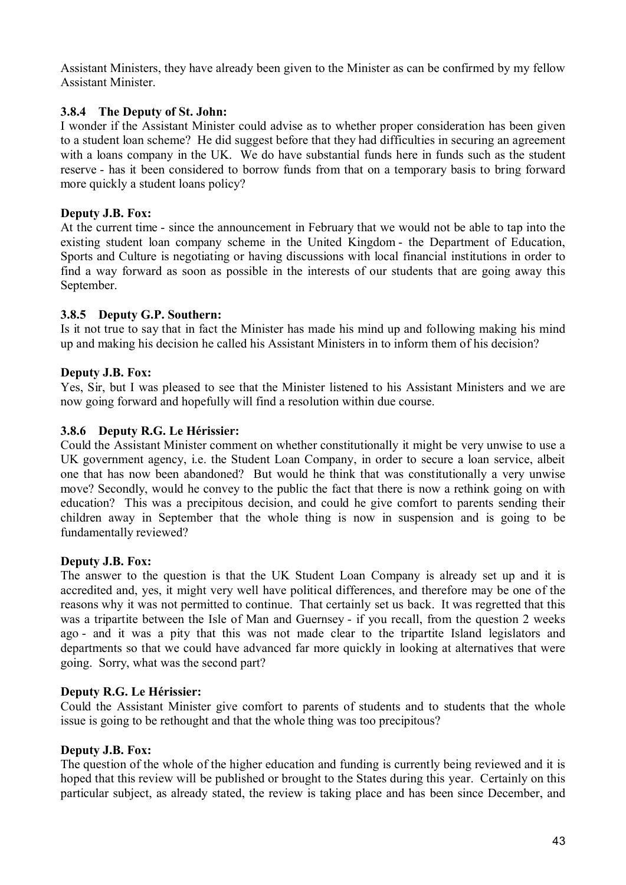Assistant Ministers, they have already been given to the Minister as can be confirmed by my fellow Assistant Minister.

### **3.8.4 The Deputy of St. John:**

I wonder if the Assistant Minister could advise as to whether proper consideration has been given to a student loan scheme? He did suggest before that they had difficulties in securing an agreement with a loans company in the UK. We do have substantial funds here in funds such as the student reserve - has it been considered to borrow funds from that on a temporary basis to bring forward more quickly a student loans policy?

### **Deputy J.B. Fox:**

At the current time - since the announcement in February that we would not be able to tap into the existing student loan company scheme in the United Kingdom - the Department of Education, Sports and Culture is negotiating or having discussions with local financial institutions in order to find a way forward as soon as possible in the interests of our students that are going away this September.

### **3.8.5 Deputy G.P. Southern:**

Is it not true to say that in fact the Minister has made his mind up and following making his mind up and making his decision he called his Assistant Ministers in to inform them of his decision?

### **Deputy J.B. Fox:**

Yes, Sir, but I was pleased to see that the Minister listened to his Assistant Ministers and we are now going forward and hopefully will find a resolution within due course.

### **3.8.6 Deputy R.G. Le Hérissier:**

Could the Assistant Minister comment on whether constitutionally it might be very unwise to use a UK government agency, i.e. the Student Loan Company, in order to secure a loan service, albeit one that has now been abandoned? But would he think that was constitutionally a very unwise move? Secondly, would he convey to the public the fact that there is now a rethink going on with education? This was a precipitous decision, and could he give comfort to parents sending their children away in September that the whole thing is now in suspension and is going to be fundamentally reviewed?

#### **Deputy J.B. Fox:**

The answer to the question is that the UK Student Loan Company is already set up and it is accredited and, yes, it might very well have political differences, and therefore may be one of the reasons why it was not permitted to continue. That certainly set us back. It was regretted that this was a tripartite between the Isle of Man and Guernsey - if you recall, from the question 2 weeks ago - and it was a pity that this was not made clear to the tripartite Island legislators and departments so that we could have advanced far more quickly in looking at alternatives that were going. Sorry, what was the second part?

#### **Deputy R.G. Le Hérissier:**

Could the Assistant Minister give comfort to parents of students and to students that the whole issue is going to be rethought and that the whole thing was too precipitous?

#### **Deputy J.B. Fox:**

The question of the whole of the higher education and funding is currently being reviewed and it is hoped that this review will be published or brought to the States during this year. Certainly on this particular subject, as already stated, the review is taking place and has been since December, and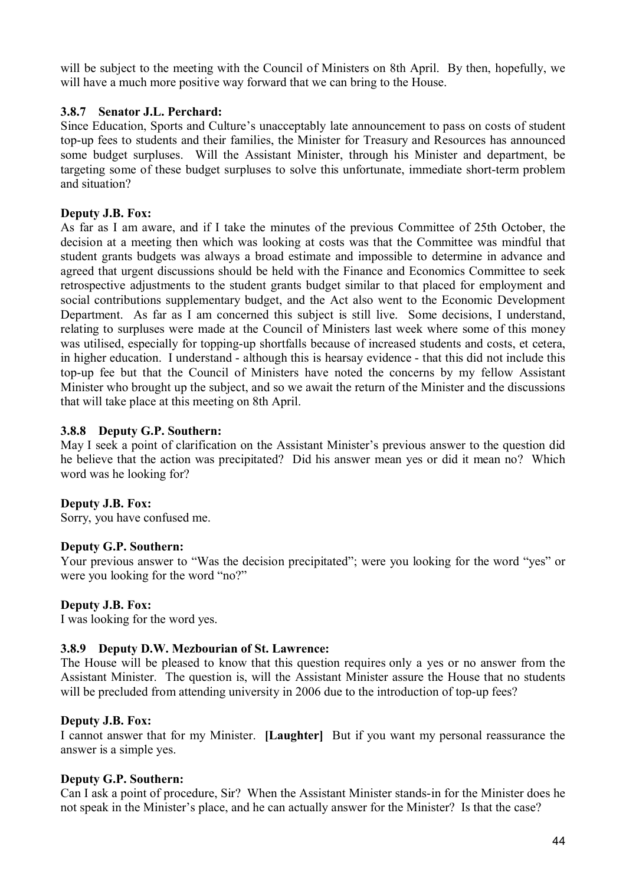will be subject to the meeting with the Council of Ministers on 8th April. By then, hopefully, we will have a much more positive way forward that we can bring to the House.

## **3.8.7 Senator J.L. Perchard:**

Since Education, Sports and Culture's unacceptably late announcement to pass on costs of student top-up fees to students and their families, the Minister for Treasury and Resources has announced some budget surpluses. Will the Assistant Minister, through his Minister and department, be targeting some of these budget surpluses to solve this unfortunate, immediate short-term problem and situation?

# **Deputy J.B. Fox:**

As far as I am aware, and if I take the minutes of the previous Committee of 25th October, the decision at a meeting then which was looking at costs was that the Committee was mindful that student grants budgets was always a broad estimate and impossible to determine in advance and agreed that urgent discussions should be held with the Finance and Economics Committee to seek retrospective adjustments to the student grants budget similar to that placed for employment and social contributions supplementary budget, and the Act also went to the Economic Development Department. As far as I am concerned this subject is still live. Some decisions, I understand, relating to surpluses were made at the Council of Ministers last week where some of this money was utilised, especially for topping-up shortfalls because of increased students and costs, et cetera, in higher education. I understand - although this is hearsay evidence - that this did not include this top-up fee but that the Council of Ministers have noted the concerns by my fellow Assistant Minister who brought up the subject, and so we await the return of the Minister and the discussions that will take place at this meeting on 8th April.

## **3.8.8 Deputy G.P. Southern:**

May I seek a point of clarification on the Assistant Minister's previous answer to the question did he believe that the action was precipitated? Did his answer mean yes or did it mean no? Which word was he looking for?

## **Deputy J.B. Fox:**

Sorry, you have confused me.

## **Deputy G.P. Southern:**

Your previous answer to "Was the decision precipitated"; were you looking for the word "yes" or were you looking for the word "no?"

## **Deputy J.B. Fox:**

I was looking for the word yes.

## **3.8.9 Deputy D.W. Mezbourian of St. Lawrence:**

The House will be pleased to know that this question requires only a yes or no answer from the Assistant Minister. The question is, will the Assistant Minister assure the House that no students will be precluded from attending university in 2006 due to the introduction of top-up fees?

## **Deputy J.B. Fox:**

I cannot answer that for my Minister. **[Laughter]** But if you want my personal reassurance the answer is a simple yes.

## **Deputy G.P. Southern:**

Can I ask a point of procedure, Sir? When the Assistant Minister stands-in for the Minister does he not speak in the Minister's place, and he can actually answer for the Minister? Is that the case?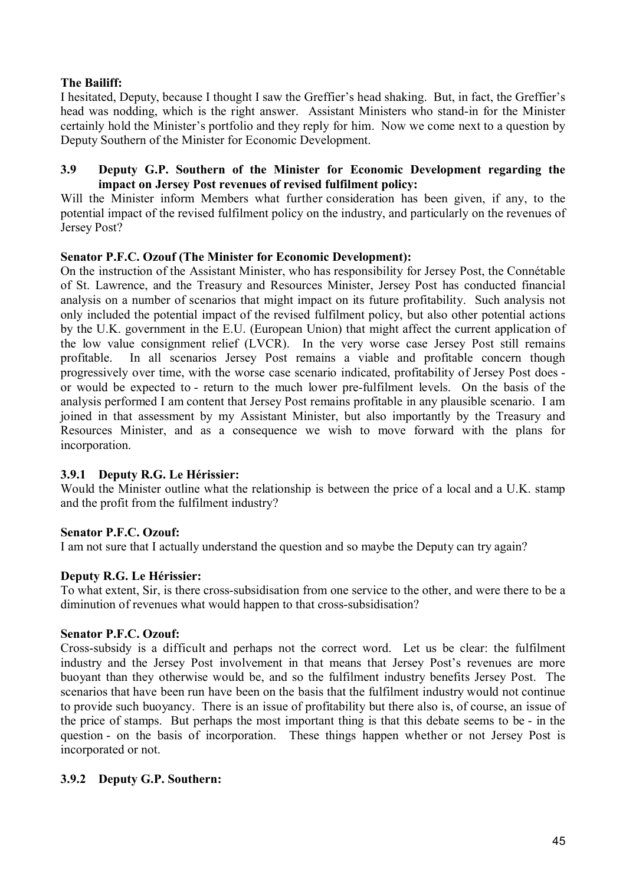# **The Bailiff:**

I hesitated, Deputy, because I thought I saw the Greffier's head shaking. But, in fact, the Greffier's head was nodding, which is the right answer. Assistant Ministers who stand-in for the Minister certainly hold the Minister's portfolio and they reply for him. Now we come next to a question by Deputy Southern of the Minister for Economic Development.

### **3.9 Deputy G.P. Southern of the Minister for Economic Development regarding the impact on Jersey Post revenues of revised fulfilment policy:**

Will the Minister inform Members what further consideration has been given, if any, to the potential impact of the revised fulfilment policy on the industry, and particularly on the revenues of Jersey Post?

## **Senator P.F.C. Ozouf (The Minister for Economic Development):**

On the instruction of the Assistant Minister, who has responsibility for Jersey Post, the Connétable of St. Lawrence, and the Treasury and Resources Minister, Jersey Post has conducted financial analysis on a number of scenarios that might impact on its future profitability. Such analysis not only included the potential impact of the revised fulfilment policy, but also other potential actions by the U.K. government in the E.U. (European Union) that might affect the current application of the low value consignment relief (LVCR). In the very worse case Jersey Post still remains profitable. In all scenarios Jersey Post remains a viable and profitable concern though progressively over time, with the worse case scenario indicated, profitability of Jersey Post does or would be expected to - return to the much lower pre-fulfilment levels. On the basis of the analysis performed I am content that Jersey Post remains profitable in any plausible scenario. I am joined in that assessment by my Assistant Minister, but also importantly by the Treasury and Resources Minister, and as a consequence we wish to move forward with the plans for incorporation.

## **3.9.1 Deputy R.G. Le Hérissier:**

Would the Minister outline what the relationship is between the price of a local and a U.K. stamp and the profit from the fulfilment industry?

# **Senator P.F.C. Ozouf:**

I am not sure that I actually understand the question and so maybe the Deputy can try again?

## **Deputy R.G. Le Hérissier:**

To what extent, Sir, is there cross-subsidisation from one service to the other, and were there to be a diminution of revenues what would happen to that cross-subsidisation?

## **Senator P.F.C. Ozouf:**

Cross-subsidy is a difficult and perhaps not the correct word. Let us be clear: the fulfilment industry and the Jersey Post involvement in that means that Jersey Post's revenues are more buoyant than they otherwise would be, and so the fulfilment industry benefits Jersey Post. The scenarios that have been run have been on the basis that the fulfilment industry would not continue to provide such buoyancy. There is an issue of profitability but there also is, of course, an issue of the price of stamps. But perhaps the most important thing is that this debate seems to be - in the question - on the basis of incorporation. These things happen whether or not Jersey Post is incorporated or not.

# **3.9.2 Deputy G.P. Southern:**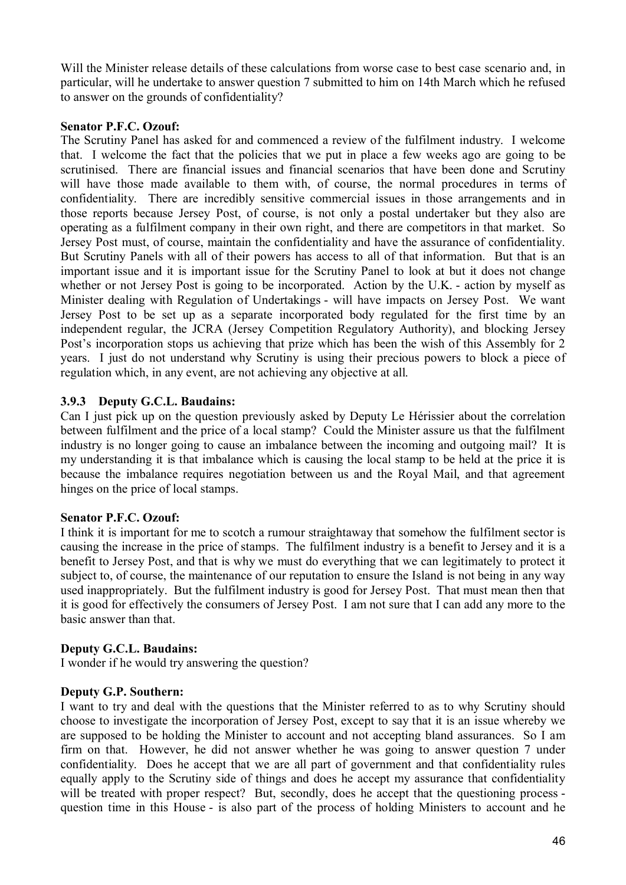Will the Minister release details of these calculations from worse case to best case scenario and, in particular, will he undertake to answer question 7 submitted to him on 14th March which he refused to answer on the grounds of confidentiality?

### **Senator P.F.C. Ozouf:**

The Scrutiny Panel has asked for and commenced a review of the fulfilment industry. I welcome that. I welcome the fact that the policies that we put in place a few weeks ago are going to be scrutinised. There are financial issues and financial scenarios that have been done and Scrutiny will have those made available to them with, of course, the normal procedures in terms of confidentiality. There are incredibly sensitive commercial issues in those arrangements and in those reports because Jersey Post, of course, is not only a postal undertaker but they also are operating as a fulfilment company in their own right, and there are competitors in that market. So Jersey Post must, of course, maintain the confidentiality and have the assurance of confidentiality. But Scrutiny Panels with all of their powers has access to all of that information. But that is an important issue and it is important issue for the Scrutiny Panel to look at but it does not change whether or not Jersey Post is going to be incorporated. Action by the U.K. - action by myself as Minister dealing with Regulation of Undertakings - will have impacts on Jersey Post. We want Jersey Post to be set up as a separate incorporated body regulated for the first time by an independent regular, the JCRA (Jersey Competition Regulatory Authority), and blocking Jersey Post's incorporation stops us achieving that prize which has been the wish of this Assembly for 2 years. I just do not understand why Scrutiny is using their precious powers to block a piece of regulation which, in any event, are not achieving any objective at all.

### **3.9.3 Deputy G.C.L. Baudains:**

Can I just pick up on the question previously asked by Deputy Le Hérissier about the correlation between fulfilment and the price of a local stamp? Could the Minister assure us that the fulfilment industry is no longer going to cause an imbalance between the incoming and outgoing mail? It is my understanding it is that imbalance which is causing the local stamp to be held at the price it is because the imbalance requires negotiation between us and the Royal Mail, and that agreement hinges on the price of local stamps.

#### **Senator P.F.C. Ozouf:**

I think it is important for me to scotch a rumour straightaway that somehow the fulfilment sector is causing the increase in the price of stamps. The fulfilment industry is a benefit to Jersey and it is a benefit to Jersey Post, and that is why we must do everything that we can legitimately to protect it subject to, of course, the maintenance of our reputation to ensure the Island is not being in any way used inappropriately. But the fulfilment industry is good for Jersey Post. That must mean then that it is good for effectively the consumers of Jersey Post. I am not sure that I can add any more to the basic answer than that.

#### **Deputy G.C.L. Baudains:**

I wonder if he would try answering the question?

#### **Deputy G.P. Southern:**

I want to try and deal with the questions that the Minister referred to as to why Scrutiny should choose to investigate the incorporation of Jersey Post, except to say that it is an issue whereby we are supposed to be holding the Minister to account and not accepting bland assurances. So I am firm on that. However, he did not answer whether he was going to answer question 7 under confidentiality. Does he accept that we are all part of government and that confidentiality rules equally apply to the Scrutiny side of things and does he accept my assurance that confidentiality will be treated with proper respect? But, secondly, does he accept that the questioning process question time in this House - is also part of the process of holding Ministers to account and he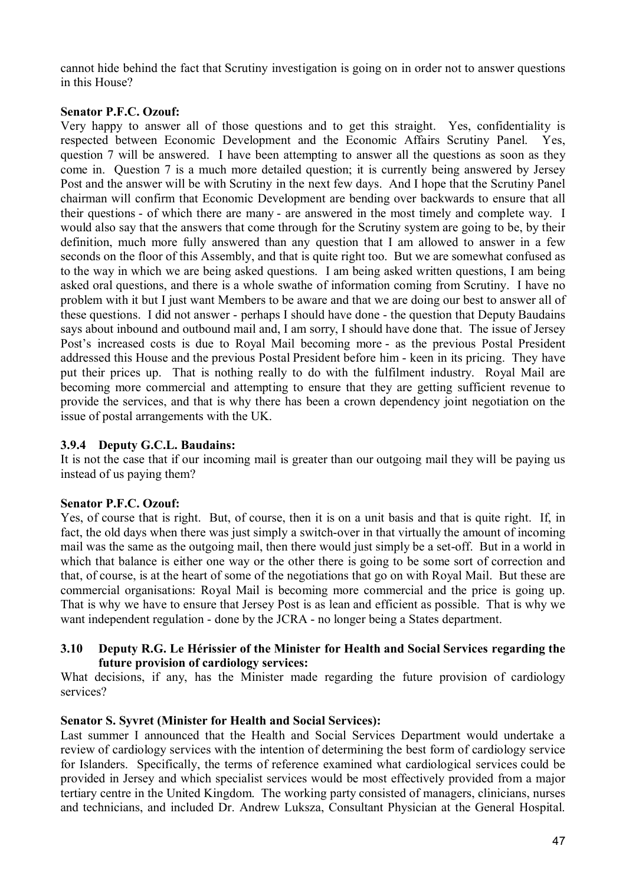cannot hide behind the fact that Scrutiny investigation is going on in order not to answer questions in this House?

### **Senator P.F.C. Ozouf:**

Very happy to answer all of those questions and to get this straight. Yes, confidentiality is respected between Economic Development and the Economic Affairs Scrutiny Panel. Yes, question 7 will be answered. I have been attempting to answer all the questions as soon as they come in. Question 7 is a much more detailed question; it is currently being answered by Jersey Post and the answer will be with Scrutiny in the next few days. And I hope that the Scrutiny Panel chairman will confirm that Economic Development are bending over backwards to ensure that all their questions - of which there are many - are answered in the most timely and complete way. I would also say that the answers that come through for the Scrutiny system are going to be, by their definition, much more fully answered than any question that I am allowed to answer in a few seconds on the floor of this Assembly, and that is quite right too. But we are somewhat confused as to the way in which we are being asked questions. I am being asked written questions, I am being asked oral questions, and there is a whole swathe of information coming from Scrutiny. I have no problem with it but I just want Members to be aware and that we are doing our best to answer all of these questions. I did not answer - perhaps I should have done - the question that Deputy Baudains says about inbound and outbound mail and, I am sorry, I should have done that. The issue of Jersey Post's increased costs is due to Royal Mail becoming more - as the previous Postal President addressed this House and the previous Postal President before him - keen in its pricing. They have put their prices up. That is nothing really to do with the fulfilment industry. Royal Mail are becoming more commercial and attempting to ensure that they are getting sufficient revenue to provide the services, and that is why there has been a crown dependency joint negotiation on the issue of postal arrangements with the UK.

### **3.9.4 Deputy G.C.L. Baudains:**

It is not the case that if our incoming mail is greater than our outgoing mail they will be paying us instead of us paying them?

#### **Senator P.F.C. Ozouf:**

Yes, of course that is right. But, of course, then it is on a unit basis and that is quite right. If, in fact, the old days when there was just simply a switch-over in that virtually the amount of incoming mail was the same as the outgoing mail, then there would just simply be a set-off. But in a world in which that balance is either one way or the other there is going to be some sort of correction and that, of course, is at the heart of some of the negotiations that go on with Royal Mail. But these are commercial organisations: Royal Mail is becoming more commercial and the price is going up. That is why we have to ensure that Jersey Post is as lean and efficient as possible. That is why we want independent regulation - done by the JCRA - no longer being a States department.

#### **3.10 Deputy R.G. Le Hérissier of the Minister for Health and Social Services regarding the future provision of cardiology services:**

What decisions, if any, has the Minister made regarding the future provision of cardiology services?

#### **Senator S. Syvret (Minister for Health and Social Services):**

Last summer I announced that the Health and Social Services Department would undertake a review of cardiology services with the intention of determining the best form of cardiology service for Islanders. Specifically, the terms of reference examined what cardiological services could be provided in Jersey and which specialist services would be most effectively provided from a major tertiary centre in the United Kingdom. The working party consisted of managers, clinicians, nurses and technicians, and included Dr. Andrew Luksza, Consultant Physician at the General Hospital.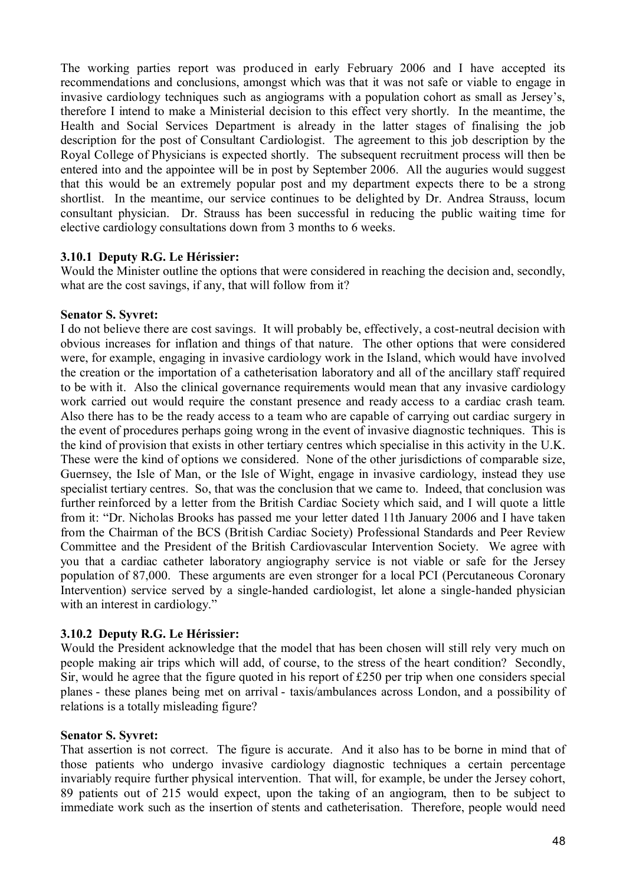The working parties report was produced in early February 2006 and I have accepted its recommendations and conclusions, amongst which was that it was not safe or viable to engage in invasive cardiology techniques such as angiograms with a population cohort as small as Jersey's, therefore I intend to make a Ministerial decision to this effect very shortly. In the meantime, the Health and Social Services Department is already in the latter stages of finalising the job description for the post of Consultant Cardiologist. The agreement to this job description by the Royal College of Physicians is expected shortly. The subsequent recruitment process will then be entered into and the appointee will be in post by September 2006. All the auguries would suggest that this would be an extremely popular post and my department expects there to be a strong shortlist. In the meantime, our service continues to be delighted by Dr. Andrea Strauss, locum consultant physician. Dr. Strauss has been successful in reducing the public waiting time for elective cardiology consultations down from 3 months to 6 weeks.

### **3.10.1 Deputy R.G. Le Hérissier:**

Would the Minister outline the options that were considered in reaching the decision and, secondly, what are the cost savings, if any, that will follow from it?

#### **Senator S. Syvret:**

I do not believe there are cost savings. It will probably be, effectively, a cost-neutral decision with obvious increases for inflation and things of that nature. The other options that were considered were, for example, engaging in invasive cardiology work in the Island, which would have involved the creation or the importation of a catheterisation laboratory and all of the ancillary staff required to be with it. Also the clinical governance requirements would mean that any invasive cardiology work carried out would require the constant presence and ready access to a cardiac crash team. Also there has to be the ready access to a team who are capable of carrying out cardiac surgery in the event of procedures perhaps going wrong in the event of invasive diagnostic techniques. This is the kind of provision that exists in other tertiary centres which specialise in this activity in the U.K. These were the kind of options we considered. None of the other jurisdictions of comparable size, Guernsey, the Isle of Man, or the Isle of Wight, engage in invasive cardiology, instead they use specialist tertiary centres. So, that was the conclusion that we came to. Indeed, that conclusion was further reinforced by a letter from the British Cardiac Society which said, and I will quote a little from it: "Dr. Nicholas Brooks has passed me your letter dated 11th January 2006 and I have taken from the Chairman of the BCS (British Cardiac Society) Professional Standards and Peer Review Committee and the President of the British Cardiovascular Intervention Society. We agree with you that a cardiac catheter laboratory angiography service is not viable or safe for the Jersey population of 87,000. These arguments are even stronger for a local PCI (Percutaneous Coronary Intervention) service served by a single-handed cardiologist, let alone a single-handed physician with an interest in cardiology."

## **3.10.2 Deputy R.G. Le Hérissier:**

Would the President acknowledge that the model that has been chosen will still rely very much on people making air trips which will add, of course, to the stress of the heart condition? Secondly, Sir, would he agree that the figure quoted in his report of £250 per trip when one considers special planes - these planes being met on arrival - taxis/ambulances across London, and a possibility of relations is a totally misleading figure?

#### **Senator S. Syvret:**

That assertion is not correct. The figure is accurate. And it also has to be borne in mind that of those patients who undergo invasive cardiology diagnostic techniques a certain percentage invariably require further physical intervention. That will, for example, be under the Jersey cohort, 89 patients out of 215 would expect, upon the taking of an angiogram, then to be subject to immediate work such as the insertion of stents and catheterisation. Therefore, people would need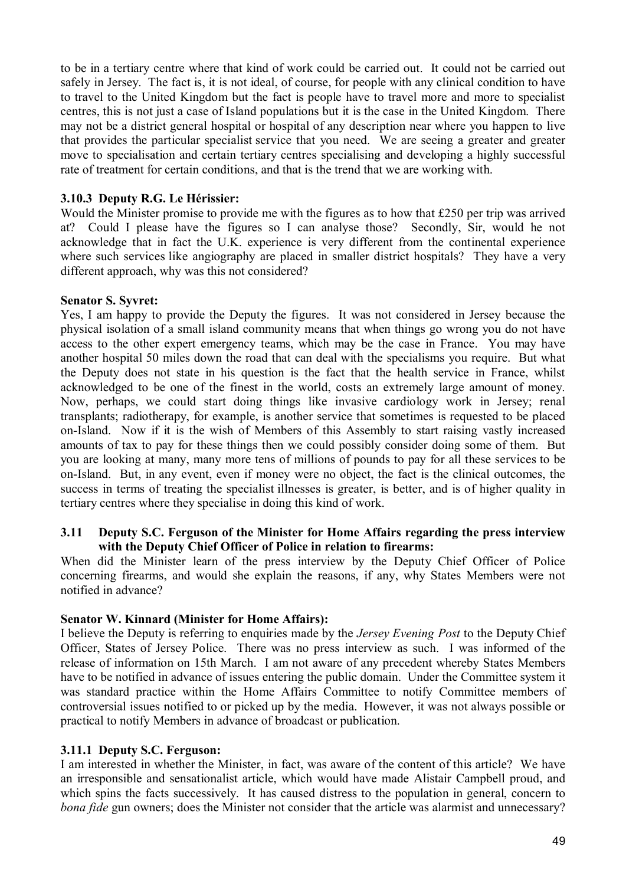to be in a tertiary centre where that kind of work could be carried out. It could not be carried out safely in Jersey. The fact is, it is not ideal, of course, for people with any clinical condition to have to travel to the United Kingdom but the fact is people have to travel more and more to specialist centres, this is not just a case of Island populations but it is the case in the United Kingdom. There may not be a district general hospital or hospital of any description near where you happen to live that provides the particular specialist service that you need. We are seeing a greater and greater move to specialisation and certain tertiary centres specialising and developing a highly successful rate of treatment for certain conditions, and that is the trend that we are working with.

# **3.10.3 Deputy R.G. Le Hérissier:**

Would the Minister promise to provide me with the figures as to how that £250 per trip was arrived at? Could I please have the figures so I can analyse those? Secondly, Sir, would he not acknowledge that in fact the U.K. experience is very different from the continental experience where such services like angiography are placed in smaller district hospitals? They have a very different approach, why was this not considered?

### **Senator S. Syvret:**

Yes, I am happy to provide the Deputy the figures. It was not considered in Jersey because the physical isolation of a small island community means that when things go wrong you do not have access to the other expert emergency teams, which may be the case in France. You may have another hospital 50 miles down the road that can deal with the specialisms you require. But what the Deputy does not state in his question is the fact that the health service in France, whilst acknowledged to be one of the finest in the world, costs an extremely large amount of money. Now, perhaps, we could start doing things like invasive cardiology work in Jersey; renal transplants; radiotherapy, for example, is another service that sometimes is requested to be placed on-Island. Now if it is the wish of Members of this Assembly to start raising vastly increased amounts of tax to pay for these things then we could possibly consider doing some of them. But you are looking at many, many more tens of millions of pounds to pay for all these services to be on-Island. But, in any event, even if money were no object, the fact is the clinical outcomes, the success in terms of treating the specialist illnesses is greater, is better, and is of higher quality in tertiary centres where they specialise in doing this kind of work.

#### **3.11 Deputy S.C. Ferguson of the Minister for Home Affairs regarding the press interview with the Deputy Chief Officer of Police in relation to firearms:**

When did the Minister learn of the press interview by the Deputy Chief Officer of Police concerning firearms, and would she explain the reasons, if any, why States Members were not notified in advance?

## **Senator W. Kinnard (Minister for Home Affairs):**

I believe the Deputy is referring to enquiries made by the *Jersey Evening Post* to the Deputy Chief Officer, States of Jersey Police. There was no press interview as such. I was informed of the release of information on 15th March. I am not aware of any precedent whereby States Members have to be notified in advance of issues entering the public domain. Under the Committee system it was standard practice within the Home Affairs Committee to notify Committee members of controversial issues notified to or picked up by the media. However, it was not always possible or practical to notify Members in advance of broadcast or publication.

## **3.11.1 Deputy S.C. Ferguson:**

I am interested in whether the Minister, in fact, was aware of the content of this article? We have an irresponsible and sensationalist article, which would have made Alistair Campbell proud, and which spins the facts successively. It has caused distress to the population in general, concern to *bona fide* gun owners; does the Minister not consider that the article was alarmist and unnecessary?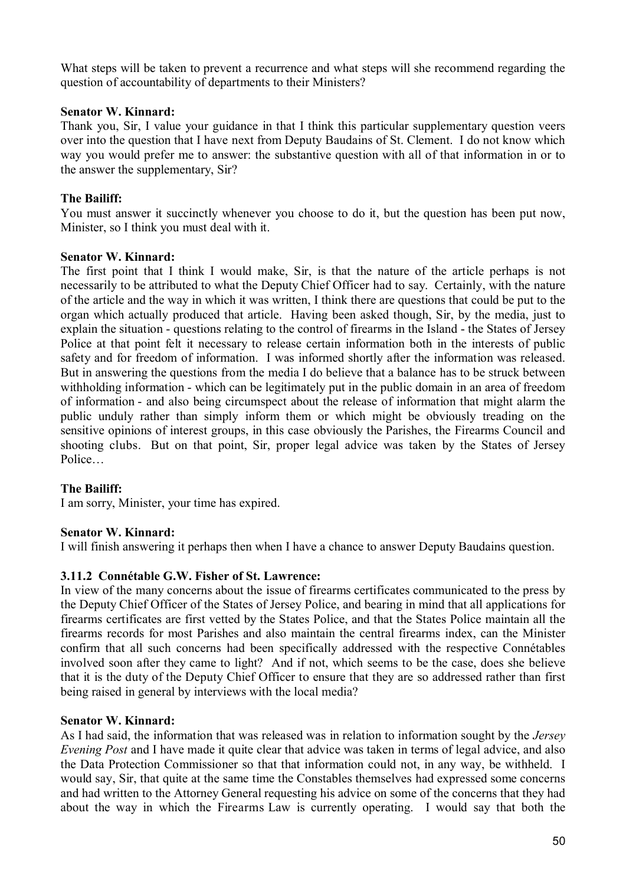What steps will be taken to prevent a recurrence and what steps will she recommend regarding the question of accountability of departments to their Ministers?

### **Senator W. Kinnard:**

Thank you, Sir, I value your guidance in that I think this particular supplementary question veers over into the question that I have next from Deputy Baudains of St. Clement. I do not know which way you would prefer me to answer: the substantive question with all of that information in or to the answer the supplementary, Sir?

# **The Bailiff:**

You must answer it succinctly whenever you choose to do it, but the question has been put now, Minister, so I think you must deal with it.

### **Senator W. Kinnard:**

The first point that I think I would make, Sir, is that the nature of the article perhaps is not necessarily to be attributed to what the Deputy Chief Officer had to say. Certainly, with the nature of the article and the way in which it was written, I think there are questions that could be put to the organ which actually produced that article. Having been asked though, Sir, by the media, just to explain the situation - questions relating to the control of firearms in the Island - the States of Jersey Police at that point felt it necessary to release certain information both in the interests of public safety and for freedom of information. I was informed shortly after the information was released. But in answering the questions from the media I do believe that a balance has to be struck between withholding information - which can be legitimately put in the public domain in an area of freedom of information - and also being circumspect about the release of information that might alarm the public unduly rather than simply inform them or which might be obviously treading on the sensitive opinions of interest groups, in this case obviously the Parishes, the Firearms Council and shooting clubs. But on that point, Sir, proper legal advice was taken by the States of Jersey Police…

## **The Bailiff:**

I am sorry, Minister, your time has expired.

## **Senator W. Kinnard:**

I will finish answering it perhaps then when I have a chance to answer Deputy Baudains question.

#### **3.11.2 Connétable G.W. Fisher of St. Lawrence:**

In view of the many concerns about the issue of firearms certificates communicated to the press by the Deputy Chief Officer of the States of Jersey Police, and bearing in mind that all applications for firearms certificates are first vetted by the States Police, and that the States Police maintain all the firearms records for most Parishes and also maintain the central firearms index, can the Minister confirm that all such concerns had been specifically addressed with the respective Connétables involved soon after they came to light? And if not, which seems to be the case, does she believe that it is the duty of the Deputy Chief Officer to ensure that they are so addressed rather than first being raised in general by interviews with the local media?

#### **Senator W. Kinnard:**

As I had said, the information that was released was in relation to information sought by the *Jersey Evening Post* and I have made it quite clear that advice was taken in terms of legal advice, and also the Data Protection Commissioner so that that information could not, in any way, be withheld. I would say, Sir, that quite at the same time the Constables themselves had expressed some concerns and had written to the Attorney General requesting his advice on some of the concerns that they had about the way in which the Firearms Law is currently operating. I would say that both the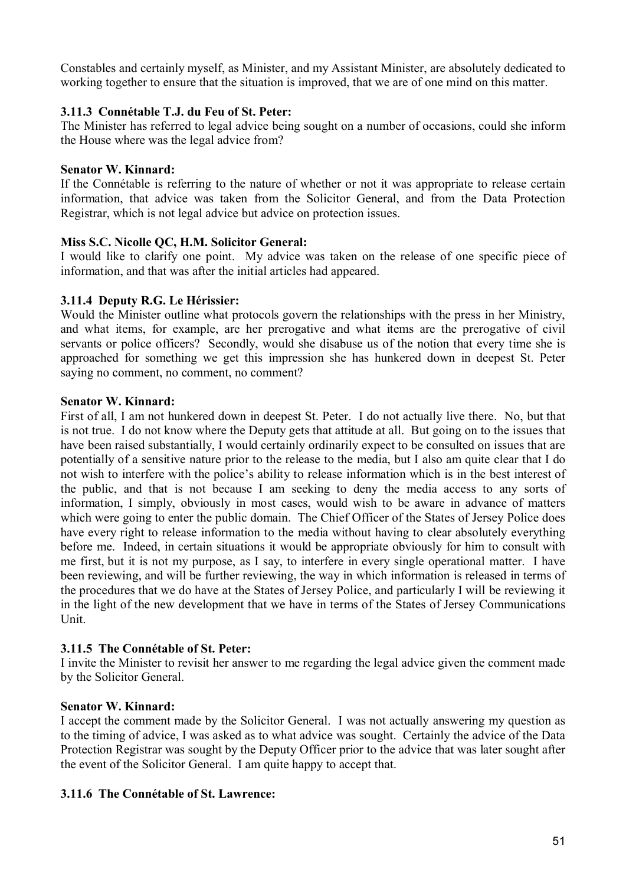Constables and certainly myself, as Minister, and my Assistant Minister, are absolutely dedicated to working together to ensure that the situation is improved, that we are of one mind on this matter.

# **3.11.3 Connétable T.J. du Feu of St. Peter:**

The Minister has referred to legal advice being sought on a number of occasions, could she inform the House where was the legal advice from?

## **Senator W. Kinnard:**

If the Connétable is referring to the nature of whether or not it was appropriate to release certain information, that advice was taken from the Solicitor General, and from the Data Protection Registrar, which is not legal advice but advice on protection issues.

## **Miss S.C. Nicolle QC, H.M. Solicitor General:**

I would like to clarify one point. My advice was taken on the release of one specific piece of information, and that was after the initial articles had appeared.

## **3.11.4 Deputy R.G. Le Hérissier:**

Would the Minister outline what protocols govern the relationships with the press in her Ministry, and what items, for example, are her prerogative and what items are the prerogative of civil servants or police officers? Secondly, would she disabuse us of the notion that every time she is approached for something we get this impression she has hunkered down in deepest St. Peter saying no comment, no comment?

### **Senator W. Kinnard:**

First of all, I am not hunkered down in deepest St. Peter. I do not actually live there. No, but that is not true. I do not know where the Deputy gets that attitude at all. But going on to the issues that have been raised substantially, I would certainly ordinarily expect to be consulted on issues that are potentially of a sensitive nature prior to the release to the media, but I also am quite clear that I do not wish to interfere with the police's ability to release information which is in the best interest of the public, and that is not because I am seeking to deny the media access to any sorts of information, I simply, obviously in most cases, would wish to be aware in advance of matters which were going to enter the public domain. The Chief Officer of the States of Jersey Police does have every right to release information to the media without having to clear absolutely everything before me. Indeed, in certain situations it would be appropriate obviously for him to consult with me first, but it is not my purpose, as I say, to interfere in every single operational matter. I have been reviewing, and will be further reviewing, the way in which information is released in terms of the procedures that we do have at the States of Jersey Police, and particularly I will be reviewing it in the light of the new development that we have in terms of the States of Jersey Communications Unit.

## **3.11.5 The Connétable of St. Peter:**

I invite the Minister to revisit her answer to me regarding the legal advice given the comment made by the Solicitor General.

## **Senator W. Kinnard:**

I accept the comment made by the Solicitor General. I was not actually answering my question as to the timing of advice, I was asked as to what advice was sought. Certainly the advice of the Data Protection Registrar was sought by the Deputy Officer prior to the advice that was later sought after the event of the Solicitor General. I am quite happy to accept that.

## **3.11.6 The Connétable of St. Lawrence:**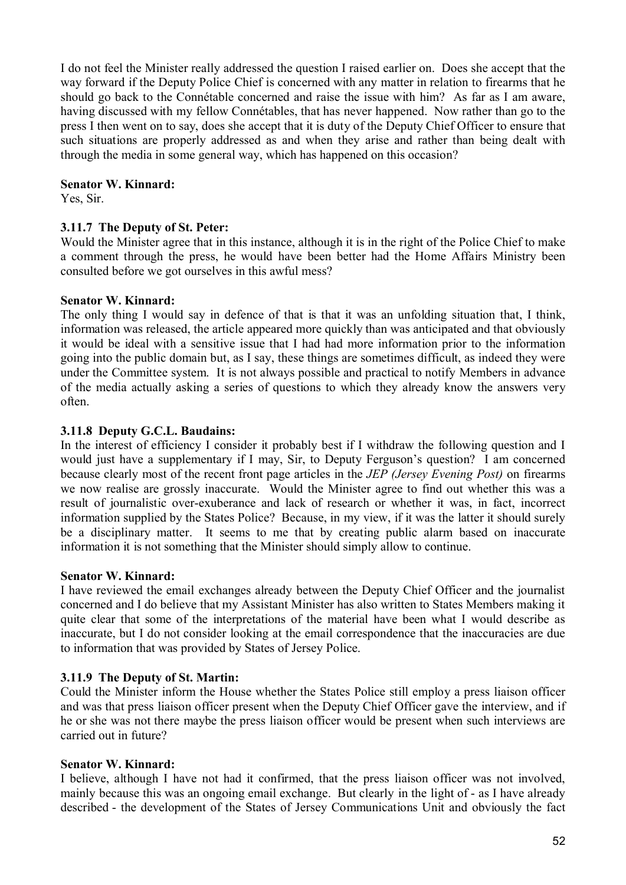I do not feel the Minister really addressed the question I raised earlier on. Does she accept that the way forward if the Deputy Police Chief is concerned with any matter in relation to firearms that he should go back to the Connétable concerned and raise the issue with him? As far as I am aware, having discussed with my fellow Connétables, that has never happened. Now rather than go to the press I then went on to say, does she accept that it is duty of the Deputy Chief Officer to ensure that such situations are properly addressed as and when they arise and rather than being dealt with through the media in some general way, which has happened on this occasion?

### **Senator W. Kinnard:**

Yes, Sir.

### **3.11.7 The Deputy of St. Peter:**

Would the Minister agree that in this instance, although it is in the right of the Police Chief to make a comment through the press, he would have been better had the Home Affairs Ministry been consulted before we got ourselves in this awful mess?

### **Senator W. Kinnard:**

The only thing I would say in defence of that is that it was an unfolding situation that, I think, information was released, the article appeared more quickly than was anticipated and that obviously it would be ideal with a sensitive issue that I had had more information prior to the information going into the public domain but, as I say, these things are sometimes difficult, as indeed they were under the Committee system. It is not always possible and practical to notify Members in advance of the media actually asking a series of questions to which they already know the answers very often.

### **3.11.8 Deputy G.C.L. Baudains:**

In the interest of efficiency I consider it probably best if I withdraw the following question and I would just have a supplementary if I may, Sir, to Deputy Ferguson's question? I am concerned because clearly most of the recent front page articles in the *JEP (Jersey Evening Post)* on firearms we now realise are grossly inaccurate. Would the Minister agree to find out whether this was a result of journalistic over-exuberance and lack of research or whether it was, in fact, incorrect information supplied by the States Police? Because, in my view, if it was the latter it should surely be a disciplinary matter. It seems to me that by creating public alarm based on inaccurate information it is not something that the Minister should simply allow to continue.

#### **Senator W. Kinnard:**

I have reviewed the email exchanges already between the Deputy Chief Officer and the journalist concerned and I do believe that my Assistant Minister has also written to States Members making it quite clear that some of the interpretations of the material have been what I would describe as inaccurate, but I do not consider looking at the email correspondence that the inaccuracies are due to information that was provided by States of Jersey Police.

#### **3.11.9 The Deputy of St. Martin:**

Could the Minister inform the House whether the States Police still employ a press liaison officer and was that press liaison officer present when the Deputy Chief Officer gave the interview, and if he or she was not there maybe the press liaison officer would be present when such interviews are carried out in future?

#### **Senator W. Kinnard:**

I believe, although I have not had it confirmed, that the press liaison officer was not involved, mainly because this was an ongoing email exchange. But clearly in the light of - as I have already described - the development of the States of Jersey Communications Unit and obviously the fact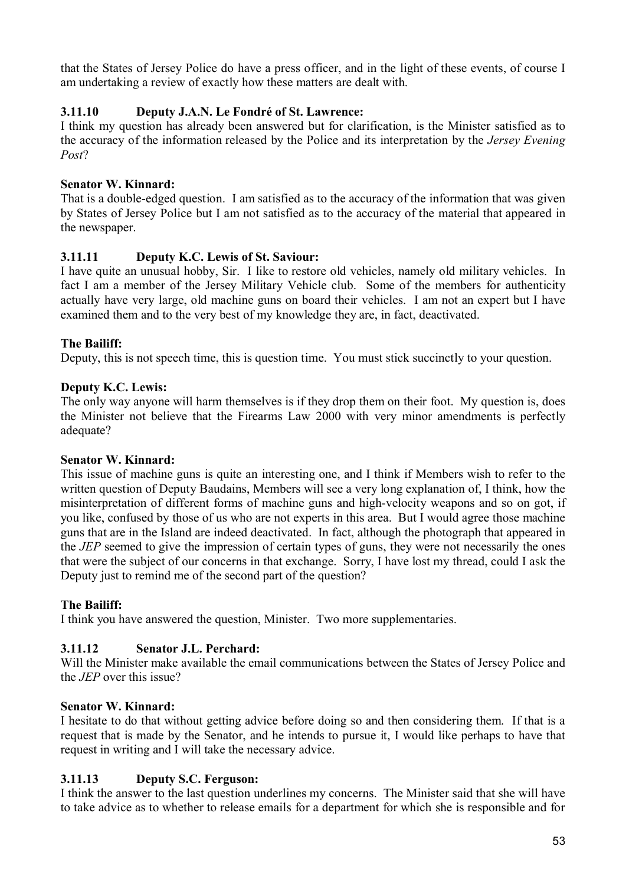that the States of Jersey Police do have a press officer, and in the light of these events, of course I am undertaking a review of exactly how these matters are dealt with.

# **3.11.10 Deputy J.A.N. Le Fondré of St. Lawrence:**

I think my question has already been answered but for clarification, is the Minister satisfied as to the accuracy of the information released by the Police and its interpretation by the *Jersey Evening Post*?

# **Senator W. Kinnard:**

That is a double-edged question. I am satisfied as to the accuracy of the information that was given by States of Jersey Police but I am not satisfied as to the accuracy of the material that appeared in the newspaper.

# **3.11.11 Deputy K.C. Lewis of St. Saviour:**

I have quite an unusual hobby, Sir. I like to restore old vehicles, namely old military vehicles. In fact I am a member of the Jersey Military Vehicle club. Some of the members for authenticity actually have very large, old machine guns on board their vehicles. I am not an expert but I have examined them and to the very best of my knowledge they are, in fact, deactivated.

# **The Bailiff:**

Deputy, this is not speech time, this is question time. You must stick succinctly to your question.

## **Deputy K.C. Lewis:**

The only way anyone will harm themselves is if they drop them on their foot. My question is, does the Minister not believe that the Firearms Law 2000 with very minor amendments is perfectly adequate?

## **Senator W. Kinnard:**

This issue of machine guns is quite an interesting one, and I think if Members wish to refer to the written question of Deputy Baudains, Members will see a very long explanation of, I think, how the misinterpretation of different forms of machine guns and high-velocity weapons and so on got, if you like, confused by those of us who are not experts in this area. But I would agree those machine guns that are in the Island are indeed deactivated. In fact, although the photograph that appeared in the *JEP* seemed to give the impression of certain types of guns, they were not necessarily the ones that were the subject of our concerns in that exchange. Sorry, I have lost my thread, could I ask the Deputy just to remind me of the second part of the question?

## **The Bailiff:**

I think you have answered the question, Minister. Two more supplementaries.

## **3.11.12 Senator J.L. Perchard:**

Will the Minister make available the email communications between the States of Jersey Police and the *JEP* over this issue?

## **Senator W. Kinnard:**

I hesitate to do that without getting advice before doing so and then considering them. If that is a request that is made by the Senator, and he intends to pursue it, I would like perhaps to have that request in writing and I will take the necessary advice.

## **3.11.13 Deputy S.C. Ferguson:**

I think the answer to the last question underlines my concerns. The Minister said that she will have to take advice as to whether to release emails for a department for which she is responsible and for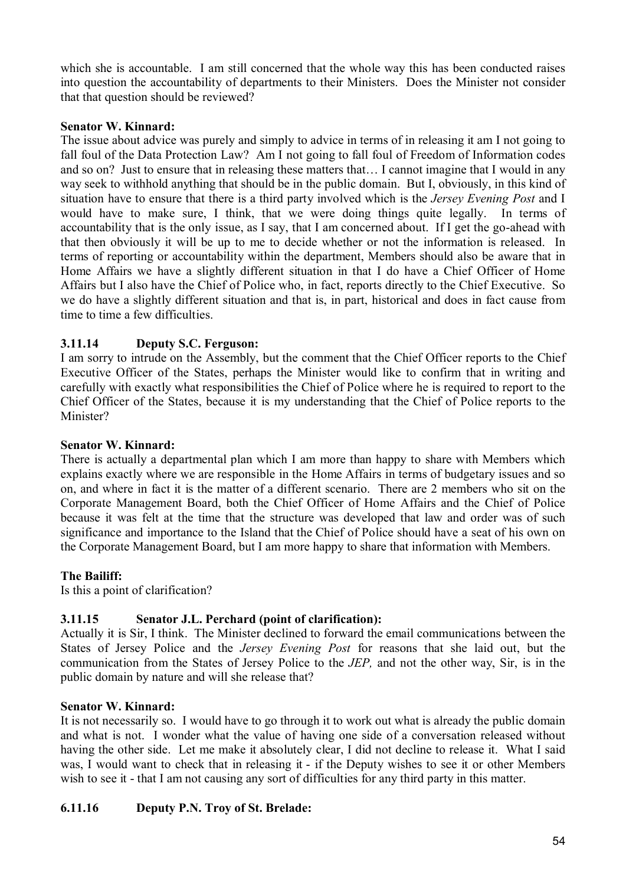which she is accountable. I am still concerned that the whole way this has been conducted raises into question the accountability of departments to their Ministers. Does the Minister not consider that that question should be reviewed?

## **Senator W. Kinnard:**

The issue about advice was purely and simply to advice in terms of in releasing it am I not going to fall foul of the Data Protection Law? Am I not going to fall foul of Freedom of Information codes and so on? Just to ensure that in releasing these matters that… I cannot imagine that I would in any way seek to withhold anything that should be in the public domain. But I, obviously, in this kind of situation have to ensure that there is a third party involved which is the *Jersey Evening Post* and I would have to make sure, I think, that we were doing things quite legally. In terms of accountability that is the only issue, as I say, that I am concerned about. If I get the go-ahead with that then obviously it will be up to me to decide whether or not the information is released. In terms of reporting or accountability within the department, Members should also be aware that in Home Affairs we have a slightly different situation in that I do have a Chief Officer of Home Affairs but I also have the Chief of Police who, in fact, reports directly to the Chief Executive. So we do have a slightly different situation and that is, in part, historical and does in fact cause from time to time a few difficulties.

## **3.11.14 Deputy S.C. Ferguson:**

I am sorry to intrude on the Assembly, but the comment that the Chief Officer reports to the Chief Executive Officer of the States, perhaps the Minister would like to confirm that in writing and carefully with exactly what responsibilities the Chief of Police where he is required to report to the Chief Officer of the States, because it is my understanding that the Chief of Police reports to the Minister?

### **Senator W. Kinnard:**

There is actually a departmental plan which I am more than happy to share with Members which explains exactly where we are responsible in the Home Affairs in terms of budgetary issues and so on, and where in fact it is the matter of a different scenario. There are 2 members who sit on the Corporate Management Board, both the Chief Officer of Home Affairs and the Chief of Police because it was felt at the time that the structure was developed that law and order was of such significance and importance to the Island that the Chief of Police should have a seat of his own on the Corporate Management Board, but I am more happy to share that information with Members.

#### **The Bailiff:**

Is this a point of clarification?

## **3.11.15 Senator J.L. Perchard (point of clarification):**

Actually it is Sir, I think. The Minister declined to forward the email communications between the States of Jersey Police and the *Jersey Evening Post* for reasons that she laid out, but the communication from the States of Jersey Police to the *JEP,* and not the other way, Sir, is in the public domain by nature and will she release that?

## **Senator W. Kinnard:**

It is not necessarily so. I would have to go through it to work out what is already the public domain and what is not. I wonder what the value of having one side of a conversation released without having the other side. Let me make it absolutely clear, I did not decline to release it. What I said was, I would want to check that in releasing it - if the Deputy wishes to see it or other Members wish to see it - that I am not causing any sort of difficulties for any third party in this matter.

## **6.11.16 Deputy P.N. Troy of St. Brelade:**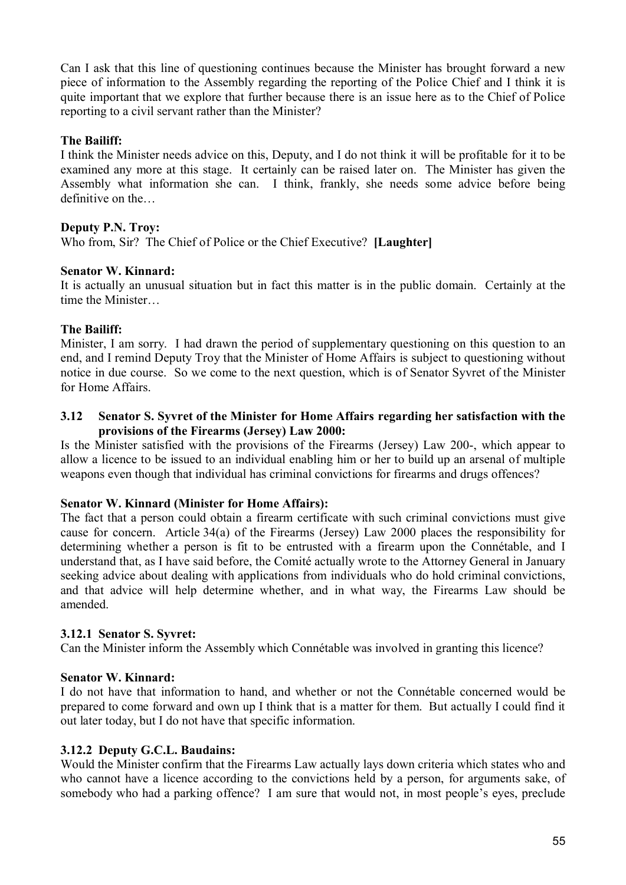Can I ask that this line of questioning continues because the Minister has brought forward a new piece of information to the Assembly regarding the reporting of the Police Chief and I think it is quite important that we explore that further because there is an issue here as to the Chief of Police reporting to a civil servant rather than the Minister?

# **The Bailiff:**

I think the Minister needs advice on this, Deputy, and I do not think it will be profitable for it to be examined any more at this stage. It certainly can be raised later on. The Minister has given the Assembly what information she can. I think, frankly, she needs some advice before being definitive on the…

## **Deputy P.N. Troy:**

Who from, Sir? The Chief of Police or the Chief Executive? **[Laughter]**

## **Senator W. Kinnard:**

It is actually an unusual situation but in fact this matter is in the public domain. Certainly at the time the Minister…

## **The Bailiff:**

Minister, I am sorry. I had drawn the period of supplementary questioning on this question to an end, and I remind Deputy Troy that the Minister of Home Affairs is subject to questioning without notice in due course. So we come to the next question, which is of Senator Syvret of the Minister for Home Affairs.

### **3.12 Senator S. Syvret of the Minister for Home Affairs regarding her satisfaction with the provisions of the Firearms (Jersey) Law 2000:**

Is the Minister satisfied with the provisions of the Firearms (Jersey) Law 200-, which appear to allow a licence to be issued to an individual enabling him or her to build up an arsenal of multiple weapons even though that individual has criminal convictions for firearms and drugs offences?

## **Senator W. Kinnard (Minister for Home Affairs):**

The fact that a person could obtain a firearm certificate with such criminal convictions must give cause for concern. Article 34(a) of the Firearms (Jersey) Law 2000 places the responsibility for determining whether a person is fit to be entrusted with a firearm upon the Connétable, and I understand that, as I have said before, the Comité actually wrote to the Attorney General in January seeking advice about dealing with applications from individuals who do hold criminal convictions, and that advice will help determine whether, and in what way, the Firearms Law should be amended.

## **3.12.1 Senator S. Syvret:**

Can the Minister inform the Assembly which Connétable was involved in granting this licence?

## **Senator W. Kinnard:**

I do not have that information to hand, and whether or not the Connétable concerned would be prepared to come forward and own up I think that is a matter for them. But actually I could find it out later today, but I do not have that specific information.

## **3.12.2 Deputy G.C.L. Baudains:**

Would the Minister confirm that the Firearms Law actually lays down criteria which states who and who cannot have a licence according to the convictions held by a person, for arguments sake, of somebody who had a parking offence? I am sure that would not, in most people's eyes, preclude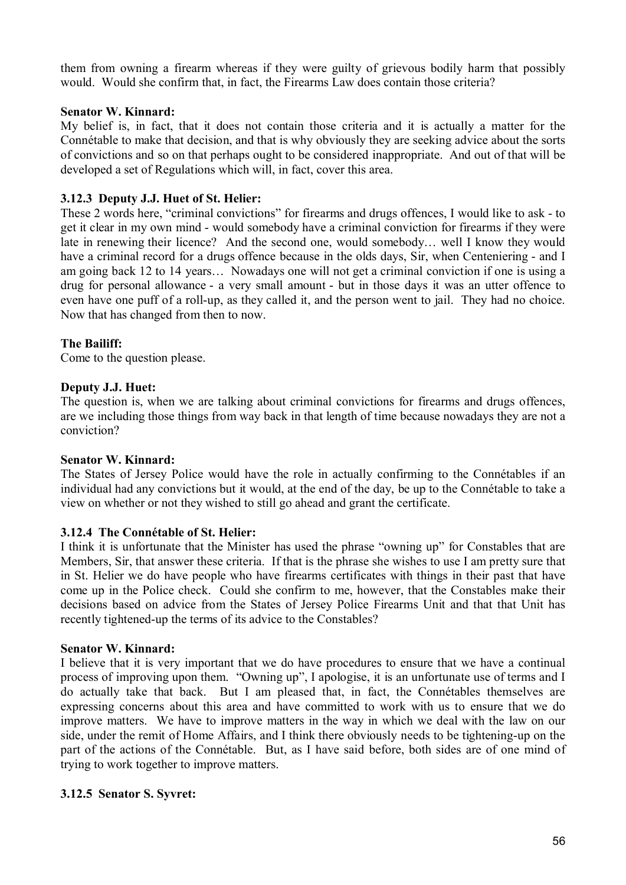them from owning a firearm whereas if they were guilty of grievous bodily harm that possibly would. Would she confirm that, in fact, the Firearms Law does contain those criteria?

### **Senator W. Kinnard:**

My belief is, in fact, that it does not contain those criteria and it is actually a matter for the Connétable to make that decision, and that is why obviously they are seeking advice about the sorts of convictions and so on that perhaps ought to be considered inappropriate. And out of that will be developed a set of Regulations which will, in fact, cover this area.

## **3.12.3 Deputy J.J. Huet of St. Helier:**

These 2 words here, "criminal convictions" for firearms and drugs offences, I would like to ask - to get it clear in my own mind - would somebody have a criminal conviction for firearms if they were late in renewing their licence? And the second one, would somebody… well I know they would have a criminal record for a drugs offence because in the olds days, Sir, when Centeniering - and I am going back 12 to 14 years… Nowadays one will not get a criminal conviction if one is using a drug for personal allowance - a very small amount - but in those days it was an utter offence to even have one puff of a roll-up, as they called it, and the person went to jail. They had no choice. Now that has changed from then to now.

## **The Bailiff:**

Come to the question please.

### **Deputy J.J. Huet:**

The question is, when we are talking about criminal convictions for firearms and drugs offences, are we including those things from way back in that length of time because nowadays they are not a conviction?

## **Senator W. Kinnard:**

The States of Jersey Police would have the role in actually confirming to the Connétables if an individual had any convictions but it would, at the end of the day, be up to the Connétable to take a view on whether or not they wished to still go ahead and grant the certificate.

## **3.12.4 The Connétable of St. Helier:**

I think it is unfortunate that the Minister has used the phrase "owning up" for Constables that are Members, Sir, that answer these criteria. If that is the phrase she wishes to use I am pretty sure that in St. Helier we do have people who have firearms certificates with things in their past that have come up in the Police check. Could she confirm to me, however, that the Constables make their decisions based on advice from the States of Jersey Police Firearms Unit and that that Unit has recently tightened-up the terms of its advice to the Constables?

#### **Senator W. Kinnard:**

I believe that it is very important that we do have procedures to ensure that we have a continual process of improving upon them. "Owning up", I apologise, it is an unfortunate use of terms and I do actually take that back. But I am pleased that, in fact, the Connétables themselves are expressing concerns about this area and have committed to work with us to ensure that we do improve matters. We have to improve matters in the way in which we deal with the law on our side, under the remit of Home Affairs, and I think there obviously needs to be tightening-up on the part of the actions of the Connétable. But, as I have said before, both sides are of one mind of trying to work together to improve matters.

## **3.12.5 Senator S. Syvret:**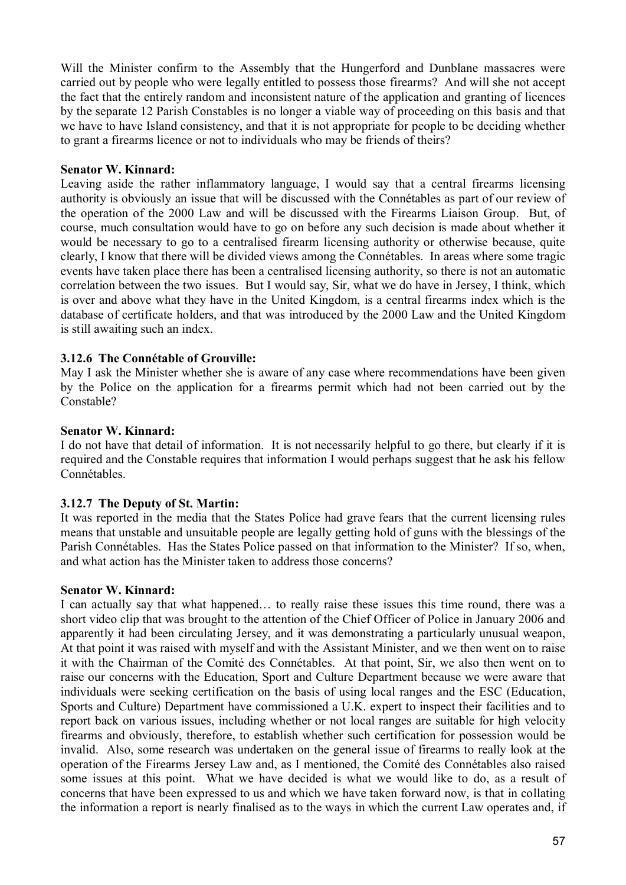Will the Minister confirm to the Assembly that the Hungerford and Dunblane massacres were carried out by people who were legally entitled to possess those firearms? And will she not accept the fact that the entirely random and inconsistent nature of the application and granting of licences by the separate 12 Parish Constables is no longer a viable way of proceeding on this basis and that we have to have Island consistency, and that it is not appropriate for people to be deciding whether to grant a firearms licence or not to individuals who may be friends of theirs?

### **Senator W. Kinnard:**

Leaving aside the rather inflammatory language, I would say that a central firearms licensing authority is obviously an issue that will be discussed with the Connétables as part of our review of the operation of the 2000 Law and will be discussed with the Firearms Liaison Group. But, of course, much consultation would have to go on before any such decision is made about whether it would be necessary to go to a centralised firearm licensing authority or otherwise because, quite clearly, I know that there will be divided views among the Connétables. In areas where some tragic events have taken place there has been a centralised licensing authority, so there is not an automatic correlation between the two issues. But I would say, Sir, what we do have in Jersey, I think, which is over and above what they have in the United Kingdom, is a central firearms index which is the database of certificate holders, and that was introduced by the 2000 Law and the United Kingdom is still awaiting such an index.

## **3.12.6 The Connétable of Grouville:**

May I ask the Minister whether she is aware of any case where recommendations have been given by the Police on the application for a firearms permit which had not been carried out by the Constable?

#### **Senator W. Kinnard:**

I do not have that detail of information. It is not necessarily helpful to go there, but clearly if it is required and the Constable requires that information I would perhaps suggest that he ask his fellow Connétables.

#### **3.12.7 The Deputy of St. Martin:**

It was reported in the media that the States Police had grave fears that the current licensing rules means that unstable and unsuitable people are legally getting hold of guns with the blessings of the Parish Connétables. Has the States Police passed on that information to the Minister? If so, when, and what action has the Minister taken to address those concerns?

#### **Senator W. Kinnard:**

I can actually say that what happened… to really raise these issues this time round, there was a short video clip that was brought to the attention of the Chief Officer of Police in January 2006 and apparently it had been circulating Jersey, and it was demonstrating a particularly unusual weapon, At that point it was raised with myself and with the Assistant Minister, and we then went on to raise it with the Chairman of the Comité des Connétables. At that point, Sir, we also then went on to raise our concerns with the Education, Sport and Culture Department because we were aware that individuals were seeking certification on the basis of using local ranges and the ESC (Education, Sports and Culture) Department have commissioned a U.K. expert to inspect their facilities and to report back on various issues, including whether or not local ranges are suitable for high velocity firearms and obviously, therefore, to establish whether such certification for possession would be invalid. Also, some research was undertaken on the general issue of firearms to really look at the operation of the Firearms Jersey Law and, as I mentioned, the Comité des Connétables also raised some issues at this point. What we have decided is what we would like to do, as a result of concerns that have been expressed to us and which we have taken forward now, is that in collating the information a report is nearly finalised as to the ways in which the current Law operates and, if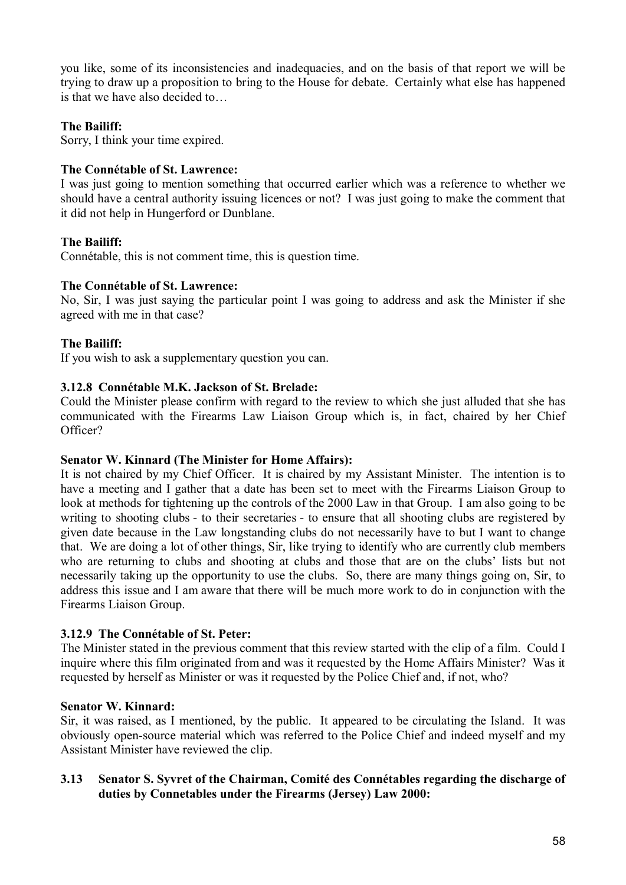you like, some of its inconsistencies and inadequacies, and on the basis of that report we will be trying to draw up a proposition to bring to the House for debate. Certainly what else has happened is that we have also decided to

## **The Bailiff:**

Sorry, I think your time expired.

#### **The Connétable of St. Lawrence:**

I was just going to mention something that occurred earlier which was a reference to whether we should have a central authority issuing licences or not? I was just going to make the comment that it did not help in Hungerford or Dunblane.

### **The Bailiff:**

Connétable, this is not comment time, this is question time.

### **The Connétable of St. Lawrence:**

No, Sir, I was just saying the particular point I was going to address and ask the Minister if she agreed with me in that case?

## **The Bailiff:**

If you wish to ask a supplementary question you can.

### **3.12.8 Connétable M.K. Jackson of St. Brelade:**

Could the Minister please confirm with regard to the review to which she just alluded that she has communicated with the Firearms Law Liaison Group which is, in fact, chaired by her Chief Officer?

#### **Senator W. Kinnard (The Minister for Home Affairs):**

It is not chaired by my Chief Officer. It is chaired by my Assistant Minister. The intention is to have a meeting and I gather that a date has been set to meet with the Firearms Liaison Group to look at methods for tightening up the controls of the 2000 Law in that Group. I am also going to be writing to shooting clubs - to their secretaries - to ensure that all shooting clubs are registered by given date because in the Law longstanding clubs do not necessarily have to but I want to change that. We are doing a lot of other things, Sir, like trying to identify who are currently club members who are returning to clubs and shooting at clubs and those that are on the clubs' lists but not necessarily taking up the opportunity to use the clubs. So, there are many things going on, Sir, to address this issue and I am aware that there will be much more work to do in conjunction with the Firearms Liaison Group.

#### **3.12.9 The Connétable of St. Peter:**

The Minister stated in the previous comment that this review started with the clip of a film. Could I inquire where this film originated from and was it requested by the Home Affairs Minister? Was it requested by herself as Minister or was it requested by the Police Chief and, if not, who?

#### **Senator W. Kinnard:**

Sir, it was raised, as I mentioned, by the public. It appeared to be circulating the Island. It was obviously open-source material which was referred to the Police Chief and indeed myself and my Assistant Minister have reviewed the clip.

### **3.13 Senator S. Syvret of the Chairman, Comité des Connétables regarding the discharge of duties by Connetables under the Firearms (Jersey) Law 2000:**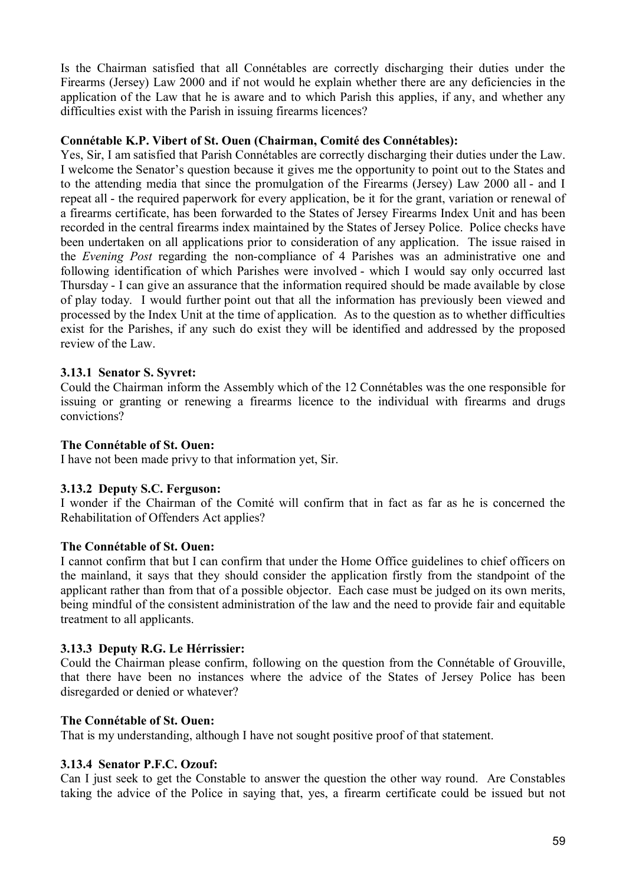Is the Chairman satisfied that all Connétables are correctly discharging their duties under the Firearms (Jersey) Law 2000 and if not would he explain whether there are any deficiencies in the application of the Law that he is aware and to which Parish this applies, if any, and whether any difficulties exist with the Parish in issuing firearms licences?

### **Connétable K.P. Vibert of St. Ouen (Chairman, Comité des Connétables):**

Yes, Sir, I am satisfied that Parish Connétables are correctly discharging their duties under the Law. I welcome the Senator's question because it gives me the opportunity to point out to the States and to the attending media that since the promulgation of the Firearms (Jersey) Law 2000 all - and I repeat all - the required paperwork for every application, be it for the grant, variation or renewal of a firearms certificate, has been forwarded to the States of Jersey Firearms Index Unit and has been recorded in the central firearms index maintained by the States of Jersey Police. Police checks have been undertaken on all applications prior to consideration of any application. The issue raised in the *Evening Post* regarding the non-compliance of 4 Parishes was an administrative one and following identification of which Parishes were involved - which I would say only occurred last Thursday - I can give an assurance that the information required should be made available by close of play today. I would further point out that all the information has previously been viewed and processed by the Index Unit at the time of application. As to the question as to whether difficulties exist for the Parishes, if any such do exist they will be identified and addressed by the proposed review of the Law.

## **3.13.1 Senator S. Syvret:**

Could the Chairman inform the Assembly which of the 12 Connétables was the one responsible for issuing or granting or renewing a firearms licence to the individual with firearms and drugs convictions?

### **The Connétable of St. Ouen:**

I have not been made privy to that information yet, Sir.

## **3.13.2 Deputy S.C. Ferguson:**

I wonder if the Chairman of the Comité will confirm that in fact as far as he is concerned the Rehabilitation of Offenders Act applies?

#### **The Connétable of St. Ouen:**

I cannot confirm that but I can confirm that under the Home Office guidelines to chief officers on the mainland, it says that they should consider the application firstly from the standpoint of the applicant rather than from that of a possible objector. Each case must be judged on its own merits, being mindful of the consistent administration of the law and the need to provide fair and equitable treatment to all applicants.

## **3.13.3 Deputy R.G. Le Hérrissier:**

Could the Chairman please confirm, following on the question from the Connétable of Grouville, that there have been no instances where the advice of the States of Jersey Police has been disregarded or denied or whatever?

## **The Connétable of St. Ouen:**

That is my understanding, although I have not sought positive proof of that statement.

## **3.13.4 Senator P.F.C. Ozouf:**

Can I just seek to get the Constable to answer the question the other way round. Are Constables taking the advice of the Police in saying that, yes, a firearm certificate could be issued but not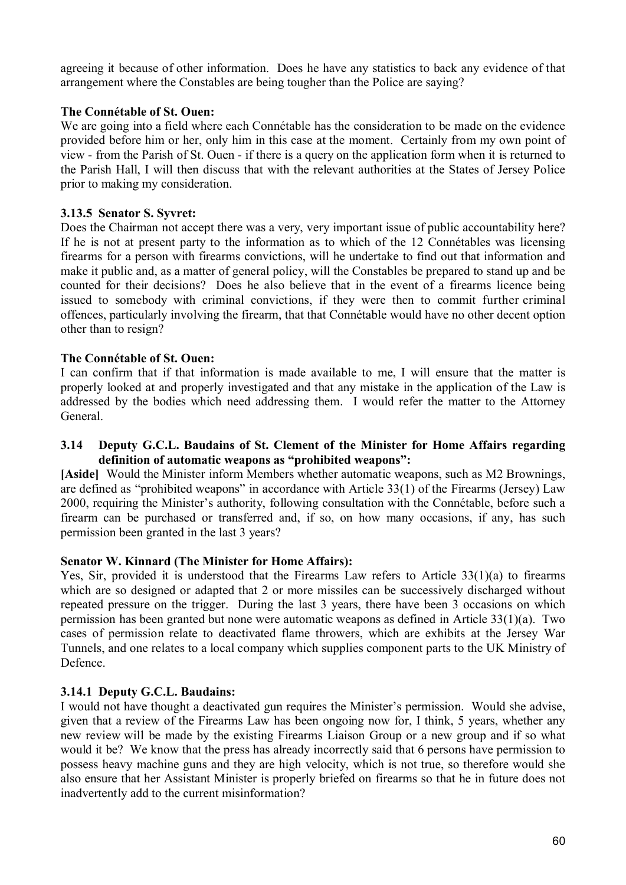agreeing it because of other information. Does he have any statistics to back any evidence of that arrangement where the Constables are being tougher than the Police are saying?

### **The Connétable of St. Ouen:**

We are going into a field where each Connétable has the consideration to be made on the evidence provided before him or her, only him in this case at the moment. Certainly from my own point of view - from the Parish of St. Ouen - if there is a query on the application form when it is returned to the Parish Hall, I will then discuss that with the relevant authorities at the States of Jersey Police prior to making my consideration.

### **3.13.5 Senator S. Syvret:**

Does the Chairman not accept there was a very, very important issue of public accountability here? If he is not at present party to the information as to which of the 12 Connétables was licensing firearms for a person with firearms convictions, will he undertake to find out that information and make it public and, as a matter of general policy, will the Constables be prepared to stand up and be counted for their decisions? Does he also believe that in the event of a firearms licence being issued to somebody with criminal convictions, if they were then to commit further criminal offences, particularly involving the firearm, that that Connétable would have no other decent option other than to resign?

### **The Connétable of St. Ouen:**

I can confirm that if that information is made available to me, I will ensure that the matter is properly looked at and properly investigated and that any mistake in the application of the Law is addressed by the bodies which need addressing them. I would refer the matter to the Attorney **General** 

### **3.14 Deputy G.C.L. Baudains of St. Clement of the Minister for Home Affairs regarding definition of automatic weapons as "prohibited weapons":**

**[Aside]** Would the Minister inform Members whether automatic weapons, such as M2 Brownings, are defined as "prohibited weapons" in accordance with Article 33(1) of the Firearms (Jersey) Law 2000, requiring the Minister's authority, following consultation with the Connétable, before such a firearm can be purchased or transferred and, if so, on how many occasions, if any, has such permission been granted in the last 3 years?

#### **Senator W. Kinnard (The Minister for Home Affairs):**

Yes, Sir, provided it is understood that the Firearms Law refers to Article 33(1)(a) to firearms which are so designed or adapted that 2 or more missiles can be successively discharged without repeated pressure on the trigger. During the last 3 years, there have been 3 occasions on which permission has been granted but none were automatic weapons as defined in Article 33(1)(a). Two cases of permission relate to deactivated flame throwers, which are exhibits at the Jersey War Tunnels, and one relates to a local company which supplies component parts to the UK Ministry of Defence.

#### **3.14.1 Deputy G.C.L. Baudains:**

I would not have thought a deactivated gun requires the Minister's permission. Would she advise, given that a review of the Firearms Law has been ongoing now for, I think, 5 years, whether any new review will be made by the existing Firearms Liaison Group or a new group and if so what would it be? We know that the press has already incorrectly said that 6 persons have permission to possess heavy machine guns and they are high velocity, which is not true, so therefore would she also ensure that her Assistant Minister is properly briefed on firearms so that he in future does not inadvertently add to the current misinformation?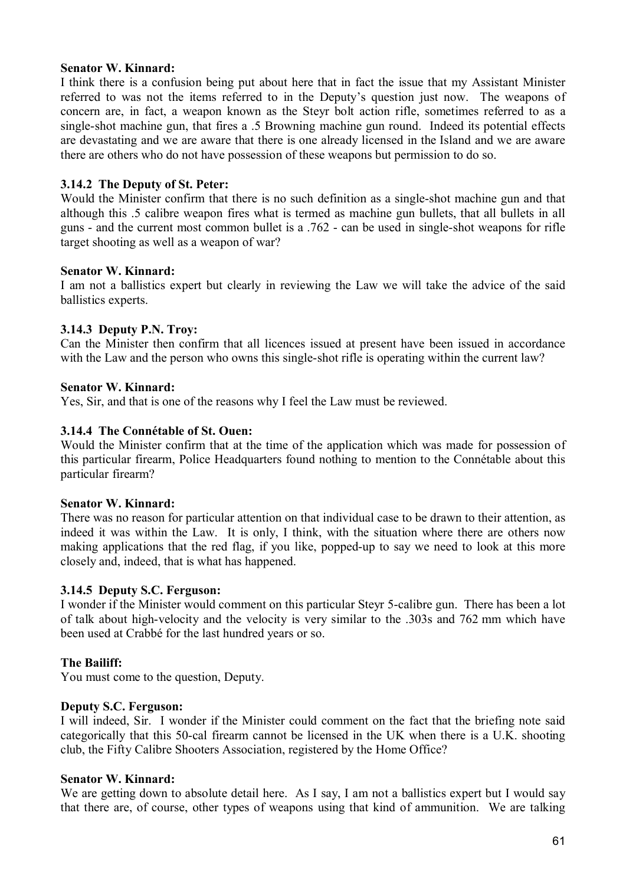### **Senator W. Kinnard:**

I think there is a confusion being put about here that in fact the issue that my Assistant Minister referred to was not the items referred to in the Deputy's question just now. The weapons of concern are, in fact, a weapon known as the Steyr bolt action rifle, sometimes referred to as a single-shot machine gun, that fires a .5 Browning machine gun round. Indeed its potential effects are devastating and we are aware that there is one already licensed in the Island and we are aware there are others who do not have possession of these weapons but permission to do so.

### **3.14.2 The Deputy of St. Peter:**

Would the Minister confirm that there is no such definition as a single-shot machine gun and that although this .5 calibre weapon fires what is termed as machine gun bullets, that all bullets in all guns - and the current most common bullet is a .762 - can be used in single-shot weapons for rifle target shooting as well as a weapon of war?

### **Senator W. Kinnard:**

I am not a ballistics expert but clearly in reviewing the Law we will take the advice of the said ballistics experts.

### **3.14.3 Deputy P.N. Troy:**

Can the Minister then confirm that all licences issued at present have been issued in accordance with the Law and the person who owns this single-shot rifle is operating within the current law?

### **Senator W. Kinnard:**

Yes, Sir, and that is one of the reasons why I feel the Law must be reviewed.

### **3.14.4 The Connétable of St. Ouen:**

Would the Minister confirm that at the time of the application which was made for possession of this particular firearm, Police Headquarters found nothing to mention to the Connétable about this particular firearm?

#### **Senator W. Kinnard:**

There was no reason for particular attention on that individual case to be drawn to their attention, as indeed it was within the Law. It is only, I think, with the situation where there are others now making applications that the red flag, if you like, popped-up to say we need to look at this more closely and, indeed, that is what has happened.

#### **3.14.5 Deputy S.C. Ferguson:**

I wonder if the Minister would comment on this particular Steyr 5-calibre gun. There has been a lot of talk about high-velocity and the velocity is very similar to the .303s and 762 mm which have been used at Crabbé for the last hundred years or so.

## **The Bailiff:**

You must come to the question, Deputy.

#### **Deputy S.C. Ferguson:**

I will indeed, Sir. I wonder if the Minister could comment on the fact that the briefing note said categorically that this 50-cal firearm cannot be licensed in the UK when there is a U.K. shooting club, the Fifty Calibre Shooters Association, registered by the Home Office?

#### **Senator W. Kinnard:**

We are getting down to absolute detail here. As I say, I am not a ballistics expert but I would say that there are, of course, other types of weapons using that kind of ammunition. We are talking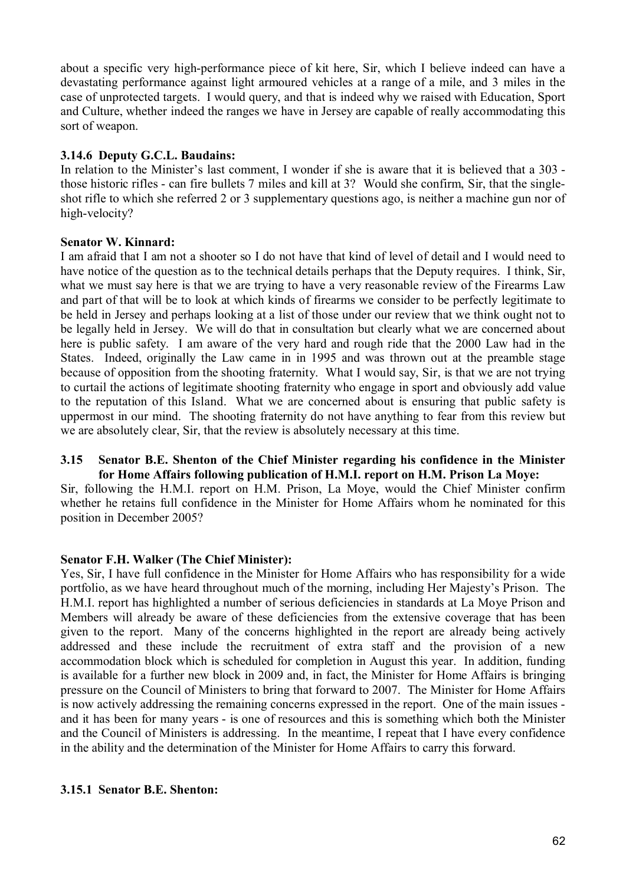about a specific very high-performance piece of kit here, Sir, which I believe indeed can have a devastating performance against light armoured vehicles at a range of a mile, and 3 miles in the case of unprotected targets. I would query, and that is indeed why we raised with Education, Sport and Culture, whether indeed the ranges we have in Jersey are capable of really accommodating this sort of weapon.

### **3.14.6 Deputy G.C.L. Baudains:**

In relation to the Minister's last comment, I wonder if she is aware that it is believed that a 303 those historic rifles - can fire bullets 7 miles and kill at 3? Would she confirm, Sir, that the singleshot rifle to which she referred 2 or 3 supplementary questions ago, is neither a machine gun nor of high-velocity?

### **Senator W. Kinnard:**

I am afraid that I am not a shooter so I do not have that kind of level of detail and I would need to have notice of the question as to the technical details perhaps that the Deputy requires. I think, Sir, what we must say here is that we are trying to have a very reasonable review of the Firearms Law and part of that will be to look at which kinds of firearms we consider to be perfectly legitimate to be held in Jersey and perhaps looking at a list of those under our review that we think ought not to be legally held in Jersey. We will do that in consultation but clearly what we are concerned about here is public safety. I am aware of the very hard and rough ride that the 2000 Law had in the States. Indeed, originally the Law came in in 1995 and was thrown out at the preamble stage because of opposition from the shooting fraternity. What I would say, Sir, is that we are not trying to curtail the actions of legitimate shooting fraternity who engage in sport and obviously add value to the reputation of this Island. What we are concerned about is ensuring that public safety is uppermost in our mind. The shooting fraternity do not have anything to fear from this review but we are absolutely clear, Sir, that the review is absolutely necessary at this time.

#### **3.15 Senator B.E. Shenton of the Chief Minister regarding his confidence in the Minister for Home Affairs following publication of H.M.I. report on H.M. Prison La Moye:**

Sir, following the H.M.I. report on H.M. Prison, La Moye, would the Chief Minister confirm whether he retains full confidence in the Minister for Home Affairs whom he nominated for this position in December 2005?

## **Senator F.H. Walker (The Chief Minister):**

Yes, Sir, I have full confidence in the Minister for Home Affairs who has responsibility for a wide portfolio, as we have heard throughout much of the morning, including Her Majesty's Prison. The H.M.I. report has highlighted a number of serious deficiencies in standards at La Moye Prison and Members will already be aware of these deficiencies from the extensive coverage that has been given to the report. Many of the concerns highlighted in the report are already being actively addressed and these include the recruitment of extra staff and the provision of a new accommodation block which is scheduled for completion in August this year. In addition, funding is available for a further new block in 2009 and, in fact, the Minister for Home Affairs is bringing pressure on the Council of Ministers to bring that forward to 2007. The Minister for Home Affairs is now actively addressing the remaining concerns expressed in the report. One of the main issues and it has been for many years - is one of resources and this is something which both the Minister and the Council of Ministers is addressing. In the meantime, I repeat that I have every confidence in the ability and the determination of the Minister for Home Affairs to carry this forward.

### **3.15.1 Senator B.E. Shenton:**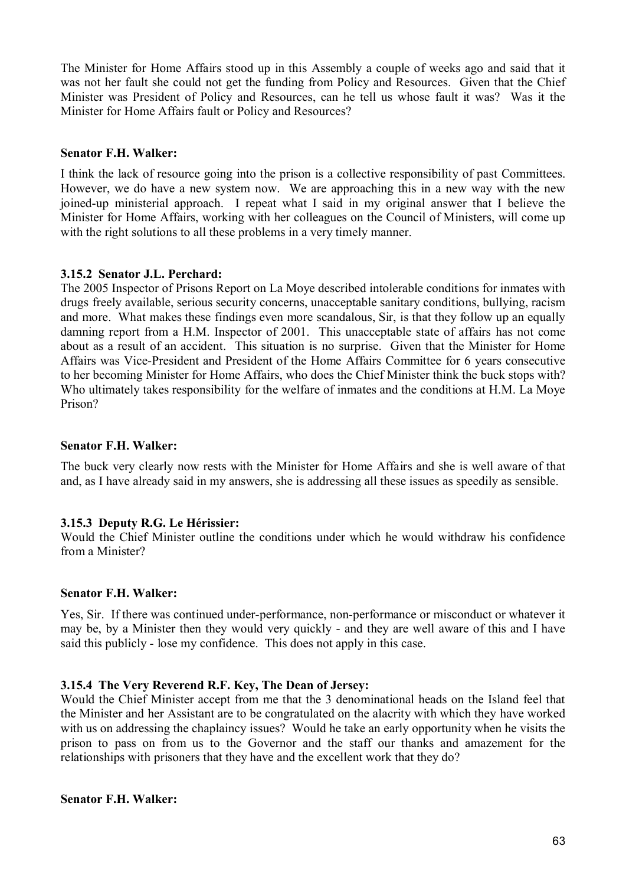The Minister for Home Affairs stood up in this Assembly a couple of weeks ago and said that it was not her fault she could not get the funding from Policy and Resources. Given that the Chief Minister was President of Policy and Resources, can he tell us whose fault it was? Was it the Minister for Home Affairs fault or Policy and Resources?

### **Senator F.H. Walker:**

I think the lack of resource going into the prison is a collective responsibility of past Committees. However, we do have a new system now. We are approaching this in a new way with the new joined-up ministerial approach. I repeat what I said in my original answer that I believe the Minister for Home Affairs, working with her colleagues on the Council of Ministers, will come up with the right solutions to all these problems in a very timely manner.

### **3.15.2 Senator J.L. Perchard:**

The 2005 Inspector of Prisons Report on La Moye described intolerable conditions for inmates with drugs freely available, serious security concerns, unacceptable sanitary conditions, bullying, racism and more. What makes these findings even more scandalous, Sir, is that they follow up an equally damning report from a H.M. Inspector of 2001. This unacceptable state of affairs has not come about as a result of an accident. This situation is no surprise. Given that the Minister for Home Affairs was Vice-President and President of the Home Affairs Committee for 6 years consecutive to her becoming Minister for Home Affairs, who does the Chief Minister think the buck stops with? Who ultimately takes responsibility for the welfare of inmates and the conditions at H.M. La Moye Prison?

### **Senator F.H. Walker:**

The buck very clearly now rests with the Minister for Home Affairs and she is well aware of that and, as I have already said in my answers, she is addressing all these issues as speedily as sensible.

## **3.15.3 Deputy R.G. Le Hérissier:**

Would the Chief Minister outline the conditions under which he would withdraw his confidence from a Minister?

#### **Senator F.H. Walker:**

Yes, Sir. If there was continued under-performance, non-performance or misconduct or whatever it may be, by a Minister then they would very quickly - and they are well aware of this and I have said this publicly - lose my confidence. This does not apply in this case.

#### **3.15.4 The Very Reverend R.F. Key, The Dean of Jersey:**

Would the Chief Minister accept from me that the 3 denominational heads on the Island feel that the Minister and her Assistant are to be congratulated on the alacrity with which they have worked with us on addressing the chaplaincy issues? Would he take an early opportunity when he visits the prison to pass on from us to the Governor and the staff our thanks and amazement for the relationships with prisoners that they have and the excellent work that they do?

#### **Senator F.H. Walker:**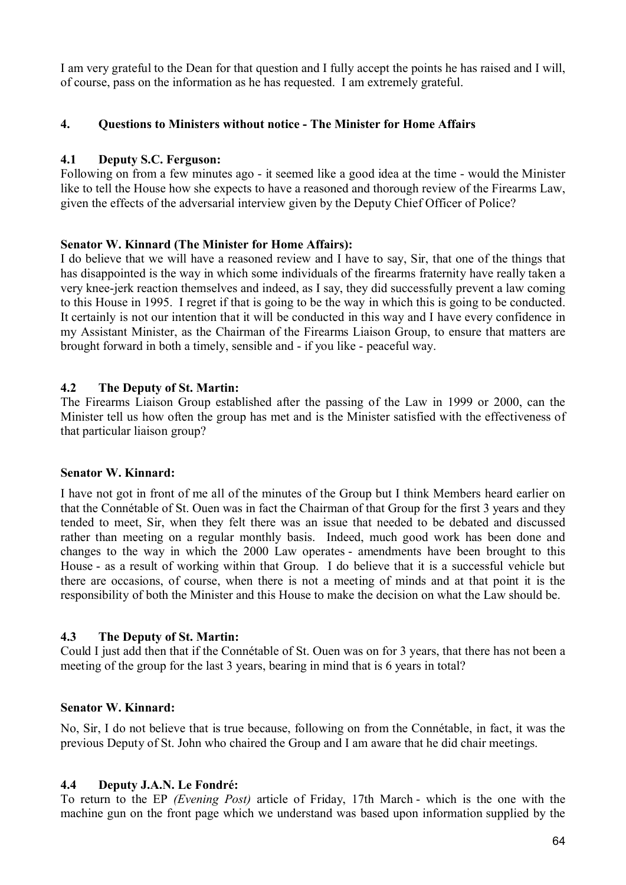I am very grateful to the Dean for that question and I fully accept the points he has raised and I will, of course, pass on the information as he has requested. I am extremely grateful.

### **4. Questions to Ministers without notice - The Minister for Home Affairs**

### **4.1 Deputy S.C. Ferguson:**

Following on from a few minutes ago - it seemed like a good idea at the time - would the Minister like to tell the House how she expects to have a reasoned and thorough review of the Firearms Law, given the effects of the adversarial interview given by the Deputy Chief Officer of Police?

### **Senator W. Kinnard (The Minister for Home Affairs):**

I do believe that we will have a reasoned review and I have to say, Sir, that one of the things that has disappointed is the way in which some individuals of the firearms fraternity have really taken a very knee-jerk reaction themselves and indeed, as I say, they did successfully prevent a law coming to this House in 1995. I regret if that is going to be the way in which this is going to be conducted. It certainly is not our intention that it will be conducted in this way and I have every confidence in my Assistant Minister, as the Chairman of the Firearms Liaison Group, to ensure that matters are brought forward in both a timely, sensible and - if you like - peaceful way.

### **4.2 The Deputy of St. Martin:**

The Firearms Liaison Group established after the passing of the Law in 1999 or 2000, can the Minister tell us how often the group has met and is the Minister satisfied with the effectiveness of that particular liaison group?

#### **Senator W. Kinnard:**

I have not got in front of me all of the minutes of the Group but I think Members heard earlier on that the Connétable of St. Ouen was in fact the Chairman of that Group for the first 3 years and they tended to meet, Sir, when they felt there was an issue that needed to be debated and discussed rather than meeting on a regular monthly basis. Indeed, much good work has been done and changes to the way in which the 2000 Law operates - amendments have been brought to this House - as a result of working within that Group. I do believe that it is a successful vehicle but there are occasions, of course, when there is not a meeting of minds and at that point it is the responsibility of both the Minister and this House to make the decision on what the Law should be.

#### **4.3 The Deputy of St. Martin:**

Could I just add then that if the Connétable of St. Ouen was on for 3 years, that there has not been a meeting of the group for the last 3 years, bearing in mind that is 6 years in total?

#### **Senator W. Kinnard:**

No, Sir, I do not believe that is true because, following on from the Connétable, in fact, it was the previous Deputy of St. John who chaired the Group and I am aware that he did chair meetings.

#### **4.4 Deputy J.A.N. Le Fondré:**

To return to the EP *(Evening Post)* article of Friday, 17th March - which is the one with the machine gun on the front page which we understand was based upon information supplied by the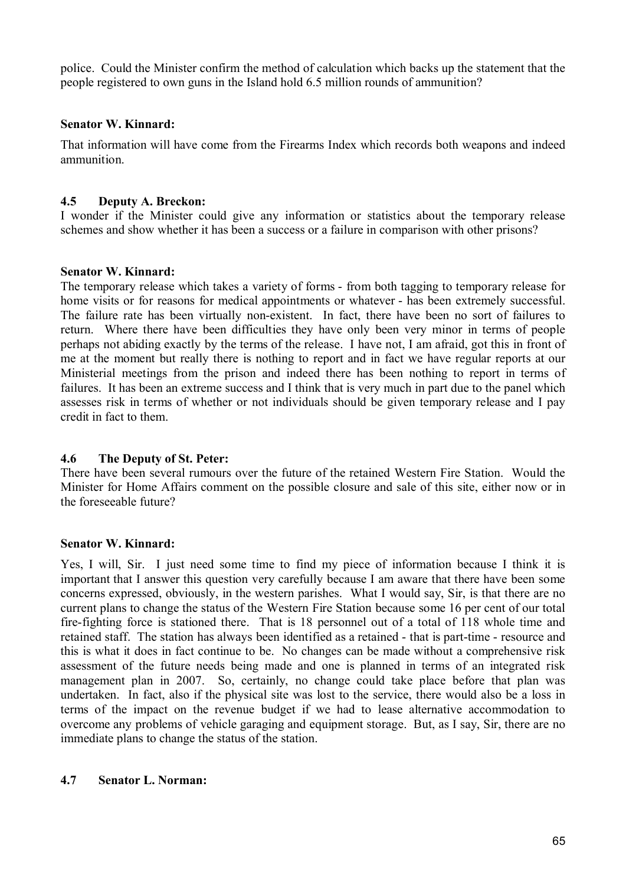police. Could the Minister confirm the method of calculation which backs up the statement that the people registered to own guns in the Island hold 6.5 million rounds of ammunition?

### **Senator W. Kinnard:**

That information will have come from the Firearms Index which records both weapons and indeed ammunition.

### **4.5 Deputy A. Breckon:**

I wonder if the Minister could give any information or statistics about the temporary release schemes and show whether it has been a success or a failure in comparison with other prisons?

#### **Senator W. Kinnard:**

The temporary release which takes a variety of forms - from both tagging to temporary release for home visits or for reasons for medical appointments or whatever - has been extremely successful. The failure rate has been virtually non-existent. In fact, there have been no sort of failures to return. Where there have been difficulties they have only been very minor in terms of people perhaps not abiding exactly by the terms of the release. I have not, I am afraid, got this in front of me at the moment but really there is nothing to report and in fact we have regular reports at our Ministerial meetings from the prison and indeed there has been nothing to report in terms of failures. It has been an extreme success and I think that is very much in part due to the panel which assesses risk in terms of whether or not individuals should be given temporary release and I pay credit in fact to them.

## **4.6 The Deputy of St. Peter:**

There have been several rumours over the future of the retained Western Fire Station. Would the Minister for Home Affairs comment on the possible closure and sale of this site, either now or in the foreseeable future?

#### **Senator W. Kinnard:**

Yes, I will, Sir. I just need some time to find my piece of information because I think it is important that I answer this question very carefully because I am aware that there have been some concerns expressed, obviously, in the western parishes. What I would say, Sir, is that there are no current plans to change the status of the Western Fire Station because some 16 per cent of our total fire-fighting force is stationed there. That is 18 personnel out of a total of 118 whole time and retained staff. The station has always been identified as a retained - that is part-time - resource and this is what it does in fact continue to be. No changes can be made without a comprehensive risk assessment of the future needs being made and one is planned in terms of an integrated risk management plan in 2007. So, certainly, no change could take place before that plan was undertaken. In fact, also if the physical site was lost to the service, there would also be a loss in terms of the impact on the revenue budget if we had to lease alternative accommodation to overcome any problems of vehicle garaging and equipment storage. But, as I say, Sir, there are no immediate plans to change the status of the station.

### **4.7 Senator L. Norman:**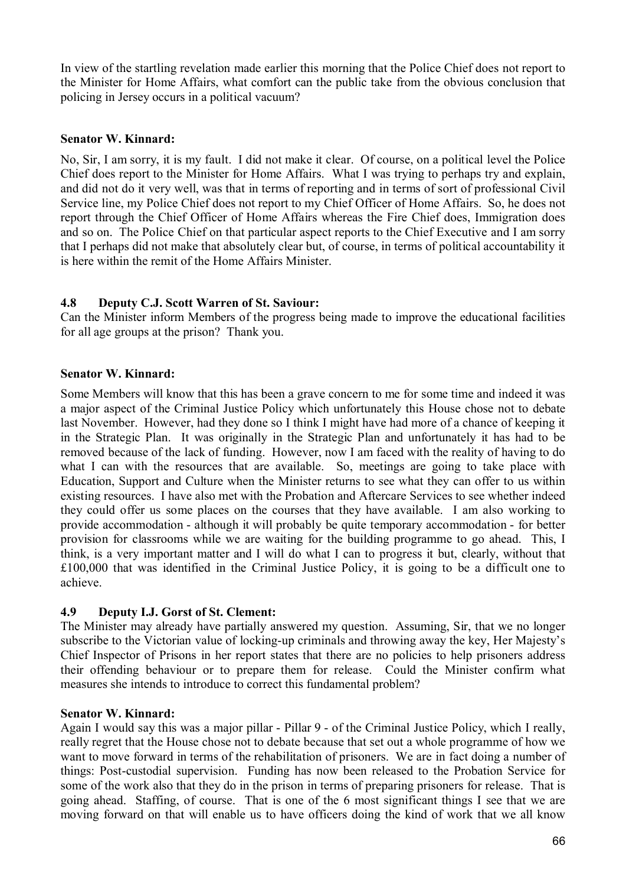In view of the startling revelation made earlier this morning that the Police Chief does not report to the Minister for Home Affairs, what comfort can the public take from the obvious conclusion that policing in Jersey occurs in a political vacuum?

### **Senator W. Kinnard:**

No, Sir, I am sorry, it is my fault. I did not make it clear. Of course, on a political level the Police Chief does report to the Minister for Home Affairs. What I was trying to perhaps try and explain, and did not do it very well, was that in terms of reporting and in terms of sort of professional Civil Service line, my Police Chief does not report to my Chief Officer of Home Affairs. So, he does not report through the Chief Officer of Home Affairs whereas the Fire Chief does, Immigration does and so on. The Police Chief on that particular aspect reports to the Chief Executive and I am sorry that I perhaps did not make that absolutely clear but, of course, in terms of political accountability it is here within the remit of the Home Affairs Minister.

## **4.8 Deputy C.J. Scott Warren of St. Saviour:**

Can the Minister inform Members of the progress being made to improve the educational facilities for all age groups at the prison? Thank you.

### **Senator W. Kinnard:**

Some Members will know that this has been a grave concern to me for some time and indeed it was a major aspect of the Criminal Justice Policy which unfortunately this House chose not to debate last November. However, had they done so I think I might have had more of a chance of keeping it in the Strategic Plan. It was originally in the Strategic Plan and unfortunately it has had to be removed because of the lack of funding. However, now I am faced with the reality of having to do what I can with the resources that are available. So, meetings are going to take place with Education, Support and Culture when the Minister returns to see what they can offer to us within existing resources. I have also met with the Probation and Aftercare Services to see whether indeed they could offer us some places on the courses that they have available. I am also working to provide accommodation - although it will probably be quite temporary accommodation - for better provision for classrooms while we are waiting for the building programme to go ahead. This, I think, is a very important matter and I will do what I can to progress it but, clearly, without that £100,000 that was identified in the Criminal Justice Policy, it is going to be a difficult one to achieve.

## **4.9 Deputy I.J. Gorst of St. Clement:**

The Minister may already have partially answered my question. Assuming, Sir, that we no longer subscribe to the Victorian value of locking-up criminals and throwing away the key, Her Majesty's Chief Inspector of Prisons in her report states that there are no policies to help prisoners address their offending behaviour or to prepare them for release. Could the Minister confirm what measures she intends to introduce to correct this fundamental problem?

#### **Senator W. Kinnard:**

Again I would say this was a major pillar - Pillar 9 - of the Criminal Justice Policy, which I really, really regret that the House chose not to debate because that set out a whole programme of how we want to move forward in terms of the rehabilitation of prisoners. We are in fact doing a number of things: Post-custodial supervision. Funding has now been released to the Probation Service for some of the work also that they do in the prison in terms of preparing prisoners for release. That is going ahead. Staffing, of course. That is one of the 6 most significant things I see that we are moving forward on that will enable us to have officers doing the kind of work that we all know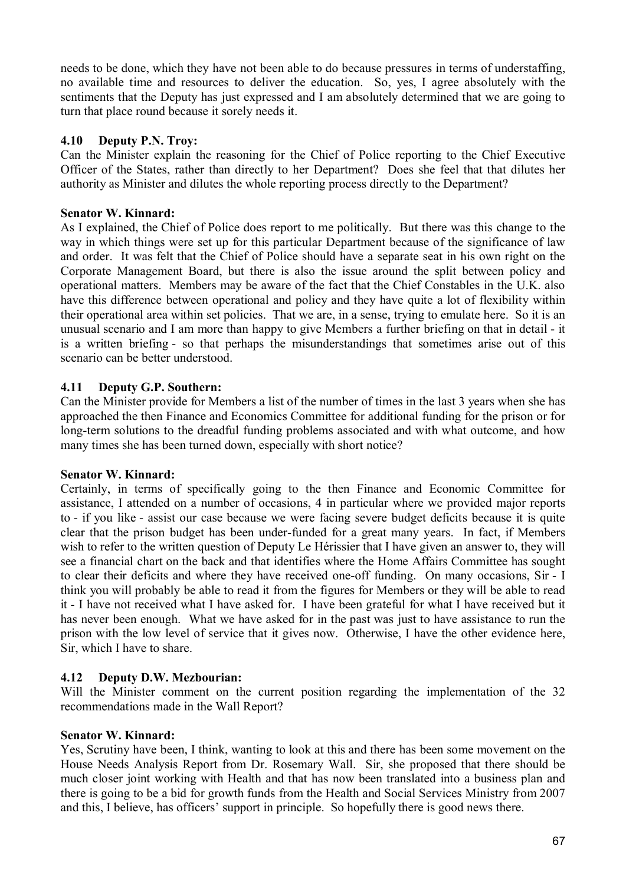needs to be done, which they have not been able to do because pressures in terms of understaffing, no available time and resources to deliver the education. So, yes, I agree absolutely with the sentiments that the Deputy has just expressed and I am absolutely determined that we are going to turn that place round because it sorely needs it.

## **4.10 Deputy P.N. Troy:**

Can the Minister explain the reasoning for the Chief of Police reporting to the Chief Executive Officer of the States, rather than directly to her Department? Does she feel that that dilutes her authority as Minister and dilutes the whole reporting process directly to the Department?

## **Senator W. Kinnard:**

As I explained, the Chief of Police does report to me politically. But there was this change to the way in which things were set up for this particular Department because of the significance of law and order. It was felt that the Chief of Police should have a separate seat in his own right on the Corporate Management Board, but there is also the issue around the split between policy and operational matters. Members may be aware of the fact that the Chief Constables in the U.K. also have this difference between operational and policy and they have quite a lot of flexibility within their operational area within set policies. That we are, in a sense, trying to emulate here. So it is an unusual scenario and I am more than happy to give Members a further briefing on that in detail - it is a written briefing - so that perhaps the misunderstandings that sometimes arise out of this scenario can be better understood.

## **4.11 Deputy G.P. Southern:**

Can the Minister provide for Members a list of the number of times in the last 3 years when she has approached the then Finance and Economics Committee for additional funding for the prison or for long-term solutions to the dreadful funding problems associated and with what outcome, and how many times she has been turned down, especially with short notice?

## **Senator W. Kinnard:**

Certainly, in terms of specifically going to the then Finance and Economic Committee for assistance, I attended on a number of occasions, 4 in particular where we provided major reports to - if you like - assist our case because we were facing severe budget deficits because it is quite clear that the prison budget has been under-funded for a great many years. In fact, if Members wish to refer to the written question of Deputy Le Hérissier that I have given an answer to, they will see a financial chart on the back and that identifies where the Home Affairs Committee has sought to clear their deficits and where they have received one-off funding. On many occasions, Sir - I think you will probably be able to read it from the figures for Members or they will be able to read it - I have not received what I have asked for. I have been grateful for what I have received but it has never been enough. What we have asked for in the past was just to have assistance to run the prison with the low level of service that it gives now. Otherwise, I have the other evidence here, Sir, which I have to share.

## **4.12 Deputy D.W. Mezbourian:**

Will the Minister comment on the current position regarding the implementation of the 32 recommendations made in the Wall Report?

## **Senator W. Kinnard:**

Yes, Scrutiny have been, I think, wanting to look at this and there has been some movement on the House Needs Analysis Report from Dr. Rosemary Wall. Sir, she proposed that there should be much closer joint working with Health and that has now been translated into a business plan and there is going to be a bid for growth funds from the Health and Social Services Ministry from 2007 and this, I believe, has officers' support in principle. So hopefully there is good news there.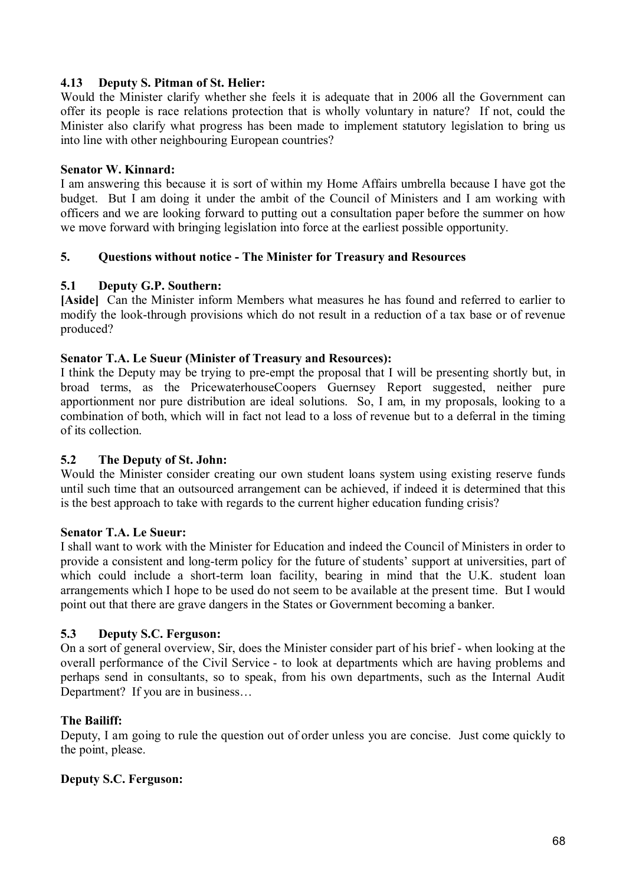## **4.13 Deputy S. Pitman of St. Helier:**

Would the Minister clarify whether she feels it is adequate that in 2006 all the Government can offer its people is race relations protection that is wholly voluntary in nature? If not, could the Minister also clarify what progress has been made to implement statutory legislation to bring us into line with other neighbouring European countries?

### **Senator W. Kinnard:**

I am answering this because it is sort of within my Home Affairs umbrella because I have got the budget. But I am doing it under the ambit of the Council of Ministers and I am working with officers and we are looking forward to putting out a consultation paper before the summer on how we move forward with bringing legislation into force at the earliest possible opportunity.

## **5. Questions without notice - The Minister for Treasury and Resources**

### **5.1 Deputy G.P. Southern:**

**[Aside]** Can the Minister inform Members what measures he has found and referred to earlier to modify the look-through provisions which do not result in a reduction of a tax base or of revenue produced?

### **Senator T.A. Le Sueur (Minister of Treasury and Resources):**

I think the Deputy may be trying to pre-empt the proposal that I will be presenting shortly but, in broad terms, as the PricewaterhouseCoopers Guernsey Report suggested, neither pure apportionment nor pure distribution are ideal solutions. So, I am, in my proposals, looking to a combination of both, which will in fact not lead to a loss of revenue but to a deferral in the timing of its collection.

#### **5.2 The Deputy of St. John:**

Would the Minister consider creating our own student loans system using existing reserve funds until such time that an outsourced arrangement can be achieved, if indeed it is determined that this is the best approach to take with regards to the current higher education funding crisis?

#### **Senator T.A. Le Sueur:**

I shall want to work with the Minister for Education and indeed the Council of Ministers in order to provide a consistent and long-term policy for the future of students' support at universities, part of which could include a short-term loan facility, bearing in mind that the U.K. student loan arrangements which I hope to be used do not seem to be available at the present time. But I would point out that there are grave dangers in the States or Government becoming a banker.

#### **5.3 Deputy S.C. Ferguson:**

On a sort of general overview, Sir, does the Minister consider part of his brief - when looking at the overall performance of the Civil Service - to look at departments which are having problems and perhaps send in consultants, so to speak, from his own departments, such as the Internal Audit Department? If you are in business…

#### **The Bailiff:**

Deputy, I am going to rule the question out of order unless you are concise. Just come quickly to the point, please.

## **Deputy S.C. Ferguson:**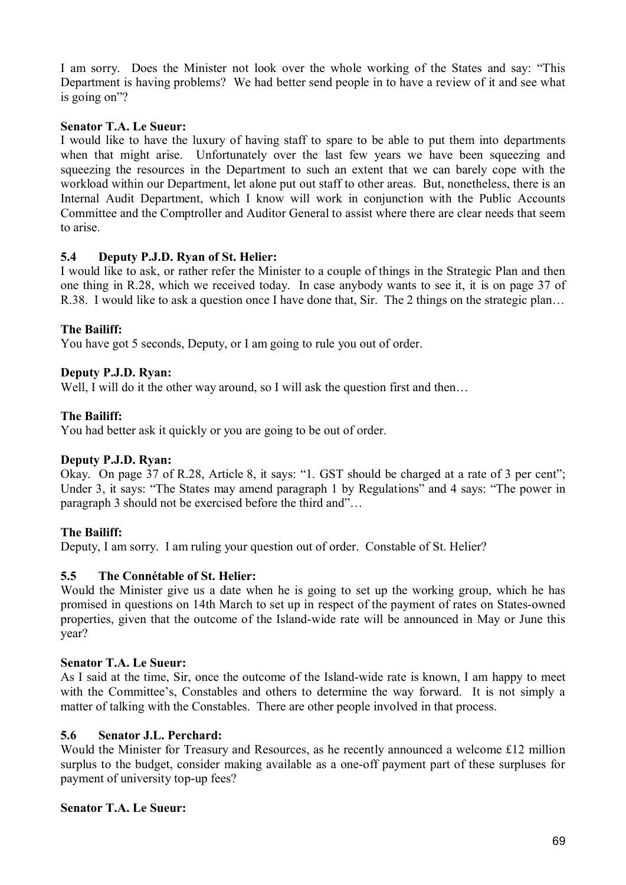I am sorry. Does the Minister not look over the whole working of the States and say: "This Department is having problems? We had better send people in to have a review of it and see what is going on"?

## **Senator T.A. Le Sueur:**

I would like to have the luxury of having staff to spare to be able to put them into departments when that might arise. Unfortunately over the last few years we have been squeezing and squeezing the resources in the Department to such an extent that we can barely cope with the workload within our Department, let alone put out staff to other areas. But, nonetheless, there is an Internal Audit Department, which I know will work in conjunction with the Public Accounts Committee and the Comptroller and Auditor General to assist where there are clear needs that seem to arise.

# **5.4 Deputy P.J.D. Ryan of St. Helier:**

I would like to ask, or rather refer the Minister to a couple of things in the Strategic Plan and then one thing in R.28, which we received today. In case anybody wants to see it, it is on page 37 of R.38. I would like to ask a question once I have done that, Sir. The 2 things on the strategic plan…

# **The Bailiff:**

You have got 5 seconds, Deputy, or I am going to rule you out of order.

# **Deputy P.J.D. Ryan:**

Well, I will do it the other way around, so I will ask the question first and then...

## **The Bailiff:**

You had better ask it quickly or you are going to be out of order.

## **Deputy P.J.D. Ryan:**

Okay. On page 37 of R.28, Article 8, it says: "1. GST should be charged at a rate of 3 per cent"; Under 3, it says: "The States may amend paragraph 1 by Regulations" and 4 says: "The power in paragraph 3 should not be exercised before the third and"…

## **The Bailiff:**

Deputy, I am sorry. I am ruling your question out of order. Constable of St. Helier?

## **5.5 The Connétable of St. Helier:**

Would the Minister give us a date when he is going to set up the working group, which he has promised in questions on 14th March to set up in respect of the payment of rates on States-owned properties, given that the outcome of the Island-wide rate will be announced in May or June this year?

## **Senator T.A. Le Sueur:**

As I said at the time, Sir, once the outcome of the Island-wide rate is known, I am happy to meet with the Committee's, Constables and others to determine the way forward. It is not simply a matter of talking with the Constables. There are other people involved in that process.

## **5.6 Senator J.L. Perchard:**

Would the Minister for Treasury and Resources, as he recently announced a welcome £12 million surplus to the budget, consider making available as a one-off payment part of these surpluses for payment of university top-up fees?

#### **Senator T.A. Le Sueur:**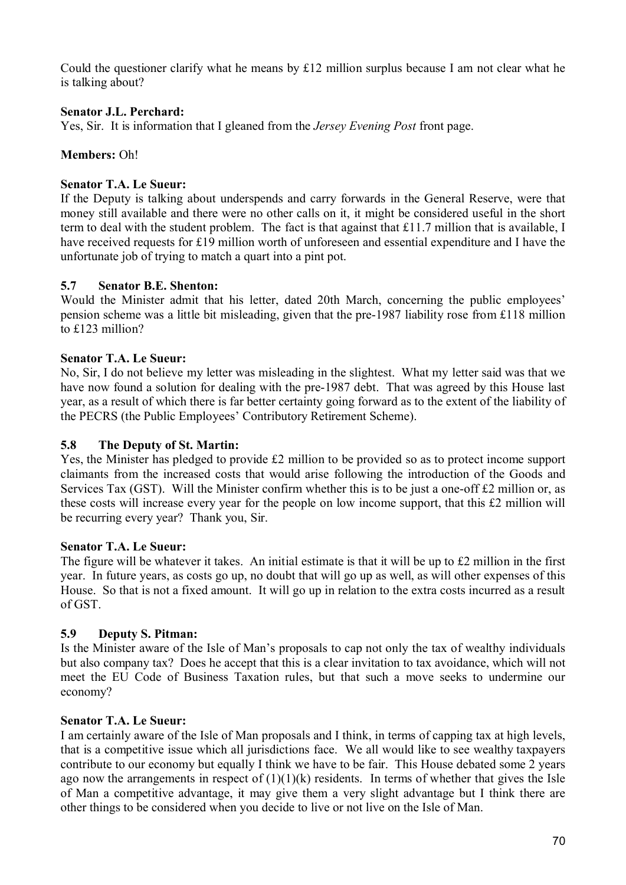Could the questioner clarify what he means by  $\pounds 12$  million surplus because I am not clear what he is talking about?

## **Senator J.L. Perchard:**

Yes, Sir. It is information that I gleaned from the *Jersey Evening Post* front page.

### **Members:** Oh!

### **Senator T.A. Le Sueur:**

If the Deputy is talking about underspends and carry forwards in the General Reserve, were that money still available and there were no other calls on it, it might be considered useful in the short term to deal with the student problem. The fact is that against that £11.7 million that is available, I have received requests for £19 million worth of unforeseen and essential expenditure and I have the unfortunate job of trying to match a quart into a pint pot.

### **5.7 Senator B.E. Shenton:**

Would the Minister admit that his letter, dated 20th March, concerning the public employees' pension scheme was a little bit misleading, given that the pre-1987 liability rose from £118 million to £123 million?

### **Senator T.A. Le Sueur:**

No, Sir, I do not believe my letter was misleading in the slightest. What my letter said was that we have now found a solution for dealing with the pre-1987 debt. That was agreed by this House last year, as a result of which there is far better certainty going forward as to the extent of the liability of the PECRS (the Public Employees' Contributory Retirement Scheme).

### **5.8 The Deputy of St. Martin:**

Yes, the Minister has pledged to provide £2 million to be provided so as to protect income support claimants from the increased costs that would arise following the introduction of the Goods and Services Tax (GST). Will the Minister confirm whether this is to be just a one-off £2 million or, as these costs will increase every year for the people on low income support, that this £2 million will be recurring every year? Thank you, Sir.

### **Senator T.A. Le Sueur:**

The figure will be whatever it takes. An initial estimate is that it will be up to £2 million in the first year. In future years, as costs go up, no doubt that will go up as well, as will other expenses of this House. So that is not a fixed amount. It will go up in relation to the extra costs incurred as a result of GST.

#### **5.9 Deputy S. Pitman:**

Is the Minister aware of the Isle of Man's proposals to cap not only the tax of wealthy individuals but also company tax? Does he accept that this is a clear invitation to tax avoidance, which will not meet the EU Code of Business Taxation rules, but that such a move seeks to undermine our economy?

### **Senator T.A. Le Sueur:**

I am certainly aware of the Isle of Man proposals and I think, in terms of capping tax at high levels, that is a competitive issue which all jurisdictions face. We all would like to see wealthy taxpayers contribute to our economy but equally I think we have to be fair. This House debated some 2 years ago now the arrangements in respect of  $(1)(1)(k)$  residents. In terms of whether that gives the Isle of Man a competitive advantage, it may give them a very slight advantage but I think there are other things to be considered when you decide to live or not live on the Isle of Man.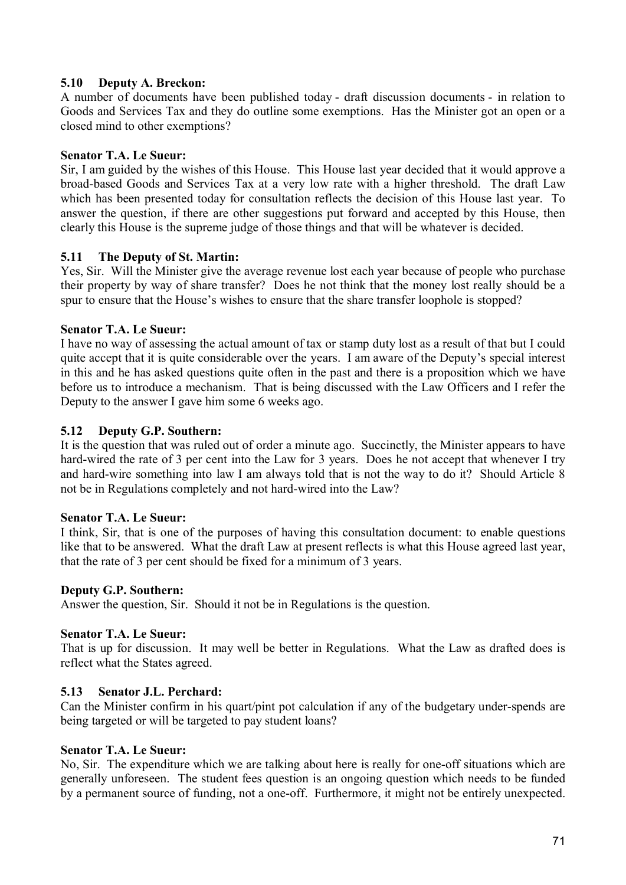## **5.10 Deputy A. Breckon:**

A number of documents have been published today - draft discussion documents - in relation to Goods and Services Tax and they do outline some exemptions. Has the Minister got an open or a closed mind to other exemptions?

### **Senator T.A. Le Sueur:**

Sir, I am guided by the wishes of this House. This House last year decided that it would approve a broad-based Goods and Services Tax at a very low rate with a higher threshold. The draft Law which has been presented today for consultation reflects the decision of this House last year. To answer the question, if there are other suggestions put forward and accepted by this House, then clearly this House is the supreme judge of those things and that will be whatever is decided.

### **5.11 The Deputy of St. Martin:**

Yes, Sir. Will the Minister give the average revenue lost each year because of people who purchase their property by way of share transfer? Does he not think that the money lost really should be a spur to ensure that the House's wishes to ensure that the share transfer loophole is stopped?

### **Senator T.A. Le Sueur:**

I have no way of assessing the actual amount of tax or stamp duty lost as a result of that but I could quite accept that it is quite considerable over the years. I am aware of the Deputy's special interest in this and he has asked questions quite often in the past and there is a proposition which we have before us to introduce a mechanism. That is being discussed with the Law Officers and I refer the Deputy to the answer I gave him some 6 weeks ago.

### **5.12 Deputy G.P. Southern:**

It is the question that was ruled out of order a minute ago. Succinctly, the Minister appears to have hard-wired the rate of 3 per cent into the Law for 3 years. Does he not accept that whenever I try and hard-wire something into law I am always told that is not the way to do it? Should Article 8 not be in Regulations completely and not hard-wired into the Law?

#### **Senator T.A. Le Sueur:**

I think, Sir, that is one of the purposes of having this consultation document: to enable questions like that to be answered. What the draft Law at present reflects is what this House agreed last year, that the rate of 3 per cent should be fixed for a minimum of 3 years.

#### **Deputy G.P. Southern:**

Answer the question, Sir. Should it not be in Regulations is the question.

### **Senator T.A. Le Sueur:**

That is up for discussion. It may well be better in Regulations. What the Law as drafted does is reflect what the States agreed.

#### **5.13 Senator J.L. Perchard:**

Can the Minister confirm in his quart/pint pot calculation if any of the budgetary under-spends are being targeted or will be targeted to pay student loans?

#### **Senator T.A. Le Sueur:**

No, Sir. The expenditure which we are talking about here is really for one-off situations which are generally unforeseen. The student fees question is an ongoing question which needs to be funded by a permanent source of funding, not a one-off. Furthermore, it might not be entirely unexpected.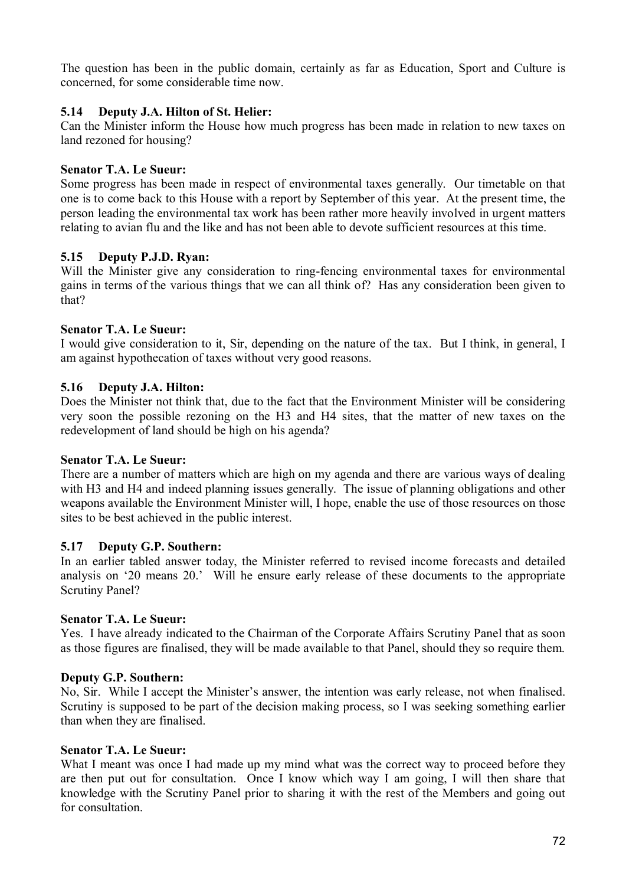The question has been in the public domain, certainly as far as Education, Sport and Culture is concerned, for some considerable time now.

### **5.14 Deputy J.A. Hilton of St. Helier:**

Can the Minister inform the House how much progress has been made in relation to new taxes on land rezoned for housing?

### **Senator T.A. Le Sueur:**

Some progress has been made in respect of environmental taxes generally. Our timetable on that one is to come back to this House with a report by September of this year. At the present time, the person leading the environmental tax work has been rather more heavily involved in urgent matters relating to avian flu and the like and has not been able to devote sufficient resources at this time.

### **5.15 Deputy P.J.D. Ryan:**

Will the Minister give any consideration to ring-fencing environmental taxes for environmental gains in terms of the various things that we can all think of? Has any consideration been given to that?

### **Senator T.A. Le Sueur:**

I would give consideration to it, Sir, depending on the nature of the tax. But I think, in general, I am against hypothecation of taxes without very good reasons.

# **5.16 Deputy J.A. Hilton:**

Does the Minister not think that, due to the fact that the Environment Minister will be considering very soon the possible rezoning on the H3 and H4 sites, that the matter of new taxes on the redevelopment of land should be high on his agenda?

#### **Senator T.A. Le Sueur:**

There are a number of matters which are high on my agenda and there are various ways of dealing with H3 and H4 and indeed planning issues generally. The issue of planning obligations and other weapons available the Environment Minister will, I hope, enable the use of those resources on those sites to be best achieved in the public interest.

#### **5.17 Deputy G.P. Southern:**

In an earlier tabled answer today, the Minister referred to revised income forecasts and detailed analysis on '20 means 20.' Will he ensure early release of these documents to the appropriate Scrutiny Panel?

#### **Senator T.A. Le Sueur:**

Yes. I have already indicated to the Chairman of the Corporate Affairs Scrutiny Panel that as soon as those figures are finalised, they will be made available to that Panel, should they so require them.

#### **Deputy G.P. Southern:**

No, Sir. While I accept the Minister's answer, the intention was early release, not when finalised. Scrutiny is supposed to be part of the decision making process, so I was seeking something earlier than when they are finalised.

#### **Senator T.A. Le Sueur:**

What I meant was once I had made up my mind what was the correct way to proceed before they are then put out for consultation. Once I know which way I am going, I will then share that knowledge with the Scrutiny Panel prior to sharing it with the rest of the Members and going out for consultation.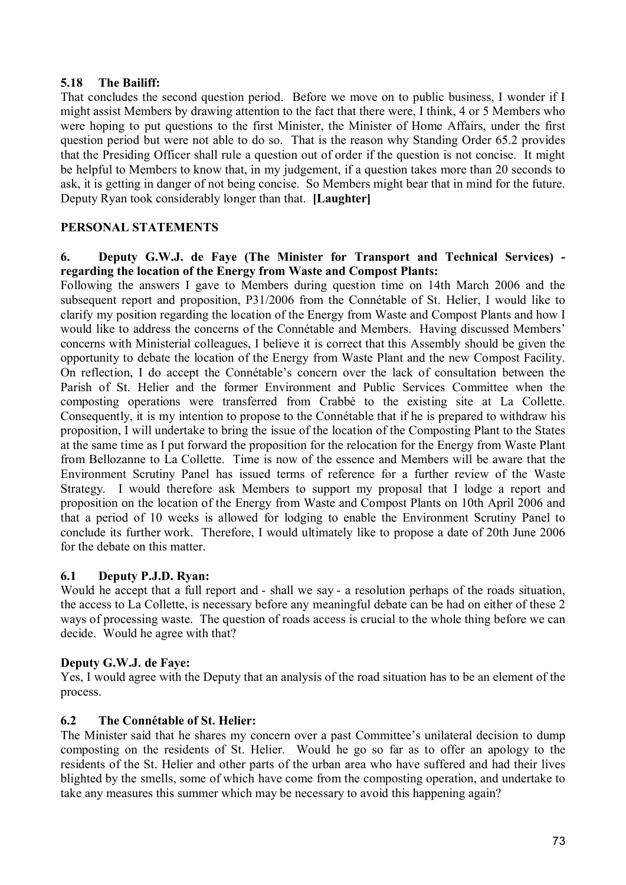# **5.18 The Bailiff:**

That concludes the second question period. Before we move on to public business, I wonder if I might assist Members by drawing attention to the fact that there were, I think, 4 or 5 Members who were hoping to put questions to the first Minister, the Minister of Home Affairs, under the first question period but were not able to do so. That is the reason why Standing Order 65.2 provides that the Presiding Officer shall rule a question out of order if the question is not concise. It might be helpful to Members to know that, in my judgement, if a question takes more than 20 seconds to ask, it is getting in danger of not being concise. So Members might bear that in mind for the future. Deputy Ryan took considerably longer than that. **[Laughter]**

# **PERSONAL STATEMENTS**

### **6. Deputy G.W.J. de Faye (The Minister for Transport and Technical Services) regarding the location of the Energy from Waste and Compost Plants:**

Following the answers I gave to Members during question time on 14th March 2006 and the subsequent report and proposition, P31/2006 from the Connétable of St. Helier, I would like to clarify my position regarding the location of the Energy from Waste and Compost Plants and how I would like to address the concerns of the Connétable and Members. Having discussed Members' concerns with Ministerial colleagues, I believe it is correct that this Assembly should be given the opportunity to debate the location of the Energy from Waste Plant and the new Compost Facility. On reflection, I do accept the Connétable's concern over the lack of consultation between the Parish of St. Helier and the former Environment and Public Services Committee when the composting operations were transferred from Crabbé to the existing site at La Collette. Consequently, it is my intention to propose to the Connétable that if he is prepared to withdraw his proposition, I will undertake to bring the issue of the location of the Composting Plant to the States at the same time as I put forward the proposition for the relocation for the Energy from Waste Plant from Bellozanne to La Collette. Time is now of the essence and Members will be aware that the Environment Scrutiny Panel has issued terms of reference for a further review of the Waste Strategy. I would therefore ask Members to support my proposal that I lodge a report and proposition on the location of the Energy from Waste and Compost Plants on 10th April 2006 and that a period of 10 weeks is allowed for lodging to enable the Environment Scrutiny Panel to conclude its further work. Therefore, I would ultimately like to propose a date of 20th June 2006 for the debate on this matter.

# **6.1 Deputy P.J.D. Ryan:**

Would he accept that a full report and - shall we say - a resolution perhaps of the roads situation, the access to La Collette, is necessary before any meaningful debate can be had on either of these 2 ways of processing waste. The question of roads access is crucial to the whole thing before we can decide. Would he agree with that?

# **Deputy G.W.J. de Faye:**

Yes, I would agree with the Deputy that an analysis of the road situation has to be an element of the process.

# **6.2 The Connétable of St. Helier:**

The Minister said that he shares my concern over a past Committee's unilateral decision to dump composting on the residents of St. Helier. Would he go so far as to offer an apology to the residents of the St. Helier and other parts of the urban area who have suffered and had their lives blighted by the smells, some of which have come from the composting operation, and undertake to take any measures this summer which may be necessary to avoid this happening again?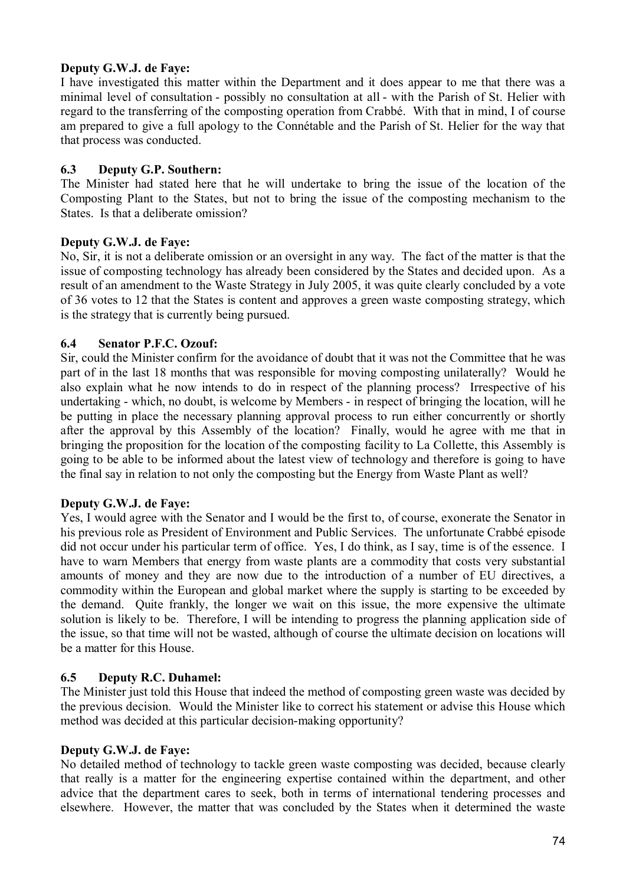# **Deputy G.W.J. de Faye:**

I have investigated this matter within the Department and it does appear to me that there was a minimal level of consultation - possibly no consultation at all - with the Parish of St. Helier with regard to the transferring of the composting operation from Crabbé. With that in mind, I of course am prepared to give a full apology to the Connétable and the Parish of St. Helier for the way that that process was conducted.

# **6.3 Deputy G.P. Southern:**

The Minister had stated here that he will undertake to bring the issue of the location of the Composting Plant to the States, but not to bring the issue of the composting mechanism to the States. Is that a deliberate omission?

# **Deputy G.W.J. de Faye:**

No, Sir, it is not a deliberate omission or an oversight in any way. The fact of the matter is that the issue of composting technology has already been considered by the States and decided upon. As a result of an amendment to the Waste Strategy in July 2005, it was quite clearly concluded by a vote of 36 votes to 12 that the States is content and approves a green waste composting strategy, which is the strategy that is currently being pursued.

# **6.4 Senator P.F.C. Ozouf:**

Sir, could the Minister confirm for the avoidance of doubt that it was not the Committee that he was part of in the last 18 months that was responsible for moving composting unilaterally? Would he also explain what he now intends to do in respect of the planning process? Irrespective of his undertaking - which, no doubt, is welcome by Members - in respect of bringing the location, will he be putting in place the necessary planning approval process to run either concurrently or shortly after the approval by this Assembly of the location? Finally, would he agree with me that in bringing the proposition for the location of the composting facility to La Collette, this Assembly is going to be able to be informed about the latest view of technology and therefore is going to have the final say in relation to not only the composting but the Energy from Waste Plant as well?

# **Deputy G.W.J. de Faye:**

Yes, I would agree with the Senator and I would be the first to, of course, exonerate the Senator in his previous role as President of Environment and Public Services. The unfortunate Crabbé episode did not occur under his particular term of office. Yes, I do think, as I say, time is of the essence. I have to warn Members that energy from waste plants are a commodity that costs very substantial amounts of money and they are now due to the introduction of a number of EU directives, a commodity within the European and global market where the supply is starting to be exceeded by the demand. Quite frankly, the longer we wait on this issue, the more expensive the ultimate solution is likely to be. Therefore, I will be intending to progress the planning application side of the issue, so that time will not be wasted, although of course the ultimate decision on locations will be a matter for this House.

# **6.5 Deputy R.C. Duhamel:**

The Minister just told this House that indeed the method of composting green waste was decided by the previous decision. Would the Minister like to correct his statement or advise this House which method was decided at this particular decision-making opportunity?

# **Deputy G.W.J. de Faye:**

No detailed method of technology to tackle green waste composting was decided, because clearly that really is a matter for the engineering expertise contained within the department, and other advice that the department cares to seek, both in terms of international tendering processes and elsewhere. However, the matter that was concluded by the States when it determined the waste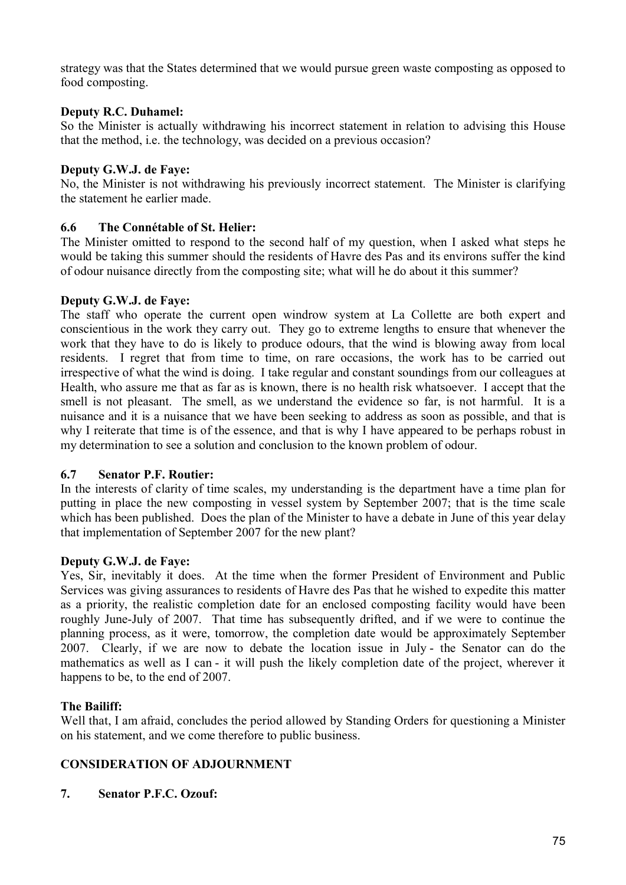strategy was that the States determined that we would pursue green waste composting as opposed to food composting.

# **Deputy R.C. Duhamel:**

So the Minister is actually withdrawing his incorrect statement in relation to advising this House that the method, i.e. the technology, was decided on a previous occasion?

### **Deputy G.W.J. de Faye:**

No, the Minister is not withdrawing his previously incorrect statement. The Minister is clarifying the statement he earlier made.

# **6.6 The Connétable of St. Helier:**

The Minister omitted to respond to the second half of my question, when I asked what steps he would be taking this summer should the residents of Havre des Pas and its environs suffer the kind of odour nuisance directly from the composting site; what will he do about it this summer?

### **Deputy G.W.J. de Faye:**

The staff who operate the current open windrow system at La Collette are both expert and conscientious in the work they carry out. They go to extreme lengths to ensure that whenever the work that they have to do is likely to produce odours, that the wind is blowing away from local residents. I regret that from time to time, on rare occasions, the work has to be carried out irrespective of what the wind is doing. I take regular and constant soundings from our colleagues at Health, who assure me that as far as is known, there is no health risk whatsoever. I accept that the smell is not pleasant. The smell, as we understand the evidence so far, is not harmful. It is a nuisance and it is a nuisance that we have been seeking to address as soon as possible, and that is why I reiterate that time is of the essence, and that is why I have appeared to be perhaps robust in my determination to see a solution and conclusion to the known problem of odour.

#### **6.7 Senator P.F. Routier:**

In the interests of clarity of time scales, my understanding is the department have a time plan for putting in place the new composting in vessel system by September 2007; that is the time scale which has been published. Does the plan of the Minister to have a debate in June of this year delay that implementation of September 2007 for the new plant?

# **Deputy G.W.J. de Faye:**

Yes, Sir, inevitably it does. At the time when the former President of Environment and Public Services was giving assurances to residents of Havre des Pas that he wished to expedite this matter as a priority, the realistic completion date for an enclosed composting facility would have been roughly June-July of 2007. That time has subsequently drifted, and if we were to continue the planning process, as it were, tomorrow, the completion date would be approximately September 2007. Clearly, if we are now to debate the location issue in July - the Senator can do the mathematics as well as I can - it will push the likely completion date of the project, wherever it happens to be, to the end of 2007.

# **The Bailiff:**

Well that, I am afraid, concludes the period allowed by Standing Orders for questioning a Minister on his statement, and we come therefore to public business.

# **CONSIDERATION OF ADJOURNMENT**

**7. Senator P.F.C. Ozouf:**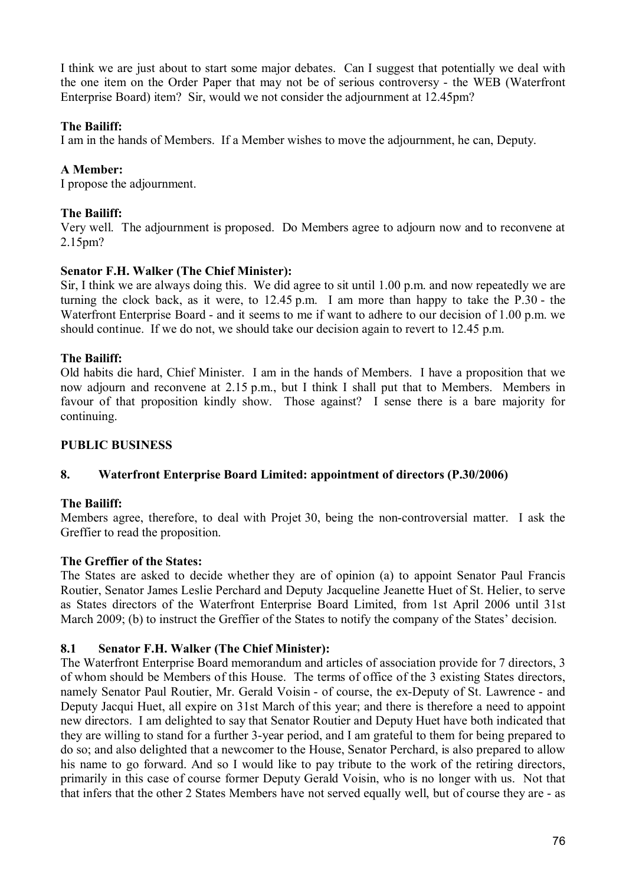I think we are just about to start some major debates. Can I suggest that potentially we deal with the one item on the Order Paper that may not be of serious controversy - the WEB (Waterfront Enterprise Board) item? Sir, would we not consider the adjournment at 12.45pm?

# **The Bailiff:**

I am in the hands of Members. If a Member wishes to move the adjournment, he can, Deputy.

# **A Member:**

I propose the adjournment.

# **The Bailiff:**

Very well. The adjournment is proposed. Do Members agree to adjourn now and to reconvene at 2.15pm?

# **Senator F.H. Walker (The Chief Minister):**

Sir, I think we are always doing this. We did agree to sit until 1.00 p.m. and now repeatedly we are turning the clock back, as it were, to 12.45 p.m. I am more than happy to take the P.30 - the Waterfront Enterprise Board - and it seems to me if want to adhere to our decision of 1.00 p.m. we should continue. If we do not, we should take our decision again to revert to 12.45 p.m.

# **The Bailiff:**

Old habits die hard, Chief Minister. I am in the hands of Members. I have a proposition that we now adjourn and reconvene at 2.15 p.m., but I think I shall put that to Members. Members in favour of that proposition kindly show. Those against? I sense there is a bare majority for continuing.

# **PUBLIC BUSINESS**

# **8. Waterfront Enterprise Board Limited: appointment of directors (P.30/2006)**

# **The Bailiff:**

Members agree, therefore, to deal with Projet 30, being the non-controversial matter. I ask the Greffier to read the proposition.

# **The Greffier of the States:**

The States are asked to decide whether they are of opinion (a) to appoint Senator Paul Francis Routier, Senator James Leslie Perchard and Deputy Jacqueline Jeanette Huet of St. Helier, to serve as States directors of the Waterfront Enterprise Board Limited, from 1st April 2006 until 31st March 2009; (b) to instruct the Greffier of the States to notify the company of the States' decision.

# **8.1 Senator F.H. Walker (The Chief Minister):**

The Waterfront Enterprise Board memorandum and articles of association provide for 7 directors, 3 of whom should be Members of this House. The terms of office of the 3 existing States directors, namely Senator Paul Routier, Mr. Gerald Voisin - of course, the ex-Deputy of St. Lawrence - and Deputy Jacqui Huet, all expire on 31st March of this year; and there is therefore a need to appoint new directors. I am delighted to say that Senator Routier and Deputy Huet have both indicated that they are willing to stand for a further 3-year period, and I am grateful to them for being prepared to do so; and also delighted that a newcomer to the House, Senator Perchard, is also prepared to allow his name to go forward. And so I would like to pay tribute to the work of the retiring directors, primarily in this case of course former Deputy Gerald Voisin, who is no longer with us. Not that that infers that the other 2 States Members have not served equally well, but of course they are - as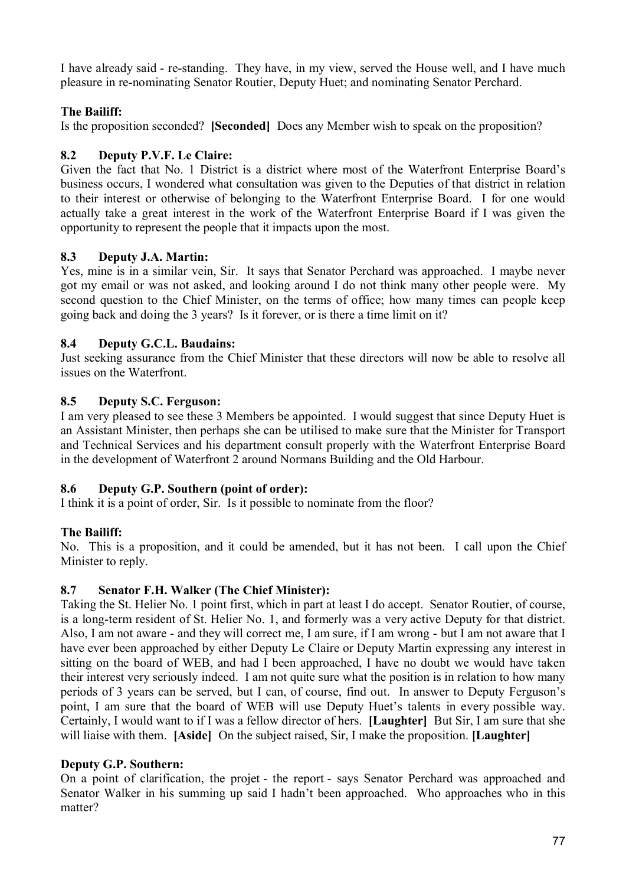I have already said - re-standing. They have, in my view, served the House well, and I have much pleasure in re-nominating Senator Routier, Deputy Huet; and nominating Senator Perchard.

# **The Bailiff:**

Is the proposition seconded? **[Seconded]** Does any Member wish to speak on the proposition?

# **8.2 Deputy P.V.F. Le Claire:**

Given the fact that No. 1 District is a district where most of the Waterfront Enterprise Board's business occurs, I wondered what consultation was given to the Deputies of that district in relation to their interest or otherwise of belonging to the Waterfront Enterprise Board. I for one would actually take a great interest in the work of the Waterfront Enterprise Board if I was given the opportunity to represent the people that it impacts upon the most.

# **8.3 Deputy J.A. Martin:**

Yes, mine is in a similar vein, Sir. It says that Senator Perchard was approached. I maybe never got my email or was not asked, and looking around I do not think many other people were. My second question to the Chief Minister, on the terms of office; how many times can people keep going back and doing the 3 years? Is it forever, or is there a time limit on it?

# **8.4 Deputy G.C.L. Baudains:**

Just seeking assurance from the Chief Minister that these directors will now be able to resolve all issues on the Waterfront.

# **8.5 Deputy S.C. Ferguson:**

I am very pleased to see these 3 Members be appointed. I would suggest that since Deputy Huet is an Assistant Minister, then perhaps she can be utilised to make sure that the Minister for Transport and Technical Services and his department consult properly with the Waterfront Enterprise Board in the development of Waterfront 2 around Normans Building and the Old Harbour.

# **8.6 Deputy G.P. Southern (point of order):**

I think it is a point of order, Sir. Is it possible to nominate from the floor?

# **The Bailiff:**

No. This is a proposition, and it could be amended, but it has not been. I call upon the Chief Minister to reply.

# **8.7 Senator F.H. Walker (The Chief Minister):**

Taking the St. Helier No. 1 point first, which in part at least I do accept. Senator Routier, of course, is a long-term resident of St. Helier No. 1, and formerly was a very active Deputy for that district. Also, I am not aware - and they will correct me, I am sure, if I am wrong - but I am not aware that I have ever been approached by either Deputy Le Claire or Deputy Martin expressing any interest in sitting on the board of WEB, and had I been approached, I have no doubt we would have taken their interest very seriously indeed. I am not quite sure what the position is in relation to how many periods of 3 years can be served, but I can, of course, find out. In answer to Deputy Ferguson's point, I am sure that the board of WEB will use Deputy Huet's talents in every possible way. Certainly, I would want to if I was a fellow director of hers. **[Laughter]** But Sir, I am sure that she will liaise with them. **[Aside]** On the subject raised, Sir, I make the proposition. **[Laughter]**

# **Deputy G.P. Southern:**

On a point of clarification, the projet - the report - says Senator Perchard was approached and Senator Walker in his summing up said I hadn't been approached. Who approaches who in this matter?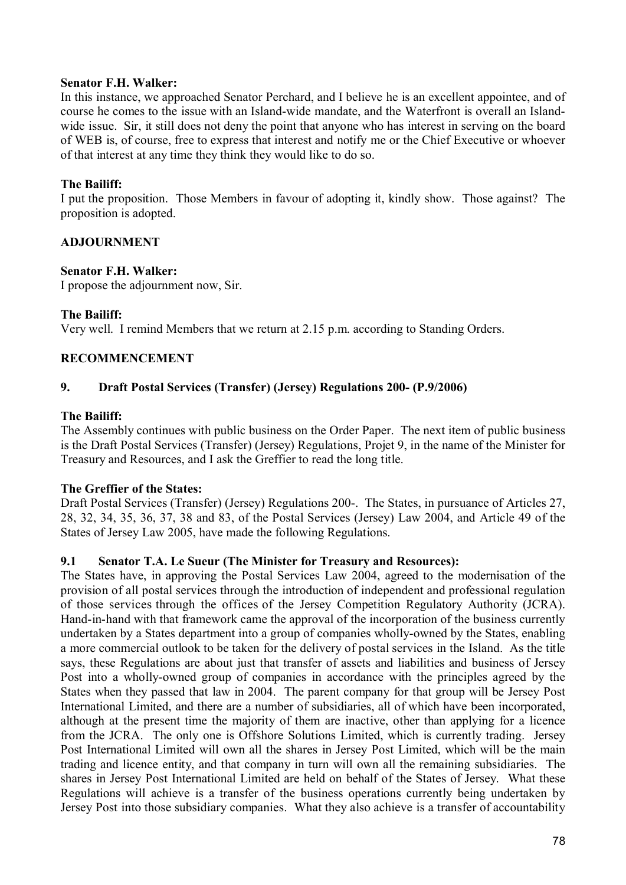### **Senator F.H. Walker:**

In this instance, we approached Senator Perchard, and I believe he is an excellent appointee, and of course he comes to the issue with an Island-wide mandate, and the Waterfront is overall an Islandwide issue. Sir, it still does not deny the point that anyone who has interest in serving on the board of WEB is, of course, free to express that interest and notify me or the Chief Executive or whoever of that interest at any time they think they would like to do so.

# **The Bailiff:**

I put the proposition. Those Members in favour of adopting it, kindly show. Those against? The proposition is adopted.

# **ADJOURNMENT**

### **Senator F.H. Walker:**

I propose the adjournment now, Sir.

### **The Bailiff:**

Very well. I remind Members that we return at 2.15 p.m. according to Standing Orders.

# **RECOMMENCEMENT**

# **9. Draft Postal Services (Transfer) (Jersey) Regulations 200- (P.9/2006)**

#### **The Bailiff:**

The Assembly continues with public business on the Order Paper. The next item of public business is the Draft Postal Services (Transfer) (Jersey) Regulations, Projet 9, in the name of the Minister for Treasury and Resources, and I ask the Greffier to read the long title.

#### **The Greffier of the States:**

Draft Postal Services (Transfer) (Jersey) Regulations 200-. The States, in pursuance of Articles 27, 28, 32, 34, 35, 36, 37, 38 and 83, of the Postal Services (Jersey) Law 2004, and Article 49 of the States of Jersey Law 2005, have made the following Regulations.

#### **9.1 Senator T.A. Le Sueur (The Minister for Treasury and Resources):**

The States have, in approving the Postal Services Law 2004, agreed to the modernisation of the provision of all postal services through the introduction of independent and professional regulation of those services through the offices of the Jersey Competition Regulatory Authority (JCRA). Hand-in-hand with that framework came the approval of the incorporation of the business currently undertaken by a States department into a group of companies wholly-owned by the States, enabling a more commercial outlook to be taken for the delivery of postal services in the Island. As the title says, these Regulations are about just that transfer of assets and liabilities and business of Jersey Post into a wholly-owned group of companies in accordance with the principles agreed by the States when they passed that law in 2004. The parent company for that group will be Jersey Post International Limited, and there are a number of subsidiaries, all of which have been incorporated, although at the present time the majority of them are inactive, other than applying for a licence from the JCRA. The only one is Offshore Solutions Limited, which is currently trading. Jersey Post International Limited will own all the shares in Jersey Post Limited, which will be the main trading and licence entity, and that company in turn will own all the remaining subsidiaries. The shares in Jersey Post International Limited are held on behalf of the States of Jersey. What these Regulations will achieve is a transfer of the business operations currently being undertaken by Jersey Post into those subsidiary companies. What they also achieve is a transfer of accountability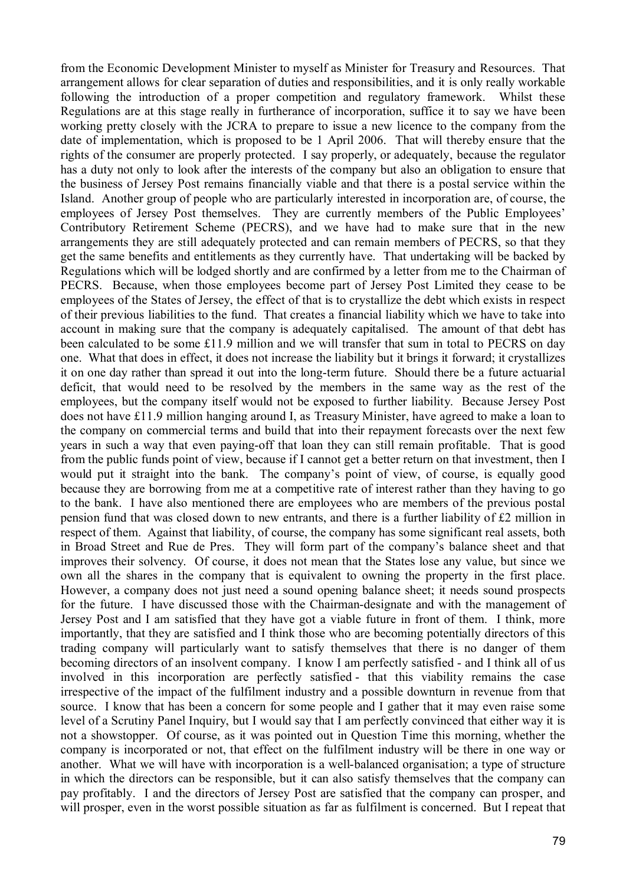from the Economic Development Minister to myself as Minister for Treasury and Resources. That arrangement allows for clear separation of duties and responsibilities, and it is only really workable following the introduction of a proper competition and regulatory framework. Whilst these Regulations are at this stage really in furtherance of incorporation, suffice it to say we have been working pretty closely with the JCRA to prepare to issue a new licence to the company from the date of implementation, which is proposed to be 1 April 2006. That will thereby ensure that the rights of the consumer are properly protected. I say properly, or adequately, because the regulator has a duty not only to look after the interests of the company but also an obligation to ensure that the business of Jersey Post remains financially viable and that there is a postal service within the Island. Another group of people who are particularly interested in incorporation are, of course, the employees of Jersey Post themselves. They are currently members of the Public Employees' Contributory Retirement Scheme (PECRS), and we have had to make sure that in the new arrangements they are still adequately protected and can remain members of PECRS, so that they get the same benefits and entitlements as they currently have. That undertaking will be backed by Regulations which will be lodged shortly and are confirmed by a letter from me to the Chairman of PECRS. Because, when those employees become part of Jersey Post Limited they cease to be employees of the States of Jersey, the effect of that is to crystallize the debt which exists in respect of their previous liabilities to the fund. That creates a financial liability which we have to take into account in making sure that the company is adequately capitalised. The amount of that debt has been calculated to be some £11.9 million and we will transfer that sum in total to PECRS on day one. What that does in effect, it does not increase the liability but it brings it forward; it crystallizes it on one day rather than spread it out into the long-term future. Should there be a future actuarial deficit, that would need to be resolved by the members in the same way as the rest of the employees, but the company itself would not be exposed to further liability. Because Jersey Post does not have £11.9 million hanging around I, as Treasury Minister, have agreed to make a loan to the company on commercial terms and build that into their repayment forecasts over the next few years in such a way that even paying-off that loan they can still remain profitable. That is good from the public funds point of view, because if I cannot get a better return on that investment, then I would put it straight into the bank. The company's point of view, of course, is equally good because they are borrowing from me at a competitive rate of interest rather than they having to go to the bank. I have also mentioned there are employees who are members of the previous postal pension fund that was closed down to new entrants, and there is a further liability of £2 million in respect of them. Against that liability, of course, the company has some significant real assets, both in Broad Street and Rue de Pres. They will form part of the company's balance sheet and that improves their solvency. Of course, it does not mean that the States lose any value, but since we own all the shares in the company that is equivalent to owning the property in the first place. However, a company does not just need a sound opening balance sheet; it needs sound prospects for the future. I have discussed those with the Chairman-designate and with the management of Jersey Post and I am satisfied that they have got a viable future in front of them. I think, more importantly, that they are satisfied and I think those who are becoming potentially directors of this trading company will particularly want to satisfy themselves that there is no danger of them becoming directors of an insolvent company. I know I am perfectly satisfied - and I think all of us involved in this incorporation are perfectly satisfied - that this viability remains the case irrespective of the impact of the fulfilment industry and a possible downturn in revenue from that source. I know that has been a concern for some people and I gather that it may even raise some level of a Scrutiny Panel Inquiry, but I would say that I am perfectly convinced that either way it is not a showstopper. Of course, as it was pointed out in Question Time this morning, whether the company is incorporated or not, that effect on the fulfilment industry will be there in one way or another. What we will have with incorporation is a well-balanced organisation; a type of structure in which the directors can be responsible, but it can also satisfy themselves that the company can pay profitably. I and the directors of Jersey Post are satisfied that the company can prosper, and will prosper, even in the worst possible situation as far as fulfilment is concerned. But I repeat that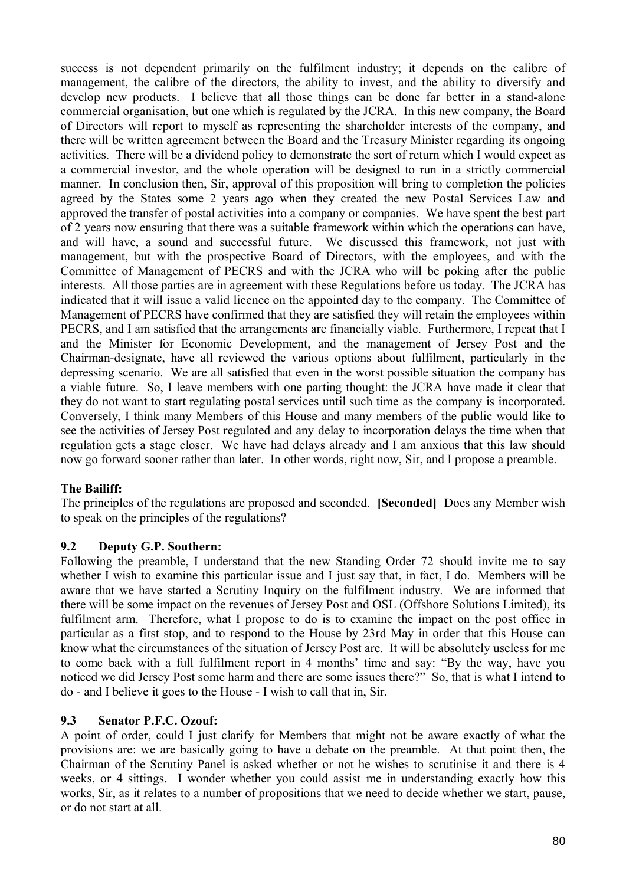success is not dependent primarily on the fulfilment industry; it depends on the calibre of management, the calibre of the directors, the ability to invest, and the ability to diversify and develop new products. I believe that all those things can be done far better in a stand-alone commercial organisation, but one which is regulated by the JCRA. In this new company, the Board of Directors will report to myself as representing the shareholder interests of the company, and there will be written agreement between the Board and the Treasury Minister regarding its ongoing activities. There will be a dividend policy to demonstrate the sort of return which I would expect as a commercial investor, and the whole operation will be designed to run in a strictly commercial manner. In conclusion then, Sir, approval of this proposition will bring to completion the policies agreed by the States some 2 years ago when they created the new Postal Services Law and approved the transfer of postal activities into a company or companies. We have spent the best part of 2 years now ensuring that there was a suitable framework within which the operations can have, and will have, a sound and successful future. We discussed this framework, not just with management, but with the prospective Board of Directors, with the employees, and with the Committee of Management of PECRS and with the JCRA who will be poking after the public interests. All those parties are in agreement with these Regulations before us today. The JCRA has indicated that it will issue a valid licence on the appointed day to the company. The Committee of Management of PECRS have confirmed that they are satisfied they will retain the employees within PECRS, and I am satisfied that the arrangements are financially viable. Furthermore, I repeat that I and the Minister for Economic Development, and the management of Jersey Post and the Chairman-designate, have all reviewed the various options about fulfilment, particularly in the depressing scenario. We are all satisfied that even in the worst possible situation the company has a viable future. So, I leave members with one parting thought: the JCRA have made it clear that they do not want to start regulating postal services until such time as the company is incorporated. Conversely, I think many Members of this House and many members of the public would like to see the activities of Jersey Post regulated and any delay to incorporation delays the time when that regulation gets a stage closer. We have had delays already and I am anxious that this law should now go forward sooner rather than later. In other words, right now, Sir, and I propose a preamble.

# **The Bailiff:**

The principles of the regulations are proposed and seconded. **[Seconded]** Does any Member wish to speak on the principles of the regulations?

#### **9.2 Deputy G.P. Southern:**

Following the preamble, I understand that the new Standing Order 72 should invite me to say whether I wish to examine this particular issue and I just say that, in fact, I do. Members will be aware that we have started a Scrutiny Inquiry on the fulfilment industry. We are informed that there will be some impact on the revenues of Jersey Post and OSL (Offshore Solutions Limited), its fulfilment arm. Therefore, what I propose to do is to examine the impact on the post office in particular as a first stop, and to respond to the House by 23rd May in order that this House can know what the circumstances of the situation of Jersey Post are. It will be absolutely useless for me to come back with a full fulfilment report in 4 months' time and say: "By the way, have you noticed we did Jersey Post some harm and there are some issues there?" So, that is what I intend to do - and I believe it goes to the House - I wish to call that in, Sir.

# **9.3 Senator P.F.C. Ozouf:**

A point of order, could I just clarify for Members that might not be aware exactly of what the provisions are: we are basically going to have a debate on the preamble. At that point then, the Chairman of the Scrutiny Panel is asked whether or not he wishes to scrutinise it and there is 4 weeks, or 4 sittings. I wonder whether you could assist me in understanding exactly how this works, Sir, as it relates to a number of propositions that we need to decide whether we start, pause, or do not start at all.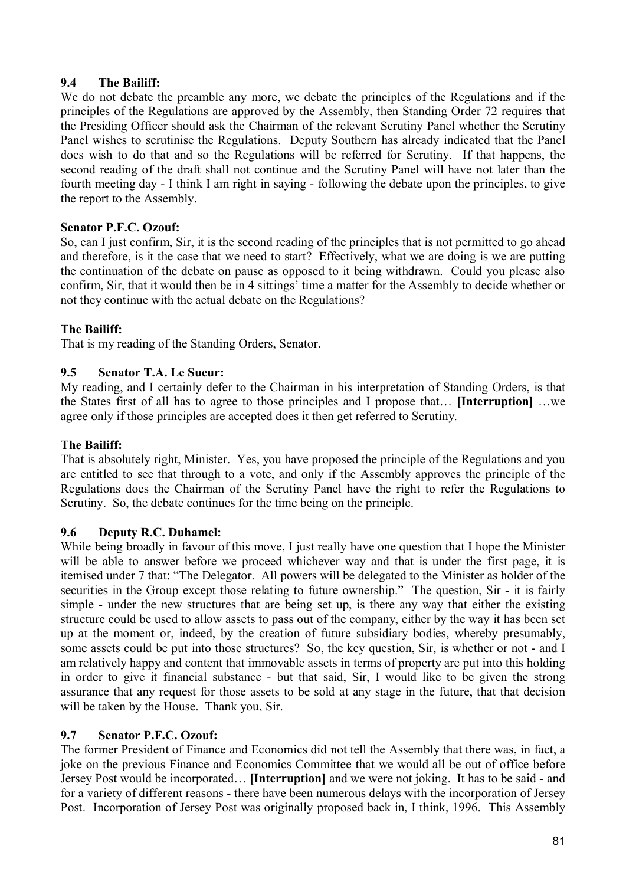### **9.4 The Bailiff:**

We do not debate the preamble any more, we debate the principles of the Regulations and if the principles of the Regulations are approved by the Assembly, then Standing Order 72 requires that the Presiding Officer should ask the Chairman of the relevant Scrutiny Panel whether the Scrutiny Panel wishes to scrutinise the Regulations. Deputy Southern has already indicated that the Panel does wish to do that and so the Regulations will be referred for Scrutiny. If that happens, the second reading of the draft shall not continue and the Scrutiny Panel will have not later than the fourth meeting day - I think I am right in saying - following the debate upon the principles, to give the report to the Assembly.

### **Senator P.F.C. Ozouf:**

So, can I just confirm, Sir, it is the second reading of the principles that is not permitted to go ahead and therefore, is it the case that we need to start? Effectively, what we are doing is we are putting the continuation of the debate on pause as opposed to it being withdrawn. Could you please also confirm, Sir, that it would then be in 4 sittings' time a matter for the Assembly to decide whether or not they continue with the actual debate on the Regulations?

### **The Bailiff:**

That is my reading of the Standing Orders, Senator.

### **9.5 Senator T.A. Le Sueur:**

My reading, and I certainly defer to the Chairman in his interpretation of Standing Orders, is that the States first of all has to agree to those principles and I propose that… **[Interruption]** …we agree only if those principles are accepted does it then get referred to Scrutiny.

### **The Bailiff:**

That is absolutely right, Minister. Yes, you have proposed the principle of the Regulations and you are entitled to see that through to a vote, and only if the Assembly approves the principle of the Regulations does the Chairman of the Scrutiny Panel have the right to refer the Regulations to Scrutiny. So, the debate continues for the time being on the principle.

#### **9.6 Deputy R.C. Duhamel:**

While being broadly in favour of this move, I just really have one question that I hope the Minister will be able to answer before we proceed whichever way and that is under the first page, it is itemised under 7 that: "The Delegator. All powers will be delegated to the Minister as holder of the securities in the Group except those relating to future ownership." The question, Sir - it is fairly simple - under the new structures that are being set up, is there any way that either the existing structure could be used to allow assets to pass out of the company, either by the way it has been set up at the moment or, indeed, by the creation of future subsidiary bodies, whereby presumably, some assets could be put into those structures? So, the key question, Sir, is whether or not - and I am relatively happy and content that immovable assets in terms of property are put into this holding in order to give it financial substance - but that said, Sir, I would like to be given the strong assurance that any request for those assets to be sold at any stage in the future, that that decision will be taken by the House. Thank you, Sir.

#### **9.7 Senator P.F.C. Ozouf:**

The former President of Finance and Economics did not tell the Assembly that there was, in fact, a joke on the previous Finance and Economics Committee that we would all be out of office before Jersey Post would be incorporated… **[Interruption]** and we were not joking. It has to be said - and for a variety of different reasons - there have been numerous delays with the incorporation of Jersey Post. Incorporation of Jersey Post was originally proposed back in, I think, 1996. This Assembly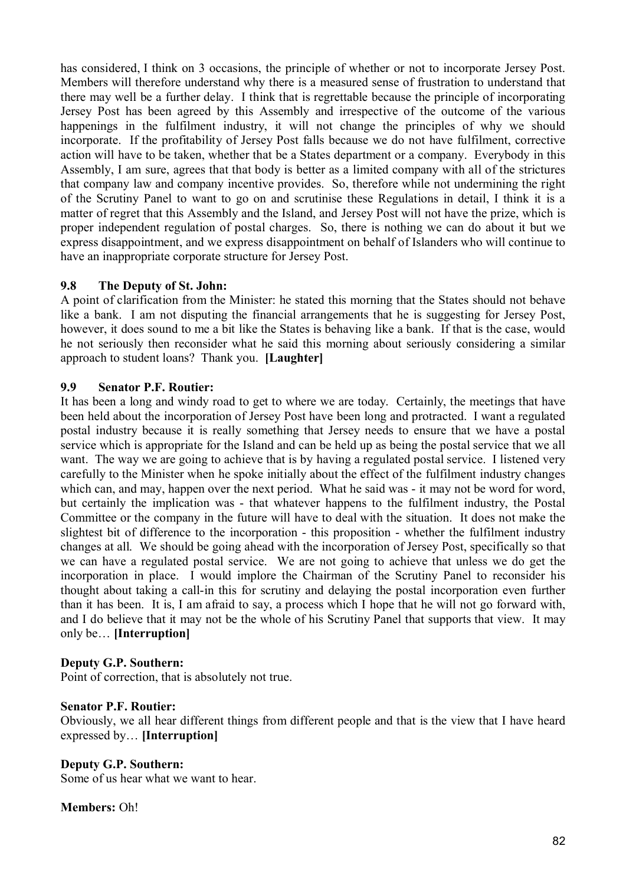has considered, I think on 3 occasions, the principle of whether or not to incorporate Jersey Post. Members will therefore understand why there is a measured sense of frustration to understand that there may well be a further delay. I think that is regrettable because the principle of incorporating Jersey Post has been agreed by this Assembly and irrespective of the outcome of the various happenings in the fulfilment industry, it will not change the principles of why we should incorporate. If the profitability of Jersey Post falls because we do not have fulfilment, corrective action will have to be taken, whether that be a States department or a company. Everybody in this Assembly, I am sure, agrees that that body is better as a limited company with all of the strictures that company law and company incentive provides. So, therefore while not undermining the right of the Scrutiny Panel to want to go on and scrutinise these Regulations in detail, I think it is a matter of regret that this Assembly and the Island, and Jersey Post will not have the prize, which is proper independent regulation of postal charges. So, there is nothing we can do about it but we express disappointment, and we express disappointment on behalf of Islanders who will continue to have an inappropriate corporate structure for Jersey Post.

# **9.8 The Deputy of St. John:**

A point of clarification from the Minister: he stated this morning that the States should not behave like a bank. I am not disputing the financial arrangements that he is suggesting for Jersey Post, however, it does sound to me a bit like the States is behaving like a bank. If that is the case, would he not seriously then reconsider what he said this morning about seriously considering a similar approach to student loans? Thank you. **[Laughter]**

# **9.9 Senator P.F. Routier:**

It has been a long and windy road to get to where we are today. Certainly, the meetings that have been held about the incorporation of Jersey Post have been long and protracted. I want a regulated postal industry because it is really something that Jersey needs to ensure that we have a postal service which is appropriate for the Island and can be held up as being the postal service that we all want. The way we are going to achieve that is by having a regulated postal service. I listened very carefully to the Minister when he spoke initially about the effect of the fulfilment industry changes which can, and may, happen over the next period. What he said was - it may not be word for word, but certainly the implication was - that whatever happens to the fulfilment industry, the Postal Committee or the company in the future will have to deal with the situation. It does not make the slightest bit of difference to the incorporation - this proposition - whether the fulfilment industry changes at all. We should be going ahead with the incorporation of Jersey Post, specifically so that we can have a regulated postal service. We are not going to achieve that unless we do get the incorporation in place. I would implore the Chairman of the Scrutiny Panel to reconsider his thought about taking a call-in this for scrutiny and delaying the postal incorporation even further than it has been. It is, I am afraid to say, a process which I hope that he will not go forward with, and I do believe that it may not be the whole of his Scrutiny Panel that supports that view. It may only be… **[Interruption]**

# **Deputy G.P. Southern:**

Point of correction, that is absolutely not true.

# **Senator P.F. Routier:**

Obviously, we all hear different things from different people and that is the view that I have heard expressed by… **[Interruption]**

# **Deputy G.P. Southern:**

Some of us hear what we want to hear.

**Members:** Oh!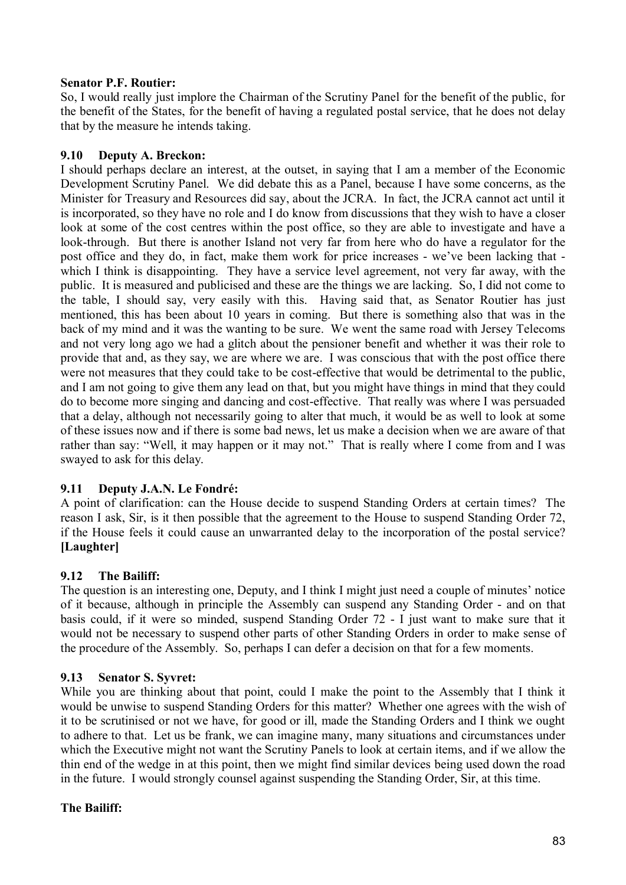### **Senator P.F. Routier:**

So, I would really just implore the Chairman of the Scrutiny Panel for the benefit of the public, for the benefit of the States, for the benefit of having a regulated postal service, that he does not delay that by the measure he intends taking.

### **9.10 Deputy A. Breckon:**

I should perhaps declare an interest, at the outset, in saying that I am a member of the Economic Development Scrutiny Panel. We did debate this as a Panel, because I have some concerns, as the Minister for Treasury and Resources did say, about the JCRA. In fact, the JCRA cannot act until it is incorporated, so they have no role and I do know from discussions that they wish to have a closer look at some of the cost centres within the post office, so they are able to investigate and have a look-through. But there is another Island not very far from here who do have a regulator for the post office and they do, in fact, make them work for price increases - we've been lacking that which I think is disappointing. They have a service level agreement, not very far away, with the public. It is measured and publicised and these are the things we are lacking. So, I did not come to the table, I should say, very easily with this. Having said that, as Senator Routier has just mentioned, this has been about 10 years in coming. But there is something also that was in the back of my mind and it was the wanting to be sure. We went the same road with Jersey Telecoms and not very long ago we had a glitch about the pensioner benefit and whether it was their role to provide that and, as they say, we are where we are. I was conscious that with the post office there were not measures that they could take to be cost-effective that would be detrimental to the public, and I am not going to give them any lead on that, but you might have things in mind that they could do to become more singing and dancing and cost-effective. That really was where I was persuaded that a delay, although not necessarily going to alter that much, it would be as well to look at some of these issues now and if there is some bad news, let us make a decision when we are aware of that rather than say: "Well, it may happen or it may not." That is really where I come from and I was swayed to ask for this delay.

# **9.11 Deputy J.A.N. Le Fondré:**

A point of clarification: can the House decide to suspend Standing Orders at certain times? The reason I ask, Sir, is it then possible that the agreement to the House to suspend Standing Order 72, if the House feels it could cause an unwarranted delay to the incorporation of the postal service? **[Laughter]**

# **9.12 The Bailiff:**

The question is an interesting one, Deputy, and I think I might just need a couple of minutes' notice of it because, although in principle the Assembly can suspend any Standing Order - and on that basis could, if it were so minded, suspend Standing Order 72 - I just want to make sure that it would not be necessary to suspend other parts of other Standing Orders in order to make sense of the procedure of the Assembly. So, perhaps I can defer a decision on that for a few moments.

# **9.13 Senator S. Syvret:**

While you are thinking about that point, could I make the point to the Assembly that I think it would be unwise to suspend Standing Orders for this matter? Whether one agrees with the wish of it to be scrutinised or not we have, for good or ill, made the Standing Orders and I think we ought to adhere to that. Let us be frank, we can imagine many, many situations and circumstances under which the Executive might not want the Scrutiny Panels to look at certain items, and if we allow the thin end of the wedge in at this point, then we might find similar devices being used down the road in the future. I would strongly counsel against suspending the Standing Order, Sir, at this time.

# **The Bailiff:**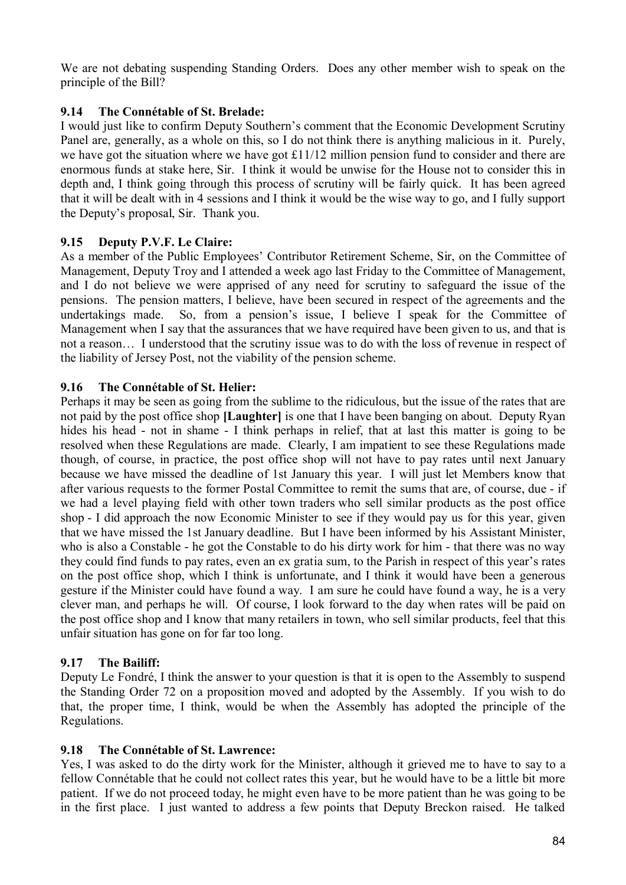We are not debating suspending Standing Orders. Does any other member wish to speak on the principle of the Bill?

# **9.14 The Connétable of St. Brelade:**

I would just like to confirm Deputy Southern's comment that the Economic Development Scrutiny Panel are, generally, as a whole on this, so I do not think there is anything malicious in it. Purely, we have got the situation where we have got £11/12 million pension fund to consider and there are enormous funds at stake here, Sir. I think it would be unwise for the House not to consider this in depth and, I think going through this process of scrutiny will be fairly quick. It has been agreed that it will be dealt with in 4 sessions and I think it would be the wise way to go, and I fully support the Deputy's proposal, Sir. Thank you.

# **9.15 Deputy P.V.F. Le Claire:**

As a member of the Public Employees' Contributor Retirement Scheme, Sir, on the Committee of Management, Deputy Troy and I attended a week ago last Friday to the Committee of Management, and I do not believe we were apprised of any need for scrutiny to safeguard the issue of the pensions. The pension matters, I believe, have been secured in respect of the agreements and the undertakings made. So, from a pension's issue, I believe I speak for the Committee of Management when I say that the assurances that we have required have been given to us, and that is not a reason… I understood that the scrutiny issue was to do with the loss of revenue in respect of the liability of Jersey Post, not the viability of the pension scheme.

# **9.16 The Connétable of St. Helier:**

Perhaps it may be seen as going from the sublime to the ridiculous, but the issue of the rates that are not paid by the post office shop **[Laughter]** is one that I have been banging on about. Deputy Ryan hides his head - not in shame - I think perhaps in relief, that at last this matter is going to be resolved when these Regulations are made. Clearly, I am impatient to see these Regulations made though, of course, in practice, the post office shop will not have to pay rates until next January because we have missed the deadline of 1st January this year. I will just let Members know that after various requests to the former Postal Committee to remit the sums that are, of course, due - if we had a level playing field with other town traders who sell similar products as the post office shop - I did approach the now Economic Minister to see if they would pay us for this year, given that we have missed the 1st January deadline. But I have been informed by his Assistant Minister, who is also a Constable - he got the Constable to do his dirty work for him - that there was no way they could find funds to pay rates, even an ex gratia sum, to the Parish in respect of this year's rates on the post office shop, which I think is unfortunate, and I think it would have been a generous gesture if the Minister could have found a way. I am sure he could have found a way, he is a very clever man, and perhaps he will. Of course, I look forward to the day when rates will be paid on the post office shop and I know that many retailers in town, who sell similar products, feel that this unfair situation has gone on for far too long.

# **9.17 The Bailiff:**

Deputy Le Fondré, I think the answer to your question is that it is open to the Assembly to suspend the Standing Order 72 on a proposition moved and adopted by the Assembly. If you wish to do that, the proper time, I think, would be when the Assembly has adopted the principle of the Regulations.

# **9.18 The Connétable of St. Lawrence:**

Yes, I was asked to do the dirty work for the Minister, although it grieved me to have to say to a fellow Connétable that he could not collect rates this year, but he would have to be a little bit more patient. If we do not proceed today, he might even have to be more patient than he was going to be in the first place. I just wanted to address a few points that Deputy Breckon raised. He talked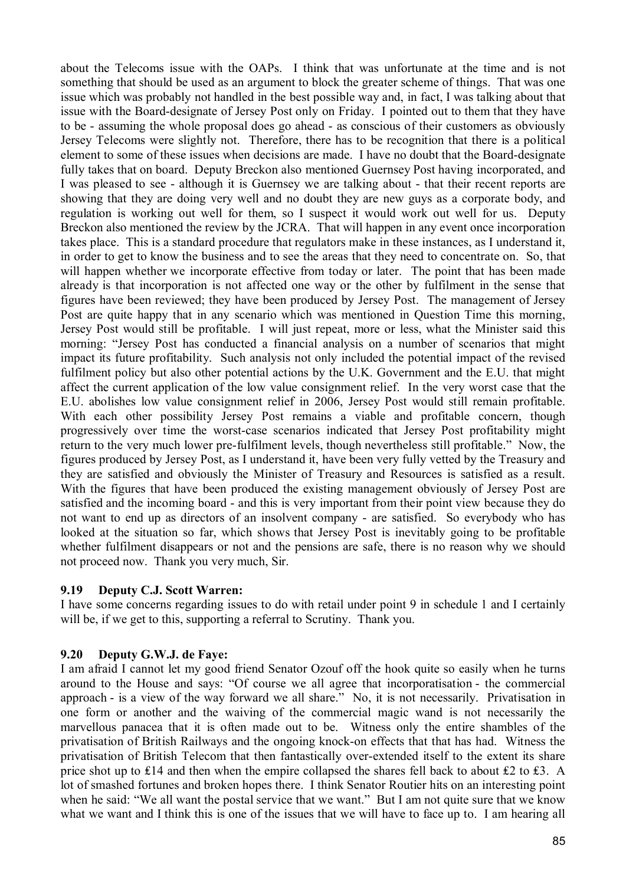about the Telecoms issue with the OAPs. I think that was unfortunate at the time and is not something that should be used as an argument to block the greater scheme of things. That was one issue which was probably not handled in the best possible way and, in fact, I was talking about that issue with the Board-designate of Jersey Post only on Friday. I pointed out to them that they have to be - assuming the whole proposal does go ahead - as conscious of their customers as obviously Jersey Telecoms were slightly not. Therefore, there has to be recognition that there is a political element to some of these issues when decisions are made. I have no doubt that the Board-designate fully takes that on board. Deputy Breckon also mentioned Guernsey Post having incorporated, and I was pleased to see - although it is Guernsey we are talking about - that their recent reports are showing that they are doing very well and no doubt they are new guys as a corporate body, and regulation is working out well for them, so I suspect it would work out well for us. Deputy Breckon also mentioned the review by the JCRA. That will happen in any event once incorporation takes place. This is a standard procedure that regulators make in these instances, as I understand it, in order to get to know the business and to see the areas that they need to concentrate on. So, that will happen whether we incorporate effective from today or later. The point that has been made already is that incorporation is not affected one way or the other by fulfilment in the sense that figures have been reviewed; they have been produced by Jersey Post. The management of Jersey Post are quite happy that in any scenario which was mentioned in Question Time this morning, Jersey Post would still be profitable. I will just repeat, more or less, what the Minister said this morning: "Jersey Post has conducted a financial analysis on a number of scenarios that might impact its future profitability. Such analysis not only included the potential impact of the revised fulfilment policy but also other potential actions by the U.K. Government and the E.U. that might affect the current application of the low value consignment relief. In the very worst case that the E.U. abolishes low value consignment relief in 2006, Jersey Post would still remain profitable. With each other possibility Jersey Post remains a viable and profitable concern, though progressively over time the worst-case scenarios indicated that Jersey Post profitability might return to the very much lower pre-fulfilment levels, though nevertheless still profitable." Now, the figures produced by Jersey Post, as I understand it, have been very fully vetted by the Treasury and they are satisfied and obviously the Minister of Treasury and Resources is satisfied as a result. With the figures that have been produced the existing management obviously of Jersey Post are satisfied and the incoming board - and this is very important from their point view because they do not want to end up as directors of an insolvent company - are satisfied. So everybody who has looked at the situation so far, which shows that Jersey Post is inevitably going to be profitable whether fulfilment disappears or not and the pensions are safe, there is no reason why we should not proceed now. Thank you very much, Sir.

#### **9.19 Deputy C.J. Scott Warren:**

I have some concerns regarding issues to do with retail under point 9 in schedule 1 and I certainly will be, if we get to this, supporting a referral to Scrutiny. Thank you.

# **9.20 Deputy G.W.J. de Faye:**

I am afraid I cannot let my good friend Senator Ozouf off the hook quite so easily when he turns around to the House and says: "Of course we all agree that incorporatisation - the commercial approach - is a view of the way forward we all share." No, it is not necessarily. Privatisation in one form or another and the waiving of the commercial magic wand is not necessarily the marvellous panacea that it is often made out to be. Witness only the entire shambles of the privatisation of British Railways and the ongoing knock-on effects that that has had. Witness the privatisation of British Telecom that then fantastically over-extended itself to the extent its share price shot up to £14 and then when the empire collapsed the shares fell back to about £2 to £3. A lot of smashed fortunes and broken hopes there. I think Senator Routier hits on an interesting point when he said: "We all want the postal service that we want." But I am not quite sure that we know what we want and I think this is one of the issues that we will have to face up to. I am hearing all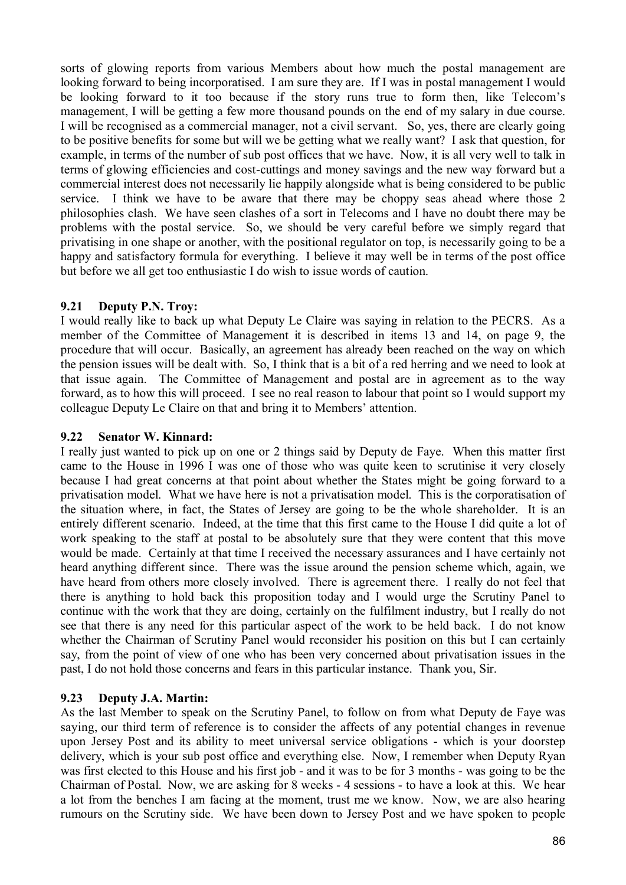sorts of glowing reports from various Members about how much the postal management are looking forward to being incorporatised. I am sure they are. If I was in postal management I would be looking forward to it too because if the story runs true to form then, like Telecom's management, I will be getting a few more thousand pounds on the end of my salary in due course. I will be recognised as a commercial manager, not a civil servant. So, yes, there are clearly going to be positive benefits for some but will we be getting what we really want? I ask that question, for example, in terms of the number of sub post offices that we have. Now, it is all very well to talk in terms of glowing efficiencies and cost-cuttings and money savings and the new way forward but a commercial interest does not necessarily lie happily alongside what is being considered to be public service. I think we have to be aware that there may be choppy seas ahead where those 2 philosophies clash. We have seen clashes of a sort in Telecoms and I have no doubt there may be problems with the postal service. So, we should be very careful before we simply regard that privatising in one shape or another, with the positional regulator on top, is necessarily going to be a happy and satisfactory formula for everything. I believe it may well be in terms of the post office but before we all get too enthusiastic I do wish to issue words of caution.

# **9.21 Deputy P.N. Troy:**

I would really like to back up what Deputy Le Claire was saying in relation to the PECRS. As a member of the Committee of Management it is described in items 13 and 14, on page 9, the procedure that will occur. Basically, an agreement has already been reached on the way on which the pension issues will be dealt with. So, I think that is a bit of a red herring and we need to look at that issue again. The Committee of Management and postal are in agreement as to the way forward, as to how this will proceed. I see no real reason to labour that point so I would support my colleague Deputy Le Claire on that and bring it to Members' attention.

# **9.22 Senator W. Kinnard:**

I really just wanted to pick up on one or 2 things said by Deputy de Faye. When this matter first came to the House in 1996 I was one of those who was quite keen to scrutinise it very closely because I had great concerns at that point about whether the States might be going forward to a privatisation model. What we have here is not a privatisation model. This is the corporatisation of the situation where, in fact, the States of Jersey are going to be the whole shareholder. It is an entirely different scenario. Indeed, at the time that this first came to the House I did quite a lot of work speaking to the staff at postal to be absolutely sure that they were content that this move would be made. Certainly at that time I received the necessary assurances and I have certainly not heard anything different since. There was the issue around the pension scheme which, again, we have heard from others more closely involved. There is agreement there. I really do not feel that there is anything to hold back this proposition today and I would urge the Scrutiny Panel to continue with the work that they are doing, certainly on the fulfilment industry, but I really do not see that there is any need for this particular aspect of the work to be held back. I do not know whether the Chairman of Scrutiny Panel would reconsider his position on this but I can certainly say, from the point of view of one who has been very concerned about privatisation issues in the past, I do not hold those concerns and fears in this particular instance. Thank you, Sir.

# **9.23 Deputy J.A. Martin:**

As the last Member to speak on the Scrutiny Panel, to follow on from what Deputy de Faye was saying, our third term of reference is to consider the affects of any potential changes in revenue upon Jersey Post and its ability to meet universal service obligations - which is your doorstep delivery, which is your sub post office and everything else. Now, I remember when Deputy Ryan was first elected to this House and his first job - and it was to be for 3 months - was going to be the Chairman of Postal. Now, we are asking for 8 weeks - 4 sessions - to have a look at this. We hear a lot from the benches I am facing at the moment, trust me we know. Now, we are also hearing rumours on the Scrutiny side. We have been down to Jersey Post and we have spoken to people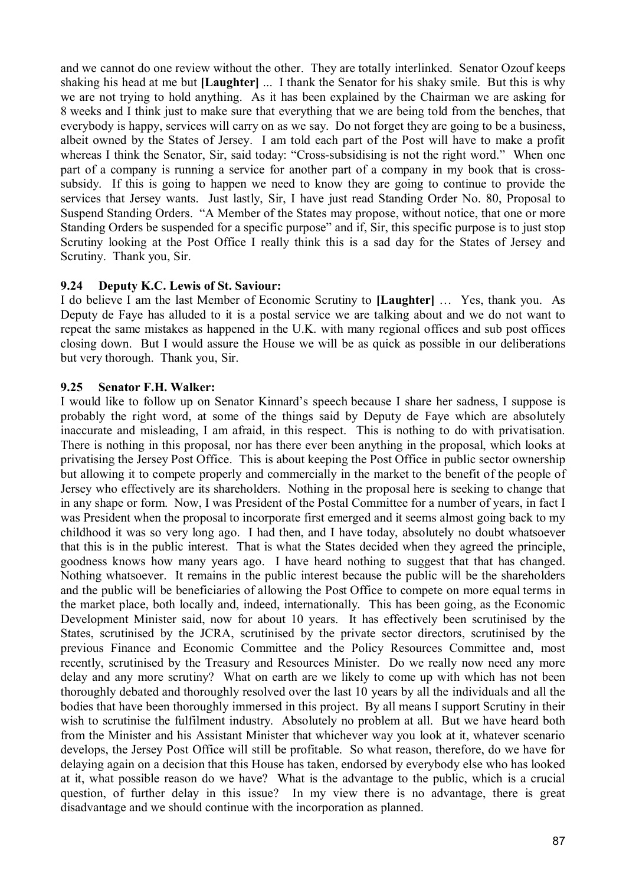and we cannot do one review without the other. They are totally interlinked. Senator Ozouf keeps shaking his head at me but **[Laughter]** ... I thank the Senator for his shaky smile. But this is why we are not trying to hold anything. As it has been explained by the Chairman we are asking for 8 weeks and I think just to make sure that everything that we are being told from the benches, that everybody is happy, services will carry on as we say. Do not forget they are going to be a business, albeit owned by the States of Jersey. I am told each part of the Post will have to make a profit whereas I think the Senator, Sir, said today: "Cross-subsidising is not the right word." When one part of a company is running a service for another part of a company in my book that is crosssubsidy. If this is going to happen we need to know they are going to continue to provide the services that Jersey wants. Just lastly, Sir, I have just read Standing Order No. 80, Proposal to Suspend Standing Orders. "A Member of the States may propose, without notice, that one or more Standing Orders be suspended for a specific purpose" and if, Sir, this specific purpose is to just stop Scrutiny looking at the Post Office I really think this is a sad day for the States of Jersey and Scrutiny. Thank you, Sir.

# **9.24 Deputy K.C. Lewis of St. Saviour:**

I do believe I am the last Member of Economic Scrutiny to **[Laughter]** … Yes, thank you. As Deputy de Faye has alluded to it is a postal service we are talking about and we do not want to repeat the same mistakes as happened in the U.K. with many regional offices and sub post offices closing down. But I would assure the House we will be as quick as possible in our deliberations but very thorough. Thank you, Sir.

#### **9.25 Senator F.H. Walker:**

I would like to follow up on Senator Kinnard's speech because I share her sadness, I suppose is probably the right word, at some of the things said by Deputy de Faye which are absolutely inaccurate and misleading, I am afraid, in this respect. This is nothing to do with privatisation. There is nothing in this proposal, nor has there ever been anything in the proposal, which looks at privatising the Jersey Post Office. This is about keeping the Post Office in public sector ownership but allowing it to compete properly and commercially in the market to the benefit of the people of Jersey who effectively are its shareholders. Nothing in the proposal here is seeking to change that in any shape or form. Now, I was President of the Postal Committee for a number of years, in fact I was President when the proposal to incorporate first emerged and it seems almost going back to my childhood it was so very long ago. I had then, and I have today, absolutely no doubt whatsoever that this is in the public interest. That is what the States decided when they agreed the principle, goodness knows how many years ago. I have heard nothing to suggest that that has changed. Nothing whatsoever. It remains in the public interest because the public will be the shareholders and the public will be beneficiaries of allowing the Post Office to compete on more equal terms in the market place, both locally and, indeed, internationally. This has been going, as the Economic Development Minister said, now for about 10 years. It has effectively been scrutinised by the States, scrutinised by the JCRA, scrutinised by the private sector directors, scrutinised by the previous Finance and Economic Committee and the Policy Resources Committee and, most recently, scrutinised by the Treasury and Resources Minister. Do we really now need any more delay and any more scrutiny? What on earth are we likely to come up with which has not been thoroughly debated and thoroughly resolved over the last 10 years by all the individuals and all the bodies that have been thoroughly immersed in this project. By all means I support Scrutiny in their wish to scrutinise the fulfilment industry. Absolutely no problem at all. But we have heard both from the Minister and his Assistant Minister that whichever way you look at it, whatever scenario develops, the Jersey Post Office will still be profitable. So what reason, therefore, do we have for delaying again on a decision that this House has taken, endorsed by everybody else who has looked at it, what possible reason do we have? What is the advantage to the public, which is a crucial question, of further delay in this issue? In my view there is no advantage, there is great disadvantage and we should continue with the incorporation as planned.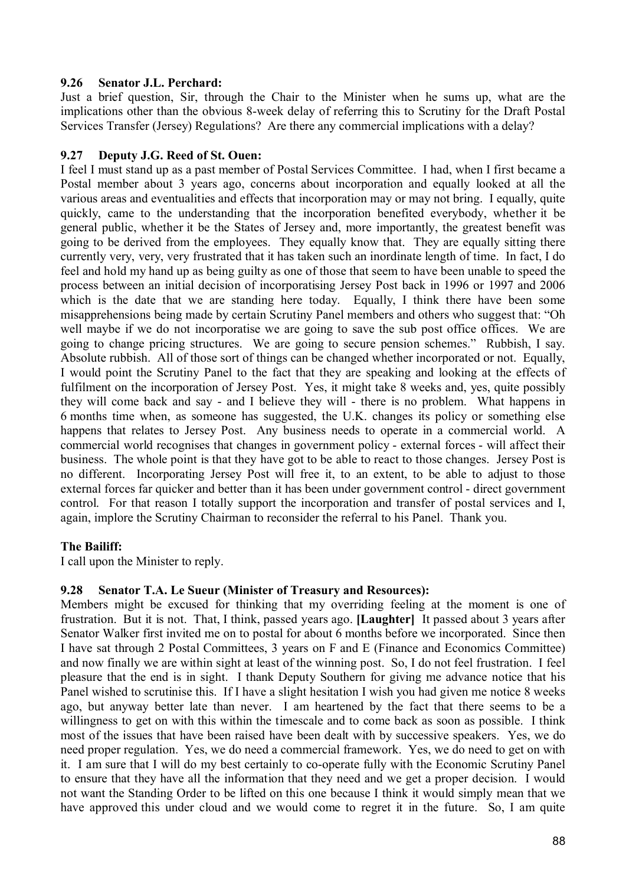### **9.26 Senator J.L. Perchard:**

Just a brief question, Sir, through the Chair to the Minister when he sums up, what are the implications other than the obvious 8-week delay of referring this to Scrutiny for the Draft Postal Services Transfer (Jersey) Regulations? Are there any commercial implications with a delay?

### **9.27 Deputy J.G. Reed of St. Ouen:**

I feel I must stand up as a past member of Postal Services Committee. I had, when I first became a Postal member about 3 years ago, concerns about incorporation and equally looked at all the various areas and eventualities and effects that incorporation may or may not bring. I equally, quite quickly, came to the understanding that the incorporation benefited everybody, whether it be general public, whether it be the States of Jersey and, more importantly, the greatest benefit was going to be derived from the employees. They equally know that. They are equally sitting there currently very, very, very frustrated that it has taken such an inordinate length of time. In fact, I do feel and hold my hand up as being guilty as one of those that seem to have been unable to speed the process between an initial decision of incorporatising Jersey Post back in 1996 or 1997 and 2006 which is the date that we are standing here today. Equally, I think there have been some misapprehensions being made by certain Scrutiny Panel members and others who suggest that: "Oh well maybe if we do not incorporatise we are going to save the sub post office offices. We are going to change pricing structures. We are going to secure pension schemes." Rubbish, I say. Absolute rubbish. All of those sort of things can be changed whether incorporated or not. Equally, I would point the Scrutiny Panel to the fact that they are speaking and looking at the effects of fulfilment on the incorporation of Jersey Post. Yes, it might take 8 weeks and, yes, quite possibly they will come back and say - and I believe they will - there is no problem. What happens in 6 months time when, as someone has suggested, the U.K. changes its policy or something else happens that relates to Jersey Post. Any business needs to operate in a commercial world. A commercial world recognises that changes in government policy - external forces - will affect their business. The whole point is that they have got to be able to react to those changes. Jersey Post is no different. Incorporating Jersey Post will free it, to an extent, to be able to adjust to those external forces far quicker and better than it has been under government control - direct government control. For that reason I totally support the incorporation and transfer of postal services and I, again, implore the Scrutiny Chairman to reconsider the referral to his Panel. Thank you.

# **The Bailiff:**

I call upon the Minister to reply.

#### **9.28 Senator T.A. Le Sueur (Minister of Treasury and Resources):**

Members might be excused for thinking that my overriding feeling at the moment is one of frustration. But it is not. That, I think, passed years ago. **[Laughter]** It passed about 3 years after Senator Walker first invited me on to postal for about 6 months before we incorporated. Since then I have sat through 2 Postal Committees, 3 years on F and E (Finance and Economics Committee) and now finally we are within sight at least of the winning post. So, I do not feel frustration. I feel pleasure that the end is in sight. I thank Deputy Southern for giving me advance notice that his Panel wished to scrutinise this. If I have a slight hesitation I wish you had given me notice 8 weeks ago, but anyway better late than never. I am heartened by the fact that there seems to be a willingness to get on with this within the timescale and to come back as soon as possible. I think most of the issues that have been raised have been dealt with by successive speakers. Yes, we do need proper regulation. Yes, we do need a commercial framework. Yes, we do need to get on with it. I am sure that I will do my best certainly to co-operate fully with the Economic Scrutiny Panel to ensure that they have all the information that they need and we get a proper decision. I would not want the Standing Order to be lifted on this one because I think it would simply mean that we have approved this under cloud and we would come to regret it in the future. So, I am quite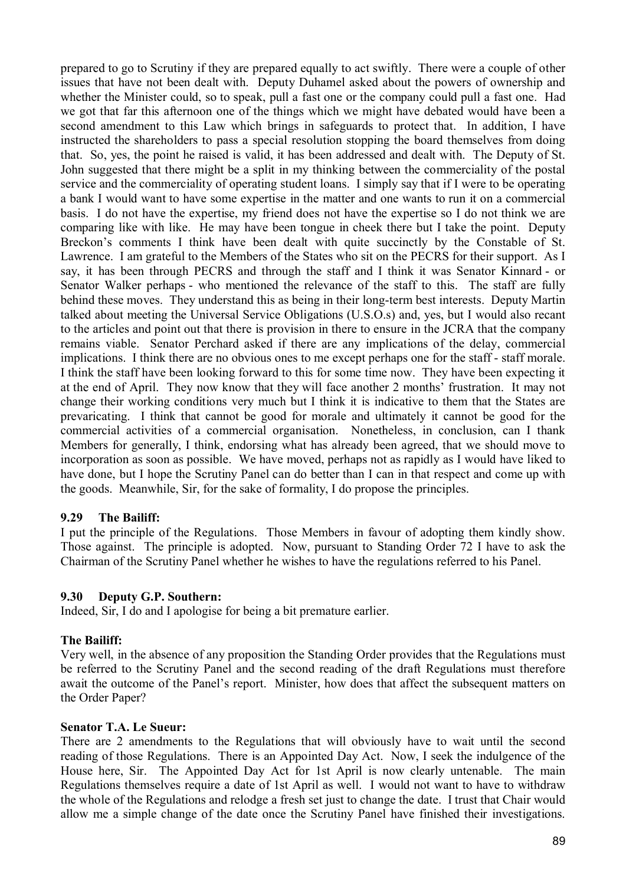prepared to go to Scrutiny if they are prepared equally to act swiftly. There were a couple of other issues that have not been dealt with. Deputy Duhamel asked about the powers of ownership and whether the Minister could, so to speak, pull a fast one or the company could pull a fast one. Had we got that far this afternoon one of the things which we might have debated would have been a second amendment to this Law which brings in safeguards to protect that. In addition, I have instructed the shareholders to pass a special resolution stopping the board themselves from doing that. So, yes, the point he raised is valid, it has been addressed and dealt with. The Deputy of St. John suggested that there might be a split in my thinking between the commerciality of the postal service and the commerciality of operating student loans. I simply say that if I were to be operating a bank I would want to have some expertise in the matter and one wants to run it on a commercial basis. I do not have the expertise, my friend does not have the expertise so I do not think we are comparing like with like. He may have been tongue in cheek there but I take the point. Deputy Breckon's comments I think have been dealt with quite succinctly by the Constable of St. Lawrence. I am grateful to the Members of the States who sit on the PECRS for their support. As I say, it has been through PECRS and through the staff and I think it was Senator Kinnard - or Senator Walker perhaps - who mentioned the relevance of the staff to this. The staff are fully behind these moves. They understand this as being in their long-term best interests. Deputy Martin talked about meeting the Universal Service Obligations (U.S.O.s) and, yes, but I would also recant to the articles and point out that there is provision in there to ensure in the JCRA that the company remains viable. Senator Perchard asked if there are any implications of the delay, commercial implications. I think there are no obvious ones to me except perhaps one for the staff - staff morale. I think the staff have been looking forward to this for some time now. They have been expecting it at the end of April. They now know that they will face another 2 months' frustration. It may not change their working conditions very much but I think it is indicative to them that the States are prevaricating. I think that cannot be good for morale and ultimately it cannot be good for the commercial activities of a commercial organisation. Nonetheless, in conclusion, can I thank Members for generally, I think, endorsing what has already been agreed, that we should move to incorporation as soon as possible. We have moved, perhaps not as rapidly as I would have liked to have done, but I hope the Scrutiny Panel can do better than I can in that respect and come up with the goods. Meanwhile, Sir, for the sake of formality, I do propose the principles.

#### **9.29 The Bailiff:**

I put the principle of the Regulations. Those Members in favour of adopting them kindly show. Those against. The principle is adopted. Now, pursuant to Standing Order 72 I have to ask the Chairman of the Scrutiny Panel whether he wishes to have the regulations referred to his Panel.

#### **9.30 Deputy G.P. Southern:**

Indeed, Sir, I do and I apologise for being a bit premature earlier.

#### **The Bailiff:**

Very well, in the absence of any proposition the Standing Order provides that the Regulations must be referred to the Scrutiny Panel and the second reading of the draft Regulations must therefore await the outcome of the Panel's report. Minister, how does that affect the subsequent matters on the Order Paper?

#### **Senator T.A. Le Sueur:**

There are 2 amendments to the Regulations that will obviously have to wait until the second reading of those Regulations. There is an Appointed Day Act. Now, I seek the indulgence of the House here, Sir. The Appointed Day Act for 1st April is now clearly untenable. The main Regulations themselves require a date of 1st April as well. I would not want to have to withdraw the whole of the Regulations and relodge a fresh set just to change the date. I trust that Chair would allow me a simple change of the date once the Scrutiny Panel have finished their investigations.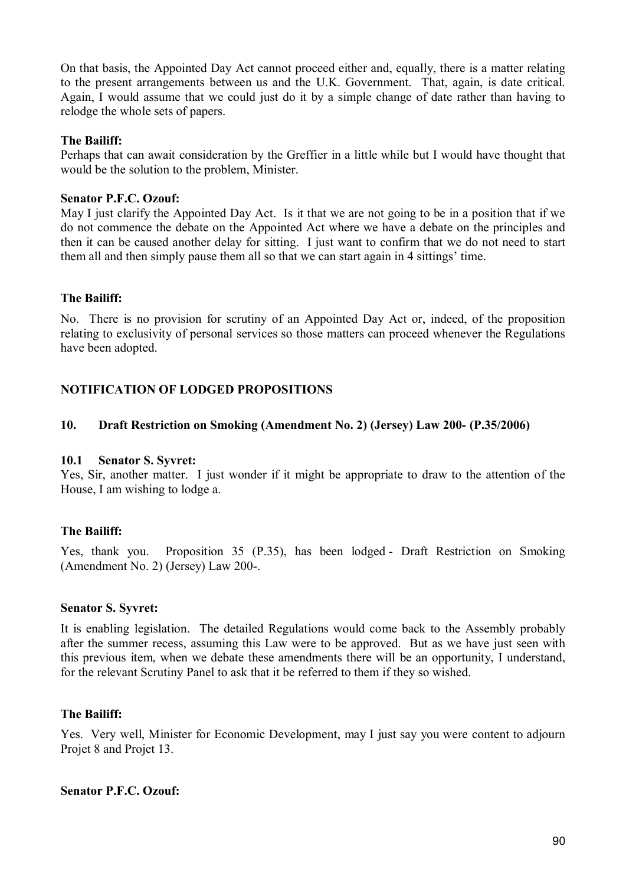On that basis, the Appointed Day Act cannot proceed either and, equally, there is a matter relating to the present arrangements between us and the U.K. Government. That, again, is date critical. Again, I would assume that we could just do it by a simple change of date rather than having to relodge the whole sets of papers.

# **The Bailiff:**

Perhaps that can await consideration by the Greffier in a little while but I would have thought that would be the solution to the problem, Minister.

### **Senator P.F.C. Ozouf:**

May I just clarify the Appointed Day Act. Is it that we are not going to be in a position that if we do not commence the debate on the Appointed Act where we have a debate on the principles and then it can be caused another delay for sitting. I just want to confirm that we do not need to start them all and then simply pause them all so that we can start again in 4 sittings' time.

# **The Bailiff:**

No. There is no provision for scrutiny of an Appointed Day Act or, indeed, of the proposition relating to exclusivity of personal services so those matters can proceed whenever the Regulations have been adopted.

# **NOTIFICATION OF LODGED PROPOSITIONS**

### **10. Draft Restriction on Smoking (Amendment No. 2) (Jersey) Law 200- (P.35/2006)**

#### **10.1 Senator S. Syvret:**

Yes, Sir, another matter. I just wonder if it might be appropriate to draw to the attention of the House, I am wishing to lodge a.

# **The Bailiff:**

Yes, thank you. Proposition 35 (P.35), has been lodged - Draft Restriction on Smoking (Amendment No. 2) (Jersey) Law 200-.

#### **Senator S. Syvret:**

It is enabling legislation. The detailed Regulations would come back to the Assembly probably after the summer recess, assuming this Law were to be approved. But as we have just seen with this previous item, when we debate these amendments there will be an opportunity, I understand, for the relevant Scrutiny Panel to ask that it be referred to them if they so wished.

#### **The Bailiff:**

Yes. Very well, Minister for Economic Development, may I just say you were content to adjourn Projet 8 and Projet 13.

### **Senator P.F.C. Ozouf:**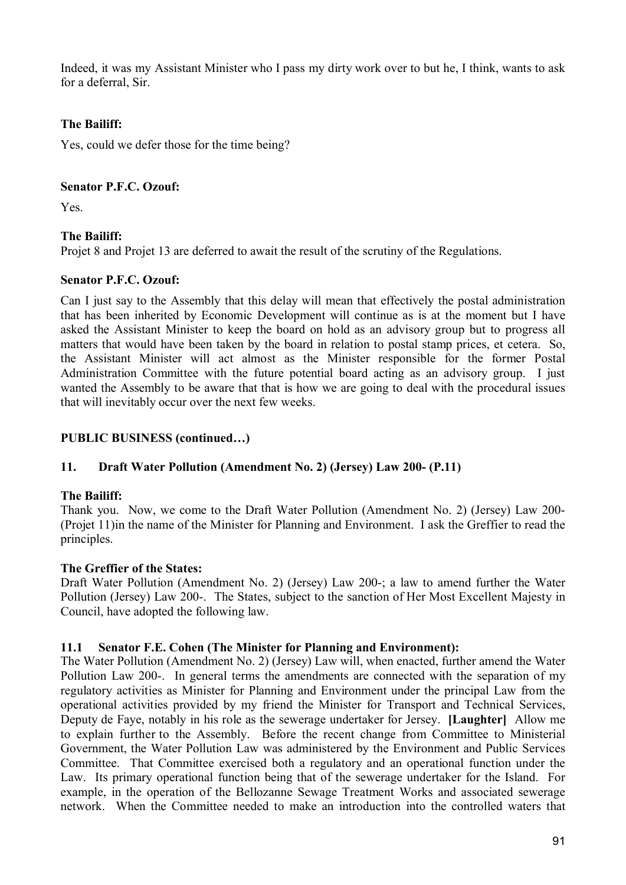Indeed, it was my Assistant Minister who I pass my dirty work over to but he, I think, wants to ask for a deferral, Sir.

# **The Bailiff:**

Yes, could we defer those for the time being?

# **Senator P.F.C. Ozouf:**

Yes.

# **The Bailiff:**

Projet 8 and Projet 13 are deferred to await the result of the scrutiny of the Regulations.

# **Senator P.F.C. Ozouf:**

Can I just say to the Assembly that this delay will mean that effectively the postal administration that has been inherited by Economic Development will continue as is at the moment but I have asked the Assistant Minister to keep the board on hold as an advisory group but to progress all matters that would have been taken by the board in relation to postal stamp prices, et cetera. So, the Assistant Minister will act almost as the Minister responsible for the former Postal Administration Committee with the future potential board acting as an advisory group. I just wanted the Assembly to be aware that that is how we are going to deal with the procedural issues that will inevitably occur over the next few weeks.

# **PUBLIC BUSINESS (continued…)**

# **11. Draft Water Pollution (Amendment No. 2) (Jersey) Law 200- (P.11)**

# **The Bailiff:**

Thank you. Now, we come to the Draft Water Pollution (Amendment No. 2) (Jersey) Law 200- (Projet 11)in the name of the Minister for Planning and Environment. I ask the Greffier to read the principles.

# **The Greffier of the States:**

Draft Water Pollution (Amendment No. 2) (Jersey) Law 200-; a law to amend further the Water Pollution (Jersey) Law 200-. The States, subject to the sanction of Her Most Excellent Majesty in Council, have adopted the following law.

# **11.1 Senator F.E. Cohen (The Minister for Planning and Environment):**

The Water Pollution (Amendment No. 2) (Jersey) Law will, when enacted, further amend the Water Pollution Law 200-. In general terms the amendments are connected with the separation of my regulatory activities as Minister for Planning and Environment under the principal Law from the operational activities provided by my friend the Minister for Transport and Technical Services, Deputy de Faye, notably in his role as the sewerage undertaker for Jersey. **[Laughter]** Allow me to explain further to the Assembly. Before the recent change from Committee to Ministerial Government, the Water Pollution Law was administered by the Environment and Public Services Committee. That Committee exercised both a regulatory and an operational function under the Law. Its primary operational function being that of the sewerage undertaker for the Island. For example, in the operation of the Bellozanne Sewage Treatment Works and associated sewerage network. When the Committee needed to make an introduction into the controlled waters that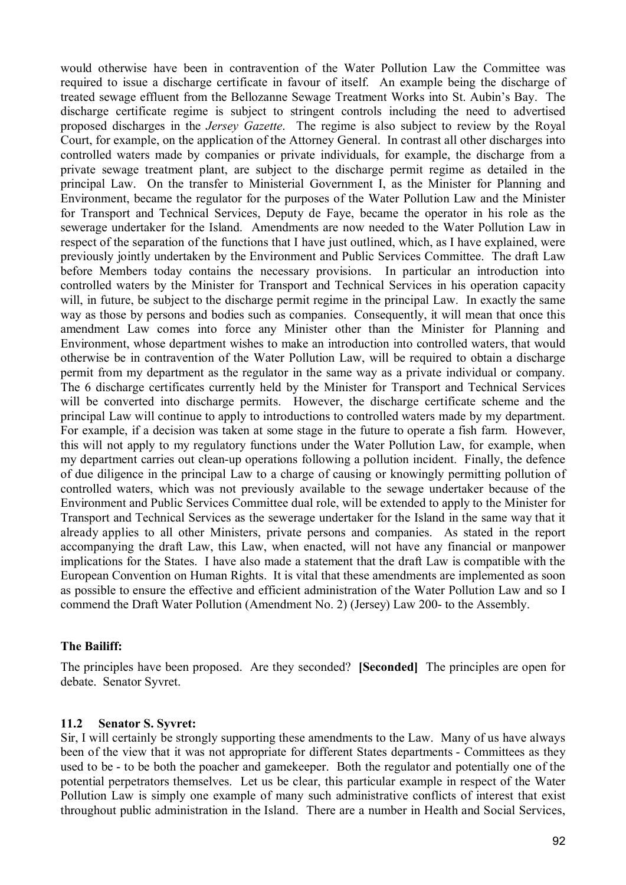would otherwise have been in contravention of the Water Pollution Law the Committee was required to issue a discharge certificate in favour of itself. An example being the discharge of treated sewage effluent from the Bellozanne Sewage Treatment Works into St. Aubin's Bay. The discharge certificate regime is subject to stringent controls including the need to advertised proposed discharges in the *Jersey Gazette*. The regime is also subject to review by the Royal Court, for example, on the application of the Attorney General. In contrast all other discharges into controlled waters made by companies or private individuals, for example, the discharge from a private sewage treatment plant, are subject to the discharge permit regime as detailed in the principal Law. On the transfer to Ministerial Government I, as the Minister for Planning and Environment, became the regulator for the purposes of the Water Pollution Law and the Minister for Transport and Technical Services, Deputy de Faye, became the operator in his role as the sewerage undertaker for the Island. Amendments are now needed to the Water Pollution Law in respect of the separation of the functions that I have just outlined, which, as I have explained, were previously jointly undertaken by the Environment and Public Services Committee. The draft Law before Members today contains the necessary provisions. In particular an introduction into controlled waters by the Minister for Transport and Technical Services in his operation capacity will, in future, be subject to the discharge permit regime in the principal Law. In exactly the same way as those by persons and bodies such as companies. Consequently, it will mean that once this amendment Law comes into force any Minister other than the Minister for Planning and Environment, whose department wishes to make an introduction into controlled waters, that would otherwise be in contravention of the Water Pollution Law, will be required to obtain a discharge permit from my department as the regulator in the same way as a private individual or company. The 6 discharge certificates currently held by the Minister for Transport and Technical Services will be converted into discharge permits. However, the discharge certificate scheme and the principal Law will continue to apply to introductions to controlled waters made by my department. For example, if a decision was taken at some stage in the future to operate a fish farm. However, this will not apply to my regulatory functions under the Water Pollution Law, for example, when my department carries out clean-up operations following a pollution incident. Finally, the defence of due diligence in the principal Law to a charge of causing or knowingly permitting pollution of controlled waters, which was not previously available to the sewage undertaker because of the Environment and Public Services Committee dual role, will be extended to apply to the Minister for Transport and Technical Services as the sewerage undertaker for the Island in the same way that it already applies to all other Ministers, private persons and companies. As stated in the report accompanying the draft Law, this Law, when enacted, will not have any financial or manpower implications for the States. I have also made a statement that the draft Law is compatible with the European Convention on Human Rights. It is vital that these amendments are implemented as soon as possible to ensure the effective and efficient administration of the Water Pollution Law and so I commend the Draft Water Pollution (Amendment No. 2) (Jersey) Law 200- to the Assembly.

#### **The Bailiff:**

The principles have been proposed. Are they seconded? **[Seconded]** The principles are open for debate. Senator Syvret.

#### **11.2 Senator S. Syvret:**

Sir, I will certainly be strongly supporting these amendments to the Law. Many of us have always been of the view that it was not appropriate for different States departments - Committees as they used to be - to be both the poacher and gamekeeper. Both the regulator and potentially one of the potential perpetrators themselves. Let us be clear, this particular example in respect of the Water Pollution Law is simply one example of many such administrative conflicts of interest that exist throughout public administration in the Island. There are a number in Health and Social Services,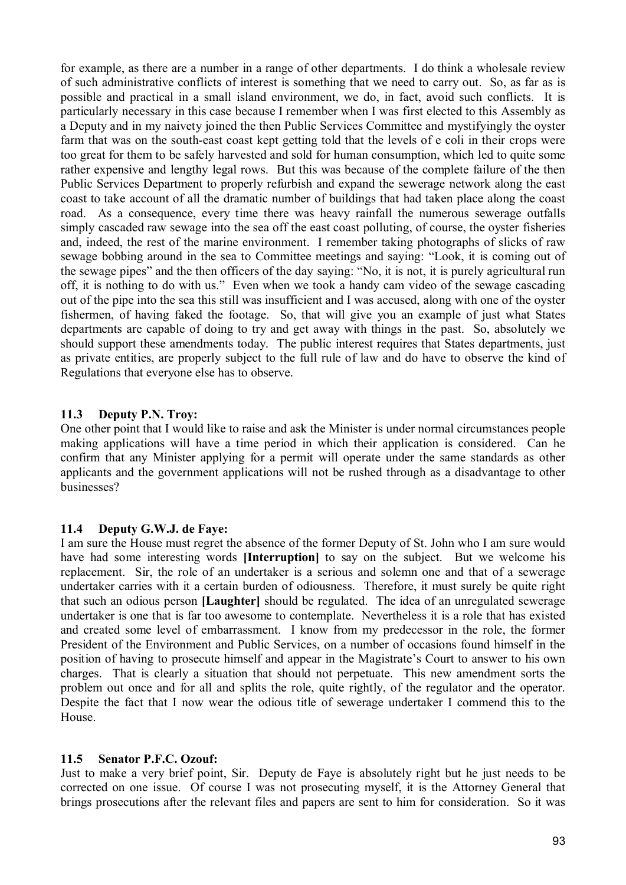for example, as there are a number in a range of other departments. I do think a wholesale review of such administrative conflicts of interest is something that we need to carry out. So, as far as is possible and practical in a small island environment, we do, in fact, avoid such conflicts. It is particularly necessary in this case because I remember when I was first elected to this Assembly as a Deputy and in my naivety joined the then Public Services Committee and mystifyingly the oyster farm that was on the south-east coast kept getting told that the levels of e coli in their crops were too great for them to be safely harvested and sold for human consumption, which led to quite some rather expensive and lengthy legal rows. But this was because of the complete failure of the then Public Services Department to properly refurbish and expand the sewerage network along the east coast to take account of all the dramatic number of buildings that had taken place along the coast road. As a consequence, every time there was heavy rainfall the numerous sewerage outfalls simply cascaded raw sewage into the sea off the east coast polluting, of course, the oyster fisheries and, indeed, the rest of the marine environment. I remember taking photographs of slicks of raw sewage bobbing around in the sea to Committee meetings and saying: "Look, it is coming out of the sewage pipes" and the then officers of the day saying: "No, it is not, it is purely agricultural run off, it is nothing to do with us." Even when we took a handy cam video of the sewage cascading out of the pipe into the sea this still was insufficient and I was accused, along with one of the oyster fishermen, of having faked the footage. So, that will give you an example of just what States departments are capable of doing to try and get away with things in the past. So, absolutely we should support these amendments today. The public interest requires that States departments, just as private entities, are properly subject to the full rule of law and do have to observe the kind of Regulations that everyone else has to observe.

# **11.3 Deputy P.N. Troy:**

One other point that I would like to raise and ask the Minister is under normal circumstances people making applications will have a time period in which their application is considered. Can he confirm that any Minister applying for a permit will operate under the same standards as other applicants and the government applications will not be rushed through as a disadvantage to other businesses?

#### **11.4 Deputy G.W.J. de Faye:**

I am sure the House must regret the absence of the former Deputy of St. John who I am sure would have had some interesting words **[Interruption]** to say on the subject. But we welcome his replacement. Sir, the role of an undertaker is a serious and solemn one and that of a sewerage undertaker carries with it a certain burden of odiousness. Therefore, it must surely be quite right that such an odious person **[Laughter]** should be regulated. The idea of an unregulated sewerage undertaker is one that is far too awesome to contemplate. Nevertheless it is a role that has existed and created some level of embarrassment. I know from my predecessor in the role, the former President of the Environment and Public Services, on a number of occasions found himself in the position of having to prosecute himself and appear in the Magistrate's Court to answer to his own charges. That is clearly a situation that should not perpetuate. This new amendment sorts the problem out once and for all and splits the role, quite rightly, of the regulator and the operator. Despite the fact that I now wear the odious title of sewerage undertaker I commend this to the House.

#### **11.5 Senator P.F.C. Ozouf:**

Just to make a very brief point, Sir. Deputy de Faye is absolutely right but he just needs to be corrected on one issue. Of course I was not prosecuting myself, it is the Attorney General that brings prosecutions after the relevant files and papers are sent to him for consideration. So it was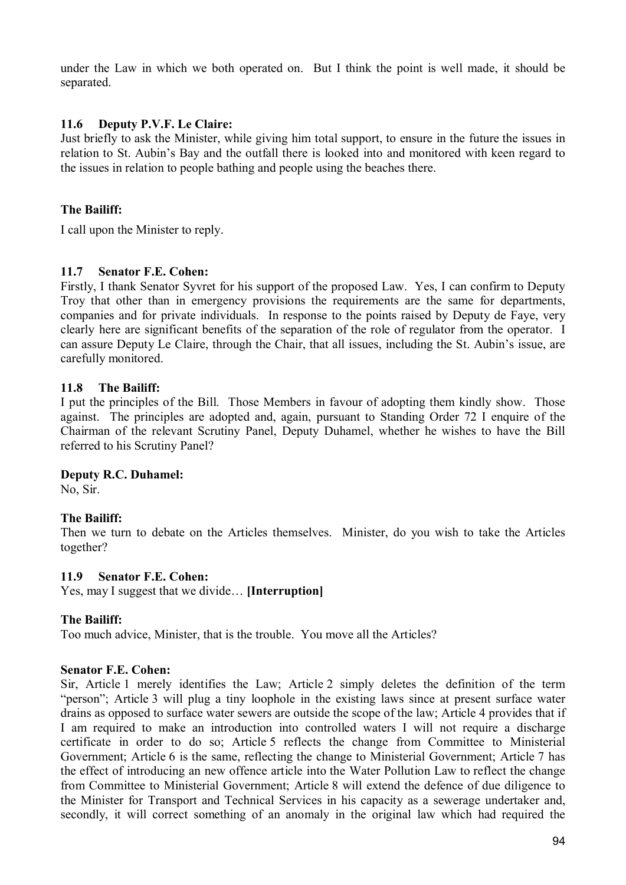under the Law in which we both operated on. But I think the point is well made, it should be separated.

### **11.6 Deputy P.V.F. Le Claire:**

Just briefly to ask the Minister, while giving him total support, to ensure in the future the issues in relation to St. Aubin's Bay and the outfall there is looked into and monitored with keen regard to the issues in relation to people bathing and people using the beaches there.

### **The Bailiff:**

I call upon the Minister to reply.

#### **11.7 Senator F.E. Cohen:**

Firstly, I thank Senator Syvret for his support of the proposed Law. Yes, I can confirm to Deputy Troy that other than in emergency provisions the requirements are the same for departments, companies and for private individuals. In response to the points raised by Deputy de Faye, very clearly here are significant benefits of the separation of the role of regulator from the operator. I can assure Deputy Le Claire, through the Chair, that all issues, including the St. Aubin's issue, are carefully monitored.

### **11.8 The Bailiff:**

I put the principles of the Bill. Those Members in favour of adopting them kindly show. Those against. The principles are adopted and, again, pursuant to Standing Order 72 I enquire of the Chairman of the relevant Scrutiny Panel, Deputy Duhamel, whether he wishes to have the Bill referred to his Scrutiny Panel?

#### **Deputy R.C. Duhamel:**

No, Sir.

# **The Bailiff:**

Then we turn to debate on the Articles themselves. Minister, do you wish to take the Articles together?

#### **11.9 Senator F.E. Cohen:**

Yes, may I suggest that we divide… **[Interruption]** 

# **The Bailiff:**

Too much advice, Minister, that is the trouble. You move all the Articles?

#### **Senator F.E. Cohen:**

Sir, Article 1 merely identifies the Law; Article 2 simply deletes the definition of the term "person"; Article 3 will plug a tiny loophole in the existing laws since at present surface water drains as opposed to surface water sewers are outside the scope of the law; Article 4 provides that if I am required to make an introduction into controlled waters I will not require a discharge certificate in order to do so; Article 5 reflects the change from Committee to Ministerial Government; Article 6 is the same, reflecting the change to Ministerial Government; Article 7 has the effect of introducing an new offence article into the Water Pollution Law to reflect the change from Committee to Ministerial Government; Article 8 will extend the defence of due diligence to the Minister for Transport and Technical Services in his capacity as a sewerage undertaker and, secondly, it will correct something of an anomaly in the original law which had required the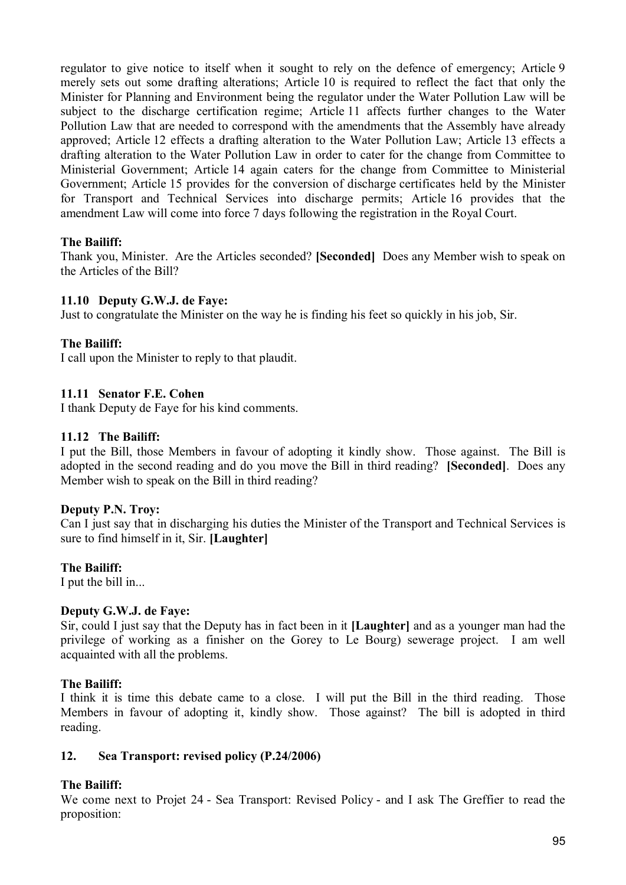regulator to give notice to itself when it sought to rely on the defence of emergency; Article 9 merely sets out some drafting alterations; Article 10 is required to reflect the fact that only the Minister for Planning and Environment being the regulator under the Water Pollution Law will be subject to the discharge certification regime; Article 11 affects further changes to the Water Pollution Law that are needed to correspond with the amendments that the Assembly have already approved; Article 12 effects a drafting alteration to the Water Pollution Law; Article 13 effects a drafting alteration to the Water Pollution Law in order to cater for the change from Committee to Ministerial Government; Article 14 again caters for the change from Committee to Ministerial Government; Article 15 provides for the conversion of discharge certificates held by the Minister for Transport and Technical Services into discharge permits; Article 16 provides that the amendment Law will come into force 7 days following the registration in the Royal Court.

# **The Bailiff:**

Thank you, Minister. Are the Articles seconded? **[Seconded]** Does any Member wish to speak on the Articles of the Bill?

### **11.10 Deputy G.W.J. de Faye:**

Just to congratulate the Minister on the way he is finding his feet so quickly in his job, Sir.

### **The Bailiff:**

I call upon the Minister to reply to that plaudit.

#### **11.11 Senator F.E. Cohen**

I thank Deputy de Faye for his kind comments.

### **11.12 The Bailiff:**

I put the Bill, those Members in favour of adopting it kindly show. Those against. The Bill is adopted in the second reading and do you move the Bill in third reading? **[Seconded]**. Does any Member wish to speak on the Bill in third reading?

#### **Deputy P.N. Troy:**

Can I just say that in discharging his duties the Minister of the Transport and Technical Services is sure to find himself in it, Sir. **[Laughter]**

#### **The Bailiff:**

I put the bill in...

#### **Deputy G.W.J. de Faye:**

Sir, could I just say that the Deputy has in fact been in it **[Laughter]** and as a younger man had the privilege of working as a finisher on the Gorey to Le Bourg) sewerage project. I am well acquainted with all the problems.

#### **The Bailiff:**

I think it is time this debate came to a close. I will put the Bill in the third reading. Those Members in favour of adopting it, kindly show. Those against? The bill is adopted in third reading.

### **12. Sea Transport: revised policy (P.24/2006)**

# **The Bailiff:**

We come next to Projet 24 - Sea Transport: Revised Policy - and I ask The Greffier to read the proposition: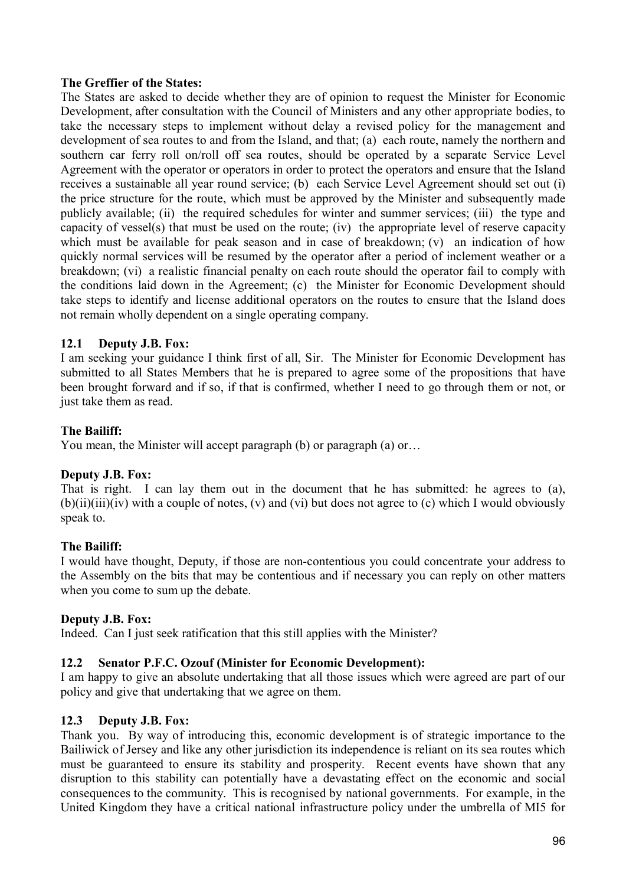### **The Greffier of the States:**

The States are asked to decide whether they are of opinion to request the Minister for Economic Development, after consultation with the Council of Ministers and any other appropriate bodies, to take the necessary steps to implement without delay a revised policy for the management and development of sea routes to and from the Island, and that; (a) each route, namely the northern and southern car ferry roll on/roll off sea routes, should be operated by a separate Service Level Agreement with the operator or operators in order to protect the operators and ensure that the Island receives a sustainable all year round service; (b) each Service Level Agreement should set out (i) the price structure for the route, which must be approved by the Minister and subsequently made publicly available; (ii) the required schedules for winter and summer services; (iii) the type and capacity of vessel(s) that must be used on the route; (iv) the appropriate level of reserve capacity which must be available for peak season and in case of breakdown; (v) an indication of how quickly normal services will be resumed by the operator after a period of inclement weather or a breakdown; (vi) a realistic financial penalty on each route should the operator fail to comply with the conditions laid down in the Agreement; (c) the Minister for Economic Development should take steps to identify and license additional operators on the routes to ensure that the Island does not remain wholly dependent on a single operating company.

# **12.1 Deputy J.B. Fox:**

I am seeking your guidance I think first of all, Sir. The Minister for Economic Development has submitted to all States Members that he is prepared to agree some of the propositions that have been brought forward and if so, if that is confirmed, whether I need to go through them or not, or just take them as read.

### **The Bailiff:**

You mean, the Minister will accept paragraph (b) or paragraph (a) or…

# **Deputy J.B. Fox:**

That is right. I can lay them out in the document that he has submitted: he agrees to (a),  $(b)(ii)(iii)(iv)$  with a couple of notes,  $(v)$  and  $(vi)$  but does not agree to  $(c)$  which I would obviously speak to.

# **The Bailiff:**

I would have thought, Deputy, if those are non-contentious you could concentrate your address to the Assembly on the bits that may be contentious and if necessary you can reply on other matters when you come to sum up the debate.

# **Deputy J.B. Fox:**

Indeed. Can I just seek ratification that this still applies with the Minister?

# **12.2 Senator P.F.C. Ozouf (Minister for Economic Development):**

I am happy to give an absolute undertaking that all those issues which were agreed are part of our policy and give that undertaking that we agree on them.

#### **12.3 Deputy J.B. Fox:**

Thank you. By way of introducing this, economic development is of strategic importance to the Bailiwick of Jersey and like any other jurisdiction its independence is reliant on its sea routes which must be guaranteed to ensure its stability and prosperity. Recent events have shown that any disruption to this stability can potentially have a devastating effect on the economic and social consequences to the community. This is recognised by national governments. For example, in the United Kingdom they have a critical national infrastructure policy under the umbrella of MI5 for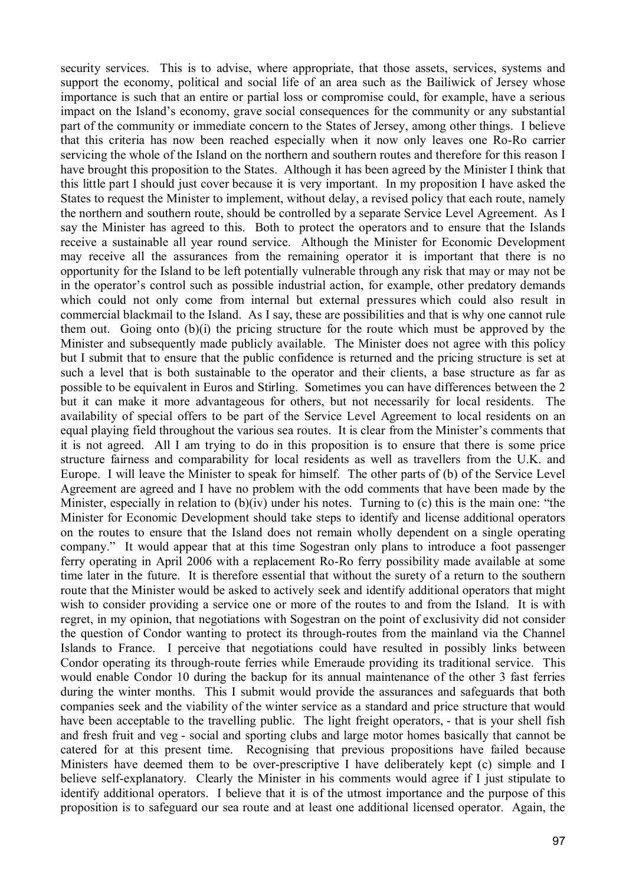security services. This is to advise, where appropriate, that those assets, services, systems and support the economy, political and social life of an area such as the Bailiwick of Jersey whose importance is such that an entire or partial loss or compromise could, for example, have a serious impact on the Island's economy, grave social consequences for the community or any substantial part of the community or immediate concern to the States of Jersey, among other things. I believe that this criteria has now been reached especially when it now only leaves one Ro-Ro carrier servicing the whole of the Island on the northern and southern routes and therefore for this reason I have brought this proposition to the States. Although it has been agreed by the Minister I think that this little part I should just cover because it is very important. In my proposition I have asked the States to request the Minister to implement, without delay, a revised policy that each route, namely the northern and southern route, should be controlled by a separate Service Level Agreement. As I say the Minister has agreed to this. Both to protect the operators and to ensure that the Islands receive a sustainable all year round service. Although the Minister for Economic Development may receive all the assurances from the remaining operator it is important that there is no opportunity for the Island to be left potentially vulnerable through any risk that may or may not be in the operator's control such as possible industrial action, for example, other predatory demands which could not only come from internal but external pressures which could also result in commercial blackmail to the Island. As I say, these are possibilities and that is why one cannot rule them out. Going onto (b)(i) the pricing structure for the route which must be approved by the Minister and subsequently made publicly available. The Minister does not agree with this policy but I submit that to ensure that the public confidence is returned and the pricing structure is set at such a level that is both sustainable to the operator and their clients, a base structure as far as possible to be equivalent in Euros and Stirling. Sometimes you can have differences between the 2 but it can make it more advantageous for others, but not necessarily for local residents. The availability of special offers to be part of the Service Level Agreement to local residents on an equal playing field throughout the various sea routes. It is clear from the Minister's comments that it is not agreed. All I am trying to do in this proposition is to ensure that there is some price structure fairness and comparability for local residents as well as travellers from the U.K. and Europe. I will leave the Minister to speak for himself. The other parts of (b) of the Service Level Agreement are agreed and I have no problem with the odd comments that have been made by the Minister, especially in relation to (b)(iv) under his notes. Turning to (c) this is the main one: "the Minister for Economic Development should take steps to identify and license additional operators on the routes to ensure that the Island does not remain wholly dependent on a single operating company." It would appear that at this time Sogestran only plans to introduce a foot passenger ferry operating in April 2006 with a replacement Ro-Ro ferry possibility made available at some time later in the future. It is therefore essential that without the surety of a return to the southern route that the Minister would be asked to actively seek and identify additional operators that might wish to consider providing a service one or more of the routes to and from the Island. It is with regret, in my opinion, that negotiations with Sogestran on the point of exclusivity did not consider the question of Condor wanting to protect its through-routes from the mainland via the Channel Islands to France. I perceive that negotiations could have resulted in possibly links between Condor operating its through-route ferries while Emeraude providing its traditional service. This would enable Condor 10 during the backup for its annual maintenance of the other 3 fast ferries during the winter months. This I submit would provide the assurances and safeguards that both companies seek and the viability of the winter service as a standard and price structure that would have been acceptable to the travelling public. The light freight operators, - that is your shell fish and fresh fruit and veg - social and sporting clubs and large motor homes basically that cannot be catered for at this present time. Recognising that previous propositions have failed because Ministers have deemed them to be over-prescriptive I have deliberately kept (c) simple and I believe self-explanatory. Clearly the Minister in his comments would agree if I just stipulate to identify additional operators. I believe that it is of the utmost importance and the purpose of this proposition is to safeguard our sea route and at least one additional licensed operator. Again, the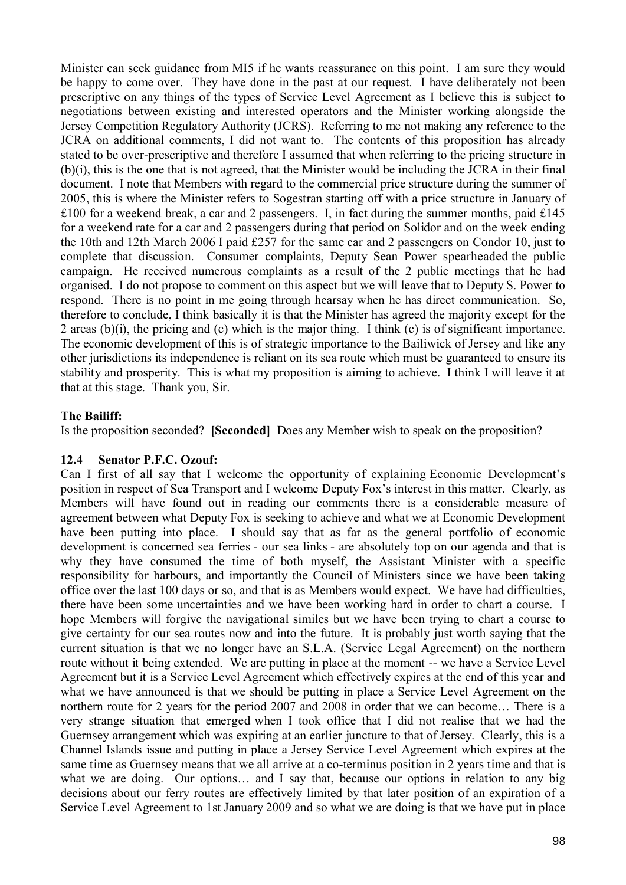Minister can seek guidance from MI5 if he wants reassurance on this point. I am sure they would be happy to come over. They have done in the past at our request. I have deliberately not been prescriptive on any things of the types of Service Level Agreement as I believe this is subject to negotiations between existing and interested operators and the Minister working alongside the Jersey Competition Regulatory Authority (JCRS). Referring to me not making any reference to the JCRA on additional comments, I did not want to. The contents of this proposition has already stated to be over-prescriptive and therefore I assumed that when referring to the pricing structure in (b)(i), this is the one that is not agreed, that the Minister would be including the JCRA in their final document. I note that Members with regard to the commercial price structure during the summer of 2005, this is where the Minister refers to Sogestran starting off with a price structure in January of £100 for a weekend break, a car and 2 passengers. I, in fact during the summer months, paid £145 for a weekend rate for a car and 2 passengers during that period on Solidor and on the week ending the 10th and 12th March 2006 I paid £257 for the same car and 2 passengers on Condor 10, just to complete that discussion. Consumer complaints, Deputy Sean Power spearheaded the public campaign. He received numerous complaints as a result of the 2 public meetings that he had organised. I do not propose to comment on this aspect but we will leave that to Deputy S. Power to respond. There is no point in me going through hearsay when he has direct communication. So, therefore to conclude, I think basically it is that the Minister has agreed the majority except for the 2 areas (b)(i), the pricing and (c) which is the major thing. I think (c) is of significant importance. The economic development of this is of strategic importance to the Bailiwick of Jersey and like any other jurisdictions its independence is reliant on its sea route which must be guaranteed to ensure its stability and prosperity. This is what my proposition is aiming to achieve. I think I will leave it at that at this stage. Thank you, Sir.

# **The Bailiff:**

Is the proposition seconded? **[Seconded]** Does any Member wish to speak on the proposition?

# **12.4 Senator P.F.C. Ozouf:**

Can I first of all say that I welcome the opportunity of explaining Economic Development's position in respect of Sea Transport and I welcome Deputy Fox's interest in this matter. Clearly, as Members will have found out in reading our comments there is a considerable measure of agreement between what Deputy Fox is seeking to achieve and what we at Economic Development have been putting into place. I should say that as far as the general portfolio of economic development is concerned sea ferries - our sea links - are absolutely top on our agenda and that is why they have consumed the time of both myself, the Assistant Minister with a specific responsibility for harbours, and importantly the Council of Ministers since we have been taking office over the last 100 days or so, and that is as Members would expect. We have had difficulties, there have been some uncertainties and we have been working hard in order to chart a course. I hope Members will forgive the navigational similes but we have been trying to chart a course to give certainty for our sea routes now and into the future. It is probably just worth saying that the current situation is that we no longer have an S.L.A. (Service Legal Agreement) on the northern route without it being extended. We are putting in place at the moment -- we have a Service Level Agreement but it is a Service Level Agreement which effectively expires at the end of this year and what we have announced is that we should be putting in place a Service Level Agreement on the northern route for 2 years for the period 2007 and 2008 in order that we can become… There is a very strange situation that emerged when I took office that I did not realise that we had the Guernsey arrangement which was expiring at an earlier juncture to that of Jersey. Clearly, this is a Channel Islands issue and putting in place a Jersey Service Level Agreement which expires at the same time as Guernsey means that we all arrive at a co-terminus position in 2 years time and that is what we are doing. Our options… and I say that, because our options in relation to any big decisions about our ferry routes are effectively limited by that later position of an expiration of a Service Level Agreement to 1st January 2009 and so what we are doing is that we have put in place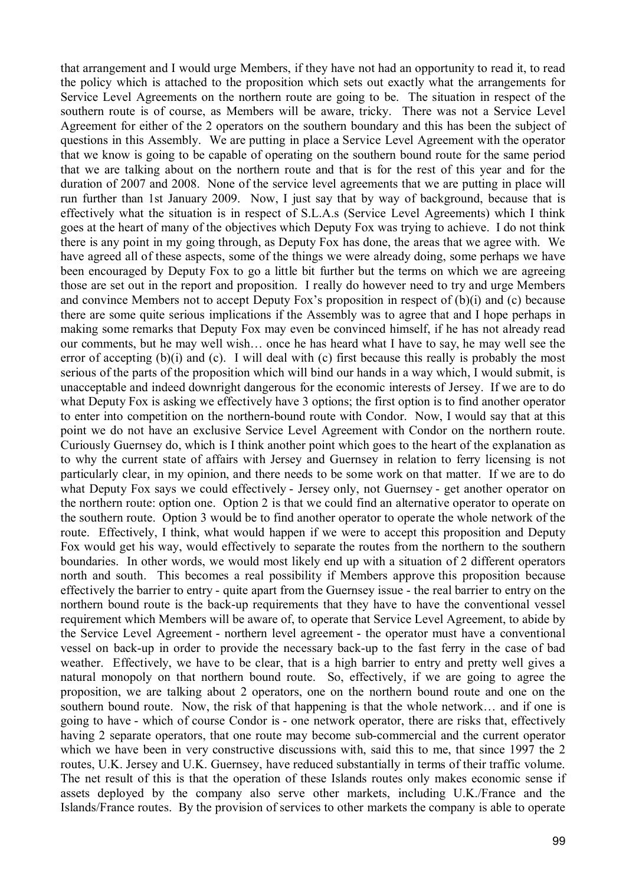that arrangement and I would urge Members, if they have not had an opportunity to read it, to read the policy which is attached to the proposition which sets out exactly what the arrangements for Service Level Agreements on the northern route are going to be. The situation in respect of the southern route is of course, as Members will be aware, tricky. There was not a Service Level Agreement for either of the 2 operators on the southern boundary and this has been the subject of questions in this Assembly. We are putting in place a Service Level Agreement with the operator that we know is going to be capable of operating on the southern bound route for the same period that we are talking about on the northern route and that is for the rest of this year and for the duration of 2007 and 2008. None of the service level agreements that we are putting in place will run further than 1st January 2009. Now, I just say that by way of background, because that is effectively what the situation is in respect of S.L.A.s (Service Level Agreements) which I think goes at the heart of many of the objectives which Deputy Fox was trying to achieve. I do not think there is any point in my going through, as Deputy Fox has done, the areas that we agree with. We have agreed all of these aspects, some of the things we were already doing, some perhaps we have been encouraged by Deputy Fox to go a little bit further but the terms on which we are agreeing those are set out in the report and proposition. I really do however need to try and urge Members and convince Members not to accept Deputy Fox's proposition in respect of (b)(i) and (c) because there are some quite serious implications if the Assembly was to agree that and I hope perhaps in making some remarks that Deputy Fox may even be convinced himself, if he has not already read our comments, but he may well wish… once he has heard what I have to say, he may well see the error of accepting (b)(i) and (c). I will deal with (c) first because this really is probably the most serious of the parts of the proposition which will bind our hands in a way which, I would submit, is unacceptable and indeed downright dangerous for the economic interests of Jersey. If we are to do what Deputy Fox is asking we effectively have 3 options; the first option is to find another operator to enter into competition on the northern-bound route with Condor. Now, I would say that at this point we do not have an exclusive Service Level Agreement with Condor on the northern route. Curiously Guernsey do, which is I think another point which goes to the heart of the explanation as to why the current state of affairs with Jersey and Guernsey in relation to ferry licensing is not particularly clear, in my opinion, and there needs to be some work on that matter. If we are to do what Deputy Fox says we could effectively - Jersey only, not Guernsey - get another operator on the northern route: option one. Option 2 is that we could find an alternative operator to operate on the southern route. Option 3 would be to find another operator to operate the whole network of the route. Effectively, I think, what would happen if we were to accept this proposition and Deputy Fox would get his way, would effectively to separate the routes from the northern to the southern boundaries. In other words, we would most likely end up with a situation of 2 different operators north and south. This becomes a real possibility if Members approve this proposition because effectively the barrier to entry - quite apart from the Guernsey issue - the real barrier to entry on the northern bound route is the back-up requirements that they have to have the conventional vessel requirement which Members will be aware of, to operate that Service Level Agreement, to abide by the Service Level Agreement - northern level agreement - the operator must have a conventional vessel on back-up in order to provide the necessary back-up to the fast ferry in the case of bad weather. Effectively, we have to be clear, that is a high barrier to entry and pretty well gives a natural monopoly on that northern bound route. So, effectively, if we are going to agree the proposition, we are talking about 2 operators, one on the northern bound route and one on the southern bound route. Now, the risk of that happening is that the whole network… and if one is going to have - which of course Condor is - one network operator, there are risks that, effectively having 2 separate operators, that one route may become sub-commercial and the current operator which we have been in very constructive discussions with, said this to me, that since 1997 the 2 routes, U.K. Jersey and U.K. Guernsey, have reduced substantially in terms of their traffic volume. The net result of this is that the operation of these Islands routes only makes economic sense if assets deployed by the company also serve other markets, including U.K./France and the Islands/France routes. By the provision of services to other markets the company is able to operate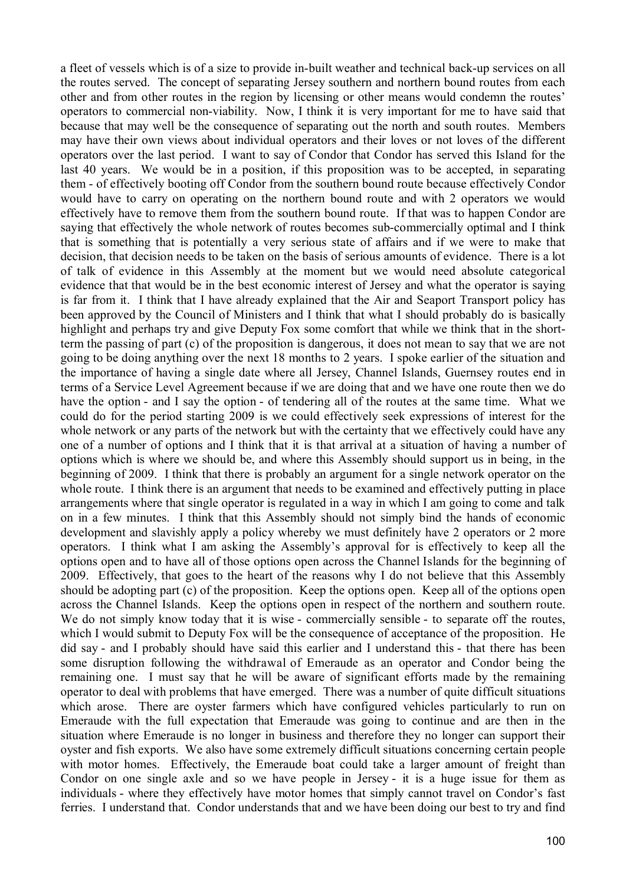a fleet of vessels which is of a size to provide in-built weather and technical back-up services on all the routes served. The concept of separating Jersey southern and northern bound routes from each other and from other routes in the region by licensing or other means would condemn the routes' operators to commercial non-viability. Now, I think it is very important for me to have said that because that may well be the consequence of separating out the north and south routes. Members may have their own views about individual operators and their loves or not loves of the different operators over the last period. I want to say of Condor that Condor has served this Island for the last 40 years. We would be in a position, if this proposition was to be accepted, in separating them - of effectively booting off Condor from the southern bound route because effectively Condor would have to carry on operating on the northern bound route and with 2 operators we would effectively have to remove them from the southern bound route. If that was to happen Condor are saying that effectively the whole network of routes becomes sub-commercially optimal and I think that is something that is potentially a very serious state of affairs and if we were to make that decision, that decision needs to be taken on the basis of serious amounts of evidence. There is a lot of talk of evidence in this Assembly at the moment but we would need absolute categorical evidence that that would be in the best economic interest of Jersey and what the operator is saying is far from it. I think that I have already explained that the Air and Seaport Transport policy has been approved by the Council of Ministers and I think that what I should probably do is basically highlight and perhaps try and give Deputy Fox some comfort that while we think that in the shortterm the passing of part (c) of the proposition is dangerous, it does not mean to say that we are not going to be doing anything over the next 18 months to 2 years. I spoke earlier of the situation and the importance of having a single date where all Jersey, Channel Islands, Guernsey routes end in terms of a Service Level Agreement because if we are doing that and we have one route then we do have the option - and I say the option - of tendering all of the routes at the same time. What we could do for the period starting 2009 is we could effectively seek expressions of interest for the whole network or any parts of the network but with the certainty that we effectively could have any one of a number of options and I think that it is that arrival at a situation of having a number of options which is where we should be, and where this Assembly should support us in being, in the beginning of 2009. I think that there is probably an argument for a single network operator on the whole route. I think there is an argument that needs to be examined and effectively putting in place arrangements where that single operator is regulated in a way in which I am going to come and talk on in a few minutes. I think that this Assembly should not simply bind the hands of economic development and slavishly apply a policy whereby we must definitely have 2 operators or 2 more operators. I think what I am asking the Assembly's approval for is effectively to keep all the options open and to have all of those options open across the Channel Islands for the beginning of 2009. Effectively, that goes to the heart of the reasons why I do not believe that this Assembly should be adopting part (c) of the proposition. Keep the options open. Keep all of the options open across the Channel Islands. Keep the options open in respect of the northern and southern route. We do not simply know today that it is wise - commercially sensible - to separate off the routes, which I would submit to Deputy Fox will be the consequence of acceptance of the proposition. He did say - and I probably should have said this earlier and I understand this - that there has been some disruption following the withdrawal of Emeraude as an operator and Condor being the remaining one. I must say that he will be aware of significant efforts made by the remaining operator to deal with problems that have emerged. There was a number of quite difficult situations which arose. There are oyster farmers which have configured vehicles particularly to run on Emeraude with the full expectation that Emeraude was going to continue and are then in the situation where Emeraude is no longer in business and therefore they no longer can support their oyster and fish exports. We also have some extremely difficult situations concerning certain people with motor homes. Effectively, the Emeraude boat could take a larger amount of freight than Condor on one single axle and so we have people in Jersey - it is a huge issue for them as individuals - where they effectively have motor homes that simply cannot travel on Condor's fast ferries. I understand that. Condor understands that and we have been doing our best to try and find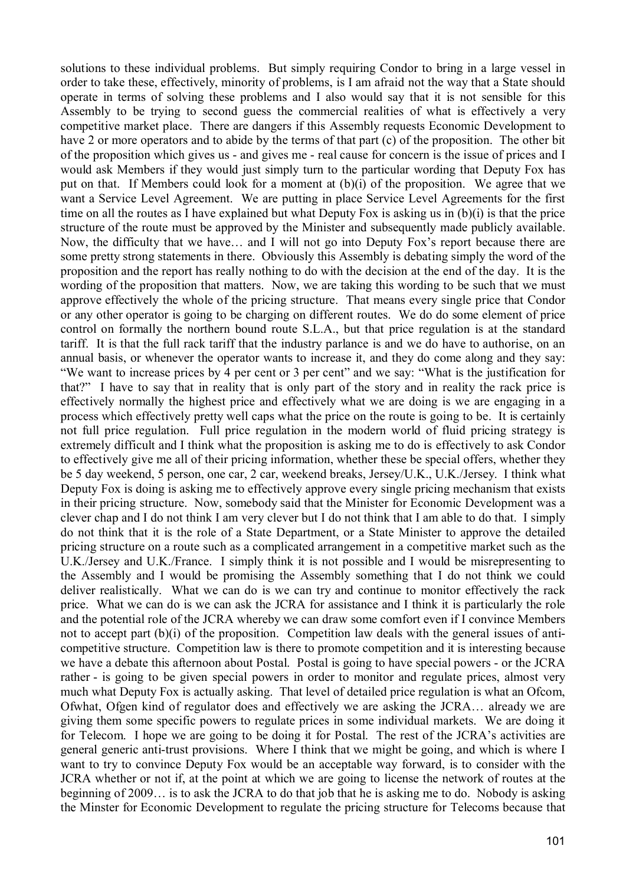solutions to these individual problems. But simply requiring Condor to bring in a large vessel in order to take these, effectively, minority of problems, is I am afraid not the way that a State should operate in terms of solving these problems and I also would say that it is not sensible for this Assembly to be trying to second guess the commercial realities of what is effectively a very competitive market place. There are dangers if this Assembly requests Economic Development to have 2 or more operators and to abide by the terms of that part (c) of the proposition. The other bit of the proposition which gives us - and gives me - real cause for concern is the issue of prices and I would ask Members if they would just simply turn to the particular wording that Deputy Fox has put on that. If Members could look for a moment at (b)(i) of the proposition. We agree that we want a Service Level Agreement. We are putting in place Service Level Agreements for the first time on all the routes as I have explained but what Deputy Fox is asking us in (b)(i) is that the price structure of the route must be approved by the Minister and subsequently made publicly available. Now, the difficulty that we have… and I will not go into Deputy Fox's report because there are some pretty strong statements in there. Obviously this Assembly is debating simply the word of the proposition and the report has really nothing to do with the decision at the end of the day. It is the wording of the proposition that matters. Now, we are taking this wording to be such that we must approve effectively the whole of the pricing structure. That means every single price that Condor or any other operator is going to be charging on different routes. We do do some element of price control on formally the northern bound route S.L.A., but that price regulation is at the standard tariff. It is that the full rack tariff that the industry parlance is and we do have to authorise, on an annual basis, or whenever the operator wants to increase it, and they do come along and they say: "We want to increase prices by 4 per cent or 3 per cent" and we say: "What is the justification for that?" I have to say that in reality that is only part of the story and in reality the rack price is effectively normally the highest price and effectively what we are doing is we are engaging in a process which effectively pretty well caps what the price on the route is going to be. It is certainly not full price regulation. Full price regulation in the modern world of fluid pricing strategy is extremely difficult and I think what the proposition is asking me to do is effectively to ask Condor to effectively give me all of their pricing information, whether these be special offers, whether they be 5 day weekend, 5 person, one car, 2 car, weekend breaks, Jersey/U.K., U.K./Jersey. I think what Deputy Fox is doing is asking me to effectively approve every single pricing mechanism that exists in their pricing structure. Now, somebody said that the Minister for Economic Development was a clever chap and I do not think I am very clever but I do not think that I am able to do that. I simply do not think that it is the role of a State Department, or a State Minister to approve the detailed pricing structure on a route such as a complicated arrangement in a competitive market such as the U.K./Jersey and U.K./France. I simply think it is not possible and I would be misrepresenting to the Assembly and I would be promising the Assembly something that I do not think we could deliver realistically. What we can do is we can try and continue to monitor effectively the rack price. What we can do is we can ask the JCRA for assistance and I think it is particularly the role and the potential role of the JCRA whereby we can draw some comfort even if I convince Members not to accept part  $(b)(i)$  of the proposition. Competition law deals with the general issues of anticompetitive structure. Competition law is there to promote competition and it is interesting because we have a debate this afternoon about Postal. Postal is going to have special powers - or the JCRA rather - is going to be given special powers in order to monitor and regulate prices, almost very much what Deputy Fox is actually asking. That level of detailed price regulation is what an Ofcom, Ofwhat, Ofgen kind of regulator does and effectively we are asking the JCRA… already we are giving them some specific powers to regulate prices in some individual markets. We are doing it for Telecom. I hope we are going to be doing it for Postal. The rest of the JCRA's activities are general generic anti-trust provisions. Where I think that we might be going, and which is where I want to try to convince Deputy Fox would be an acceptable way forward, is to consider with the JCRA whether or not if, at the point at which we are going to license the network of routes at the beginning of 2009… is to ask the JCRA to do that job that he is asking me to do. Nobody is asking the Minster for Economic Development to regulate the pricing structure for Telecoms because that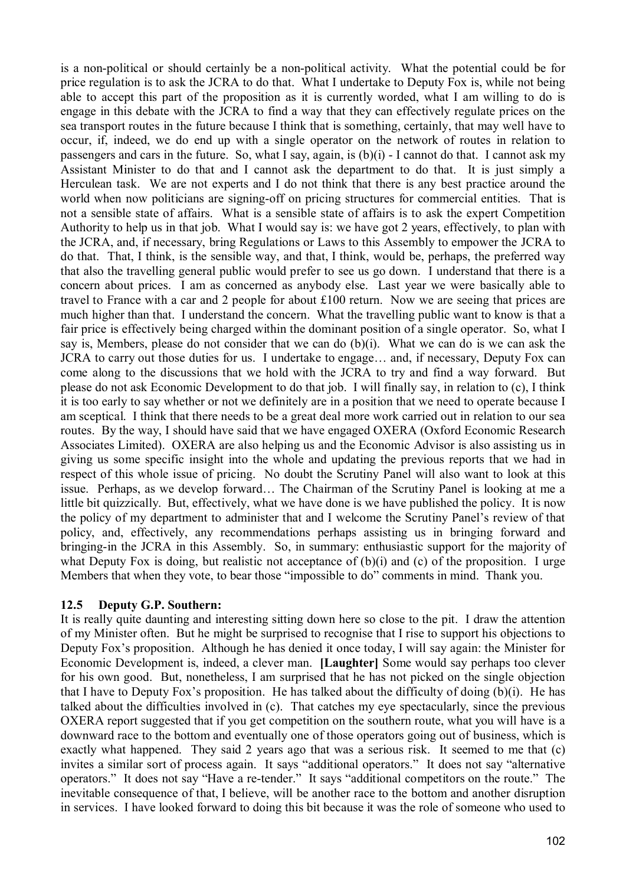is a non-political or should certainly be a non-political activity. What the potential could be for price regulation is to ask the JCRA to do that. What I undertake to Deputy Fox is, while not being able to accept this part of the proposition as it is currently worded, what I am willing to do is engage in this debate with the JCRA to find a way that they can effectively regulate prices on the sea transport routes in the future because I think that is something, certainly, that may well have to occur, if, indeed, we do end up with a single operator on the network of routes in relation to passengers and cars in the future. So, what I say, again, is (b)(i) - I cannot do that. I cannot ask my Assistant Minister to do that and I cannot ask the department to do that. It is just simply a Herculean task. We are not experts and I do not think that there is any best practice around the world when now politicians are signing-off on pricing structures for commercial entities. That is not a sensible state of affairs. What is a sensible state of affairs is to ask the expert Competition Authority to help us in that job. What I would say is: we have got 2 years, effectively, to plan with the JCRA, and, if necessary, bring Regulations or Laws to this Assembly to empower the JCRA to do that. That, I think, is the sensible way, and that, I think, would be, perhaps, the preferred way that also the travelling general public would prefer to see us go down. I understand that there is a concern about prices. I am as concerned as anybody else. Last year we were basically able to travel to France with a car and 2 people for about £100 return. Now we are seeing that prices are much higher than that. I understand the concern. What the travelling public want to know is that a fair price is effectively being charged within the dominant position of a single operator. So, what I say is, Members, please do not consider that we can do (b)(i). What we can do is we can ask the JCRA to carry out those duties for us. I undertake to engage… and, if necessary, Deputy Fox can come along to the discussions that we hold with the JCRA to try and find a way forward. But please do not ask Economic Development to do that job. I will finally say, in relation to (c), I think it is too early to say whether or not we definitely are in a position that we need to operate because I am sceptical. I think that there needs to be a great deal more work carried out in relation to our sea routes. By the way, I should have said that we have engaged OXERA (Oxford Economic Research Associates Limited). OXERA are also helping us and the Economic Advisor is also assisting us in giving us some specific insight into the whole and updating the previous reports that we had in respect of this whole issue of pricing. No doubt the Scrutiny Panel will also want to look at this issue. Perhaps, as we develop forward… The Chairman of the Scrutiny Panel is looking at me a little bit quizzically. But, effectively, what we have done is we have published the policy. It is now the policy of my department to administer that and I welcome the Scrutiny Panel's review of that policy, and, effectively, any recommendations perhaps assisting us in bringing forward and bringing-in the JCRA in this Assembly. So, in summary: enthusiastic support for the majority of what Deputy Fox is doing, but realistic not acceptance of  $(b)(i)$  and  $(c)$  of the proposition. I urge Members that when they vote, to bear those "impossible to do" comments in mind. Thank you.

# **12.5 Deputy G.P. Southern:**

It is really quite daunting and interesting sitting down here so close to the pit. I draw the attention of my Minister often. But he might be surprised to recognise that I rise to support his objections to Deputy Fox's proposition. Although he has denied it once today, I will say again: the Minister for Economic Development is, indeed, a clever man. **[Laughter]** Some would say perhaps too clever for his own good. But, nonetheless, I am surprised that he has not picked on the single objection that I have to Deputy Fox's proposition. He has talked about the difficulty of doing (b)(i). He has talked about the difficulties involved in (c). That catches my eye spectacularly, since the previous OXERA report suggested that if you get competition on the southern route, what you will have is a downward race to the bottom and eventually one of those operators going out of business, which is exactly what happened. They said 2 years ago that was a serious risk. It seemed to me that (c) invites a similar sort of process again. It says "additional operators." It does not say "alternative operators." It does not say "Have a re-tender." It says "additional competitors on the route." The inevitable consequence of that, I believe, will be another race to the bottom and another disruption in services. I have looked forward to doing this bit because it was the role of someone who used to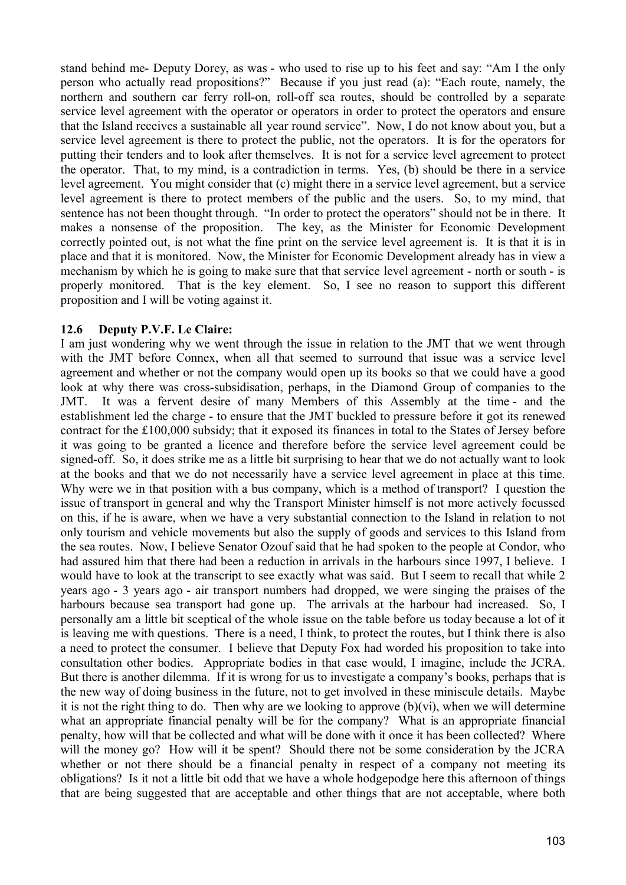stand behind me- Deputy Dorey, as was - who used to rise up to his feet and say: "Am I the only person who actually read propositions?" Because if you just read (a): "Each route, namely, the northern and southern car ferry roll-on, roll-off sea routes, should be controlled by a separate service level agreement with the operator or operators in order to protect the operators and ensure that the Island receives a sustainable all year round service". Now, I do not know about you, but a service level agreement is there to protect the public, not the operators. It is for the operators for putting their tenders and to look after themselves. It is not for a service level agreement to protect the operator. That, to my mind, is a contradiction in terms. Yes, (b) should be there in a service level agreement. You might consider that (c) might there in a service level agreement, but a service level agreement is there to protect members of the public and the users. So, to my mind, that sentence has not been thought through. "In order to protect the operators" should not be in there. It makes a nonsense of the proposition. The key, as the Minister for Economic Development correctly pointed out, is not what the fine print on the service level agreement is. It is that it is in place and that it is monitored. Now, the Minister for Economic Development already has in view a mechanism by which he is going to make sure that that service level agreement - north or south - is properly monitored. That is the key element. So, I see no reason to support this different proposition and I will be voting against it.

#### **12.6 Deputy P.V.F. Le Claire:**

I am just wondering why we went through the issue in relation to the JMT that we went through with the JMT before Connex, when all that seemed to surround that issue was a service level agreement and whether or not the company would open up its books so that we could have a good look at why there was cross-subsidisation, perhaps, in the Diamond Group of companies to the JMT. It was a fervent desire of many Members of this Assembly at the time - and the establishment led the charge - to ensure that the JMT buckled to pressure before it got its renewed contract for the £100,000 subsidy; that it exposed its finances in total to the States of Jersey before it was going to be granted a licence and therefore before the service level agreement could be signed-off. So, it does strike me as a little bit surprising to hear that we do not actually want to look at the books and that we do not necessarily have a service level agreement in place at this time. Why were we in that position with a bus company, which is a method of transport? I question the issue of transport in general and why the Transport Minister himself is not more actively focussed on this, if he is aware, when we have a very substantial connection to the Island in relation to not only tourism and vehicle movements but also the supply of goods and services to this Island from the sea routes. Now, I believe Senator Ozouf said that he had spoken to the people at Condor, who had assured him that there had been a reduction in arrivals in the harbours since 1997, I believe. I would have to look at the transcript to see exactly what was said. But I seem to recall that while 2 years ago - 3 years ago - air transport numbers had dropped, we were singing the praises of the harbours because sea transport had gone up. The arrivals at the harbour had increased. So, I personally am a little bit sceptical of the whole issue on the table before us today because a lot of it is leaving me with questions. There is a need, I think, to protect the routes, but I think there is also a need to protect the consumer. I believe that Deputy Fox had worded his proposition to take into consultation other bodies. Appropriate bodies in that case would, I imagine, include the JCRA. But there is another dilemma. If it is wrong for us to investigate a company's books, perhaps that is the new way of doing business in the future, not to get involved in these miniscule details. Maybe it is not the right thing to do. Then why are we looking to approve (b)(vi), when we will determine what an appropriate financial penalty will be for the company? What is an appropriate financial penalty, how will that be collected and what will be done with it once it has been collected? Where will the money go? How will it be spent? Should there not be some consideration by the JCRA whether or not there should be a financial penalty in respect of a company not meeting its obligations? Is it not a little bit odd that we have a whole hodgepodge here this afternoon of things that are being suggested that are acceptable and other things that are not acceptable, where both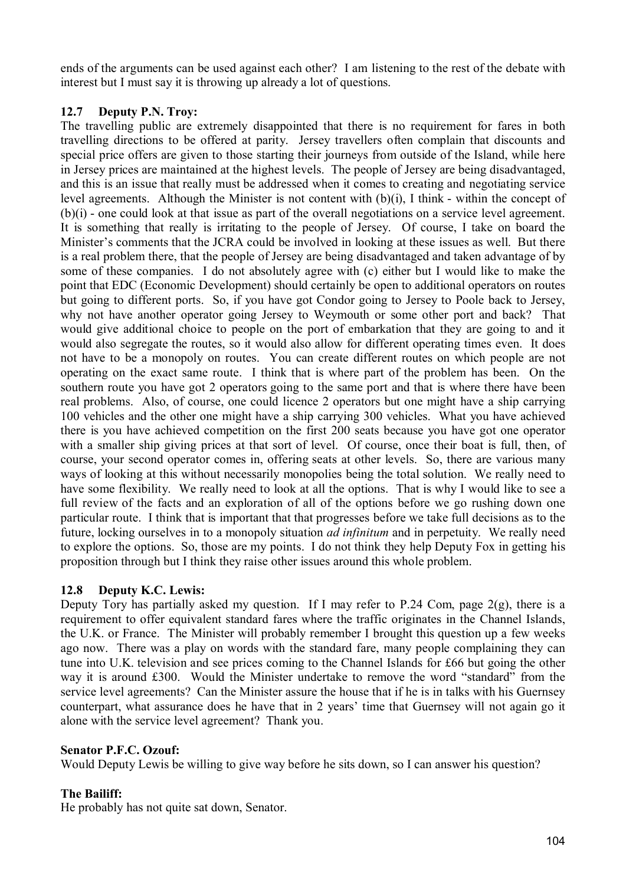ends of the arguments can be used against each other? I am listening to the rest of the debate with interest but I must say it is throwing up already a lot of questions.

# **12.7 Deputy P.N. Troy:**

The travelling public are extremely disappointed that there is no requirement for fares in both travelling directions to be offered at parity. Jersey travellers often complain that discounts and special price offers are given to those starting their journeys from outside of the Island, while here in Jersey prices are maintained at the highest levels. The people of Jersey are being disadvantaged, and this is an issue that really must be addressed when it comes to creating and negotiating service level agreements. Although the Minister is not content with (b)(i), I think - within the concept of (b)(i) - one could look at that issue as part of the overall negotiations on a service level agreement. It is something that really is irritating to the people of Jersey. Of course, I take on board the Minister's comments that the JCRA could be involved in looking at these issues as well. But there is a real problem there, that the people of Jersey are being disadvantaged and taken advantage of by some of these companies. I do not absolutely agree with (c) either but I would like to make the point that EDC (Economic Development) should certainly be open to additional operators on routes but going to different ports. So, if you have got Condor going to Jersey to Poole back to Jersey, why not have another operator going Jersey to Weymouth or some other port and back? That would give additional choice to people on the port of embarkation that they are going to and it would also segregate the routes, so it would also allow for different operating times even. It does not have to be a monopoly on routes. You can create different routes on which people are not operating on the exact same route. I think that is where part of the problem has been. On the southern route you have got 2 operators going to the same port and that is where there have been real problems. Also, of course, one could licence 2 operators but one might have a ship carrying 100 vehicles and the other one might have a ship carrying 300 vehicles. What you have achieved there is you have achieved competition on the first 200 seats because you have got one operator with a smaller ship giving prices at that sort of level. Of course, once their boat is full, then, of course, your second operator comes in, offering seats at other levels. So, there are various many ways of looking at this without necessarily monopolies being the total solution. We really need to have some flexibility. We really need to look at all the options. That is why I would like to see a full review of the facts and an exploration of all of the options before we go rushing down one particular route. I think that is important that that progresses before we take full decisions as to the future, locking ourselves in to a monopoly situation *ad infinitum* and in perpetuity. We really need to explore the options. So, those are my points. I do not think they help Deputy Fox in getting his proposition through but I think they raise other issues around this whole problem.

# **12.8 Deputy K.C. Lewis:**

Deputy Tory has partially asked my question. If I may refer to P.24 Com, page 2(g), there is a requirement to offer equivalent standard fares where the traffic originates in the Channel Islands, the U.K. or France. The Minister will probably remember I brought this question up a few weeks ago now. There was a play on words with the standard fare, many people complaining they can tune into U.K. television and see prices coming to the Channel Islands for £66 but going the other way it is around £300. Would the Minister undertake to remove the word "standard" from the service level agreements? Can the Minister assure the house that if he is in talks with his Guernsey counterpart, what assurance does he have that in 2 years' time that Guernsey will not again go it alone with the service level agreement? Thank you.

# **Senator P.F.C. Ozouf:**

Would Deputy Lewis be willing to give way before he sits down, so I can answer his question?

# **The Bailiff:**

He probably has not quite sat down, Senator.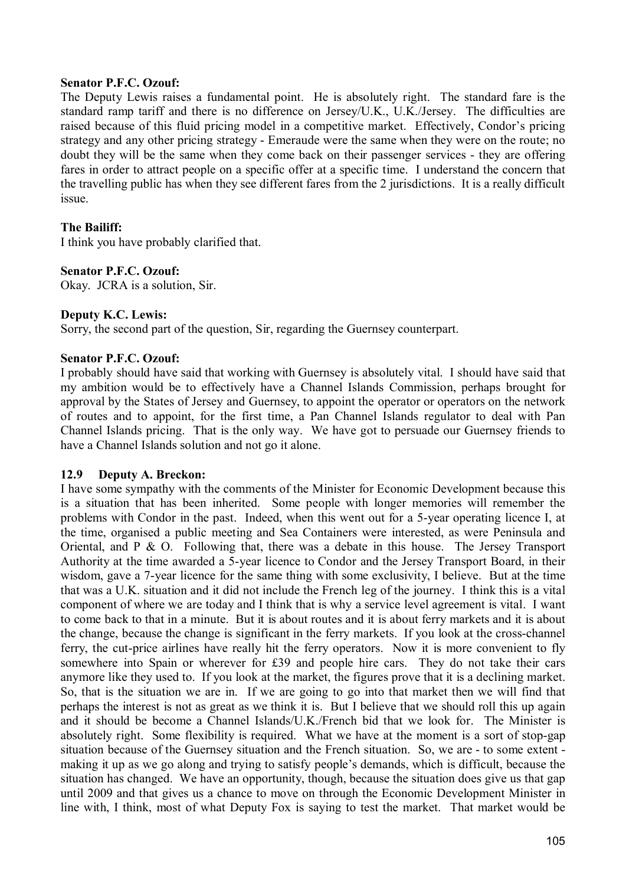#### **Senator P.F.C. Ozouf:**

The Deputy Lewis raises a fundamental point. He is absolutely right. The standard fare is the standard ramp tariff and there is no difference on Jersey/U.K., U.K./Jersey. The difficulties are raised because of this fluid pricing model in a competitive market. Effectively, Condor's pricing strategy and any other pricing strategy - Emeraude were the same when they were on the route; no doubt they will be the same when they come back on their passenger services - they are offering fares in order to attract people on a specific offer at a specific time. I understand the concern that the travelling public has when they see different fares from the 2 jurisdictions. It is a really difficult issue.

### **The Bailiff:**

I think you have probably clarified that.

### **Senator P.F.C. Ozouf:**

Okay. JCRA is a solution, Sir.

### **Deputy K.C. Lewis:**

Sorry, the second part of the question, Sir, regarding the Guernsey counterpart.

### **Senator P.F.C. Ozouf:**

I probably should have said that working with Guernsey is absolutely vital. I should have said that my ambition would be to effectively have a Channel Islands Commission, perhaps brought for approval by the States of Jersey and Guernsey, to appoint the operator or operators on the network of routes and to appoint, for the first time, a Pan Channel Islands regulator to deal with Pan Channel Islands pricing. That is the only way. We have got to persuade our Guernsey friends to have a Channel Islands solution and not go it alone.

#### **12.9 Deputy A. Breckon:**

I have some sympathy with the comments of the Minister for Economic Development because this is a situation that has been inherited. Some people with longer memories will remember the problems with Condor in the past. Indeed, when this went out for a 5-year operating licence I, at the time, organised a public meeting and Sea Containers were interested, as were Peninsula and Oriental, and P & O. Following that, there was a debate in this house. The Jersey Transport Authority at the time awarded a 5-year licence to Condor and the Jersey Transport Board, in their wisdom, gave a 7-year licence for the same thing with some exclusivity, I believe. But at the time that was a U.K. situation and it did not include the French leg of the journey. I think this is a vital component of where we are today and I think that is why a service level agreement is vital. I want to come back to that in a minute. But it is about routes and it is about ferry markets and it is about the change, because the change is significant in the ferry markets. If you look at the cross-channel ferry, the cut-price airlines have really hit the ferry operators. Now it is more convenient to fly somewhere into Spain or wherever for £39 and people hire cars. They do not take their cars anymore like they used to. If you look at the market, the figures prove that it is a declining market. So, that is the situation we are in. If we are going to go into that market then we will find that perhaps the interest is not as great as we think it is. But I believe that we should roll this up again and it should be become a Channel Islands/U.K./French bid that we look for. The Minister is absolutely right. Some flexibility is required. What we have at the moment is a sort of stop-gap situation because of the Guernsey situation and the French situation. So, we are - to some extent making it up as we go along and trying to satisfy people's demands, which is difficult, because the situation has changed. We have an opportunity, though, because the situation does give us that gap until 2009 and that gives us a chance to move on through the Economic Development Minister in line with, I think, most of what Deputy Fox is saying to test the market. That market would be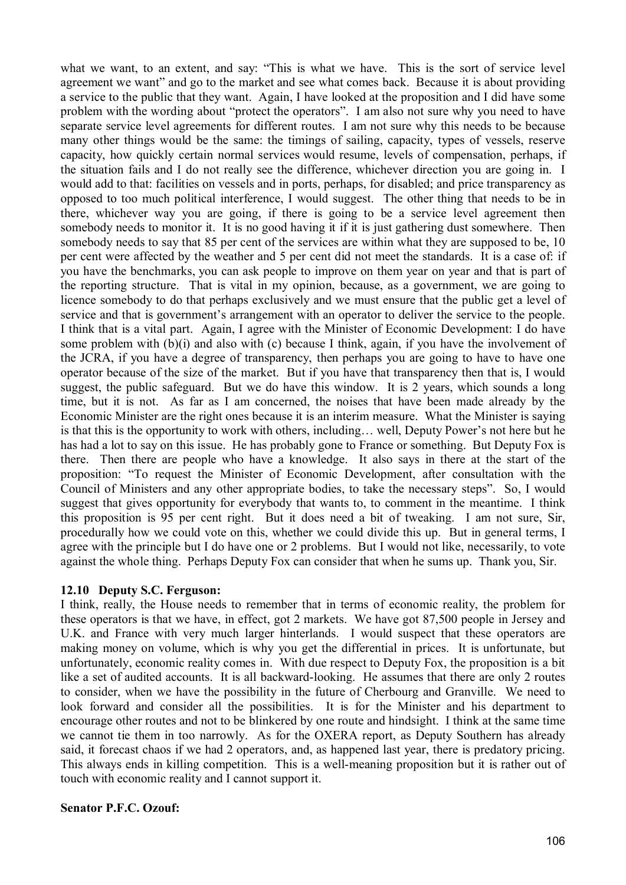what we want, to an extent, and say: "This is what we have. This is the sort of service level agreement we want" and go to the market and see what comes back. Because it is about providing a service to the public that they want. Again, I have looked at the proposition and I did have some problem with the wording about "protect the operators". I am also not sure why you need to have separate service level agreements for different routes. I am not sure why this needs to be because many other things would be the same: the timings of sailing, capacity, types of vessels, reserve capacity, how quickly certain normal services would resume, levels of compensation, perhaps, if the situation fails and I do not really see the difference, whichever direction you are going in. I would add to that: facilities on vessels and in ports, perhaps, for disabled; and price transparency as opposed to too much political interference, I would suggest. The other thing that needs to be in there, whichever way you are going, if there is going to be a service level agreement then somebody needs to monitor it. It is no good having it if it is just gathering dust somewhere. Then somebody needs to say that 85 per cent of the services are within what they are supposed to be, 10 per cent were affected by the weather and 5 per cent did not meet the standards. It is a case of: if you have the benchmarks, you can ask people to improve on them year on year and that is part of the reporting structure. That is vital in my opinion, because, as a government, we are going to licence somebody to do that perhaps exclusively and we must ensure that the public get a level of service and that is government's arrangement with an operator to deliver the service to the people. I think that is a vital part. Again, I agree with the Minister of Economic Development: I do have some problem with (b)(i) and also with (c) because I think, again, if you have the involvement of the JCRA, if you have a degree of transparency, then perhaps you are going to have to have one operator because of the size of the market. But if you have that transparency then that is, I would suggest, the public safeguard. But we do have this window. It is 2 years, which sounds a long time, but it is not. As far as I am concerned, the noises that have been made already by the Economic Minister are the right ones because it is an interim measure. What the Minister is saying is that this is the opportunity to work with others, including… well, Deputy Power's not here but he has had a lot to say on this issue. He has probably gone to France or something. But Deputy Fox is there. Then there are people who have a knowledge. It also says in there at the start of the proposition: "To request the Minister of Economic Development, after consultation with the Council of Ministers and any other appropriate bodies, to take the necessary steps". So, I would suggest that gives opportunity for everybody that wants to, to comment in the meantime. I think this proposition is 95 per cent right. But it does need a bit of tweaking. I am not sure, Sir, procedurally how we could vote on this, whether we could divide this up. But in general terms, I agree with the principle but I do have one or 2 problems. But I would not like, necessarily, to vote against the whole thing. Perhaps Deputy Fox can consider that when he sums up. Thank you, Sir.

#### **12.10 Deputy S.C. Ferguson:**

I think, really, the House needs to remember that in terms of economic reality, the problem for these operators is that we have, in effect, got 2 markets. We have got 87,500 people in Jersey and U.K. and France with very much larger hinterlands. I would suspect that these operators are making money on volume, which is why you get the differential in prices. It is unfortunate, but unfortunately, economic reality comes in. With due respect to Deputy Fox, the proposition is a bit like a set of audited accounts. It is all backward-looking. He assumes that there are only 2 routes to consider, when we have the possibility in the future of Cherbourg and Granville. We need to look forward and consider all the possibilities. It is for the Minister and his department to encourage other routes and not to be blinkered by one route and hindsight. I think at the same time we cannot tie them in too narrowly. As for the OXERA report, as Deputy Southern has already said, it forecast chaos if we had 2 operators, and, as happened last year, there is predatory pricing. This always ends in killing competition. This is a well-meaning proposition but it is rather out of touch with economic reality and I cannot support it.

#### **Senator P.F.C. Ozouf:**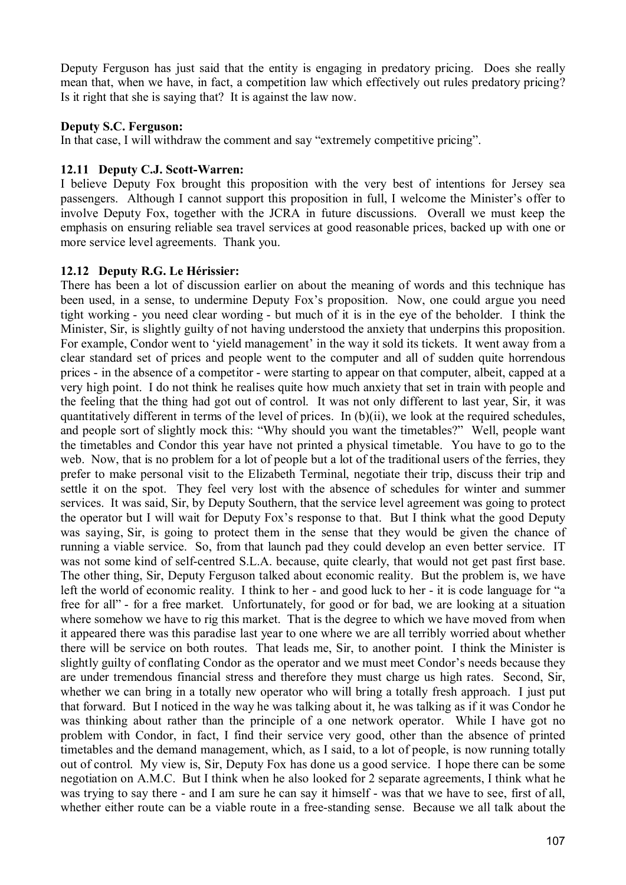Deputy Ferguson has just said that the entity is engaging in predatory pricing. Does she really mean that, when we have, in fact, a competition law which effectively out rules predatory pricing? Is it right that she is saying that? It is against the law now.

### **Deputy S.C. Ferguson:**

In that case, I will withdraw the comment and say "extremely competitive pricing".

### **12.11 Deputy C.J. Scott-Warren:**

I believe Deputy Fox brought this proposition with the very best of intentions for Jersey sea passengers. Although I cannot support this proposition in full, I welcome the Minister's offer to involve Deputy Fox, together with the JCRA in future discussions. Overall we must keep the emphasis on ensuring reliable sea travel services at good reasonable prices, backed up with one or more service level agreements. Thank you.

### **12.12 Deputy R.G. Le Hérissier:**

There has been a lot of discussion earlier on about the meaning of words and this technique has been used, in a sense, to undermine Deputy Fox's proposition. Now, one could argue you need tight working - you need clear wording - but much of it is in the eye of the beholder. I think the Minister, Sir, is slightly guilty of not having understood the anxiety that underpins this proposition. For example, Condor went to 'yield management' in the way it sold its tickets. It went away from a clear standard set of prices and people went to the computer and all of sudden quite horrendous prices - in the absence of a competitor - were starting to appear on that computer, albeit, capped at a very high point. I do not think he realises quite how much anxiety that set in train with people and the feeling that the thing had got out of control. It was not only different to last year, Sir, it was quantitatively different in terms of the level of prices. In (b)(ii), we look at the required schedules, and people sort of slightly mock this: "Why should you want the timetables?" Well, people want the timetables and Condor this year have not printed a physical timetable. You have to go to the web. Now, that is no problem for a lot of people but a lot of the traditional users of the ferries, they prefer to make personal visit to the Elizabeth Terminal, negotiate their trip, discuss their trip and settle it on the spot. They feel very lost with the absence of schedules for winter and summer services. It was said, Sir, by Deputy Southern, that the service level agreement was going to protect the operator but I will wait for Deputy Fox's response to that. But I think what the good Deputy was saying, Sir, is going to protect them in the sense that they would be given the chance of running a viable service. So, from that launch pad they could develop an even better service. IT was not some kind of self-centred S.L.A. because, quite clearly, that would not get past first base. The other thing, Sir, Deputy Ferguson talked about economic reality. But the problem is, we have left the world of economic reality. I think to her - and good luck to her - it is code language for "a free for all" - for a free market. Unfortunately, for good or for bad, we are looking at a situation where somehow we have to rig this market. That is the degree to which we have moved from when it appeared there was this paradise last year to one where we are all terribly worried about whether there will be service on both routes. That leads me, Sir, to another point. I think the Minister is slightly guilty of conflating Condor as the operator and we must meet Condor's needs because they are under tremendous financial stress and therefore they must charge us high rates. Second, Sir, whether we can bring in a totally new operator who will bring a totally fresh approach. I just put that forward. But I noticed in the way he was talking about it, he was talking as if it was Condor he was thinking about rather than the principle of a one network operator. While I have got no problem with Condor, in fact, I find their service very good, other than the absence of printed timetables and the demand management, which, as I said, to a lot of people, is now running totally out of control. My view is, Sir, Deputy Fox has done us a good service. I hope there can be some negotiation on A.M.C. But I think when he also looked for 2 separate agreements, I think what he was trying to say there - and I am sure he can say it himself - was that we have to see, first of all, whether either route can be a viable route in a free-standing sense. Because we all talk about the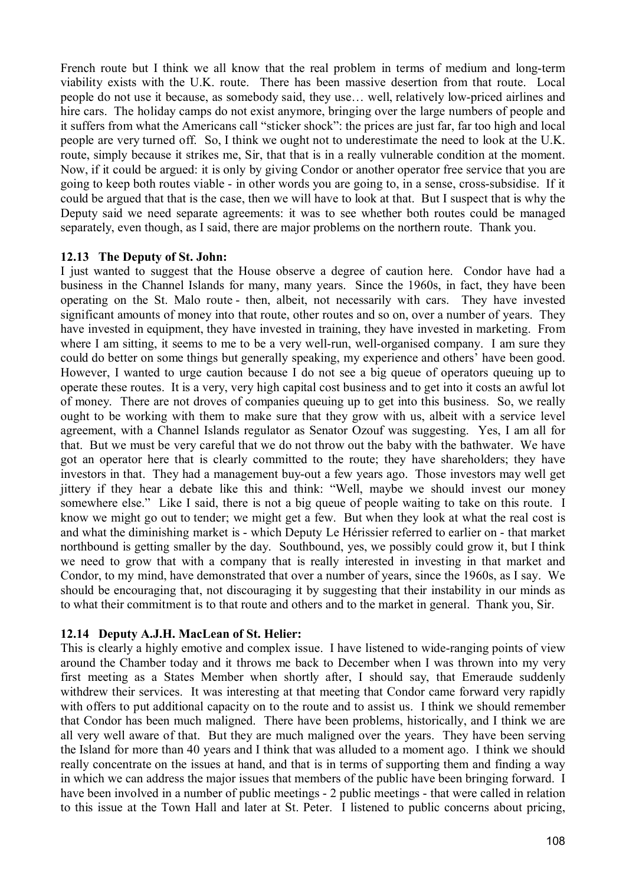French route but I think we all know that the real problem in terms of medium and long-term viability exists with the U.K. route. There has been massive desertion from that route. Local people do not use it because, as somebody said, they use… well, relatively low-priced airlines and hire cars. The holiday camps do not exist anymore, bringing over the large numbers of people and it suffers from what the Americans call "sticker shock": the prices are just far, far too high and local people are very turned off. So, I think we ought not to underestimate the need to look at the U.K. route, simply because it strikes me, Sir, that that is in a really vulnerable condition at the moment. Now, if it could be argued: it is only by giving Condor or another operator free service that you are going to keep both routes viable - in other words you are going to, in a sense, cross-subsidise. If it could be argued that that is the case, then we will have to look at that. But I suspect that is why the Deputy said we need separate agreements: it was to see whether both routes could be managed separately, even though, as I said, there are major problems on the northern route. Thank you.

### **12.13 The Deputy of St. John:**

I just wanted to suggest that the House observe a degree of caution here. Condor have had a business in the Channel Islands for many, many years. Since the 1960s, in fact, they have been operating on the St. Malo route - then, albeit, not necessarily with cars. They have invested significant amounts of money into that route, other routes and so on, over a number of years. They have invested in equipment, they have invested in training, they have invested in marketing. From where I am sitting, it seems to me to be a very well-run, well-organised company. I am sure they could do better on some things but generally speaking, my experience and others' have been good. However, I wanted to urge caution because I do not see a big queue of operators queuing up to operate these routes. It is a very, very high capital cost business and to get into it costs an awful lot of money. There are not droves of companies queuing up to get into this business. So, we really ought to be working with them to make sure that they grow with us, albeit with a service level agreement, with a Channel Islands regulator as Senator Ozouf was suggesting. Yes, I am all for that. But we must be very careful that we do not throw out the baby with the bathwater. We have got an operator here that is clearly committed to the route; they have shareholders; they have investors in that. They had a management buy-out a few years ago. Those investors may well get jittery if they hear a debate like this and think: "Well, maybe we should invest our money somewhere else." Like I said, there is not a big queue of people waiting to take on this route. I know we might go out to tender; we might get a few. But when they look at what the real cost is and what the diminishing market is - which Deputy Le Hérissier referred to earlier on - that market northbound is getting smaller by the day. Southbound, yes, we possibly could grow it, but I think we need to grow that with a company that is really interested in investing in that market and Condor, to my mind, have demonstrated that over a number of years, since the 1960s, as I say. We should be encouraging that, not discouraging it by suggesting that their instability in our minds as to what their commitment is to that route and others and to the market in general. Thank you, Sir.

# **12.14 Deputy A.J.H. MacLean of St. Helier:**

This is clearly a highly emotive and complex issue. I have listened to wide-ranging points of view around the Chamber today and it throws me back to December when I was thrown into my very first meeting as a States Member when shortly after, I should say, that Emeraude suddenly withdrew their services. It was interesting at that meeting that Condor came forward very rapidly with offers to put additional capacity on to the route and to assist us. I think we should remember that Condor has been much maligned. There have been problems, historically, and I think we are all very well aware of that. But they are much maligned over the years. They have been serving the Island for more than 40 years and I think that was alluded to a moment ago. I think we should really concentrate on the issues at hand, and that is in terms of supporting them and finding a way in which we can address the major issues that members of the public have been bringing forward. I have been involved in a number of public meetings - 2 public meetings - that were called in relation to this issue at the Town Hall and later at St. Peter. I listened to public concerns about pricing,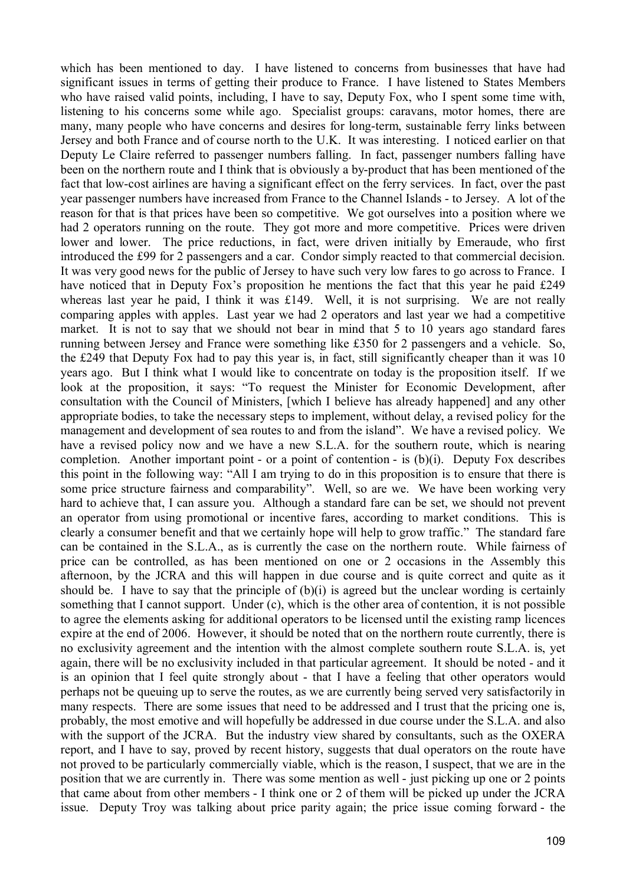which has been mentioned to day. I have listened to concerns from businesses that have had significant issues in terms of getting their produce to France. I have listened to States Members who have raised valid points, including, I have to say, Deputy Fox, who I spent some time with, listening to his concerns some while ago. Specialist groups: caravans, motor homes, there are many, many people who have concerns and desires for long-term, sustainable ferry links between Jersey and both France and of course north to the U.K. It was interesting. I noticed earlier on that Deputy Le Claire referred to passenger numbers falling. In fact, passenger numbers falling have been on the northern route and I think that is obviously a by-product that has been mentioned of the fact that low-cost airlines are having a significant effect on the ferry services. In fact, over the past year passenger numbers have increased from France to the Channel Islands - to Jersey. A lot of the reason for that is that prices have been so competitive. We got ourselves into a position where we had 2 operators running on the route. They got more and more competitive. Prices were driven lower and lower. The price reductions, in fact, were driven initially by Emeraude, who first introduced the £99 for 2 passengers and a car. Condor simply reacted to that commercial decision. It was very good news for the public of Jersey to have such very low fares to go across to France. I have noticed that in Deputy Fox's proposition he mentions the fact that this year he paid £249 whereas last year he paid, I think it was £149. Well, it is not surprising. We are not really comparing apples with apples. Last year we had 2 operators and last year we had a competitive market. It is not to say that we should not bear in mind that 5 to 10 years ago standard fares running between Jersey and France were something like £350 for 2 passengers and a vehicle. So, the £249 that Deputy Fox had to pay this year is, in fact, still significantly cheaper than it was 10 years ago. But I think what I would like to concentrate on today is the proposition itself. If we look at the proposition, it says: "To request the Minister for Economic Development, after consultation with the Council of Ministers, [which I believe has already happened] and any other appropriate bodies, to take the necessary steps to implement, without delay, a revised policy for the management and development of sea routes to and from the island". We have a revised policy. We have a revised policy now and we have a new S.L.A. for the southern route, which is nearing completion. Another important point - or a point of contention - is (b)(i). Deputy Fox describes this point in the following way: "All I am trying to do in this proposition is to ensure that there is some price structure fairness and comparability". Well, so are we. We have been working very hard to achieve that, I can assure you. Although a standard fare can be set, we should not prevent an operator from using promotional or incentive fares, according to market conditions. This is clearly a consumer benefit and that we certainly hope will help to grow traffic." The standard fare can be contained in the S.L.A., as is currently the case on the northern route. While fairness of price can be controlled, as has been mentioned on one or 2 occasions in the Assembly this afternoon, by the JCRA and this will happen in due course and is quite correct and quite as it should be. I have to say that the principle of  $(b)(i)$  is agreed but the unclear wording is certainly something that I cannot support. Under (c), which is the other area of contention, it is not possible to agree the elements asking for additional operators to be licensed until the existing ramp licences expire at the end of 2006. However, it should be noted that on the northern route currently, there is no exclusivity agreement and the intention with the almost complete southern route S.L.A. is, yet again, there will be no exclusivity included in that particular agreement. It should be noted - and it is an opinion that I feel quite strongly about - that I have a feeling that other operators would perhaps not be queuing up to serve the routes, as we are currently being served very satisfactorily in many respects. There are some issues that need to be addressed and I trust that the pricing one is, probably, the most emotive and will hopefully be addressed in due course under the S.L.A. and also with the support of the JCRA. But the industry view shared by consultants, such as the OXERA report, and I have to say, proved by recent history, suggests that dual operators on the route have not proved to be particularly commercially viable, which is the reason, I suspect, that we are in the position that we are currently in. There was some mention as well - just picking up one or 2 points that came about from other members - I think one or 2 of them will be picked up under the JCRA issue. Deputy Troy was talking about price parity again; the price issue coming forward - the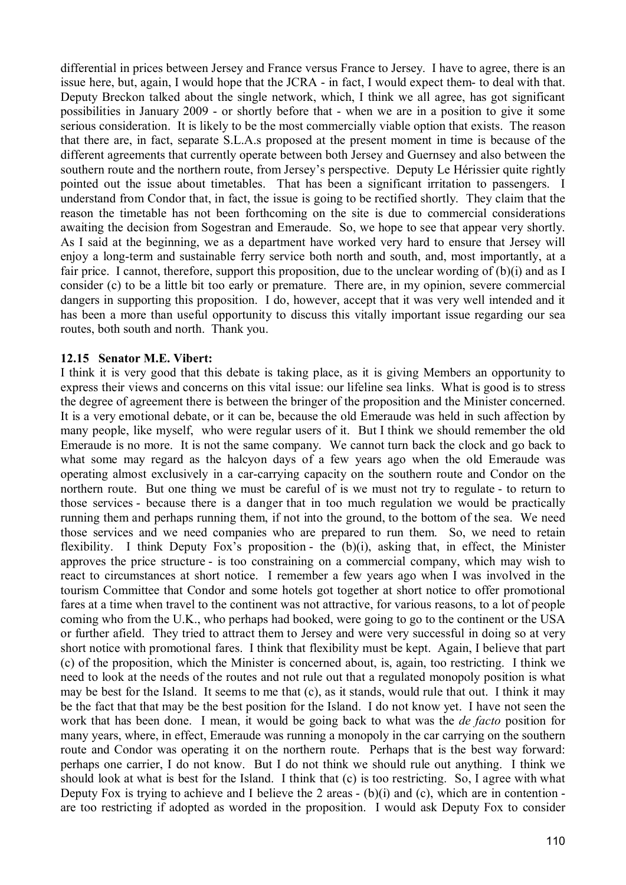differential in prices between Jersey and France versus France to Jersey. I have to agree, there is an issue here, but, again, I would hope that the JCRA - in fact, I would expect them- to deal with that. Deputy Breckon talked about the single network, which, I think we all agree, has got significant possibilities in January 2009 - or shortly before that - when we are in a position to give it some serious consideration. It is likely to be the most commercially viable option that exists. The reason that there are, in fact, separate S.L.A.s proposed at the present moment in time is because of the different agreements that currently operate between both Jersey and Guernsey and also between the southern route and the northern route, from Jersey's perspective. Deputy Le Hérissier quite rightly pointed out the issue about timetables. That has been a significant irritation to passengers. I understand from Condor that, in fact, the issue is going to be rectified shortly. They claim that the reason the timetable has not been forthcoming on the site is due to commercial considerations awaiting the decision from Sogestran and Emeraude. So, we hope to see that appear very shortly. As I said at the beginning, we as a department have worked very hard to ensure that Jersey will enjoy a long-term and sustainable ferry service both north and south, and, most importantly, at a fair price. I cannot, therefore, support this proposition, due to the unclear wording of (b)(i) and as I consider (c) to be a little bit too early or premature. There are, in my opinion, severe commercial dangers in supporting this proposition. I do, however, accept that it was very well intended and it has been a more than useful opportunity to discuss this vitally important issue regarding our sea routes, both south and north. Thank you.

### **12.15 Senator M.E. Vibert:**

I think it is very good that this debate is taking place, as it is giving Members an opportunity to express their views and concerns on this vital issue: our lifeline sea links. What is good is to stress the degree of agreement there is between the bringer of the proposition and the Minister concerned. It is a very emotional debate, or it can be, because the old Emeraude was held in such affection by many people, like myself, who were regular users of it. But I think we should remember the old Emeraude is no more. It is not the same company. We cannot turn back the clock and go back to what some may regard as the halcyon days of a few years ago when the old Emeraude was operating almost exclusively in a car-carrying capacity on the southern route and Condor on the northern route. But one thing we must be careful of is we must not try to regulate - to return to those services - because there is a danger that in too much regulation we would be practically running them and perhaps running them, if not into the ground, to the bottom of the sea. We need those services and we need companies who are prepared to run them. So, we need to retain flexibility. I think Deputy Fox's proposition - the (b)(i), asking that, in effect, the Minister approves the price structure - is too constraining on a commercial company, which may wish to react to circumstances at short notice. I remember a few years ago when I was involved in the tourism Committee that Condor and some hotels got together at short notice to offer promotional fares at a time when travel to the continent was not attractive, for various reasons, to a lot of people coming who from the U.K., who perhaps had booked, were going to go to the continent or the USA or further afield. They tried to attract them to Jersey and were very successful in doing so at very short notice with promotional fares. I think that flexibility must be kept. Again, I believe that part (c) of the proposition, which the Minister is concerned about, is, again, too restricting. I think we need to look at the needs of the routes and not rule out that a regulated monopoly position is what may be best for the Island. It seems to me that (c), as it stands, would rule that out. I think it may be the fact that that may be the best position for the Island. I do not know yet. I have not seen the work that has been done. I mean, it would be going back to what was the *de facto* position for many years, where, in effect, Emeraude was running a monopoly in the car carrying on the southern route and Condor was operating it on the northern route. Perhaps that is the best way forward: perhaps one carrier, I do not know. But I do not think we should rule out anything. I think we should look at what is best for the Island. I think that (c) is too restricting. So, I agree with what Deputy Fox is trying to achieve and I believe the 2 areas - (b)(i) and (c), which are in contention are too restricting if adopted as worded in the proposition. I would ask Deputy Fox to consider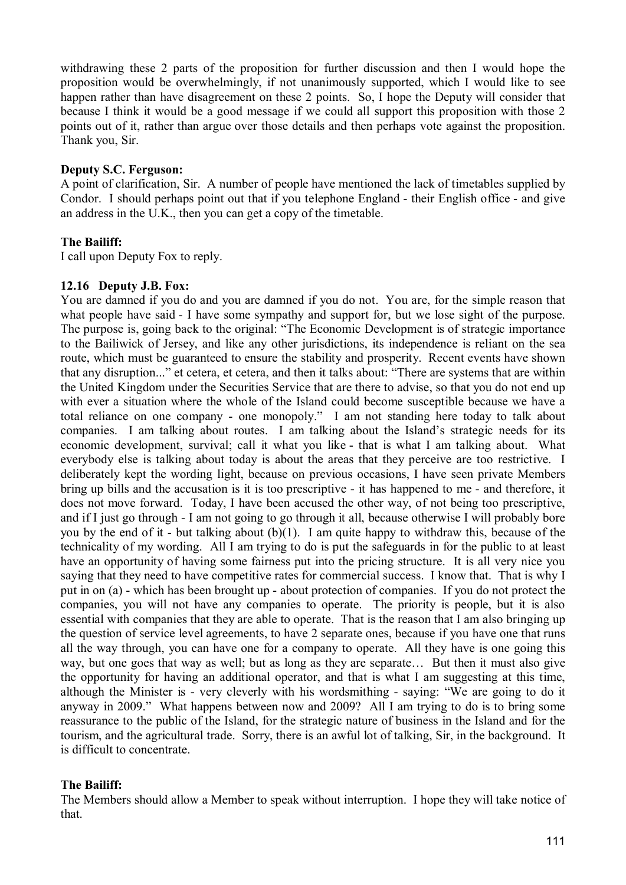withdrawing these 2 parts of the proposition for further discussion and then I would hope the proposition would be overwhelmingly, if not unanimously supported, which I would like to see happen rather than have disagreement on these 2 points. So, I hope the Deputy will consider that because I think it would be a good message if we could all support this proposition with those 2 points out of it, rather than argue over those details and then perhaps vote against the proposition. Thank you, Sir.

### **Deputy S.C. Ferguson:**

A point of clarification, Sir. A number of people have mentioned the lack of timetables supplied by Condor. I should perhaps point out that if you telephone England - their English office - and give an address in the U.K., then you can get a copy of the timetable.

# **The Bailiff:**

I call upon Deputy Fox to reply.

### **12.16 Deputy J.B. Fox:**

You are damned if you do and you are damned if you do not. You are, for the simple reason that what people have said - I have some sympathy and support for, but we lose sight of the purpose. The purpose is, going back to the original: "The Economic Development is of strategic importance to the Bailiwick of Jersey, and like any other jurisdictions, its independence is reliant on the sea route, which must be guaranteed to ensure the stability and prosperity. Recent events have shown that any disruption..." et cetera, et cetera, and then it talks about: "There are systems that are within the United Kingdom under the Securities Service that are there to advise, so that you do not end up with ever a situation where the whole of the Island could become susceptible because we have a total reliance on one company - one monopoly." I am not standing here today to talk about companies. I am talking about routes. I am talking about the Island's strategic needs for its economic development, survival; call it what you like - that is what I am talking about. What everybody else is talking about today is about the areas that they perceive are too restrictive. I deliberately kept the wording light, because on previous occasions, I have seen private Members bring up bills and the accusation is it is too prescriptive - it has happened to me - and therefore, it does not move forward. Today, I have been accused the other way, of not being too prescriptive, and if I just go through - I am not going to go through it all, because otherwise I will probably bore you by the end of it - but talking about  $(b)(1)$ . I am quite happy to withdraw this, because of the technicality of my wording. All I am trying to do is put the safeguards in for the public to at least have an opportunity of having some fairness put into the pricing structure. It is all very nice you saying that they need to have competitive rates for commercial success. I know that. That is why I put in on (a) - which has been brought up - about protection of companies. If you do not protect the companies, you will not have any companies to operate. The priority is people, but it is also essential with companies that they are able to operate. That is the reason that I am also bringing up the question of service level agreements, to have 2 separate ones, because if you have one that runs all the way through, you can have one for a company to operate. All they have is one going this way, but one goes that way as well; but as long as they are separate… But then it must also give the opportunity for having an additional operator, and that is what I am suggesting at this time, although the Minister is - very cleverly with his wordsmithing - saying: "We are going to do it anyway in 2009." What happens between now and 2009? All I am trying to do is to bring some reassurance to the public of the Island, for the strategic nature of business in the Island and for the tourism, and the agricultural trade. Sorry, there is an awful lot of talking, Sir, in the background. It is difficult to concentrate.

# **The Bailiff:**

The Members should allow a Member to speak without interruption. I hope they will take notice of that.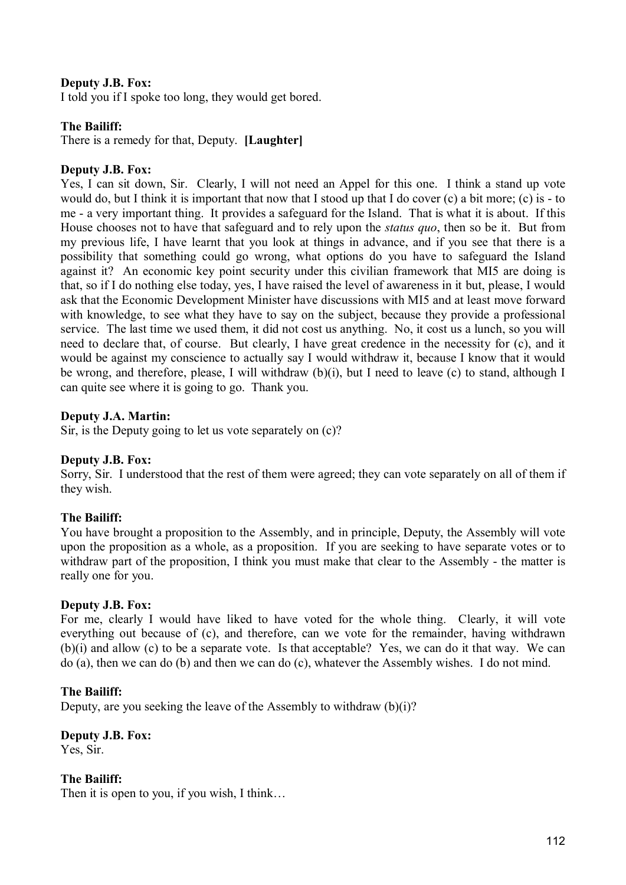## **Deputy J.B. Fox:**

I told you if I spoke too long, they would get bored.

#### **The Bailiff:**

There is a remedy for that, Deputy. **[Laughter]**

#### **Deputy J.B. Fox:**

Yes, I can sit down, Sir. Clearly, I will not need an Appel for this one. I think a stand up vote would do, but I think it is important that now that I stood up that I do cover (c) a bit more; (c) is - to me - a very important thing. It provides a safeguard for the Island. That is what it is about. If this House chooses not to have that safeguard and to rely upon the *status quo*, then so be it. But from my previous life, I have learnt that you look at things in advance, and if you see that there is a possibility that something could go wrong, what options do you have to safeguard the Island against it? An economic key point security under this civilian framework that MI5 are doing is that, so if I do nothing else today, yes, I have raised the level of awareness in it but, please, I would ask that the Economic Development Minister have discussions with MI5 and at least move forward with knowledge, to see what they have to say on the subject, because they provide a professional service. The last time we used them, it did not cost us anything. No, it cost us a lunch, so you will need to declare that, of course. But clearly, I have great credence in the necessity for (c), and it would be against my conscience to actually say I would withdraw it, because I know that it would be wrong, and therefore, please, I will withdraw (b)(i), but I need to leave (c) to stand, although I can quite see where it is going to go. Thank you.

#### **Deputy J.A. Martin:**

Sir, is the Deputy going to let us vote separately on (c)?

### **Deputy J.B. Fox:**

Sorry, Sir. I understood that the rest of them were agreed; they can vote separately on all of them if they wish.

### **The Bailiff:**

You have brought a proposition to the Assembly, and in principle, Deputy, the Assembly will vote upon the proposition as a whole, as a proposition. If you are seeking to have separate votes or to withdraw part of the proposition, I think you must make that clear to the Assembly - the matter is really one for you.

#### **Deputy J.B. Fox:**

For me, clearly I would have liked to have voted for the whole thing. Clearly, it will vote everything out because of (c), and therefore, can we vote for the remainder, having withdrawn (b)(i) and allow (c) to be a separate vote. Is that acceptable? Yes, we can do it that way. We can do (a), then we can do (b) and then we can do (c), whatever the Assembly wishes. I do not mind.

### **The Bailiff:**

Deputy, are you seeking the leave of the Assembly to withdraw  $(b)(i)$ ?

# **Deputy J.B. Fox:**

Yes, Sir.

**The Bailiff:**

Then it is open to you, if you wish, I think…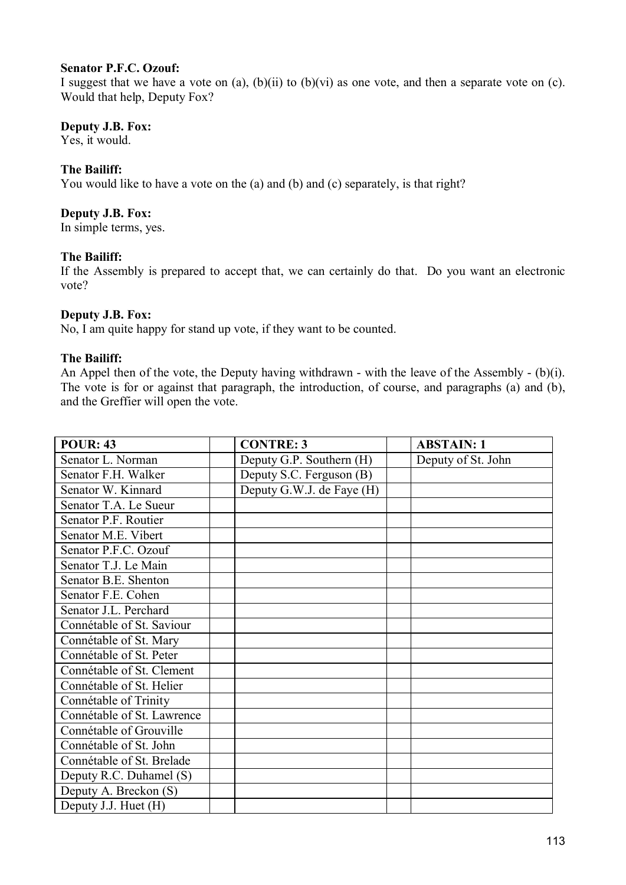## **Senator P.F.C. Ozouf:**

I suggest that we have a vote on  $(a)$ ,  $(b)(ii)$  to  $(b)(vi)$  as one vote, and then a separate vote on  $(c)$ . Would that help, Deputy Fox?

### **Deputy J.B. Fox:**

Yes, it would.

## **The Bailiff:**

You would like to have a vote on the (a) and (b) and (c) separately, is that right?

### **Deputy J.B. Fox:**

In simple terms, yes.

### **The Bailiff:**

If the Assembly is prepared to accept that, we can certainly do that. Do you want an electronic vote?

### **Deputy J.B. Fox:**

No, I am quite happy for stand up vote, if they want to be counted.

### **The Bailiff:**

An Appel then of the vote, the Deputy having withdrawn - with the leave of the Assembly - (b)(i). The vote is for or against that paragraph, the introduction, of course, and paragraphs (a) and (b), and the Greffier will open the vote.

| <b>POUR: 43</b>            | <b>CONTRE: 3</b>          | <b>ABSTAIN: 1</b>  |
|----------------------------|---------------------------|--------------------|
| Senator L. Norman          | Deputy G.P. Southern (H)  | Deputy of St. John |
| Senator F.H. Walker        | Deputy S.C. Ferguson (B)  |                    |
| Senator W. Kinnard         | Deputy G.W.J. de Faye (H) |                    |
| Senator T.A. Le Sueur      |                           |                    |
| Senator P.F. Routier       |                           |                    |
| Senator M.E. Vibert        |                           |                    |
| Senator P.F.C. Ozouf       |                           |                    |
| Senator T.J. Le Main       |                           |                    |
| Senator B.E. Shenton       |                           |                    |
| Senator F.E. Cohen         |                           |                    |
| Senator J.L. Perchard      |                           |                    |
| Connétable of St. Saviour  |                           |                    |
| Connétable of St. Mary     |                           |                    |
| Connétable of St. Peter    |                           |                    |
| Connétable of St. Clement  |                           |                    |
| Connétable of St. Helier   |                           |                    |
| Connétable of Trinity      |                           |                    |
| Connétable of St. Lawrence |                           |                    |
| Connétable of Grouville    |                           |                    |
| Connétable of St. John     |                           |                    |
| Connétable of St. Brelade  |                           |                    |
| Deputy R.C. Duhamel (S)    |                           |                    |
| Deputy A. Breckon (S)      |                           |                    |
| Deputy J.J. Huet (H)       |                           |                    |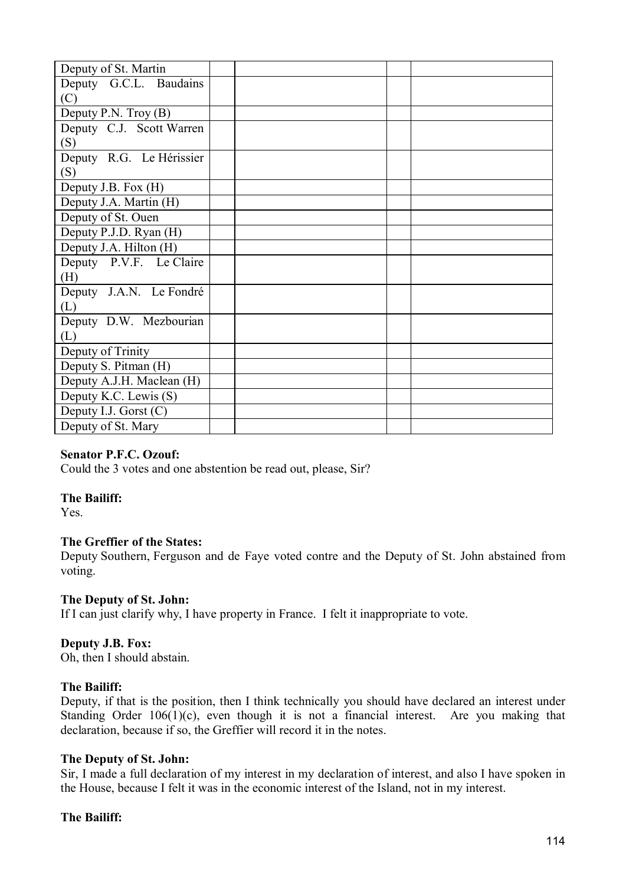| Deputy of St. Martin      |  |  |
|---------------------------|--|--|
| Deputy G.C.L. Baudains    |  |  |
| (C)                       |  |  |
| Deputy P.N. Troy $(B)$    |  |  |
| Deputy C.J. Scott Warren  |  |  |
| (S)                       |  |  |
| Deputy R.G. Le Hérissier  |  |  |
| (S)                       |  |  |
| Deputy J.B. Fox (H)       |  |  |
| Deputy J.A. Martin (H)    |  |  |
| Deputy of St. Ouen        |  |  |
| Deputy P.J.D. Ryan (H)    |  |  |
| Deputy J.A. Hilton (H)    |  |  |
| Deputy P.V.F. Le Claire   |  |  |
| (H)                       |  |  |
| Deputy J.A.N. Le Fondré   |  |  |
| (L)                       |  |  |
| Deputy D.W. Mezbourian    |  |  |
| (L)                       |  |  |
| Deputy of Trinity         |  |  |
| Deputy S. Pitman (H)      |  |  |
| Deputy A.J.H. Maclean (H) |  |  |
| Deputy K.C. Lewis (S)     |  |  |
| Deputy I.J. Gorst $(C)$   |  |  |
| Deputy of St. Mary        |  |  |

# **Senator P.F.C. Ozouf:**

Could the 3 votes and one abstention be read out, please, Sir?

# **The Bailiff:**

Yes.

# **The Greffier of the States:**

Deputy Southern, Ferguson and de Faye voted contre and the Deputy of St. John abstained from voting.

# **The Deputy of St. John:**

If I can just clarify why, I have property in France. I felt it inappropriate to vote.

# **Deputy J.B. Fox:**

Oh, then I should abstain.

# **The Bailiff:**

Deputy, if that is the position, then I think technically you should have declared an interest under Standing Order  $106(1)(c)$ , even though it is not a financial interest. Are you making that declaration, because if so, the Greffier will record it in the notes.

# **The Deputy of St. John:**

Sir, I made a full declaration of my interest in my declaration of interest, and also I have spoken in the House, because I felt it was in the economic interest of the Island, not in my interest.

# **The Bailiff:**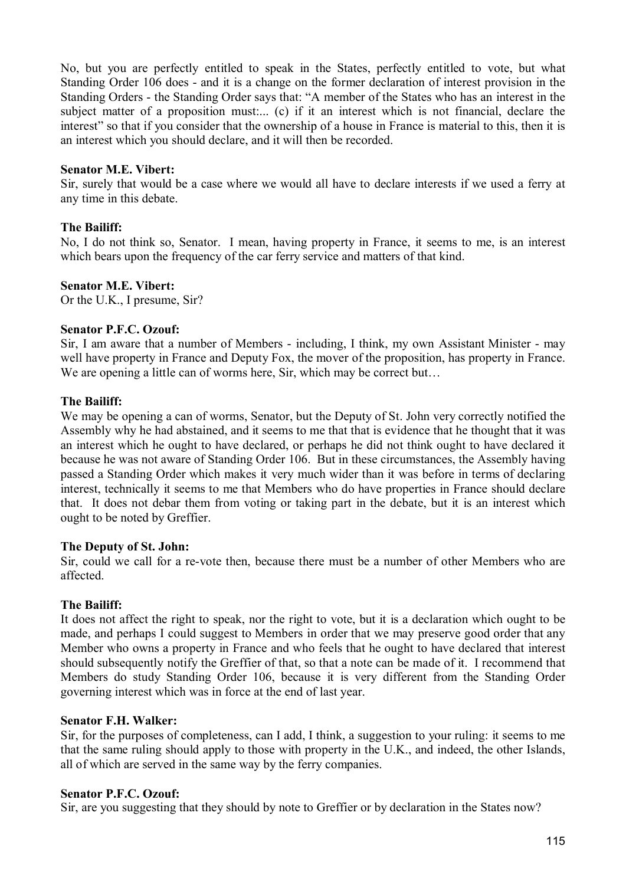No, but you are perfectly entitled to speak in the States, perfectly entitled to vote, but what Standing Order 106 does - and it is a change on the former declaration of interest provision in the Standing Orders - the Standing Order says that: "A member of the States who has an interest in the subject matter of a proposition must.... (c) if it an interest which is not financial, declare the interest" so that if you consider that the ownership of a house in France is material to this, then it is an interest which you should declare, and it will then be recorded.

### **Senator M.E. Vibert:**

Sir, surely that would be a case where we would all have to declare interests if we used a ferry at any time in this debate.

## **The Bailiff:**

No, I do not think so, Senator. I mean, having property in France, it seems to me, is an interest which bears upon the frequency of the car ferry service and matters of that kind.

### **Senator M.E. Vibert:**

Or the U.K., I presume, Sir?

### **Senator P.F.C. Ozouf:**

Sir, I am aware that a number of Members - including, I think, my own Assistant Minister - may well have property in France and Deputy Fox, the mover of the proposition, has property in France. We are opening a little can of worms here, Sir, which may be correct but...

### **The Bailiff:**

We may be opening a can of worms, Senator, but the Deputy of St. John very correctly notified the Assembly why he had abstained, and it seems to me that that is evidence that he thought that it was an interest which he ought to have declared, or perhaps he did not think ought to have declared it because he was not aware of Standing Order 106. But in these circumstances, the Assembly having passed a Standing Order which makes it very much wider than it was before in terms of declaring interest, technically it seems to me that Members who do have properties in France should declare that. It does not debar them from voting or taking part in the debate, but it is an interest which ought to be noted by Greffier.

### **The Deputy of St. John:**

Sir, could we call for a re-vote then, because there must be a number of other Members who are affected.

# **The Bailiff:**

It does not affect the right to speak, nor the right to vote, but it is a declaration which ought to be made, and perhaps I could suggest to Members in order that we may preserve good order that any Member who owns a property in France and who feels that he ought to have declared that interest should subsequently notify the Greffier of that, so that a note can be made of it. I recommend that Members do study Standing Order 106, because it is very different from the Standing Order governing interest which was in force at the end of last year.

### **Senator F.H. Walker:**

Sir, for the purposes of completeness, can I add, I think, a suggestion to your ruling: it seems to me that the same ruling should apply to those with property in the U.K., and indeed, the other Islands, all of which are served in the same way by the ferry companies.

### **Senator P.F.C. Ozouf:**

Sir, are you suggesting that they should by note to Greffier or by declaration in the States now?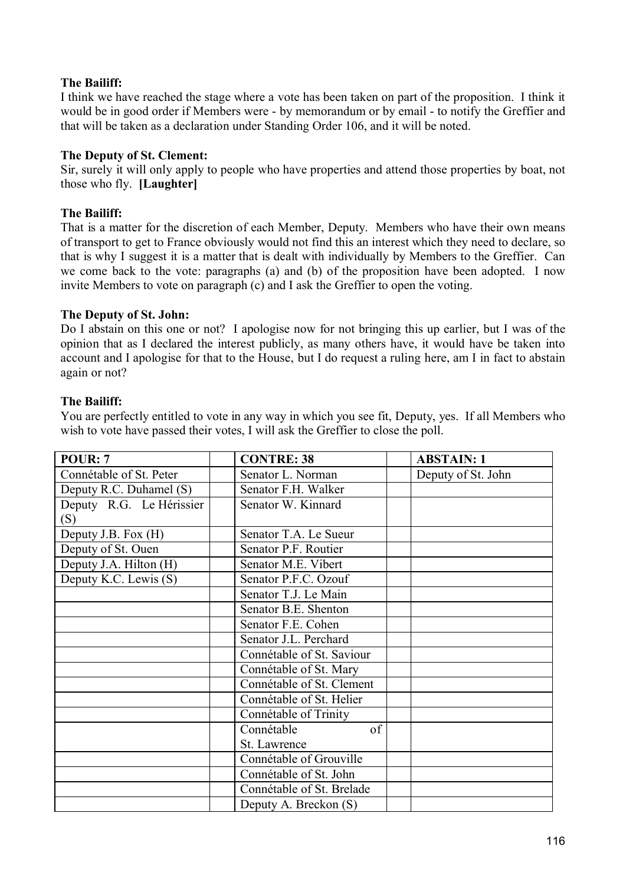# **The Bailiff:**

I think we have reached the stage where a vote has been taken on part of the proposition. I think it would be in good order if Members were - by memorandum or by email - to notify the Greffier and that will be taken as a declaration under Standing Order 106, and it will be noted.

## **The Deputy of St. Clement:**

Sir, surely it will only apply to people who have properties and attend those properties by boat, not those who fly. **[Laughter]**

## **The Bailiff:**

That is a matter for the discretion of each Member, Deputy. Members who have their own means of transport to get to France obviously would not find this an interest which they need to declare, so that is why I suggest it is a matter that is dealt with individually by Members to the Greffier. Can we come back to the vote: paragraphs (a) and (b) of the proposition have been adopted. I now invite Members to vote on paragraph (c) and I ask the Greffier to open the voting.

### **The Deputy of St. John:**

Do I abstain on this one or not? I apologise now for not bringing this up earlier, but I was of the opinion that as I declared the interest publicly, as many others have, it would have be taken into account and I apologise for that to the House, but I do request a ruling here, am I in fact to abstain again or not?

### **The Bailiff:**

You are perfectly entitled to vote in any way in which you see fit, Deputy, yes. If all Members who wish to vote have passed their votes, I will ask the Greffier to close the poll.

| POUR: 7                  | <b>CONTRE: 38</b>         | <b>ABSTAIN: 1</b>  |
|--------------------------|---------------------------|--------------------|
| Connétable of St. Peter  | Senator L. Norman         | Deputy of St. John |
| Deputy R.C. Duhamel (S)  | Senator F.H. Walker       |                    |
| Deputy R.G. Le Hérissier | Senator W. Kinnard        |                    |
| (S)                      |                           |                    |
| Deputy J.B. Fox (H)      | Senator T.A. Le Sueur     |                    |
| Deputy of St. Ouen       | Senator P.F. Routier      |                    |
| Deputy J.A. Hilton (H)   | Senator M.E. Vibert       |                    |
| Deputy K.C. Lewis (S)    | Senator P.F.C. Ozouf      |                    |
|                          | Senator T.J. Le Main      |                    |
|                          | Senator B.E. Shenton      |                    |
|                          | Senator F.E. Cohen        |                    |
|                          | Senator J.L. Perchard     |                    |
|                          | Connétable of St. Saviour |                    |
|                          | Connétable of St. Mary    |                    |
|                          | Connétable of St. Clement |                    |
|                          | Connétable of St. Helier  |                    |
|                          | Connétable of Trinity     |                    |
|                          | Connétable<br>of          |                    |
|                          | St. Lawrence              |                    |
|                          | Connétable of Grouville   |                    |
|                          | Connétable of St. John    |                    |
|                          | Connétable of St. Brelade |                    |
|                          | Deputy A. Breckon (S)     |                    |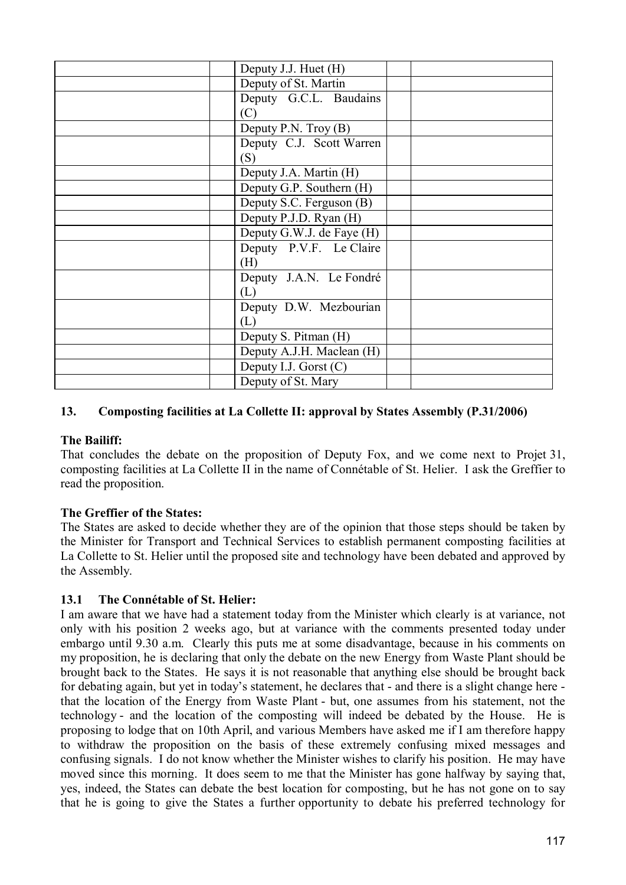| Deputy J.J. Huet (H)      |  |
|---------------------------|--|
| Deputy of St. Martin      |  |
| Deputy G.C.L. Baudains    |  |
| (C)                       |  |
| Deputy P.N. Troy $(B)$    |  |
| Deputy C.J. Scott Warren  |  |
| (S)                       |  |
| Deputy J.A. Martin (H)    |  |
| Deputy G.P. Southern (H)  |  |
| Deputy S.C. Ferguson (B)  |  |
| Deputy P.J.D. Ryan (H)    |  |
| Deputy G.W.J. de Faye (H) |  |
| Deputy P.V.F. Le Claire   |  |
| (H)                       |  |
| Deputy J.A.N. Le Fondré   |  |
| (L)                       |  |
| Deputy D.W. Mezbourian    |  |
| (L)                       |  |
| Deputy S. Pitman (H)      |  |
| Deputy A.J.H. Maclean (H) |  |
| Deputy I.J. Gorst $(C)$   |  |
| Deputy of St. Mary        |  |
|                           |  |

# **13. Composting facilities at La Collette II: approval by States Assembly (P.31/2006)**

# **The Bailiff:**

That concludes the debate on the proposition of Deputy Fox, and we come next to Projet 31, composting facilities at La Collette II in the name of Connétable of St. Helier. I ask the Greffier to read the proposition.

# **The Greffier of the States:**

The States are asked to decide whether they are of the opinion that those steps should be taken by the Minister for Transport and Technical Services to establish permanent composting facilities at La Collette to St. Helier until the proposed site and technology have been debated and approved by the Assembly.

# **13.1 The Connétable of St. Helier:**

I am aware that we have had a statement today from the Minister which clearly is at variance, not only with his position 2 weeks ago, but at variance with the comments presented today under embargo until 9.30 a.m. Clearly this puts me at some disadvantage, because in his comments on my proposition, he is declaring that only the debate on the new Energy from Waste Plant should be brought back to the States. He says it is not reasonable that anything else should be brought back for debating again, but yet in today's statement, he declares that - and there is a slight change here that the location of the Energy from Waste Plant - but, one assumes from his statement, not the technology - and the location of the composting will indeed be debated by the House. He is proposing to lodge that on 10th April, and various Members have asked me if I am therefore happy to withdraw the proposition on the basis of these extremely confusing mixed messages and confusing signals. I do not know whether the Minister wishes to clarify his position. He may have moved since this morning. It does seem to me that the Minister has gone halfway by saying that, yes, indeed, the States can debate the best location for composting, but he has not gone on to say that he is going to give the States a further opportunity to debate his preferred technology for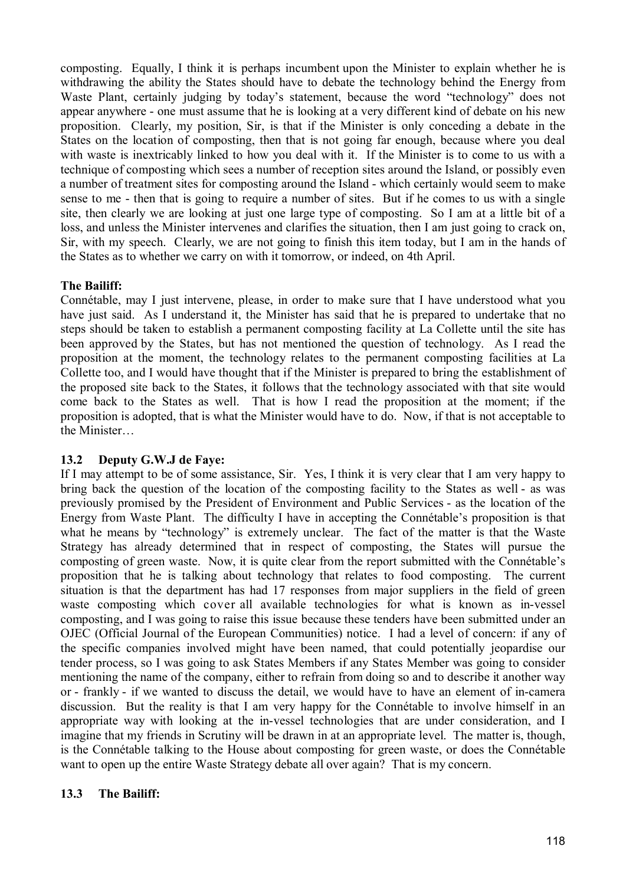composting. Equally, I think it is perhaps incumbent upon the Minister to explain whether he is withdrawing the ability the States should have to debate the technology behind the Energy from Waste Plant, certainly judging by today's statement, because the word "technology" does not appear anywhere - one must assume that he is looking at a very different kind of debate on his new proposition. Clearly, my position, Sir, is that if the Minister is only conceding a debate in the States on the location of composting, then that is not going far enough, because where you deal with waste is inextricably linked to how you deal with it. If the Minister is to come to us with a technique of composting which sees a number of reception sites around the Island, or possibly even a number of treatment sites for composting around the Island - which certainly would seem to make sense to me - then that is going to require a number of sites. But if he comes to us with a single site, then clearly we are looking at just one large type of composting. So I am at a little bit of a loss, and unless the Minister intervenes and clarifies the situation, then I am just going to crack on, Sir, with my speech. Clearly, we are not going to finish this item today, but I am in the hands of the States as to whether we carry on with it tomorrow, or indeed, on 4th April.

# **The Bailiff:**

Connétable, may I just intervene, please, in order to make sure that I have understood what you have just said. As I understand it, the Minister has said that he is prepared to undertake that no steps should be taken to establish a permanent composting facility at La Collette until the site has been approved by the States, but has not mentioned the question of technology. As I read the proposition at the moment, the technology relates to the permanent composting facilities at La Collette too, and I would have thought that if the Minister is prepared to bring the establishment of the proposed site back to the States, it follows that the technology associated with that site would come back to the States as well. That is how I read the proposition at the moment; if the proposition is adopted, that is what the Minister would have to do. Now, if that is not acceptable to the Minister…

# **13.2 Deputy G.W.J de Faye:**

If I may attempt to be of some assistance, Sir. Yes, I think it is very clear that I am very happy to bring back the question of the location of the composting facility to the States as well - as was previously promised by the President of Environment and Public Services - as the location of the Energy from Waste Plant. The difficulty I have in accepting the Connétable's proposition is that what he means by "technology" is extremely unclear. The fact of the matter is that the Waste Strategy has already determined that in respect of composting, the States will pursue the composting of green waste. Now, it is quite clear from the report submitted with the Connétable's proposition that he is talking about technology that relates to food composting. The current situation is that the department has had 17 responses from major suppliers in the field of green waste composting which cover all available technologies for what is known as in-vessel composting, and I was going to raise this issue because these tenders have been submitted under an OJEC (Official Journal of the European Communities) notice. I had a level of concern: if any of the specific companies involved might have been named, that could potentially jeopardise our tender process, so I was going to ask States Members if any States Member was going to consider mentioning the name of the company, either to refrain from doing so and to describe it another way or - frankly - if we wanted to discuss the detail, we would have to have an element of in-camera discussion. But the reality is that I am very happy for the Connétable to involve himself in an appropriate way with looking at the in-vessel technologies that are under consideration, and I imagine that my friends in Scrutiny will be drawn in at an appropriate level. The matter is, though, is the Connétable talking to the House about composting for green waste, or does the Connétable want to open up the entire Waste Strategy debate all over again? That is my concern.

# **13.3 The Bailiff:**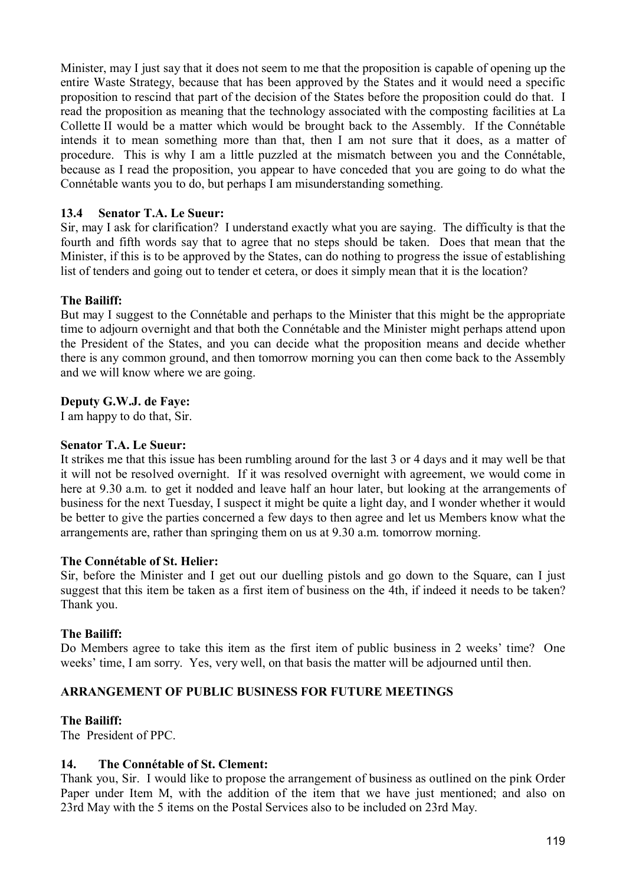Minister, may I just say that it does not seem to me that the proposition is capable of opening up the entire Waste Strategy, because that has been approved by the States and it would need a specific proposition to rescind that part of the decision of the States before the proposition could do that. I read the proposition as meaning that the technology associated with the composting facilities at La Collette II would be a matter which would be brought back to the Assembly. If the Connétable intends it to mean something more than that, then I am not sure that it does, as a matter of procedure. This is why I am a little puzzled at the mismatch between you and the Connétable, because as I read the proposition, you appear to have conceded that you are going to do what the Connétable wants you to do, but perhaps I am misunderstanding something.

# **13.4 Senator T.A. Le Sueur:**

Sir, may I ask for clarification? I understand exactly what you are saying. The difficulty is that the fourth and fifth words say that to agree that no steps should be taken. Does that mean that the Minister, if this is to be approved by the States, can do nothing to progress the issue of establishing list of tenders and going out to tender et cetera, or does it simply mean that it is the location?

### **The Bailiff:**

But may I suggest to the Connétable and perhaps to the Minister that this might be the appropriate time to adjourn overnight and that both the Connétable and the Minister might perhaps attend upon the President of the States, and you can decide what the proposition means and decide whether there is any common ground, and then tomorrow morning you can then come back to the Assembly and we will know where we are going.

### **Deputy G.W.J. de Faye:**

I am happy to do that, Sir.

### **Senator T.A. Le Sueur:**

It strikes me that this issue has been rumbling around for the last 3 or 4 days and it may well be that it will not be resolved overnight. If it was resolved overnight with agreement, we would come in here at 9.30 a.m. to get it nodded and leave half an hour later, but looking at the arrangements of business for the next Tuesday, I suspect it might be quite a light day, and I wonder whether it would be better to give the parties concerned a few days to then agree and let us Members know what the arrangements are, rather than springing them on us at 9.30 a.m. tomorrow morning.

### **The Connétable of St. Helier:**

Sir, before the Minister and I get out our duelling pistols and go down to the Square, can I just suggest that this item be taken as a first item of business on the 4th, if indeed it needs to be taken? Thank you.

### **The Bailiff:**

Do Members agree to take this item as the first item of public business in 2 weeks' time? One weeks' time, I am sorry. Yes, very well, on that basis the matter will be adjourned until then.

### **ARRANGEMENT OF PUBLIC BUSINESS FOR FUTURE MEETINGS**

### **The Bailiff:**

The President of PPC.

## **14. The Connétable of St. Clement:**

Thank you, Sir. I would like to propose the arrangement of business as outlined on the pink Order Paper under Item M, with the addition of the item that we have just mentioned; and also on 23rd May with the 5 items on the Postal Services also to be included on 23rd May.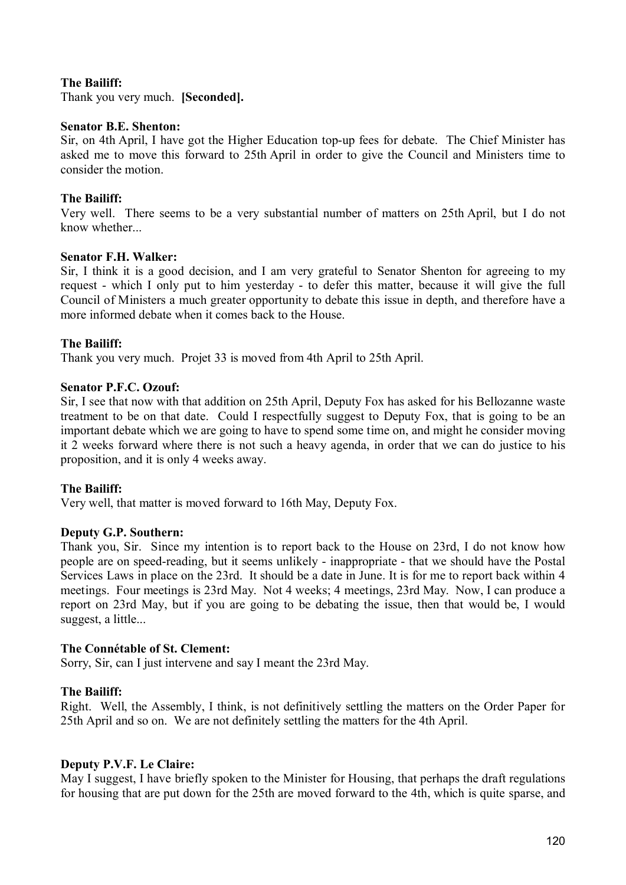## **The Bailiff:**

Thank you very much. **[Seconded].**

### **Senator B.E. Shenton:**

Sir, on 4th April, I have got the Higher Education top-up fees for debate. The Chief Minister has asked me to move this forward to 25th April in order to give the Council and Ministers time to consider the motion.

### **The Bailiff:**

Very well. There seems to be a very substantial number of matters on 25th April, but I do not know whether

#### **Senator F.H. Walker:**

Sir, I think it is a good decision, and I am very grateful to Senator Shenton for agreeing to my request - which I only put to him yesterday - to defer this matter, because it will give the full Council of Ministers a much greater opportunity to debate this issue in depth, and therefore have a more informed debate when it comes back to the House.

### **The Bailiff:**

Thank you very much. Projet 33 is moved from 4th April to 25th April.

### **Senator P.F.C. Ozouf:**

Sir, I see that now with that addition on 25th April, Deputy Fox has asked for his Bellozanne waste treatment to be on that date. Could I respectfully suggest to Deputy Fox, that is going to be an important debate which we are going to have to spend some time on, and might he consider moving it 2 weeks forward where there is not such a heavy agenda, in order that we can do justice to his proposition, and it is only 4 weeks away.

### **The Bailiff:**

Very well, that matter is moved forward to 16th May, Deputy Fox.

### **Deputy G.P. Southern:**

Thank you, Sir. Since my intention is to report back to the House on 23rd, I do not know how people are on speed-reading, but it seems unlikely - inappropriate - that we should have the Postal Services Laws in place on the 23rd. It should be a date in June. It is for me to report back within 4 meetings. Four meetings is 23rd May. Not 4 weeks; 4 meetings, 23rd May. Now, I can produce a report on 23rd May, but if you are going to be debating the issue, then that would be, I would suggest, a little...

### **The Connétable of St. Clement:**

Sorry, Sir, can I just intervene and say I meant the 23rd May.

### **The Bailiff:**

Right. Well, the Assembly, I think, is not definitively settling the matters on the Order Paper for 25th April and so on. We are not definitely settling the matters for the 4th April.

#### **Deputy P.V.F. Le Claire:**

May I suggest, I have briefly spoken to the Minister for Housing, that perhaps the draft regulations for housing that are put down for the 25th are moved forward to the 4th, which is quite sparse, and